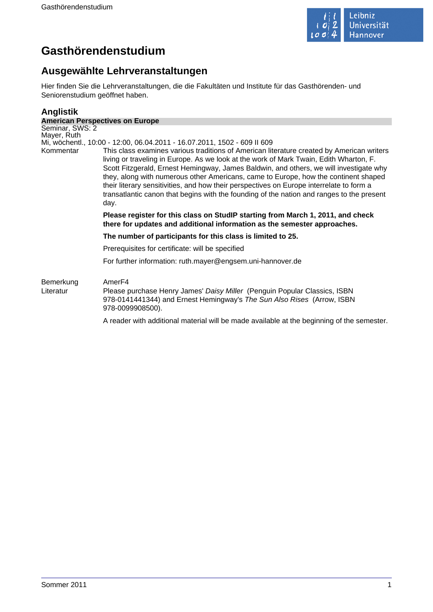

# **Gasthörendenstudium**

# **Ausgewählte Lehrveranstaltungen**

Hier finden Sie die Lehrveranstaltungen, die die Fakultäten und Institute für das Gasthörenden- und Seniorenstudium geöffnet haben.

# **Anglistik**

| <b>American Perspectives on Europe</b> |                                                                                                                                                                                                                                                                                                                                                                                                                                                                                                                                                                                                                                                   |  |
|----------------------------------------|---------------------------------------------------------------------------------------------------------------------------------------------------------------------------------------------------------------------------------------------------------------------------------------------------------------------------------------------------------------------------------------------------------------------------------------------------------------------------------------------------------------------------------------------------------------------------------------------------------------------------------------------------|--|
| Seminar, SWS: 2                        |                                                                                                                                                                                                                                                                                                                                                                                                                                                                                                                                                                                                                                                   |  |
| Mayer, Ruth                            |                                                                                                                                                                                                                                                                                                                                                                                                                                                                                                                                                                                                                                                   |  |
| Kommentar                              | Mi, wöchentl., 10:00 - 12:00, 06.04.2011 - 16.07.2011, 1502 - 609 II 609<br>This class examines various traditions of American literature created by American writers<br>living or traveling in Europe. As we look at the work of Mark Twain, Edith Wharton, F.<br>Scott Fitzgerald, Ernest Hemingway, James Baldwin, and others, we will investigate why<br>they, along with numerous other Americans, came to Europe, how the continent shaped<br>their literary sensitivities, and how their perspectives on Europe interrelate to form a<br>transatlantic canon that begins with the founding of the nation and ranges to the present<br>day. |  |
|                                        | Please register for this class on StudIP starting from March 1, 2011, and check<br>there for updates and additional information as the semester approaches.                                                                                                                                                                                                                                                                                                                                                                                                                                                                                       |  |
|                                        | The number of participants for this class is limited to 25.                                                                                                                                                                                                                                                                                                                                                                                                                                                                                                                                                                                       |  |
|                                        | Prerequisites for certificate: will be specified                                                                                                                                                                                                                                                                                                                                                                                                                                                                                                                                                                                                  |  |
|                                        | For further information: ruth.mayer@engsem.uni-hannover.de                                                                                                                                                                                                                                                                                                                                                                                                                                                                                                                                                                                        |  |
| Bemerkung<br>Literatur                 | Amer <sub>F4</sub><br>Please purchase Henry James' Daisy Miller (Penguin Popular Classics, ISBN<br>978-0141441344) and Ernest Hemingway's The Sun Also Rises (Arrow, ISBN<br>978-0099908500).                                                                                                                                                                                                                                                                                                                                                                                                                                                     |  |

A reader with additional material will be made available at the beginning of the semester.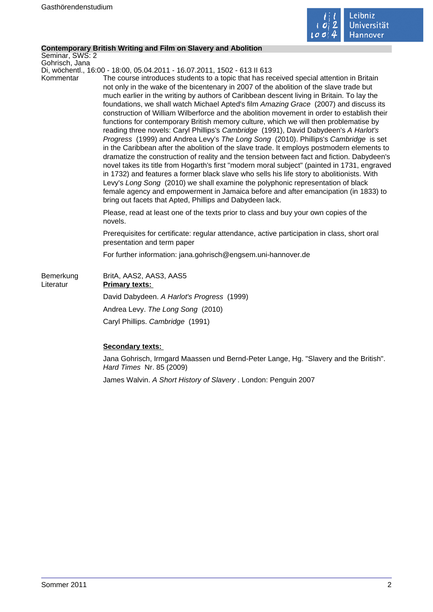

#### **Contemporary British Writing and Film on Slavery and Abolition**

Seminar, SWS: 2 Gohrisch, Jana

Di, wöchentl., 16:00 - 18:00, 05.04.2011 - 16.07.2011, 1502 - 613 II 613

Kommentar The course introduces students to a topic that has received special attention in Britain not only in the wake of the bicentenary in 2007 of the abolition of the slave trade but much earlier in the writing by authors of Caribbean descent living in Britain. To lay the foundations, we shall watch Michael Apted's film Amazing Grace (2007) and discuss its construction of William Wilberforce and the abolition movement in order to establish their functions for contemporary British memory culture, which we will then problematise by reading three novels: Caryl Phillips's Cambridge (1991), David Dabydeen's A Harlot's Progress (1999) and Andrea Levy's The Long Song (2010). Phillips's Cambridge is set in the Caribbean after the abolition of the slave trade. It employs postmodern elements to dramatize the construction of reality and the tension between fact and fiction. Dabydeen's novel takes its title from Hogarth's first "modern moral subject" (painted in 1731, engraved in 1732) and features a former black slave who sells his life story to abolitionists. With Levy's Long Song (2010) we shall examine the polyphonic representation of black female agency and empowerment in Jamaica before and after emancipation (in 1833) to bring out facets that Apted, Phillips and Dabydeen lack.

> Please, read at least one of the texts prior to class and buy your own copies of the novels.

Prerequisites for certificate: regular attendance, active participation in class, short oral presentation and term paper

For further information: jana.gohrisch@engsem.uni-hannover.de

| Bemerkung<br>Literatur | BritA, AAS2, AAS3, AAS5<br><b>Primary texts:</b> |
|------------------------|--------------------------------------------------|
|                        | David Dabydeen. A Harlot's Progress (1999)       |
|                        | Andrea Levy. The Long Song (2010)                |
|                        | Caryl Phillips. Cambridge (1991)                 |

### **Secondary texts:**

Jana Gohrisch, Irmgard Maassen und Bernd-Peter Lange, Hg. "Slavery and the British". Hard Times Nr. 85 (2009)

James Walvin. A Short History of Slavery . London: Penguin 2007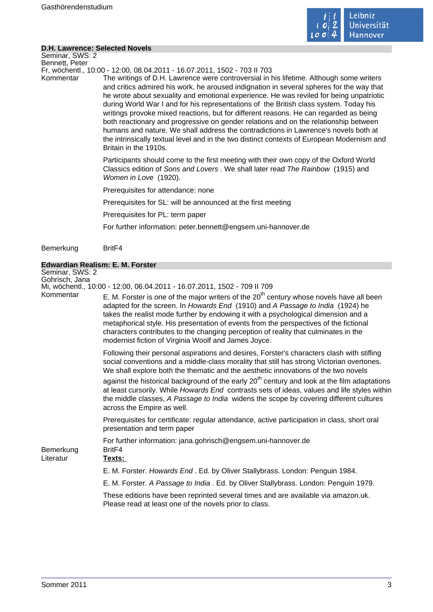

#### **D.H. Lawrence: Selected Novels**

Seminar, SWS: 2 Bennett, Peter

Fr, wöchentl., 10:00 - 12:00, 08.04.2011 - 16.07.2011, 1502 - 703 II 703

Kommentar The writings of D.H. Lawrence were controversial in his lifetime. Although some writers and critics admired his work, he aroused indignation in several spheres for the way that he wrote about sexuality and emotional experience. He was reviled for being unpatriotic during World War I and for his representations of the British class system. Today his writings provoke mixed reactions, but for different reasons. He can regarded as being both reactionary and progressive on gender relations and on the relationship between humans and nature. We shall address the contradictions in Lawrence's novels both at the intrinsically textual level and in the two distinct contexts of European Modernism and Britain in the 1910s.

> Participants should come to the first meeting with their own copy of the Oxford World Classics edition of Sons and Lovers . We shall later read The Rainbow (1915) and Women in Love (1920).

Prerequisites for attendance: none

Prerequisites for SL: will be announced at the first meeting

Prerequisites for PL: term paper

For further information: peter.bennett@engsem.uni-hannover.de

Bemerkung BritF4

#### **Edwardian Realism: E. M. Forster**

Seminar, SWS: 2 Gohrisch, Jana Mi, wöchentl., 10:00 - 12:00, 06.04.2011 - 16.07.2011, 1502 - 709 II 709<br>Kommentar E M. Forster is one of the major writers of the 30<sup>th</sup> co E. M. Forster is one of the major writers of the  $20<sup>th</sup>$  century whose novels have all been adapted for the screen. In Howards End (1910) and A Passage to India (1924) he takes the realist mode further by endowing it with a psychological dimension and a metaphorical style. His presentation of events from the perspectives of the fictional characters contributes to the changing perception of reality that culminates in the modernist fiction of Virginia Woolf and James Joyce. Following their personal aspirations and desires, Forster's characters clash with stifling social conventions and a middle-class morality that still has strong Victorian overtones. We shall explore both the thematic and the aesthetic innovations of the two novels against the historical background of the early  $20<sup>th</sup>$  century and look at the film adaptations at least cursorily. While Howards End contrasts sets of ideas, values and life styles within the middle classes, A Passage to India widens the scope by covering different cultures across the Empire as well. Prerequisites for certificate: regular attendance, active participation in class, short oral presentation and term paper For further information: jana.gohrisch@engsem.uni-hannover.de Bemerkung BritF4 Literatur **Texts:**  E. M. Forster. Howards End . Ed. by Oliver Stallybrass. London: Penguin 1984. E. M. Forster. A Passage to India . Ed. by Oliver Stallybrass. London: Penguin 1979. These editions have been reprinted several times and are available via amazon.uk. Please read at least one of the novels prior to class.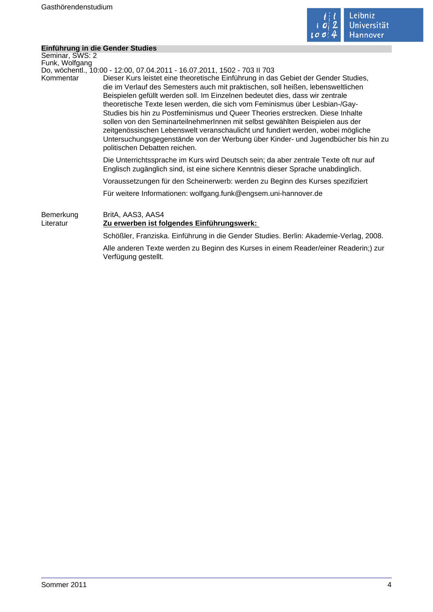

÷

# **Einführung in die Gender Studies**

|                        | Limum ung in die Gender Studies                                                                                                                                                                                                                                                                                                                                                                                                                                                                                                                                                                                                                                                                                    |
|------------------------|--------------------------------------------------------------------------------------------------------------------------------------------------------------------------------------------------------------------------------------------------------------------------------------------------------------------------------------------------------------------------------------------------------------------------------------------------------------------------------------------------------------------------------------------------------------------------------------------------------------------------------------------------------------------------------------------------------------------|
| Seminar, SWS: 2        |                                                                                                                                                                                                                                                                                                                                                                                                                                                                                                                                                                                                                                                                                                                    |
| Funk, Wolfgang         |                                                                                                                                                                                                                                                                                                                                                                                                                                                                                                                                                                                                                                                                                                                    |
|                        | Do, wöchentl., 10:00 - 12:00, 07.04.2011 - 16.07.2011, 1502 - 703 II 703                                                                                                                                                                                                                                                                                                                                                                                                                                                                                                                                                                                                                                           |
| Kommentar              | Dieser Kurs leistet eine theoretische Einführung in das Gebiet der Gender Studies,<br>die im Verlauf des Semesters auch mit praktischen, soll heißen, lebensweltlichen<br>Beispielen gefüllt werden soll. Im Einzelnen bedeutet dies, dass wir zentrale<br>theoretische Texte lesen werden, die sich vom Feminismus über Lesbian-/Gay-<br>Studies bis hin zu Postfeminismus und Queer Theories erstrecken. Diese Inhalte<br>sollen von den SeminarteilnehmerInnen mit selbst gewählten Beispielen aus der<br>zeitgenössischen Lebenswelt veranschaulicht und fundiert werden, wobei mögliche<br>Untersuchungsgegenstände von der Werbung über Kinder- und Jugendbücher bis hin zu<br>politischen Debatten reichen. |
|                        | Die Unterrichtssprache im Kurs wird Deutsch sein; da aber zentrale Texte oft nur auf<br>Englisch zugänglich sind, ist eine sichere Kenntnis dieser Sprache unabdinglich.                                                                                                                                                                                                                                                                                                                                                                                                                                                                                                                                           |
|                        | Voraussetzungen für den Scheinerwerb: werden zu Beginn des Kurses spezifiziert                                                                                                                                                                                                                                                                                                                                                                                                                                                                                                                                                                                                                                     |
|                        | Für weitere Informationen: wolfgang.funk@engsem.uni-hannover.de                                                                                                                                                                                                                                                                                                                                                                                                                                                                                                                                                                                                                                                    |
| Bemerkung<br>Literatur | BritA, AAS3, AAS4<br>Zu erwerben ist folgendes Einführungswerk:                                                                                                                                                                                                                                                                                                                                                                                                                                                                                                                                                                                                                                                    |
|                        | Schößler, Franziska. Einführung in die Gender Studies. Berlin: Akademie-Verlag, 2008.                                                                                                                                                                                                                                                                                                                                                                                                                                                                                                                                                                                                                              |
|                        | Alle anderen Texte werden zu Beginn des Kurses in einem Reader/einer Readerin;) zur<br>Verfügung gestellt.                                                                                                                                                                                                                                                                                                                                                                                                                                                                                                                                                                                                         |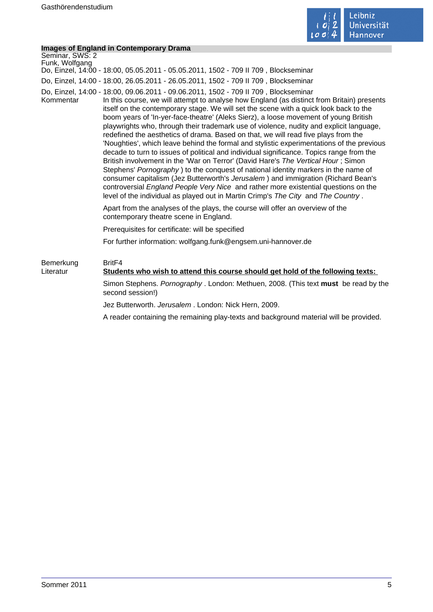

# **Images of England in Contemporary Drama**

| Seminar, SWS: 2<br>Funk, Wolfgang | Do, Einzel, 14:00 - 18:00, 05.05.2011 - 05.05.2011, 1502 - 709 II 709, Blockseminar                                                                                                                                                                                                                                                                                                                                                                                                                                                                                                                                                                                                                                                                                                                                                                                                                                                                                                                                                                                                                                                                                                      |
|-----------------------------------|------------------------------------------------------------------------------------------------------------------------------------------------------------------------------------------------------------------------------------------------------------------------------------------------------------------------------------------------------------------------------------------------------------------------------------------------------------------------------------------------------------------------------------------------------------------------------------------------------------------------------------------------------------------------------------------------------------------------------------------------------------------------------------------------------------------------------------------------------------------------------------------------------------------------------------------------------------------------------------------------------------------------------------------------------------------------------------------------------------------------------------------------------------------------------------------|
|                                   | Do, Einzel, 14:00 - 18:00, 26.05.2011 - 26.05.2011, 1502 - 709 II 709, Blockseminar                                                                                                                                                                                                                                                                                                                                                                                                                                                                                                                                                                                                                                                                                                                                                                                                                                                                                                                                                                                                                                                                                                      |
| Kommentar                         | Do, Einzel, 14:00 - 18:00, 09.06.2011 - 09.06.2011, 1502 - 709 II 709, Blockseminar<br>In this course, we will attempt to analyse how England (as distinct from Britain) presents<br>itself on the contemporary stage. We will set the scene with a quick look back to the<br>boom years of 'In-yer-face-theatre' (Aleks Sierz), a loose movement of young British<br>playwrights who, through their trademark use of violence, nudity and explicit language,<br>redefined the aesthetics of drama. Based on that, we will read five plays from the<br>'Noughties', which leave behind the formal and stylistic experimentations of the previous<br>decade to turn to issues of political and individual significance. Topics range from the<br>British involvement in the 'War on Terror' (David Hare's The Vertical Hour; Simon<br>Stephens' Pornography) to the conquest of national identity markers in the name of<br>consumer capitalism (Jez Butterworth's Jerusalem) and immigration (Richard Bean's<br>controversial England People Very Nice and rather more existential questions on the<br>level of the individual as played out in Martin Crimp's The City and The Country. |
|                                   | Apart from the analyses of the plays, the course will offer an overview of the<br>contemporary theatre scene in England.                                                                                                                                                                                                                                                                                                                                                                                                                                                                                                                                                                                                                                                                                                                                                                                                                                                                                                                                                                                                                                                                 |
|                                   | Prerequisites for certificate: will be specified                                                                                                                                                                                                                                                                                                                                                                                                                                                                                                                                                                                                                                                                                                                                                                                                                                                                                                                                                                                                                                                                                                                                         |
|                                   | For further information: wolfgang.funk@engsem.uni-hannover.de                                                                                                                                                                                                                                                                                                                                                                                                                                                                                                                                                                                                                                                                                                                                                                                                                                                                                                                                                                                                                                                                                                                            |
| Bemerkung<br>Literatur            | Brit <sub>F4</sub><br>Students who wish to attend this course should get hold of the following texts:                                                                                                                                                                                                                                                                                                                                                                                                                                                                                                                                                                                                                                                                                                                                                                                                                                                                                                                                                                                                                                                                                    |
|                                   | Simon Stephens. Pornography . London: Methuen, 2008. (This text must be read by the<br>second session!)                                                                                                                                                                                                                                                                                                                                                                                                                                                                                                                                                                                                                                                                                                                                                                                                                                                                                                                                                                                                                                                                                  |
|                                   | Jez Butterworth. Jerusalem. London: Nick Hern, 2009.                                                                                                                                                                                                                                                                                                                                                                                                                                                                                                                                                                                                                                                                                                                                                                                                                                                                                                                                                                                                                                                                                                                                     |
|                                   | A reader containing the remaining play-texts and background material will be provided.                                                                                                                                                                                                                                                                                                                                                                                                                                                                                                                                                                                                                                                                                                                                                                                                                                                                                                                                                                                                                                                                                                   |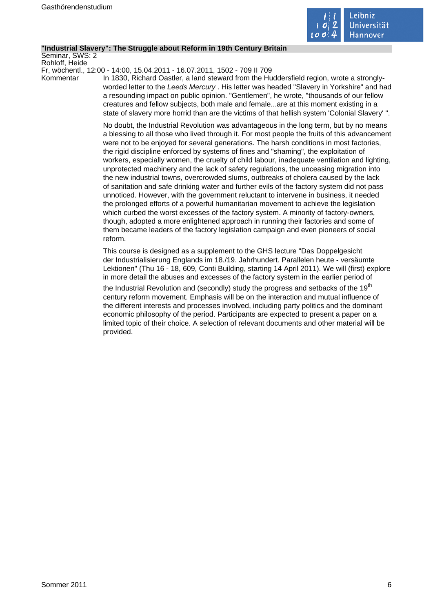

#### **"Industrial Slavery": The Struggle about Reform in 19th Century Britain**

Seminar, SWS: 2 Rohloff, Heide

Fr, wöchentl., 12:00 - 14:00, 15.04.2011 - 16.07.2011, 1502 - 709 II 709

Kommentar In 1830, Richard Oastler, a land steward from the Huddersfield region, wrote a stronglyworded letter to the Leeds Mercury . His letter was headed "Slavery in Yorkshire" and had a resounding impact on public opinion. "Gentlemen", he wrote, "thousands of our fellow creatures and fellow subjects, both male and female...are at this moment existing in a state of slavery more horrid than are the victims of that hellish system 'Colonial Slavery' ".

> No doubt, the Industrial Revolution was advantageous in the long term, but by no means a blessing to all those who lived through it. For most people the fruits of this advancement were not to be enjoyed for several generations. The harsh conditions in most factories, the rigid discipline enforced by systems of fines and "shaming", the exploitation of workers, especially women, the cruelty of child labour, inadequate ventilation and lighting, unprotected machinery and the lack of safety regulations, the unceasing migration into the new industrial towns, overcrowded slums, outbreaks of cholera caused by the lack of sanitation and safe drinking water and further evils of the factory system did not pass unnoticed. However, with the government reluctant to intervene in business, it needed the prolonged efforts of a powerful humanitarian movement to achieve the legislation which curbed the worst excesses of the factory system. A minority of factory-owners, though, adopted a more enlightened approach in running their factories and some of them became leaders of the factory legislation campaign and even pioneers of social reform.

> This course is designed as a supplement to the GHS lecture "Das Doppelgesicht der Industrialisierung Englands im 18./19. Jahrhundert. Parallelen heute - versäumte Lektionen" (Thu 16 - 18, 609, Conti Building, starting 14 April 2011). We will (first) explore in more detail the abuses and excesses of the factory system in the earlier period of

the Industrial Revolution and (secondly) study the progress and setbacks of the 19<sup>th</sup> century reform movement. Emphasis will be on the interaction and mutual influence of the different interests and processes involved, including party politics and the dominant economic philosophy of the period. Participants are expected to present a paper on a limited topic of their choice. A selection of relevant documents and other material will be provided.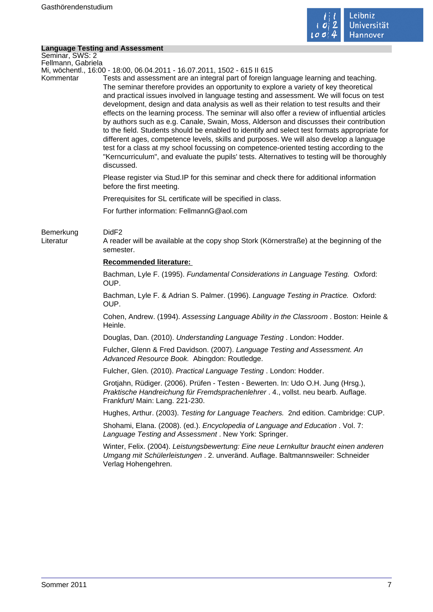

# **Language Testing and Assessment**

|                                       | <b>Language Testing and Assessment</b>                                                                                                                                                                                                                                                                                                                                                                                                                                                                                                                                                                                                                                                                                                                                                                                                                                                                                                                               |
|---------------------------------------|----------------------------------------------------------------------------------------------------------------------------------------------------------------------------------------------------------------------------------------------------------------------------------------------------------------------------------------------------------------------------------------------------------------------------------------------------------------------------------------------------------------------------------------------------------------------------------------------------------------------------------------------------------------------------------------------------------------------------------------------------------------------------------------------------------------------------------------------------------------------------------------------------------------------------------------------------------------------|
| Seminar, SWS: 2<br>Fellmann, Gabriela |                                                                                                                                                                                                                                                                                                                                                                                                                                                                                                                                                                                                                                                                                                                                                                                                                                                                                                                                                                      |
|                                       | Mi, wöchentl., 16:00 - 18:00, 06.04.2011 - 16.07.2011, 1502 - 615 II 615                                                                                                                                                                                                                                                                                                                                                                                                                                                                                                                                                                                                                                                                                                                                                                                                                                                                                             |
| Kommentar                             | Tests and assessment are an integral part of foreign language learning and teaching.<br>The seminar therefore provides an opportunity to explore a variety of key theoretical<br>and practical issues involved in language testing and assessment. We will focus on test<br>development, design and data analysis as well as their relation to test results and their<br>effects on the learning process. The seminar will also offer a review of influential articles<br>by authors such as e.g. Canale, Swain, Moss, Alderson and discusses their contribution<br>to the field. Students should be enabled to identify and select test formats appropriate for<br>different ages, competence levels, skills and purposes. We will also develop a language<br>test for a class at my school focussing on competence-oriented testing according to the<br>"Kerncurriculum", and evaluate the pupils' tests. Alternatives to testing will be thoroughly<br>discussed. |
|                                       | Please register via Stud. IP for this seminar and check there for additional information<br>before the first meeting.                                                                                                                                                                                                                                                                                                                                                                                                                                                                                                                                                                                                                                                                                                                                                                                                                                                |
|                                       | Prerequisites for SL certificate will be specified in class.                                                                                                                                                                                                                                                                                                                                                                                                                                                                                                                                                                                                                                                                                                                                                                                                                                                                                                         |
|                                       | For further information: FellmannG@aol.com                                                                                                                                                                                                                                                                                                                                                                                                                                                                                                                                                                                                                                                                                                                                                                                                                                                                                                                           |
| Bemerkung<br>Literatur                | DidF <sub>2</sub><br>A reader will be available at the copy shop Stork (Körnerstraße) at the beginning of the<br>semester.                                                                                                                                                                                                                                                                                                                                                                                                                                                                                                                                                                                                                                                                                                                                                                                                                                           |
|                                       | Recommended literature:                                                                                                                                                                                                                                                                                                                                                                                                                                                                                                                                                                                                                                                                                                                                                                                                                                                                                                                                              |
|                                       | Bachman, Lyle F. (1995). Fundamental Considerations in Language Testing. Oxford:<br>OUP.                                                                                                                                                                                                                                                                                                                                                                                                                                                                                                                                                                                                                                                                                                                                                                                                                                                                             |
|                                       | Bachman, Lyle F. & Adrian S. Palmer. (1996). Language Testing in Practice. Oxford:<br>OUP.                                                                                                                                                                                                                                                                                                                                                                                                                                                                                                                                                                                                                                                                                                                                                                                                                                                                           |
|                                       | Cohen, Andrew. (1994). Assessing Language Ability in the Classroom. Boston: Heinle &<br>Heinle.                                                                                                                                                                                                                                                                                                                                                                                                                                                                                                                                                                                                                                                                                                                                                                                                                                                                      |
|                                       | Douglas, Dan. (2010). Understanding Language Testing. London: Hodder.                                                                                                                                                                                                                                                                                                                                                                                                                                                                                                                                                                                                                                                                                                                                                                                                                                                                                                |
|                                       | Fulcher, Glenn & Fred Davidson. (2007). Language Testing and Assessment. An<br>Advanced Resource Book. Abingdon: Routledge.                                                                                                                                                                                                                                                                                                                                                                                                                                                                                                                                                                                                                                                                                                                                                                                                                                          |
|                                       | Fulcher, Glen. (2010). Practical Language Testing. London: Hodder.                                                                                                                                                                                                                                                                                                                                                                                                                                                                                                                                                                                                                                                                                                                                                                                                                                                                                                   |
|                                       | Grotjahn, Rüdiger. (2006). Prüfen - Testen - Bewerten. In: Udo O.H. Jung (Hrsg.),<br>Praktische Handreichung für Fremdsprachenlehrer . 4., vollst. neu bearb. Auflage.<br>Frankfurt/ Main: Lang. 221-230.                                                                                                                                                                                                                                                                                                                                                                                                                                                                                                                                                                                                                                                                                                                                                            |
|                                       | Hughes, Arthur. (2003). Testing for Language Teachers. 2nd edition. Cambridge: CUP.                                                                                                                                                                                                                                                                                                                                                                                                                                                                                                                                                                                                                                                                                                                                                                                                                                                                                  |
|                                       | Shohami, Elana. (2008). (ed.). Encyclopedia of Language and Education. Vol. 7:<br>Language Testing and Assessment. New York: Springer.                                                                                                                                                                                                                                                                                                                                                                                                                                                                                                                                                                                                                                                                                                                                                                                                                               |
|                                       | Winter, Felix. (2004). Leistungsbewertung: Eine neue Lernkultur braucht einen anderen<br>Umgang mit Schülerleistungen . 2. unveränd. Auflage. Baltmannsweiler: Schneider<br>Verlag Hohengehren.                                                                                                                                                                                                                                                                                                                                                                                                                                                                                                                                                                                                                                                                                                                                                                      |
|                                       |                                                                                                                                                                                                                                                                                                                                                                                                                                                                                                                                                                                                                                                                                                                                                                                                                                                                                                                                                                      |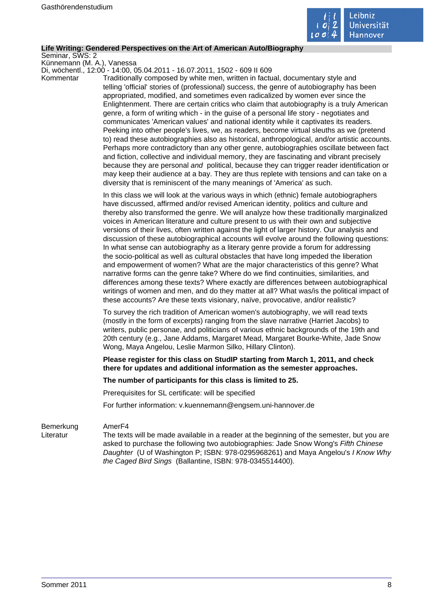

#### **Life Writing: Gendered Perspectives on the Art of American Auto/Biography**

Seminar, SWS: 2

Künnemann (M. A.), Vanessa Di, wöchentl., 12:00 - 14:00, 05.04.2011 - 16.07.2011, 1502 - 609 II 609

Kommentar Traditionally composed by white men, written in factual, documentary style and telling 'official' stories of (professional) success, the genre of autobiography has been appropriated, modified, and sometimes even radicalized by women ever since the Enlightenment. There are certain critics who claim that autobiography is a truly American genre, a form of writing which - in the guise of a personal life story - negotiates and communicates 'American values' and national identity while it captivates its readers. Peeking into other people's lives, we, as readers, become virtual sleuths as we (pretend to) read these autobiographies also as historical, anthropological, and/or artistic accounts. Perhaps more contradictory than any other genre, autobiographies oscillate between fact and fiction, collective and individual memory, they are fascinating and vibrant precisely because they are personal and political, because they can trigger reader identification or may keep their audience at a bay. They are thus replete with tensions and can take on a diversity that is reminiscent of the many meanings of 'America' as such.

> In this class we will look at the various ways in which (ethnic) female autobiographers have discussed, affirmed and/or revised American identity, politics and culture and thereby also transformed the genre. We will analyze how these traditionally marginalized voices in American literature and culture present to us with their own and subjective versions of their lives, often written against the light of larger history. Our analysis and discussion of these autobiographical accounts will evolve around the following questions: In what sense can autobiography as a literary genre provide a forum for addressing the socio-political as well as cultural obstacles that have long impeded the liberation and empowerment of women? What are the major characteristics of this genre? What narrative forms can the genre take? Where do we find continuities, similarities, and differences among these texts? Where exactly are differences between autobiographical writings of women and men, and do they matter at all? What was/is the political impact of these accounts? Are these texts visionary, naïve, provocative, and/or realistic?

To survey the rich tradition of American women's autobiography, we will read texts (mostly in the form of excerpts) ranging from the slave narrative (Harriet Jacobs) to writers, public personae, and politicians of various ethnic backgrounds of the 19th and 20th century (e.g., Jane Addams, Margaret Mead, Margaret Bourke-White, Jade Snow Wong, Maya Angelou, Leslie Marmon Silko, Hillary Clinton).

**Please register for this class on StudIP starting from March 1, 2011, and check there for updates and additional information as the semester approaches.** 

#### **The number of participants for this class is limited to 25.**

Prerequisites for SL certificate: will be specified

For further information: v.kuennemann@engsem.uni-hannover.de

### Bemerkung AmerF4

Literatur The texts will be made available in a reader at the beginning of the semester, but you are asked to purchase the following two autobiographies: Jade Snow Wong's Fifth Chinese Daughter (U of Washington P; ISBN: 978-0295968261) and Maya Angelou's I Know Why the Caged Bird Sings (Ballantine, ISBN: 978-0345514400).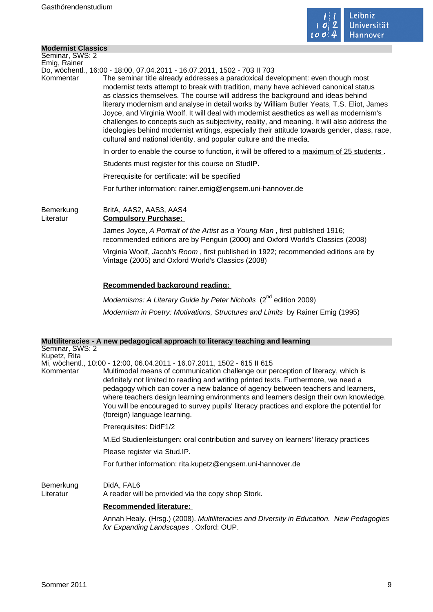

# **Modernist Classics**

| שוטעפו ווואג טומאאנט            |                                                                                                                                                                                                                                                                                                                                                                                                                                                                                                                                                                                                                                                                                                                          |
|---------------------------------|--------------------------------------------------------------------------------------------------------------------------------------------------------------------------------------------------------------------------------------------------------------------------------------------------------------------------------------------------------------------------------------------------------------------------------------------------------------------------------------------------------------------------------------------------------------------------------------------------------------------------------------------------------------------------------------------------------------------------|
| Seminar, SWS: 2<br>Emig, Rainer |                                                                                                                                                                                                                                                                                                                                                                                                                                                                                                                                                                                                                                                                                                                          |
|                                 | Do, wöchentl., 16:00 - 18:00, 07.04.2011 - 16.07.2011, 1502 - 703 II 703                                                                                                                                                                                                                                                                                                                                                                                                                                                                                                                                                                                                                                                 |
| Kommentar                       | The seminar title already addresses a paradoxical development: even though most<br>modernist texts attempt to break with tradition, many have achieved canonical status<br>as classics themselves. The course will address the background and ideas behind<br>literary modernism and analyse in detail works by William Butler Yeats, T.S. Eliot, James<br>Joyce, and Virginia Woolf. It will deal with modernist aesthetics as well as modernism's<br>challenges to concepts such as subjectivity, reality, and meaning. It will also address the<br>ideologies behind modernist writings, especially their attitude towards gender, class, race,<br>cultural and national identity, and popular culture and the media. |
|                                 | In order to enable the course to function, it will be offered to a maximum of 25 students.                                                                                                                                                                                                                                                                                                                                                                                                                                                                                                                                                                                                                               |
|                                 | Students must register for this course on StudIP.                                                                                                                                                                                                                                                                                                                                                                                                                                                                                                                                                                                                                                                                        |
|                                 | Prerequisite for certificate: will be specified                                                                                                                                                                                                                                                                                                                                                                                                                                                                                                                                                                                                                                                                          |
|                                 | For further information: rainer.emig@engsem.uni-hannover.de                                                                                                                                                                                                                                                                                                                                                                                                                                                                                                                                                                                                                                                              |
| Bemerkung<br>Literatur          | BritA, AAS2, AAS3, AAS4<br><b>Compulsory Purchase:</b>                                                                                                                                                                                                                                                                                                                                                                                                                                                                                                                                                                                                                                                                   |
|                                 | James Joyce, A Portrait of the Artist as a Young Man, first published 1916;<br>recommended editions are by Penguin (2000) and Oxford World's Classics (2008)                                                                                                                                                                                                                                                                                                                                                                                                                                                                                                                                                             |
|                                 | Virginia Woolf, Jacob's Room, first published in 1922; recommended editions are by<br>Vintage (2005) and Oxford World's Classics (2008)                                                                                                                                                                                                                                                                                                                                                                                                                                                                                                                                                                                  |
|                                 | Recommended background reading:                                                                                                                                                                                                                                                                                                                                                                                                                                                                                                                                                                                                                                                                                          |
|                                 | Modernisms: A Literary Guide by Peter Nicholls (2 <sup>nd</sup> edition 2009)                                                                                                                                                                                                                                                                                                                                                                                                                                                                                                                                                                                                                                            |
|                                 | Modernism in Poetry: Motivations, Structures and Limits by Rainer Emig (1995)                                                                                                                                                                                                                                                                                                                                                                                                                                                                                                                                                                                                                                            |
|                                 | Multiliteracies - A new pedagogical approach to literacy teaching and learning                                                                                                                                                                                                                                                                                                                                                                                                                                                                                                                                                                                                                                           |
| Seminar, SWS: 2<br>Kupetz, Rita |                                                                                                                                                                                                                                                                                                                                                                                                                                                                                                                                                                                                                                                                                                                          |
|                                 | Mi, wöchentl., 10:00 - 12:00, 06.04.2011 - 16.07.2011, 1502 - 615 II 615                                                                                                                                                                                                                                                                                                                                                                                                                                                                                                                                                                                                                                                 |
| Kommentar                       | Multimodal means of communication challenge our perception of literacy, which is<br>definitely not limited to reading and writing printed texts. Furthermore, we need a<br>pedagogy which can cover a new balance of agency between teachers and learners,<br>where teachers design learning environments and learners design their own knowledge.<br>You will be encouraged to survey pupils' literacy practices and explore the potential for                                                                                                                                                                                                                                                                          |

Prerequisites: DidF1/2

M.Ed Studienleistungen: oral contribution and survey on learners' literacy practices

Please register via Stud.IP.

(foreign) language learning.

For further information: rita.kupetz@engsem.uni-hannover.de

# Bemerkung DidA, FAL6

Literatur A reader will be provided via the copy shop Stork.

# **Recommended literature:**

Annah Healy. (Hrsg.) (2008). Multiliteracies and Diversity in Education. New Pedagogies for Expanding Landscapes . Oxford: OUP.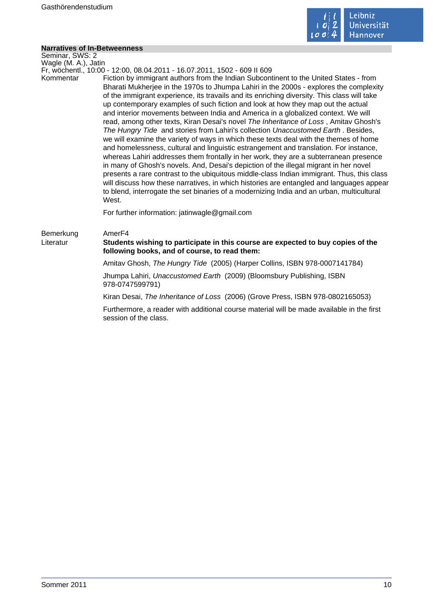

 $\mathcal{L}_{\mathcal{A}}$ 

# **Narratives of In-Betweenness**

| Seminar, SWS: 2        |                                                                                                                                                                                                                                                                                                                                                                                                                                                                                                                                                                                                                                                                                                                                                                                                                                                                                                                                                                                                                                                                                                                                                                                                                                                                                                                                                                                      |
|------------------------|--------------------------------------------------------------------------------------------------------------------------------------------------------------------------------------------------------------------------------------------------------------------------------------------------------------------------------------------------------------------------------------------------------------------------------------------------------------------------------------------------------------------------------------------------------------------------------------------------------------------------------------------------------------------------------------------------------------------------------------------------------------------------------------------------------------------------------------------------------------------------------------------------------------------------------------------------------------------------------------------------------------------------------------------------------------------------------------------------------------------------------------------------------------------------------------------------------------------------------------------------------------------------------------------------------------------------------------------------------------------------------------|
| Wagle (M. A.), Jatin   |                                                                                                                                                                                                                                                                                                                                                                                                                                                                                                                                                                                                                                                                                                                                                                                                                                                                                                                                                                                                                                                                                                                                                                                                                                                                                                                                                                                      |
| Kommentar              | Fr, wöchentl., 10:00 - 12:00, 08.04.2011 - 16.07.2011, 1502 - 609 II 609<br>Fiction by immigrant authors from the Indian Subcontinent to the United States - from<br>Bharati Mukherjee in the 1970s to Jhumpa Lahiri in the 2000s - explores the complexity<br>of the immigrant experience, its travails and its enriching diversity. This class will take<br>up contemporary examples of such fiction and look at how they map out the actual<br>and interior movements between India and America in a globalized context. We will<br>read, among other texts, Kiran Desai's novel The Inheritance of Loss, Amitav Ghosh's<br>The Hungry Tide and stories from Lahiri's collection Unaccustomed Earth. Besides,<br>we will examine the variety of ways in which these texts deal with the themes of home<br>and homelessness, cultural and linguistic estrangement and translation. For instance,<br>whereas Lahiri addresses them frontally in her work, they are a subterranean presence<br>in many of Ghosh's novels. And, Desai's depiction of the illegal migrant in her novel<br>presents a rare contrast to the ubiquitous middle-class Indian immigrant. Thus, this class<br>will discuss how these narratives, in which histories are entangled and languages appear<br>to blend, interrogate the set binaries of a modernizing India and an urban, multicultural<br>West. |
|                        | For further information: jatinwagle@gmail.com                                                                                                                                                                                                                                                                                                                                                                                                                                                                                                                                                                                                                                                                                                                                                                                                                                                                                                                                                                                                                                                                                                                                                                                                                                                                                                                                        |
| Bemerkung<br>Literatur | Amer <sub>F4</sub><br>Students wishing to participate in this course are expected to buy copies of the<br>following books, and of course, to read them:                                                                                                                                                                                                                                                                                                                                                                                                                                                                                                                                                                                                                                                                                                                                                                                                                                                                                                                                                                                                                                                                                                                                                                                                                              |
|                        | Amitav Ghosh, The Hungry Tide (2005) (Harper Collins, ISBN 978-0007141784)                                                                                                                                                                                                                                                                                                                                                                                                                                                                                                                                                                                                                                                                                                                                                                                                                                                                                                                                                                                                                                                                                                                                                                                                                                                                                                           |
|                        | Jhumpa Lahiri, Unaccustomed Earth (2009) (Bloomsbury Publishing, ISBN<br>978-0747599791)                                                                                                                                                                                                                                                                                                                                                                                                                                                                                                                                                                                                                                                                                                                                                                                                                                                                                                                                                                                                                                                                                                                                                                                                                                                                                             |
|                        | Kiran Desai, The Inheritance of Loss (2006) (Grove Press, ISBN 978-0802165053)                                                                                                                                                                                                                                                                                                                                                                                                                                                                                                                                                                                                                                                                                                                                                                                                                                                                                                                                                                                                                                                                                                                                                                                                                                                                                                       |
|                        | Furthermore, a reader with additional course material will be made available in the first<br>session of the class.                                                                                                                                                                                                                                                                                                                                                                                                                                                                                                                                                                                                                                                                                                                                                                                                                                                                                                                                                                                                                                                                                                                                                                                                                                                                   |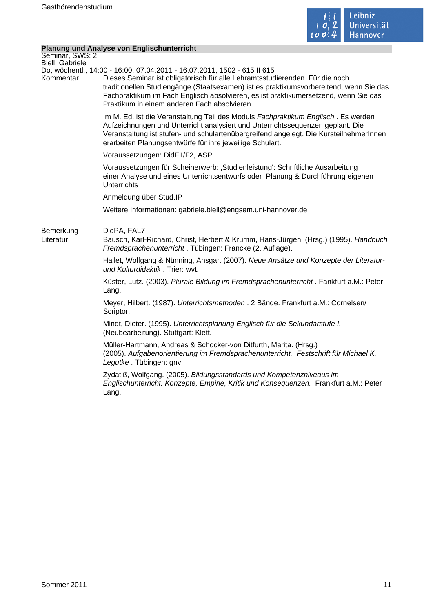

# **Planung und Analyse von Englischunterricht**

| <b>Planung und Analyse von Englischunterricht</b>                                                                                                                                                                                                                                                                                                                                         |
|-------------------------------------------------------------------------------------------------------------------------------------------------------------------------------------------------------------------------------------------------------------------------------------------------------------------------------------------------------------------------------------------|
|                                                                                                                                                                                                                                                                                                                                                                                           |
| Do, wöchentl., 14:00 - 16:00, 07.04.2011 - 16.07.2011, 1502 - 615 II 615<br>Dieses Seminar ist obligatorisch für alle Lehramtsstudierenden. Für die noch<br>traditionellen Studiengänge (Staatsexamen) ist es praktikumsvorbereitend, wenn Sie das<br>Fachpraktikum im Fach Englisch absolvieren, es ist praktikumersetzend, wenn Sie das<br>Praktikum in einem anderen Fach absolvieren. |
| Im M. Ed. ist die Veranstaltung Teil des Moduls Fachpraktikum Englisch. Es werden<br>Aufzeichnungen und Unterricht analysiert und Unterrichtssequenzen geplant. Die<br>Veranstaltung ist stufen- und schulartenübergreifend angelegt. Die KursteilnehmerInnen<br>erarbeiten Planungsentwürfe für ihre jeweilige Schulart.                                                                 |
| Voraussetzungen: DidF1/F2, ASP                                                                                                                                                                                                                                                                                                                                                            |
| Voraussetzungen für Scheinerwerb: 'Studienleistung': Schriftliche Ausarbeitung<br>einer Analyse und eines Unterrichtsentwurfs oder Planung & Durchführung eigenen<br><b>Unterrichts</b>                                                                                                                                                                                                   |
| Anmeldung über Stud.IP                                                                                                                                                                                                                                                                                                                                                                    |
| Weitere Informationen: gabriele.blell@engsem.uni-hannover.de                                                                                                                                                                                                                                                                                                                              |
| DidPA, FAL7<br>Bausch, Karl-Richard, Christ, Herbert & Krumm, Hans-Jürgen. (Hrsg.) (1995). Handbuch<br>Fremdsprachenunterricht. Tübingen: Francke (2. Auflage).                                                                                                                                                                                                                           |
| Hallet, Wolfgang & Nünning, Ansgar. (2007). Neue Ansätze und Konzepte der Literatur-<br>und Kulturdidaktik. Trier: wvt.                                                                                                                                                                                                                                                                   |
| Küster, Lutz. (2003). Plurale Bildung im Fremdsprachenunterricht. Fankfurt a.M.: Peter<br>Lang.                                                                                                                                                                                                                                                                                           |
| Meyer, Hilbert. (1987). Unterrichtsmethoden . 2 Bände. Frankfurt a.M.: Cornelsen/<br>Scriptor.                                                                                                                                                                                                                                                                                            |
| Mindt, Dieter. (1995). Unterrichtsplanung Englisch für die Sekundarstufe I.<br>(Neubearbeitung). Stuttgart: Klett.                                                                                                                                                                                                                                                                        |
| Müller-Hartmann, Andreas & Schocker-von Ditfurth, Marita. (Hrsg.)<br>(2005). Aufgabenorientierung im Fremdsprachenunterricht. Festschrift für Michael K.<br>Legutke. Tübingen: gnv.                                                                                                                                                                                                       |
| Zydatiß, Wolfgang. (2005). Bildungsstandards und Kompetenzniveaus im<br>Englischunterricht. Konzepte, Empirie, Kritik und Konsequenzen. Frankfurt a.M.: Peter<br>Lang.                                                                                                                                                                                                                    |
|                                                                                                                                                                                                                                                                                                                                                                                           |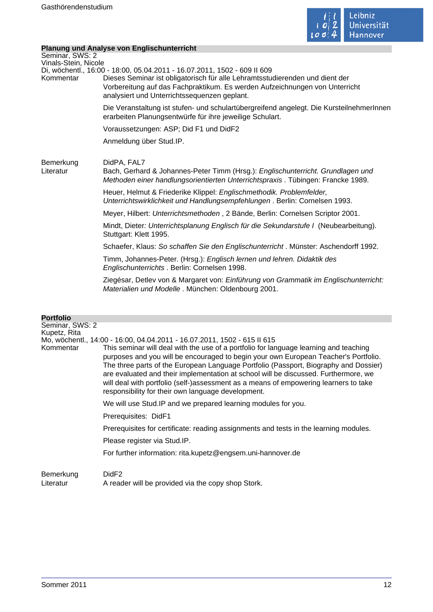

# **Planung und Analyse von Englischunterricht**

|                                              | Planung und Analyse von Englischunterricht                                                                                                                                                                                                                                              |  |
|----------------------------------------------|-----------------------------------------------------------------------------------------------------------------------------------------------------------------------------------------------------------------------------------------------------------------------------------------|--|
| Seminar, SWS: 2                              |                                                                                                                                                                                                                                                                                         |  |
| Vinals-Stein, Nicole<br>Kommentar            | Di, wöchentl., 16:00 - 18:00, 05.04.2011 - 16.07.2011, 1502 - 609 II 609<br>Dieses Seminar ist obligatorisch für alle Lehramtsstudierenden und dient der<br>Vorbereitung auf das Fachpraktikum. Es werden Aufzeichnungen von Unterricht<br>analysiert und Unterrichtssequenzen geplant. |  |
|                                              | Die Veranstaltung ist stufen- und schulartübergreifend angelegt. Die KursteilnehmerInnen<br>erarbeiten Planungsentwürfe für ihre jeweilige Schulart.                                                                                                                                    |  |
|                                              | Voraussetzungen: ASP; Did F1 und DidF2                                                                                                                                                                                                                                                  |  |
|                                              | Anmeldung über Stud.IP.                                                                                                                                                                                                                                                                 |  |
| Bemerkung<br>Literatur                       | DidPA, FAL7<br>Bach, Gerhard & Johannes-Peter Timm (Hrsg.): Englischunterricht. Grundlagen und<br>Methoden einer handlungsorientierten Unterrichtspraxis. Tübingen: Francke 1989.                                                                                                       |  |
|                                              | Heuer, Helmut & Friederike Klippel: Englischmethodik. Problemfelder,<br>Unterrichtswirklichkeit und Handlungsempfehlungen. Berlin: Cornelsen 1993.                                                                                                                                      |  |
|                                              | Meyer, Hilbert: Unterrichtsmethoden, 2 Bände, Berlin: Cornelsen Scriptor 2001.                                                                                                                                                                                                          |  |
|                                              | Mindt, Dieter: Unterrichtsplanung Englisch für die Sekundarstufe I (Neubearbeitung).<br>Stuttgart: Klett 1995.                                                                                                                                                                          |  |
|                                              | Schaefer, Klaus: So schaffen Sie den Englischunterricht. Münster: Aschendorff 1992.                                                                                                                                                                                                     |  |
|                                              | Timm, Johannes-Peter. (Hrsg.): Englisch lernen und lehren. Didaktik des<br>Englischunterrichts . Berlin: Cornelsen 1998.                                                                                                                                                                |  |
|                                              | Ziegésar, Detlev von & Margaret von: Einführung von Grammatik im Englischunterricht:<br>Materialien und Modelle. München: Oldenbourg 2001.                                                                                                                                              |  |
| <b>Portfolio</b>                             |                                                                                                                                                                                                                                                                                         |  |
| Seminar, SWS: 2<br>Kupetz, Rita<br>Kommentar | Mo, wöchentl., 14:00 - 16:00, 04.04.2011 - 16.07.2011, 1502 - 615 II 615<br>This seminar will deal with the use of a portfolio for language learning and teaching                                                                                                                       |  |
|                                              | saaaa qaal ugu ulii laa qaaqusaaad ta baala waxa qura Eusaaaaa Taqabasig Dastfalla                                                                                                                                                                                                      |  |

purposes and you will be encouraged to begin your own European Teacher's Portfolio. The three parts of the European Language Portfolio (Passport, Biography and Dossier) are evaluated and their implementation at school will be discussed. Furthermore, we will deal with portfolio (self-)assessment as a means of empowering learners to take responsibility for their own language development.

We will use Stud.IP and we prepared learning modules for you.

Prerequisites: DidF1

Prerequisites for certificate: reading assignments and tests in the learning modules.

Please register via Stud.IP.

For further information: rita.kupetz@engsem.uni-hannover.de

Bemerkung DidF2 Literatur A reader will be provided via the copy shop Stork.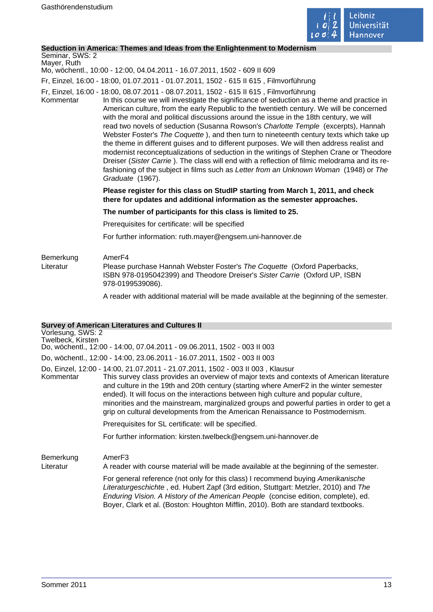

#### **Seduction in America: Themes and Ideas from the Enlightenment to Modernism**

#### Seminar, SWS: 2 Mayer, Ruth

Mo, wöchentl., 10:00 - 12:00, 04.04.2011 - 16.07.2011, 1502 - 609 II 609

Fr, Einzel, 16:00 - 18:00, 01.07.2011 - 01.07.2011, 1502 - 615 II 615 , Filmvorführung

- Fr, Einzel, 16:00 18:00, 08.07.2011 08.07.2011, 1502 615 II 615 , Filmvorführung
- Kommentar In this course we will investigate the significance of seduction as a theme and practice in American culture, from the early Republic to the twentieth century. We will be concerned with the moral and political discussions around the issue in the 18th century, we will read two novels of seduction (Susanna Rowson's Charlotte Temple (excerpts), Hannah Webster Foster's The Coquette ), and then turn to nineteenth century texts which take up the theme in different guises and to different purposes. We will then address realist and modernist reconceptualizations of seduction in the writings of Stephen Crane or Theodore Dreiser (Sister Carrie ). The class will end with a reflection of filmic melodrama and its refashioning of the subject in films such as Letter from an Unknown Woman (1948) or The Graduate (1967).

### **Please register for this class on StudIP starting from March 1, 2011, and check there for updates and additional information as the semester approaches.**

#### **The number of participants for this class is limited to 25.**

Prerequisites for certificate: will be specified

For further information: ruth.mayer@engsem.uni-hannover.de

# Bemerkung AmerF4 Literatur Please purchase Hannah Webster Foster's The Coquette (Oxford Paperbacks, ISBN 978-0195042399) and Theodore Dreiser's Sister Carrie (Oxford UP, ISBN 978-0199539086).

A reader with additional material will be made available at the beginning of the semester.

### **Survey of American Literatures and Cultures II**

# Vorlesung, SWS: 2 Twelbeck, Kirsten Do, wöchentl., 12:00 - 14:00, 07.04.2011 - 09.06.2011, 1502 - 003 II 003 Do, wöchentl., 12:00 - 14:00, 23.06.2011 - 16.07.2011, 1502 - 003 II 003 Do, Einzel, 12:00 - 14:00, 21.07.2011 - 21.07.2011, 1502 - 003 II 003 , Klausur Kommentar This survey class provides an overview of major texts and contexts of American literature and culture in the 19th and 20th century (starting where AmerF2 in the winter semester ended). It will focus on the interactions between high culture and popular culture, minorities and the mainstream, marginalized groups and powerful parties in order to get a grip on cultural developments from the American Renaissance to Postmodernism. Prerequisites for SL certificate: will be specified.

For further information: kirsten.twelbeck@engsem.uni-hannover.de

Bemerkung AmerF3

Literatur A reader with course material will be made available at the beginning of the semester.

For general reference (not only for this class) I recommend buying Amerikanische Literaturgeschichte , ed. Hubert Zapf (3rd edition, Stuttgart: Metzler, 2010) and The Enduring Vision. A History of the American People (concise edition, complete), ed. Boyer, Clark et al. (Boston: Houghton Mifflin, 2010). Both are standard textbooks.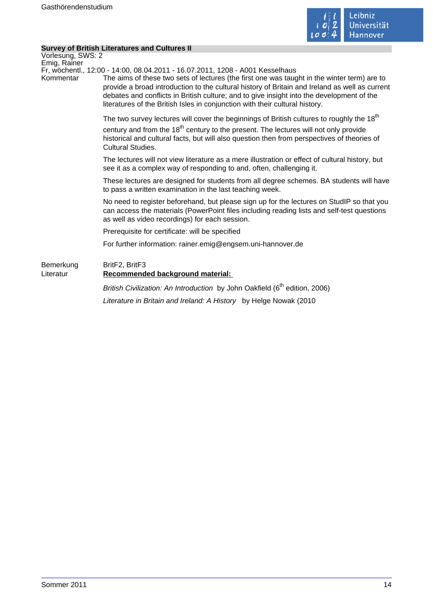

#### **Survey of British Literatures and Cultures II**

Vorlesung, SWS: 2 Emig, Rainer Fr, wöchentl., 12:00 - 14:00, 08.04.2011 - 16.07.2011, 1208 - A001 Kesselhaus Kommentar The aims of these two sets of lectures (the first one was taught in the winter term) are to provide a broad introduction to the cultural history of Britain and Ireland as well as current debates and conflicts in British culture; and to give insight into the development of the literatures of the British Isles in conjunction with their cultural history. The two survey lectures will cover the beginnings of British cultures to roughly the 18<sup>th</sup> century and from the  $18<sup>th</sup>$  century to the present. The lectures will not only provide historical and cultural facts, but will also question then from perspectives of theories of Cultural Studies. The lectures will not view literature as a mere illustration or effect of cultural history, but see it as a complex way of responding to and, often, challenging it. These lectures are designed for students from all degree schemes. BA students will have to pass a written examination in the last teaching week. No need to register beforehand, but please sign up for the lectures on StudIP so that you can access the materials (PowerPoint files including reading lists and self-test questions as well as video recordings) for each session. Prerequisite for certificate: will be specified For further information: rainer.emig@engsem.uni-hannover.de Bemerkung BritF2, BritF3 Literatur **Recommended background material:**  British Civilization: An Introduction by John Oakfield (6<sup>th</sup> edition, 2006) Literature in Britain and Ireland: A History by Helge Nowak (2010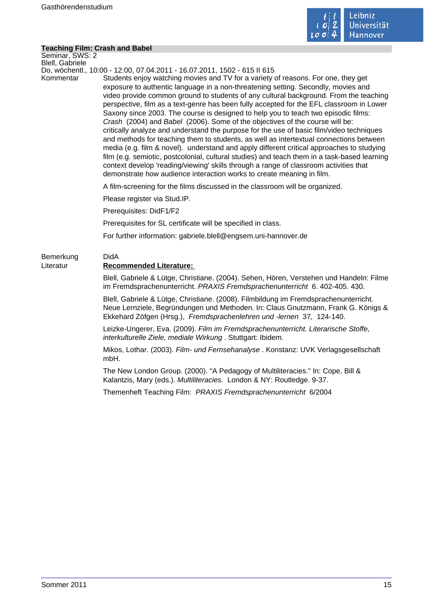

#### **Teaching Film: Crash and Babel**

Seminar, SWS: 2 Blell, Gabriele

Do, wöchentl., 10:00 - 12:00, 07.04.2011 - 16.07.2011, 1502 - 615 II 615

Kommentar Students enjoy watching movies and TV for a variety of reasons. For one, they get exposure to authentic language in a non-threatening setting. Secondly, movies and video provide common ground to students of any cultural background. From the teaching perspective, film as a text-genre has been fully accepted for the EFL classroom in Lower Saxony since 2003. The course is designed to help you to teach two episodic films: Crash (2004) and Babel (2006). Some of the objectives of the course will be: critically analyze and understand the purpose for the use of basic film/video techniques and methods for teaching them to students, as well as intertextual connections between media (e.g. film & novel). understand and apply different critical approaches to studying film (e.g. semiotic, postcolonial, cultural studies) and teach them in a task-based learning context develop 'reading/viewing' skills through a range of classroom activities that demonstrate how audience interaction works to create meaning in film.

A film-screening for the films discussed in the classroom will be organized.

Please register via Stud.IP.

Prerequisites: DidF1/F2

Prerequisites for SL certificate will be specified in class.

For further information: gabriele.blell@engsem.uni-hannover.de

# Bemerkung DidA Literatur **Recommended Literature:**

Blell, Gabriele & Lütge, Christiane. (2004). Sehen, Hören, Verstehen und Handeln: Filme im Fremdsprachenunterricht. PRAXIS Fremdsprachenunterricht 6. 402-405. 430.

Blell, Gabriele & Lütge, Christiane. (2008). Filmbildung im Fremdsprachenunterricht. Neue Lernziele, Begründungen und Methoden. In: Claus Gnutzmann, Frank G. Königs & Ekkehard Zöfgen (Hrsg.), Fremdsprachenlehren und -lernen 37, 124-140.

Leizke-Ungerer, Eva. (2009). Film im Fremdsprachenunterricht. Literarische Stoffe, interkulturelle Ziele, mediale Wirkung . Stuttgart: Ibidem.

Mikos, Lothar. (2003). Film- und Fernsehanalyse . Konstanz: UVK Verlagsgesellschaft mbH.

The New London Group. (2000). "A Pedagogy of Multiliteracies." In: Cope, Bill & Kalantzis, Mary (eds.). Multiliteracies. London & NY: Routledge. 9-37.

Themenheft Teaching Film:PRAXIS Fremdsprachenunterricht 6/2004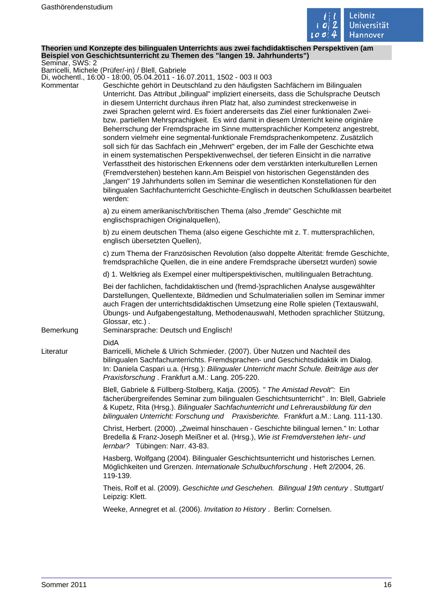

#### **Theorien und Konzepte des bilingualen Unterrichts aus zwei fachdidaktischen Perspektiven (am Beispiel von Geschichtsunterricht zu Themen des "langen 19. Jahrhunderts")** Seminar, SWS: 2

Barricelli, Michele (Prüfer/-in) / Blell, Gabriele

Di, wöchentl., 16:00 - 18:00, 05.04.2011 - 16.07.2011, 1502 - 003 II 003

| Kommentar | DI, WOGHEHIN., TO.OO - TO.OO, OJ.O4.ZOTT - TO.O7.ZOTT, TJOZ - OOJ II OOJ<br>Geschichte gehört in Deutschland zu den häufigsten Sachfächern im Bilingualen<br>Unterricht. Das Attribut "bilingual" impliziert einerseits, dass die Schulsprache Deutsch<br>in diesem Unterricht durchaus ihren Platz hat, also zumindest streckenweise in<br>zwei Sprachen gelernt wird. Es fixiert andererseits das Ziel einer funktionalen Zwei-<br>bzw. partiellen Mehrsprachigkeit. Es wird damit in diesem Unterricht keine originäre<br>Beherrschung der Fremdsprache im Sinne muttersprachlicher Kompetenz angestrebt,<br>sondern vielmehr eine segmental-funktionale Fremdsprachenkompetenz. Zusätzlich<br>soll sich für das Sachfach ein "Mehrwert" ergeben, der im Falle der Geschichte etwa<br>in einem systematischen Perspektivenwechsel, der tieferen Einsicht in die narrative<br>Verfasstheit des historischen Erkennens oder dem verstärkten interkulturellen Lernen<br>(Fremdverstehen) bestehen kann.Am Beispiel von historischen Gegenständen des<br>"langen" 19 Jahrhunderts sollen im Seminar die wesentlichen Konstellationen für den<br>bilingualen Sachfachunterricht Geschichte-Englisch in deutschen Schulklassen bearbeitet<br>werden: |
|-----------|---------------------------------------------------------------------------------------------------------------------------------------------------------------------------------------------------------------------------------------------------------------------------------------------------------------------------------------------------------------------------------------------------------------------------------------------------------------------------------------------------------------------------------------------------------------------------------------------------------------------------------------------------------------------------------------------------------------------------------------------------------------------------------------------------------------------------------------------------------------------------------------------------------------------------------------------------------------------------------------------------------------------------------------------------------------------------------------------------------------------------------------------------------------------------------------------------------------------------------------------------|
|           | a) zu einem amerikanisch/britischen Thema (also "fremde" Geschichte mit<br>englischsprachigen Originalquellen),                                                                                                                                                                                                                                                                                                                                                                                                                                                                                                                                                                                                                                                                                                                                                                                                                                                                                                                                                                                                                                                                                                                                   |
|           | b) zu einem deutschen Thema (also eigene Geschichte mit z. T. muttersprachlichen,<br>englisch übersetzten Quellen),                                                                                                                                                                                                                                                                                                                                                                                                                                                                                                                                                                                                                                                                                                                                                                                                                                                                                                                                                                                                                                                                                                                               |
|           | c) zum Thema der Französischen Revolution (also doppelte Alterität: fremde Geschichte,<br>fremdsprachliche Quellen, die in eine andere Fremdsprache übersetzt wurden) sowie                                                                                                                                                                                                                                                                                                                                                                                                                                                                                                                                                                                                                                                                                                                                                                                                                                                                                                                                                                                                                                                                       |
|           | d) 1. Weltkrieg als Exempel einer multiperspektivischen, multilingualen Betrachtung.                                                                                                                                                                                                                                                                                                                                                                                                                                                                                                                                                                                                                                                                                                                                                                                                                                                                                                                                                                                                                                                                                                                                                              |
| Bemerkung | Bei der fachlichen, fachdidaktischen und (fremd-)sprachlichen Analyse ausgewählter<br>Darstellungen, Quellentexte, Bildmedien und Schulmaterialien sollen im Seminar immer<br>auch Fragen der unterrichtsdidaktischen Umsetzung eine Rolle spielen (Textauswahl,<br>Übungs- und Aufgabengestaltung, Methodenauswahl, Methoden sprachlicher Stützung,<br>Glossar, etc.).<br>Seminarsprache: Deutsch und Englisch!                                                                                                                                                                                                                                                                                                                                                                                                                                                                                                                                                                                                                                                                                                                                                                                                                                  |
| Literatur | <b>DidA</b><br>Barricelli, Michele & Ulrich Schmieder. (2007). Über Nutzen und Nachteil des<br>bilingualen Sachfachunterrichts. Fremdsprachen- und Geschichtsdidaktik im Dialog.<br>In: Daniela Caspari u.a. (Hrsg.): Bilingualer Unterricht macht Schule. Beiträge aus der<br>Praxisforschung. Frankfurt a.M.: Lang. 205-220.                                                                                                                                                                                                                                                                                                                                                                                                                                                                                                                                                                                                                                                                                                                                                                                                                                                                                                                    |
|           | Blell, Gabriele & Füllberg-Stolberg, Katja. (2005). " The Amistad Revolt": Ein<br>fächerübergreifendes Seminar zum bilingualen Geschichtsunterricht". In: Blell, Gabriele<br>& Kupetz, Rita (Hrsg.). Bilingualer Sachfachunterricht und Lehrerausbildung für den<br>bilingualen Unterricht: Forschung und Praxisberichte. Frankfurt a.M.: Lang. 111-130.                                                                                                                                                                                                                                                                                                                                                                                                                                                                                                                                                                                                                                                                                                                                                                                                                                                                                          |
|           | Christ, Herbert. (2000). "Zweimal hinschauen - Geschichte bilingual lernen." In: Lothar<br>Bredella & Franz-Joseph Meißner et al. (Hrsg.), Wie ist Fremdverstehen lehr- und<br>lernbar? Tübingen: Narr. 43-83.                                                                                                                                                                                                                                                                                                                                                                                                                                                                                                                                                                                                                                                                                                                                                                                                                                                                                                                                                                                                                                    |
|           | Hasberg, Wolfgang (2004). Bilingualer Geschichtsunterricht und historisches Lernen.<br>Möglichkeiten und Grenzen. Internationale Schulbuchforschung. Heft 2/2004, 26.<br>119-139.                                                                                                                                                                                                                                                                                                                                                                                                                                                                                                                                                                                                                                                                                                                                                                                                                                                                                                                                                                                                                                                                 |
|           | Theis, Rolf et al. (2009). Geschichte und Geschehen. Bilingual 19th century . Stuttgart/<br>Leipzig: Klett.                                                                                                                                                                                                                                                                                                                                                                                                                                                                                                                                                                                                                                                                                                                                                                                                                                                                                                                                                                                                                                                                                                                                       |
|           | Weeke, Annegret et al. (2006). Invitation to History. Berlin: Cornelsen.                                                                                                                                                                                                                                                                                                                                                                                                                                                                                                                                                                                                                                                                                                                                                                                                                                                                                                                                                                                                                                                                                                                                                                          |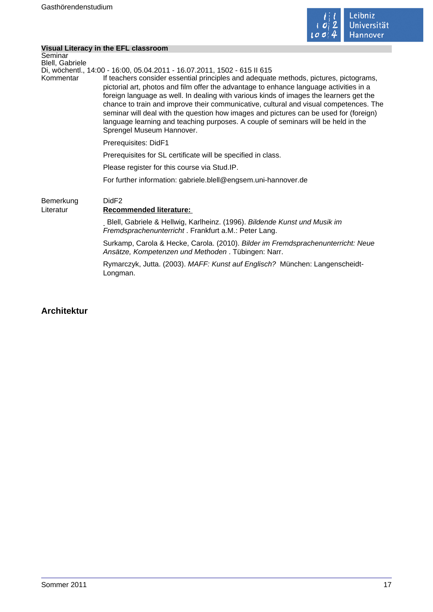

|                                   | Visual Literacy in the EFL classroom                                                                                                                                                                                                                                                                                                                                                                                                                                                                                                                                                                                                                      |  |
|-----------------------------------|-----------------------------------------------------------------------------------------------------------------------------------------------------------------------------------------------------------------------------------------------------------------------------------------------------------------------------------------------------------------------------------------------------------------------------------------------------------------------------------------------------------------------------------------------------------------------------------------------------------------------------------------------------------|--|
| Seminar<br><b>Blell, Gabriele</b> |                                                                                                                                                                                                                                                                                                                                                                                                                                                                                                                                                                                                                                                           |  |
| Kommentar                         | Di, wöchentl., 14:00 - 16:00, 05.04.2011 - 16.07.2011, 1502 - 615 II 615<br>If teachers consider essential principles and adequate methods, pictures, pictograms,<br>pictorial art, photos and film offer the advantage to enhance language activities in a<br>foreign language as well. In dealing with various kinds of images the learners get the<br>chance to train and improve their communicative, cultural and visual competences. The<br>seminar will deal with the question how images and pictures can be used for (foreign)<br>language learning and teaching purposes. A couple of seminars will be held in the<br>Sprengel Museum Hannover. |  |
|                                   | Prerequisites: DidF1                                                                                                                                                                                                                                                                                                                                                                                                                                                                                                                                                                                                                                      |  |
|                                   | Prerequisites for SL certificate will be specified in class.                                                                                                                                                                                                                                                                                                                                                                                                                                                                                                                                                                                              |  |
|                                   | Please register for this course via Stud.IP.                                                                                                                                                                                                                                                                                                                                                                                                                                                                                                                                                                                                              |  |
|                                   | For further information: gabriele.blell@engsem.uni-hannover.de                                                                                                                                                                                                                                                                                                                                                                                                                                                                                                                                                                                            |  |
| Bemerkung<br>Literatur            | DidF <sub>2</sub><br><b>Recommended literature:</b>                                                                                                                                                                                                                                                                                                                                                                                                                                                                                                                                                                                                       |  |
|                                   | Blell, Gabriele & Hellwig, Karlheinz. (1996). Bildende Kunst und Musik im<br>Fremdsprachenunterricht . Frankfurt a.M.: Peter Lang.                                                                                                                                                                                                                                                                                                                                                                                                                                                                                                                        |  |
|                                   | Surkamp, Carola & Hecke, Carola. (2010). Bilder im Fremdsprachenunterricht: Neue<br>Ansätze, Kompetenzen und Methoden . Tübingen: Narr.                                                                                                                                                                                                                                                                                                                                                                                                                                                                                                                   |  |
|                                   | Rymarczyk, Jutta. (2003). MAFF: Kunst auf Englisch? München: Langenscheidt-<br>Longman.                                                                                                                                                                                                                                                                                                                                                                                                                                                                                                                                                                   |  |

# **Architektur**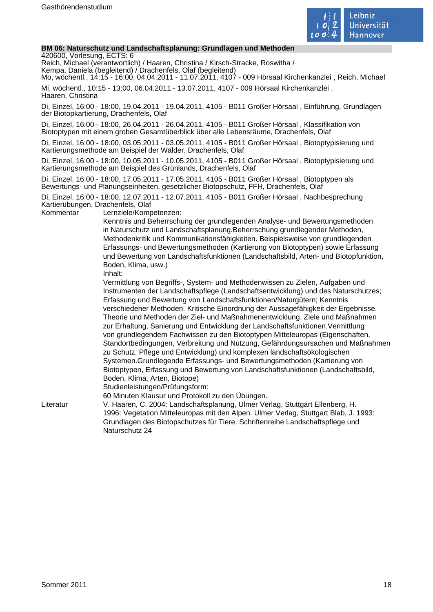

#### **BM 06: Naturschutz und Landschaftsplanung: Grundlagen und Methoden**

420600, Vorlesung, ECTS: 6

Reich, Michael (verantwortlich) / Haaren, Christina / Kirsch-Stracke, Roswitha / Kempa, Daniela (begleitend) / Drachenfels, Olaf (begleitend)

Mo, wöchentl., 14:15 - 16:00, 04.04.2011 - 11.07.2011, 4107 - 009 Hörsaal Kirchenkanzlei , Reich, Michael Mi, wöchentl., 10:15 - 13:00, 06.04.2011 - 13.07.2011, 4107 - 009 Hörsaal Kirchenkanzlei , Haaren, Christina

Di, Einzel, 16:00 - 18:00, 19.04.2011 - 19.04.2011, 4105 - B011 Großer Hörsaal , Einführung, Grundlagen der Biotopkartierung, Drachenfels, Olaf

Di, Einzel, 16:00 - 18:00, 26.04.2011 - 26.04.2011, 4105 - B011 Großer Hörsaal , Klassifikation von Biotoptypen mit einem groben Gesamtüberblick über alle Lebensräume, Drachenfels, Olaf

Di, Einzel, 16:00 - 18:00, 03.05.2011 - 03.05.2011, 4105 - B011 Großer Hörsaal , Biotoptypisierung und Kartierungsmethode am Beispiel der Wälder, Drachenfels, Olaf

Di, Einzel, 16:00 - 18:00, 10.05.2011 - 10.05.2011, 4105 - B011 Großer Hörsaal , Biotoptypisierung und Kartierungsmethode am Beispiel des Grünlands, Drachenfels, Olaf

Di, Einzel, 16:00 - 18:00, 17.05.2011 - 17.05.2011, 4105 - B011 Großer Hörsaal , Biotoptypen als Bewertungs- und Planungseinheiten, gesetzlicher Biotopschutz, FFH, Drachenfels, Olaf

Di, Einzel, 16:00 - 18:00, 12.07.2011 - 12.07.2011, 4105 - B011 Großer Hörsaal , Nachbesprechung Kartierübungen, Drachenfels, Olaf

Kommentar Lernziele/Kompetenzen:

Kenntnis und Beherrschung der grundlegenden Analyse- und Bewertungsmethoden in Naturschutz und Landschaftsplanung.Beherrschung grundlegender Methoden, Methodenkritik und Kommunikationsfähigkeiten. Beispielsweise von grundlegenden Erfassungs- und Bewertungsmethoden (Kartierung von Biotoptypen) sowie Erfassung und Bewertung von Landschaftsfunktionen (Landschaftsbild, Arten- und Biotopfunktion, Boden, Klima, usw.)

Inhalt:

Vermittlung von Begriffs-, System- und Methodenwissen zu Zielen, Aufgaben und Instrumenten der Landschaftspflege (Landschaftsentwicklung) und des Naturschutzes; Erfassung und Bewertung von Landschaftsfunktionen/Naturgütern; Kenntnis verschiedener Methoden. Kritische Einordnung der Aussagefähigkeit der Ergebnisse. Theorie und Methoden der Ziel- und Maßnahmenentwicklung. Ziele und Maßnahmen zur Erhaltung, Sanierung und Entwicklung der Landschaftsfunktionen.Vermittlung von grundlegendem Fachwissen zu den Biotoptypen Mitteleuropas (Eigenschaften, Standortbedingungen, Verbreitung und Nutzung, Gefährdungsursachen und Maßnahmen zu Schutz, Pflege und Entwicklung) und komplexen landschaftsökologischen Systemen.Grundlegende Erfassungs- und Bewertungsmethoden (Kartierung von Biotoptypen, Erfassung und Bewertung von Landschaftsfunktionen (Landschaftsbild, Boden, Klima, Arten, Biotope)

Studienleistungen/Prüfungsform:

60 Minuten Klausur und Protokoll zu den Übungen.

Literatur V. Haaren, C. 2004: Landschaftsplanung, Ulmer Verlag, Stuttgart Ellenberg, H. 1996: Vegetation Mitteleuropas mit den Alpen. Ulmer Verlag, Stuttgart Blab, J. 1993: Grundlagen des Biotopschutzes für Tiere. Schriftenreihe Landschaftspflege und Naturschutz 24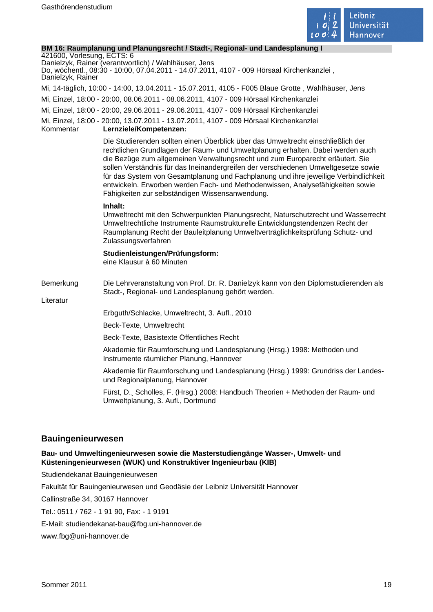

#### **BM 16: Raumplanung und Planungsrecht / Stadt-, Regional- und Landesplanung I**

421600, Vorlesung, ECTS: 6 Danielzyk, Rainer (verantwortlich) / Wahlhäuser, Jens

Do, wöchentl., 08:30 - 10:00, 07.04.2011 - 14.07.2011, 4107 - 009 Hörsaal Kirchenkanzlei , Danielzyk, Rainer

Mi, 14-täglich, 10:00 - 14:00, 13.04.2011 - 15.07.2011, 4105 - F005 Blaue Grotte , Wahlhäuser, Jens

Mi, Einzel, 18:00 - 20:00, 08.06.2011 - 08.06.2011, 4107 - 009 Hörsaal Kirchenkanzlei

Mi, Einzel, 18:00 - 20:00, 29.06.2011 - 29.06.2011, 4107 - 009 Hörsaal Kirchenkanzlei

Mi, Einzel, 18:00 - 20:00, 13.07.2011 - 13.07.2011, 4107 - 009 Hörsaal Kirchenkanzlei

Kommentar **Lernziele/Kompetenzen:** 

Die Studierenden sollten einen Überblick über das Umweltrecht einschließlich der rechtlichen Grundlagen der Raum- und Umweltplanung erhalten. Dabei werden auch die Bezüge zum allgemeinen Verwaltungsrecht und zum Europarecht erläutert. Sie sollen Verständnis für das Ineinandergreifen der verschiedenen Umweltgesetze sowie für das System von Gesamtplanung und Fachplanung und ihre jeweilige Verbindlichkeit entwickeln. Erworben werden Fach- und Methodenwissen, Analysefähigkeiten sowie Fähigkeiten zur selbständigen Wissensanwendung.

#### **Inhalt:**

Umweltrecht mit den Schwerpunkten Planungsrecht, Naturschutzrecht und Wasserrecht Umweltrechtliche Instrumente Raumstrukturelle Entwicklungstendenzen Recht der Raumplanung Recht der Bauleitplanung Umweltverträglichkeitsprüfung Schutz- und Zulassungsverfahren

**Studienleistungen/Prüfungsform:**  eine Klausur à 60 Minuten

#### Bemerkung Die Lehrveranstaltung von Prof. Dr. R. Danielzyk kann von den Diplomstudierenden als Stadt-, Regional- und Landesplanung gehört werden.

Literatur

Erbguth/Schlacke, Umweltrecht, 3. Aufl., 2010

Beck-Texte, Umweltrecht

Beck-Texte, Basistexte Öffentliches Recht

Akademie für Raumforschung und Landesplanung (Hrsg.) 1998: Methoden und Instrumente räumlicher Planung, Hannover

Akademie für Raumforschung und Landesplanung (Hrsg.) 1999: Grundriss der Landesund Regionalplanung, Hannover

Fürst, D.¸ Scholles, F. (Hrsg.) 2008: Handbuch Theorien + Methoden der Raum- und Umweltplanung, 3. Aufl., Dortmund

# **Bauingenieurwesen**

### **Bau- und Umweltingenieurwesen sowie die Masterstudiengänge Wasser-, Umwelt- und Küsteningenieurwesen (WUK) und Konstruktiver Ingenieurbau (KIB)**

Studiendekanat Bauingenieurwesen

Fakultät für Bauingenieurwesen und Geodäsie der Leibniz Universität Hannover

Callinstraße 34, 30167 Hannover

Tel.: 0511 / 762 - 1 91 90, Fax: - 1 9191

E-Mail: studiendekanat-bau@fbg.uni-hannover.de

www.fbg@uni-hannover.de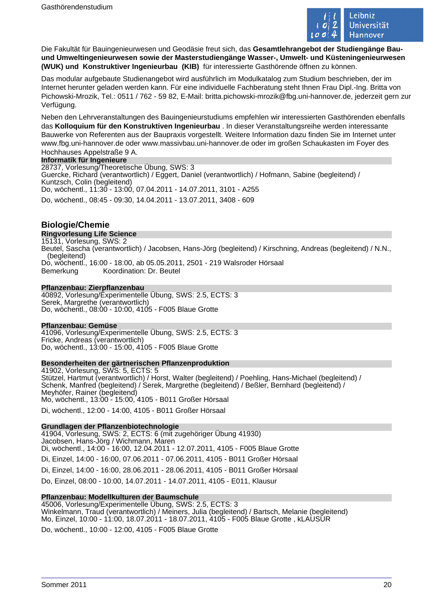

Die Fakultät für Bauingenieurwesen und Geodäsie freut sich, das **Gesamtlehrangebot der Studiengänge Bauund Umweltingenieurwesen sowie der Masterstudiengänge Wasser-, Umwelt- und Küsteningenieurwesen (WUK) und Konstruktiver Ingenieurbau (KIB)** für interessierte Gasthörende öffnen zu können.

Das modular aufgebaute Studienangebot wird ausführlich im Modulkatalog zum Studium beschrieben, der im Internet herunter geladen werden kann. Für eine individuelle Fachberatung steht Ihnen Frau Dipl.-Ing. Britta von Pichowski-Mrozik, Tel.: 0511 / 762 - 59 82, E-Mail: britta.pichowski-mrozik@fbg.uni-hannover.de, jederzeit gern zur Verfügung.

Neben den Lehrveranstaltungen des Bauingenieurstudiums empfehlen wir interessierten Gasthörenden ebenfalls das **Kolloquium für den Konstruktiven Ingenieurbau** . In dieser Veranstaltungsreihe werden interessante Bauwerke von Referenten aus der Baupraxis vorgestellt. Weitere Information dazu finden Sie im Internet unter www.fbg.uni-hannover.de oder www.massivbau.uni-hannover.de oder im großen Schaukasten im Foyer des Hochhauses Appelstraße 9 A.

# **Informatik für Ingenieure**

28737, Vorlesung/Theoretische Übung, SWS: 3 Guercke, Richard (verantwortlich) / Eggert, Daniel (verantwortlich) / Hofmann, Sabine (begleitend) / Kuntzsch, Colin (begleitend) Do, wöchentl., 11:30 - 13:00, 07.04.2011 - 14.07.2011, 3101 - A255 Do, wöchentl., 08:45 - 09:30, 14.04.2011 - 13.07.2011, 3408 - 609

# **Biologie/Chemie**

#### **Ringvorlesung Life Science**

15131, Vorlesung, SWS: 2 Beutel, Sascha (verantwortlich) / Jacobsen, Hans-Jörg (begleitend) / Kirschning, Andreas (begleitend) / N.N., (begleitend) Do, wöchentl., 16:00 - 18:00, ab 05.05.2011, 2501 - 219 Walsroder Hörsaal Bemerkung Koordination: Dr. Beutel

#### **Pflanzenbau: Zierpflanzenbau**

40892, Vorlesung/Experimentelle Übung, SWS: 2.5, ECTS: 3 Serek, Margrethe (verantwortlich) Do, wöchentl., 08:00 - 10:00, 4105 - F005 Blaue Grotte

#### **Pflanzenbau: Gemüse**

41096, Vorlesung/Experimentelle Übung, SWS: 2.5, ECTS: 3 Fricke, Andreas (verantwortlich) Do, wöchentl., 13:00 - 15:00, 4105 - F005 Blaue Grotte

#### **Besonderheiten der gärtnerischen Pflanzenproduktion**

41902, Vorlesung, SWS: 5, ECTS: 5 Stützel, Hartmut (verantwortlich) / Horst, Walter (begleitend) / Poehling, Hans-Michael (begleitend) / Schenk, Manfred (begleitend) / Serek, Margrethe (begleitend) / Beßler, Bernhard (begleitend) / Meyhöfer, Rainer (begleitend) Mo, wöchentl., 13:00 - 15:00, 4105 - B011 Großer Hörsaal Di, wöchentl., 12:00 - 14:00, 4105 - B011 Großer Hörsaal

### **Grundlagen der Pflanzenbiotechnologie**

41904, Vorlesung, SWS: 2, ECTS: 6 (mit zugehöriger Übung 41930) Jacobsen, Hans-Jörg / Wichmann, Maren Di, wöchentl., 14:00 - 16:00, 12.04.2011 - 12.07.2011, 4105 - F005 Blaue Grotte Di, Einzel, 14:00 - 16:00, 07.06.2011 - 07.06.2011, 4105 - B011 Großer Hörsaal Di, Einzel, 14:00 - 16:00, 28.06.2011 - 28.06.2011, 4105 - B011 Großer Hörsaal Do, Einzel, 08:00 - 10:00, 14.07.2011 - 14.07.2011, 4105 - E011, Klausur

#### **Pflanzenbau: Modellkulturen der Baumschule**

45006, Vorlesung/Experimentelle Übung, SWS: 2.5, ECTS: 3 Winkelmann, Traud (verantwortlich) / Meiners, Julia (begleitend) / Bartsch, Melanie (begleitend) Mo, Einzel, 10:00 - 11:00, 18.07.2011 - 18.07.2011, 4105 - F005 Blaue Grotte , kLAUSUR Do, wöchentl., 10:00 - 12:00, 4105 - F005 Blaue Grotte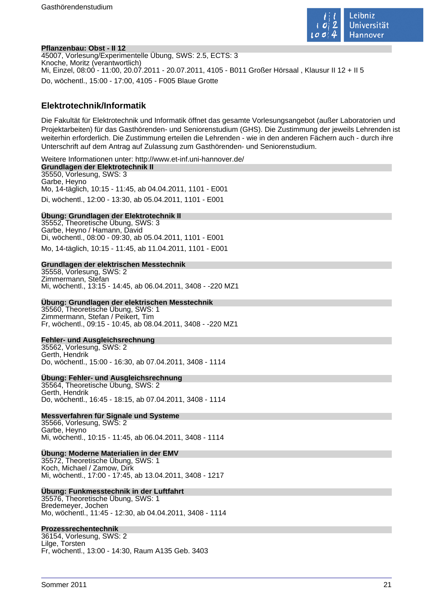

#### **Pflanzenbau: Obst - II 12**

45007, Vorlesung/Experimentelle Übung, SWS: 2.5, ECTS: 3 Knoche, Moritz (verantwortlich) Mi, Einzel, 08:00 - 11:00, 20.07.2011 - 20.07.2011, 4105 - B011 Großer Hörsaal , Klausur II 12 + II 5 Do, wöchentl., 15:00 - 17:00, 4105 - F005 Blaue Grotte

# **Elektrotechnik/Informatik**

Die Fakultät für Elektrotechnik und Informatik öffnet das gesamte Vorlesungsangebot (außer Laboratorien und Projektarbeiten) für das Gasthörenden- und Seniorenstudium (GHS). Die Zustimmung der jeweils Lehrenden ist weiterhin erforderlich. Die Zustimmung erteilen die Lehrenden - wie in den anderen Fächern auch - durch ihre Unterschrift auf dem Antrag auf Zulassung zum Gasthörenden- und Seniorenstudium.

Weitere Informationen unter: http://www.et-inf.uni-hannover.de/ **Grundlagen der Elektrotechnik II** 35550, Vorlesung, SWS: 3 Garbe, Heyno Mo, 14-täglich, 10:15 - 11:45, ab 04.04.2011, 1101 - E001 Di, wöchentl., 12:00 - 13:30, ab 05.04.2011, 1101 - E001

#### **Übung: Grundlagen der Elektrotechnik II**

35552, Theoretische Übung, SWS: 3 Garbe, Heyno / Hamann, David Di, wöchentl., 08:00 - 09:30, ab 05.04.2011, 1101 - E001 Mo, 14-täglich, 10:15 - 11:45, ab 11.04.2011, 1101 - E001

#### **Grundlagen der elektrischen Messtechnik**

35558, Vorlesung, SWS: 2 Zimmermann, Stefan Mi, wöchentl., 13:15 - 14:45, ab 06.04.2011, 3408 - -220 MZ1

### **Übung: Grundlagen der elektrischen Messtechnik**

35560, Theoretische Übung, SWS: 1 Zimmermann, Stefan / Peikert, Tim Fr, wöchentl., 09:15 - 10:45, ab 08.04.2011, 3408 - -220 MZ1

#### **Fehler- und Ausgleichsrechnung**

35562, Vorlesung, SWS: 2 Gerth, Hendrik Do, wöchentl., 15:00 - 16:30, ab 07.04.2011, 3408 - 1114

#### **Übung: Fehler- und Ausgleichsrechnung**

35564, Theoretische Übung, SWS: 2 Gerth, Hendrik Do, wöchentl., 16:45 - 18:15, ab 07.04.2011, 3408 - 1114

#### **Messverfahren für Signale und Systeme**

35566, Vorlesung, SWS: 2 Garbe, Heyno Mi, wöchentl., 10:15 - 11:45, ab 06.04.2011, 3408 - 1114

#### **Übung: Moderne Materialien in der EMV**

35572, Theoretische Übung, SWS: 1 Koch, Michael / Zamow, Dirk Mi, wöchentl., 17:00 - 17:45, ab 13.04.2011, 3408 - 1217

### **Übung: Funkmesstechnik in der Luftfahrt**

35576, Theoretische Übung, SWS: 1 Bredemeyer, Jochen Mo, wöchentl., 11:45 - 12:30, ab 04.04.2011, 3408 - 1114

#### **Prozessrechentechnik**

36154, Vorlesung, SWS: 2 Lilge, Torsten Fr, wöchentl., 13:00 - 14:30, Raum A135 Geb. 3403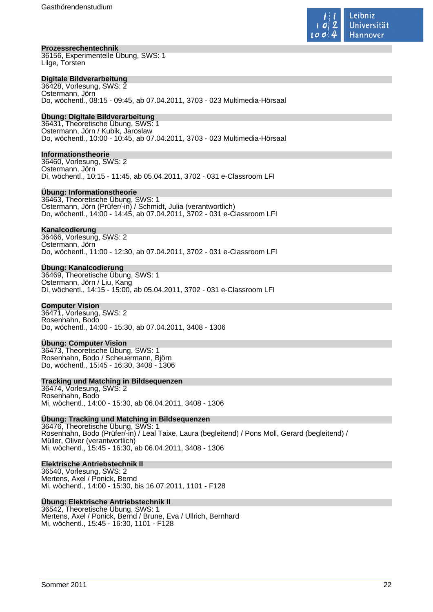

#### **Prozessrechentechnik**

36156, Experimentelle Übung, SWS: 1 Lilge, Torsten

### **Digitale Bildverarbeitung**

36428, Vorlesung, SWS: 2 Ostermann, Jörn Do, wöchentl., 08:15 - 09:45, ab 07.04.2011, 3703 - 023 Multimedia-Hörsaal

# **Übung: Digitale Bildverarbeitung**

36431, Theoretische Übung, SWS: 1 Ostermann, Jörn / Kubik, Jaroslaw Do, wöchentl., 10:00 - 10:45, ab 07.04.2011, 3703 - 023 Multimedia-Hörsaal

#### **Informationstheorie**

36460, Vorlesung, SWS: 2 Ostermann, Jörn Di, wöchentl., 10:15 - 11:45, ab 05.04.2011, 3702 - 031 e-Classroom LFI

#### **Übung: Informationstheorie**

36463, Theoretische Übung, SWS: 1 Ostermann, Jörn (Prüfer/-in) / Schmidt, Julia (verantwortlich) Do, wöchentl., 14:00 - 14:45, ab 07.04.2011, 3702 - 031 e-Classroom LFI

#### **Kanalcodierung**

36466, Vorlesung, SWS: 2 Ostermann, Jörn Do, wöchentl., 11:00 - 12:30, ab 07.04.2011, 3702 - 031 e-Classroom LFI

#### **Übung: Kanalcodierung**

36469, Theoretische Übung, SWS: 1 Ostermann, Jörn / Liu, Kang Di, wöchentl., 14:15 - 15:00, ab 05.04.2011, 3702 - 031 e-Classroom LFI

#### **Computer Vision**

36471, Vorlesung, SWS: 2 Rosenhahn, Bodo Do, wöchentl., 14:00 - 15:30, ab 07.04.2011, 3408 - 1306

#### **Übung: Computer Vision**

36473, Theoretische Übung, SWS: 1 Rosenhahn, Bodo / Scheuermann, Björn Do, wöchentl., 15:45 - 16:30, 3408 - 1306

#### **Tracking und Matching in Bildsequenzen**

36474, Vorlesung, SWS: 2 Rosenhahn, Bodo Mi, wöchentl., 14:00 - 15:30, ab 06.04.2011, 3408 - 1306

#### **Übung: Tracking und Matching in Bildsequenzen**

36476, Theoretische Übung, SWS: 1 Rosenhahn, Bodo (Prüfer/-in) / Leal Taixe, Laura (begleitend) / Pons Moll, Gerard (begleitend) / Müller, Oliver (verantwortlich) Mi, wöchentl., 15:45 - 16:30, ab 06.04.2011, 3408 - 1306

#### **Elektrische Antriebstechnik II**

36540, Vorlesung, SWS: 2 Mertens, Axel / Ponick, Bernd Mi, wöchentl., 14:00 - 15:30, bis 16.07.2011, 1101 - F128

#### **Übung: Elektrische Antriebstechnik II**

36542, Theoretische Übung, SWS: 1 Mertens, Axel / Ponick, Bernd / Brune, Eva / Ullrich, Bernhard Mi, wöchentl., 15:45 - 16:30, 1101 - F128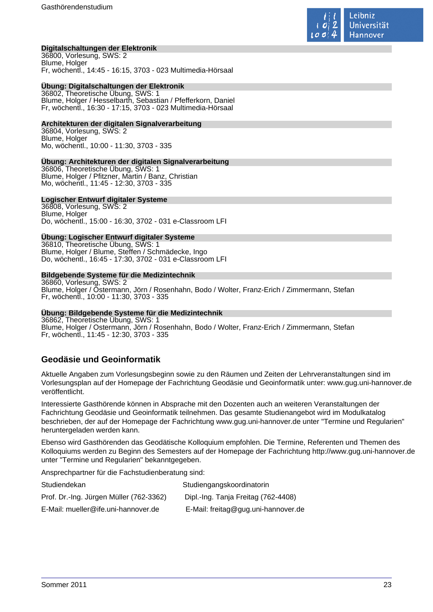

#### **Digitalschaltungen der Elektronik**

36800, Vorlesung, SWS: 2 Blume, Holger Fr, wöchentl., 14:45 - 16:15, 3703 - 023 Multimedia-Hörsaal

#### **Übung: Digitalschaltungen der Elektronik**

36802, Theoretische Übung, SWS: 1 Blume, Holger / Hesselbarth, Sebastian / Pfefferkorn, Daniel Fr, wöchentl., 16:30 - 17:15, 3703 - 023 Multimedia-Hörsaal

#### **Architekturen der digitalen Signalverarbeitung**

36804, Vorlesung, SWS: 2 Blume, Holger Mo, wöchentl., 10:00 - 11:30, 3703 - 335

#### **Übung: Architekturen der digitalen Signalverarbeitung**

36806, Theoretische Übung, SWS: 1 Blume, Holger / Pfitzner, Martin / Banz, Christian Mo, wöchentl., 11:45 - 12:30, 3703 - 335

#### **Logischer Entwurf digitaler Systeme**

36808, Vorlesung, SWS: 2 Blume, Holger Do, wöchentl., 15:00 - 16:30, 3702 - 031 e-Classroom LFI

#### **Übung: Logischer Entwurf digitaler Systeme**

36810, Theoretische Übung, SWS: 1 Blume, Holger / Blume, Steffen / Schmädecke, Ingo Do, wöchentl., 16:45 - 17:30, 3702 - 031 e-Classroom LFI

#### **Bildgebende Systeme für die Medizintechnik**

36860, Vorlesung, SWS: 2 Blume, Holger / Ostermann, Jörn / Rosenhahn, Bodo / Wolter, Franz-Erich / Zimmermann, Stefan Fr, wöchentl., 10:00 - 11:30, 3703 - 335

#### **Übung: Bildgebende Systeme für die Medizintechnik**

36862, Theoretische Übung, SWS: 1 Blume, Holger / Ostermann, Jörn / Rosenhahn, Bodo / Wolter, Franz-Erich / Zimmermann, Stefan Fr, wöchentl., 11:45 - 12:30, 3703 - 335

# **Geodäsie und Geoinformatik**

Aktuelle Angaben zum Vorlesungsbeginn sowie zu den Räumen und Zeiten der Lehrveranstaltungen sind im Vorlesungsplan auf der Homepage der Fachrichtung Geodäsie und Geoinformatik unter: www.gug.uni-hannover.de veröffentlicht.

Interessierte Gasthörende können in Absprache mit den Dozenten auch an weiteren Veranstaltungen der Fachrichtung Geodäsie und Geoinformatik teilnehmen. Das gesamte Studienangebot wird im Modulkatalog beschrieben, der auf der Homepage der Fachrichtung www.gug.uni-hannover.de unter "Termine und Regularien" heruntergeladen werden kann.

Ebenso wird Gasthörenden das Geodätische Kolloquium empfohlen. Die Termine, Referenten und Themen des Kolloquiums werden zu Beginn des Semesters auf der Homepage der Fachrichtung http://www.gug.uni-hannover.de unter "Termine und Regularien" bekanntgegeben.

Ansprechpartner für die Fachstudienberatung sind:

| Studiendekan                            | Studiengangskoordinatorin           |
|-----------------------------------------|-------------------------------------|
| Prof. Dr.-Ing. Jürgen Müller (762-3362) | Dipl.-Ing. Tanja Freitag (762-4408) |
| E-Mail: mueller@ife.uni-hannover.de     | E-Mail: freitag@gug.uni-hannover.de |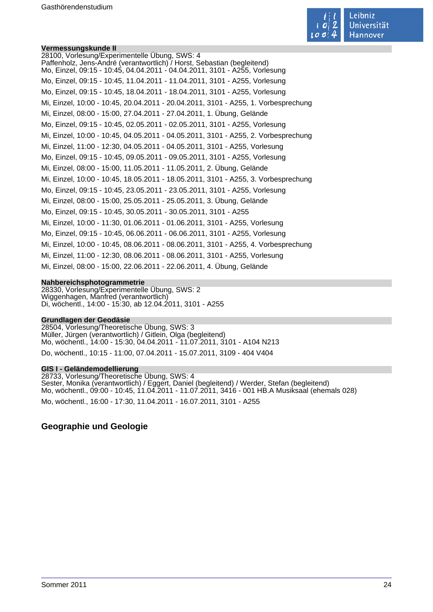

#### **Vermessungskunde II**

28100, Vorlesung/Experimentelle Übung, SWS: 4 Paffenholz, Jens-André (verantwortlich) / Horst, Sebastian (begleitend) Mo, Einzel, 09:15 - 10:45, 04.04.2011 - 04.04.2011, 3101 - A255, Vorlesung Mo, Einzel, 09:15 - 10:45, 11.04.2011 - 11.04.2011, 3101 - A255, Vorlesung Mo, Einzel, 09:15 - 10:45, 18.04.2011 - 18.04.2011, 3101 - A255, Vorlesung Mi, Einzel, 10:00 - 10:45, 20.04.2011 - 20.04.2011, 3101 - A255, 1. Vorbesprechung Mi, Einzel, 08:00 - 15:00, 27.04.2011 - 27.04.2011, 1. Übung, Gelände Mo, Einzel, 09:15 - 10:45, 02.05.2011 - 02.05.2011, 3101 - A255, Vorlesung Mi, Einzel, 10:00 - 10:45, 04.05.2011 - 04.05.2011, 3101 - A255, 2. Vorbesprechung Mi, Einzel, 11:00 - 12:30, 04.05.2011 - 04.05.2011, 3101 - A255, Vorlesung Mo, Einzel, 09:15 - 10:45, 09.05.2011 - 09.05.2011, 3101 - A255, Vorlesung Mi, Einzel, 08:00 - 15:00, 11.05.2011 - 11.05.2011, 2. Übung, Gelände Mi, Einzel, 10:00 - 10:45, 18.05.2011 - 18.05.2011, 3101 - A255, 3. Vorbesprechung Mo, Einzel, 09:15 - 10:45, 23.05.2011 - 23.05.2011, 3101 - A255, Vorlesung Mi, Einzel, 08:00 - 15:00, 25.05.2011 - 25.05.2011, 3. Übung, Gelände Mo, Einzel, 09:15 - 10:45, 30.05.2011 - 30.05.2011, 3101 - A255 Mi, Einzel, 10:00 - 11:30, 01.06.2011 - 01.06.2011, 3101 - A255, Vorlesung Mo, Einzel, 09:15 - 10:45, 06.06.2011 - 06.06.2011, 3101 - A255, Vorlesung Mi, Einzel, 10:00 - 10:45, 08.06.2011 - 08.06.2011, 3101 - A255, 4. Vorbesprechung Mi, Einzel, 11:00 - 12:30, 08.06.2011 - 08.06.2011, 3101 - A255, Vorlesung Mi, Einzel, 08:00 - 15:00, 22.06.2011 - 22.06.2011, 4. Übung, Gelände

#### **Nahbereichsphotogrammetrie**

28330, Vorlesung/Experimentelle Übung, SWS: 2 Wiggenhagen, Manfred (verantwortlich) Di, wöchentl., 14:00 - 15:30, ab 12.04.2011, 3101 - A255

#### **Grundlagen der Geodäsie**

28504, Vorlesung/Theoretische Übung, SWS: 3 Müller, Jürgen (verantwortlich) / Gitlein, Olga (begleitend) Mo, wöchentl., 14:00 - 15:30, 04.04.2011 - 11.07.2011, 3101 - A104 N213 Do, wöchentl., 10:15 - 11:00, 07.04.2011 - 15.07.2011, 3109 - 404 V404

#### **GIS I - Geländemodellierung**

28733, Vorlesung/Theoretische Übung, SWS: 4 Sester, Monika (verantwortlich) / Eggert, Daniel (begleitend) / Werder, Stefan (begleitend) Mo, wöchentl., 09:00 - 10:45, 11.04.2011 - 11.07.2011, 3416 - 001 HB.A Musiksaal (ehemals 028) Mo, wöchentl., 16:00 - 17:30, 11.04.2011 - 16.07.2011, 3101 - A255

# **Geographie und Geologie**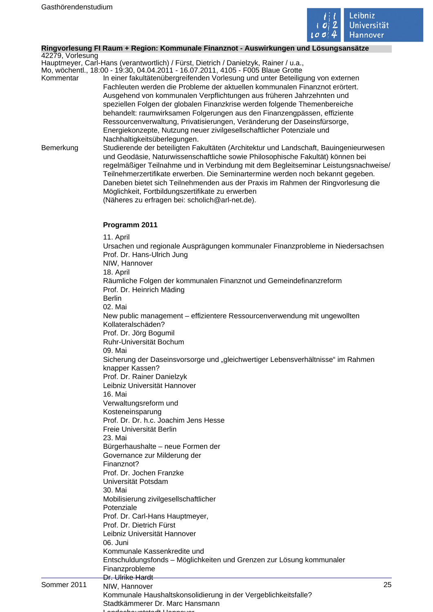

#### **Ringvorlesung FI Raum + Region: Kommunale Finanznot - Auswirkungen und Lösungsansätze**

42279, Vorlesung Hauptmeyer, Carl-Hans (verantwortlich) / Fürst, Dietrich / Danielzyk, Rainer / u.a.,

Mo, wöchentl., 18:00 - 19:30, 04.04.2011 - 16.07.2011, 4105 - F005 Blaue Grotte

- Kommentar In einer fakultätenübergreifenden Vorlesung und unter Beteiligung von externen Fachleuten werden die Probleme der aktuellen kommunalen Finanznot erörtert. Ausgehend von kommunalen Verpflichtungen aus früheren Jahrzehnten und speziellen Folgen der globalen Finanzkrise werden folgende Themenbereiche behandelt: raumwirksamen Folgerungen aus den Finanzengpässen, effiziente Ressourcenverwaltung, Privatisierungen, Veränderung der Daseinsfürsorge, Energiekonzepte, Nutzung neuer zivilgesellschaftlicher Potenziale und Nachhaltigkeitsüberlegungen.
- Bemerkung Studierende der beteiligten Fakultäten (Architektur und Landschaft, Bauingenieurwesen und Geodäsie, Naturwissenschaftliche sowie Philosophische Fakultät) können bei regelmäßiger Teilnahme und in Verbindung mit dem Begleitseminar Leistungsnachweise/ Teilnehmerzertifikate erwerben. Die Seminartermine werden noch bekannt gegeben. Daneben bietet sich Teilnehmenden aus der Praxis im Rahmen der Ringvorlesung die Möglichkeit, Fortbildungszertifikate zu erwerben (Näheres zu erfragen bei: scholich@arl-net.de).

### **Programm 2011**

Sommer 2011 25 NIW, Hannover 11. April Ursachen und regionale Ausprägungen kommunaler Finanzprobleme in Niedersachsen Prof. Dr. Hans-Ulrich Jung NIW, Hannover 18. April Räumliche Folgen der kommunalen Finanznot und Gemeindefinanzreform Prof. Dr. Heinrich Mäding Berlin 02. Mai New public management – effizientere Ressourcenverwendung mit ungewollten Kollateralschäden? Prof. Dr. Jörg Bogumil Ruhr-Universität Bochum 09. Mai Sicherung der Daseinsvorsorge und "gleichwertiger Lebensverhältnisse" im Rahmen knapper Kassen? Prof. Dr. Rainer Danielzyk Leibniz Universität Hannover 16. Mai Verwaltungsreform und Kosteneinsparung Prof. Dr. Dr. h.c. Joachim Jens Hesse Freie Universität Berlin 23. Mai Bürgerhaushalte – neue Formen der Governance zur Milderung der Finanznot? Prof. Dr. Jochen Franzke Universität Potsdam 30. Mai Mobilisierung zivilgesellschaftlicher Potenziale Prof. Dr. Carl-Hans Hauptmeyer, Prof. Dr. Dietrich Fürst Leibniz Universität Hannover 06. Juni Kommunale Kassenkredite und Entschuldungsfonds – Möglichkeiten und Grenzen zur Lösung kommunaler Finanzprobleme Dr. Ulrike Hardt Kommunale Haushaltskonsolidierung in der Vergeblichkeitsfalle?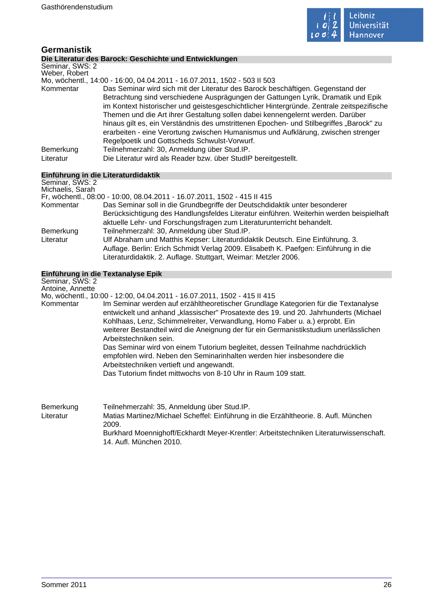

# **Germanistik**

# **Die Literatur des Barock: Geschichte und Entwicklungen**

|  | PIV ERVIGIUI GUU E |  |  |
|--|--------------------|--|--|
|  | Seminar, SWS: 2    |  |  |

Weber, Robert Mo, wöchentl., 14:00 - 16:00, 04.04.2011 - 16.07.2011, 1502 - 503 II 503

Das Seminar wird sich mit der Literatur des Barock beschäftigen. Gegenstand der Betrachtung sind verschiedene Ausprägungen der Gattungen Lyrik, Dramatik und Epik im Kontext historischer und geistesgeschichtlicher Hintergründe. Zentrale zeitspezifische Themen und die Art ihrer Gestaltung sollen dabei kennengelernt werden. Darüber hinaus gilt es, ein Verständnis des umstrittenen Epochen- und Stilbegriffes "Barock" zu erarbeiten - eine Verortung zwischen Humanismus und Aufklärung, zwischen strenger Regelpoetik und Gottscheds Schwulst-Vorwurf. Bemerkung Teilnehmerzahl: 30, Anmeldung über Stud.IP. Literatur Die Literatur wird als Reader bzw. über StudIP bereitgestellt.

# **Einführung in die Literaturdidaktik**

| Seminar, SWS: 2  |                                                                                                                                                                   |
|------------------|-------------------------------------------------------------------------------------------------------------------------------------------------------------------|
| Michaelis, Sarah |                                                                                                                                                                   |
|                  | Fr, wöchentl., 08:00 - 10:00, 08.04.2011 - 16.07.2011, 1502 - 415 II 415                                                                                          |
| Kommentar        | Das Seminar soll in die Grundbegriffe der Deutschdidaktik unter besonderer                                                                                        |
|                  | Berücksichtigung des Handlungsfeldes Literatur einführen. Weiterhin werden beispielhaft<br>aktuelle Lehr- und Forschungsfragen zum Literaturunterricht behandelt. |
| Bemerkung        | Teilnehmerzahl: 30, Anmeldung über Stud.IP.                                                                                                                       |
| Literatur        | Ulf Abraham und Matthis Kepser: Literaturdidaktik Deutsch. Eine Einführung. 3.                                                                                    |
|                  | Auflage. Berlin: Erich Schmidt Verlag 2009. Elisabeth K. Paefgen: Einführung in die<br>Literaturdidaktik. 2. Auflage. Stuttgart, Weimar: Metzler 2006.            |

#### **Einführung in die Textanalyse Epik**

Seminar, SWS: 2 Antoine, Annette

Mo, wöchentl., 10:00 - 12:00, 04.04.2011 - 16.07.2011, 1502 - 415 II 415

Kommentar Im Seminar werden auf erzähltheoretischer Grundlage Kategorien für die Textanalyse entwickelt und anhand "klassischer" Prosatexte des 19. und 20. Jahrhunderts (Michael Kohlhaas, Lenz, Schimmelreiter, Verwandlung, Homo Faber u. a.) erprobt. Ein weiterer Bestandteil wird die Aneignung der für ein Germanistikstudium unerlässlichen Arbeitstechniken sein. Das Seminar wird von einem Tutorium begleitet, dessen Teilnahme nachdrücklich empfohlen wird. Neben den Seminarinhalten werden hier insbesondere die Arbeitstechniken vertieft und angewandt.

Das Tutorium findet mittwochs von 8-10 Uhr in Raum 109 statt.

| Bemerkung | Teilnehmerzahl: 35, Anmeldung über Stud. IP.                                          |
|-----------|---------------------------------------------------------------------------------------|
| Literatur | Matias Martinez/Michael Scheffel: Einführung in die Erzähltheorie. 8. Aufl. München   |
|           | 2009.                                                                                 |
|           | Burkhard Moennighoff/Eckhardt Meyer-Krentler: Arbeitstechniken Literaturwissenschaft. |
|           | 14. Aufl. München 2010.                                                               |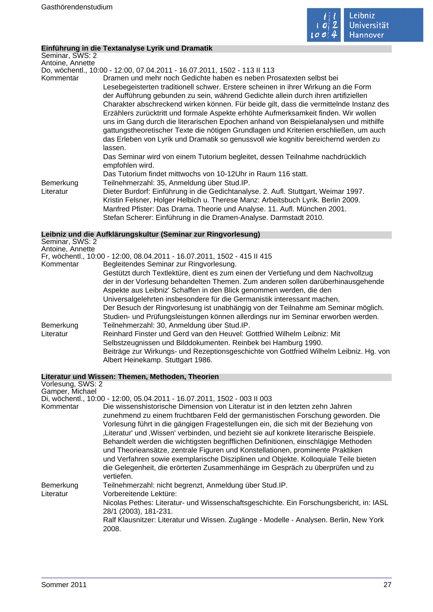

#### **Einführung in die Textanalyse Lyrik und Dramatik**

Seminar, SWS: 2 Antoine, Annette

Do, wöchentl., 10:00 - 12:00, 07.04.2011 - 16.07.2011, 1502 - 113 II 113

- Kommentar Dramen und mehr noch Gedichte haben es neben Prosatexten selbst bei Lesebegeisterten traditionell schwer. Erstere scheinen in ihrer Wirkung an die Form der Aufführung gebunden zu sein, während Gedichte allein durch ihren artifiziellen Charakter abschreckend wirken können. Für beide gilt, dass die vermittelnde Instanz des Erzählers zurücktritt und formale Aspekte erhöhte Aufmerksamkeit finden. Wir wollen uns im Gang durch die literarischen Epochen anhand von Beispielanalysen und mithilfe gattungstheoretischer Texte die nötigen Grundlagen und Kriterien erschließen, um auch das Erleben von Lyrik und Dramatik so genussvoll wie kognitiv bereichernd werden zu lassen. Das Seminar wird von einem Tutorium begleitet, dessen Teilnahme nachdrücklich empfohlen wird. Das Tutorium findet mittwochs von 10-12Uhr in Raum 116 statt. Bemerkung Teilnehmerzahl: 35, Anmeldung über Stud.IP. Literatur Dieter Burdorf: Einführung in die Gedichtanalyse. 2. Aufl. Stuttgart, Weimar 1997.
	- Kristin Felsner, Holger Helbich u. Therese Manz: Arbeitsbuch Lyrik. Berlin 2009. Manfred Pfister: Das Drama. Theorie und Analyse. 11. Aufl. München 2001. Stefan Scherer: Einführung in die Dramen-Analyse. Darmstadt 2010.

# **Leibniz und die Aufklärungskultur (Seminar zur Ringvorlesung)**

| Seminar, SWS: 2<br>Antoine, Annette |                                                                                                                                                                                                                                                   |
|-------------------------------------|---------------------------------------------------------------------------------------------------------------------------------------------------------------------------------------------------------------------------------------------------|
|                                     | Fr, wöchentl., 10:00 - 12:00, 08.04.2011 - 16.07.2011, 1502 - 415 II 415                                                                                                                                                                          |
| Kommentar                           | Begleitendes Seminar zur Ringvorlesung.                                                                                                                                                                                                           |
|                                     | Gestützt durch Textlektüre, dient es zum einen der Vertiefung und dem Nachvollzug<br>der in der Vorlesung behandelten Themen. Zum anderen sollen darüberhinausgehende<br>Aspekte aus Leibniz' Schaffen in den Blick genommen werden, die den      |
|                                     | Universalgelehrten insbesondere für die Germanistik interessant machen.<br>Der Besuch der Ringvorlesung ist unabhängig von der Teilnahme am Seminar möglich.<br>Studien- und Prüfungsleistungen können allerdings nur im Seminar erworben werden. |
| Bemerkung                           | Teilnehmerzahl: 30, Anmeldung über Stud.IP.                                                                                                                                                                                                       |
| Literatur                           | Reinhard Finster und Gerd van den Heuvel: Gottfried Wilhelm Leibniz: Mit                                                                                                                                                                          |
|                                     | Selbstzeugnissen und Bilddokumenten. Reinbek bei Hamburg 1990.                                                                                                                                                                                    |
|                                     | Beiträge zur Wirkungs- und Rezeptionsgeschichte von Gottfried Wilhelm Leibniz. Hg. von<br>Albert Heinekamp. Stuttgart 1986.                                                                                                                       |
|                                     |                                                                                                                                                                                                                                                   |

#### **Literatur und Wissen: Themen, Methoden, Theorien**

| Vorlesung, SWS: 2      |                                                                                                                                                                                                                                                                                                                                                                                                                                                                                                                                                                                                                                                                                                                    |
|------------------------|--------------------------------------------------------------------------------------------------------------------------------------------------------------------------------------------------------------------------------------------------------------------------------------------------------------------------------------------------------------------------------------------------------------------------------------------------------------------------------------------------------------------------------------------------------------------------------------------------------------------------------------------------------------------------------------------------------------------|
| Gamper, Michael        |                                                                                                                                                                                                                                                                                                                                                                                                                                                                                                                                                                                                                                                                                                                    |
|                        | Di, wöchentl., 10:00 - 12:00, 05.04.2011 - 16.07.2011, 1502 - 003 II 003                                                                                                                                                                                                                                                                                                                                                                                                                                                                                                                                                                                                                                           |
| Kommentar              | Die wissenshistorische Dimension von Literatur ist in den letzten zehn Jahren<br>zunehmend zu einem fruchtbaren Feld der germanistischen Forschung geworden. Die<br>Vorlesung führt in die gängigen Fragestellungen ein, die sich mit der Beziehung von<br>"Literatur' und "Wissen' verbinden, und bezieht sie auf konkrete literarische Beispiele.<br>Behandelt werden die wichtigsten begrifflichen Definitionen, einschlägige Methoden<br>und Theorieansätze, zentrale Figuren und Konstellationen, prominente Praktiken<br>und Verfahren sowie exemplarische Disziplinen und Objekte. Kolloquiale Teile bieten<br>die Gelegenheit, die erörterten Zusammenhänge im Gespräch zu überprüfen und zu<br>vertiefen. |
| Bemerkung<br>Literatur | Teilnehmerzahl: nicht begrenzt, Anmeldung über Stud.IP.<br>Vorbereitende Lektüre:<br>Nicolas Pethes: Literatur- und Wissenschaftsgeschichte. Ein Forschungsbericht, in: IASL<br>28/1 (2003), 181-231.<br>Ralf Klausnitzer: Literatur und Wissen. Zugänge - Modelle - Analysen. Berlin, New York<br>2008.                                                                                                                                                                                                                                                                                                                                                                                                           |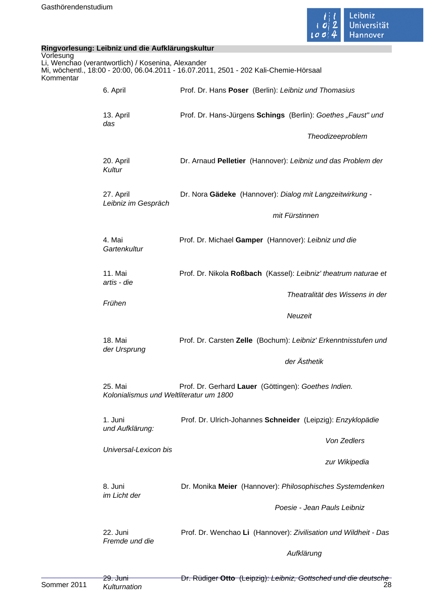

|                        | Ringvorlesung: Leibniz und die Aufklärungskultur   |                                                                                       |  |
|------------------------|----------------------------------------------------|---------------------------------------------------------------------------------------|--|
| Vorlesung<br>Kommentar | Li, Wenchao (verantwortlich) / Kosenina, Alexander | Mi, wöchentl., 18:00 - 20:00, 06.04.2011 - 16.07.2011, 2501 - 202 Kali-Chemie-Hörsaal |  |
|                        | 6. April                                           | Prof. Dr. Hans Poser (Berlin): Leibniz und Thomasius                                  |  |
|                        | 13. April<br>das                                   | Prof. Dr. Hans-Jürgens Schings (Berlin): Goethes "Faust" und                          |  |
|                        |                                                    | Theodizeeproblem                                                                      |  |
|                        | 20. April<br>Kultur                                | Dr. Arnaud Pelletier (Hannover): Leibniz und das Problem der                          |  |
|                        | 27. April<br>Leibniz im Gespräch                   | Dr. Nora Gädeke (Hannover): Dialog mit Langzeitwirkung -                              |  |
|                        |                                                    | mit Fürstinnen                                                                        |  |
|                        | 4. Mai<br>Gartenkultur                             | Prof. Dr. Michael Gamper (Hannover): Leibniz und die                                  |  |
|                        | 11. Mai<br>artis - die                             | Prof. Dr. Nikola Roßbach (Kassel): Leibniz' theatrum naturae et                       |  |
|                        | Frühen                                             | Theatralität des Wissens in der                                                       |  |
|                        | 18. Mai<br>der Ursprung                            | Neuzeit                                                                               |  |
|                        |                                                    | Prof. Dr. Carsten Zelle (Bochum): Leibniz' Erkenntnisstufen und                       |  |
|                        |                                                    | der Ästhetik                                                                          |  |
|                        | 25. Mai<br>Kolonialismus und Weltliteratur um 1800 | Prof. Dr. Gerhard Lauer (Göttingen): Goethes Indien.                                  |  |
|                        | 1. Juni<br>und Aufklärung:                         | Prof. Dr. Ulrich-Johannes Schneider (Leipzig): Enzyklopädie                           |  |
|                        | Universal-Lexicon bis                              | Von Zedlers                                                                           |  |
|                        |                                                    | zur Wikipedia                                                                         |  |
|                        | 8. Juni<br>im Licht der                            | Dr. Monika Meier (Hannover): Philosophisches Systemdenken                             |  |
|                        |                                                    | Poesie - Jean Pauls Leibniz                                                           |  |
|                        | 22. Juni<br>Fremde und die                         | Prof. Dr. Wenchao Li (Hannover): Zivilisation und Wildheit - Das                      |  |
|                        |                                                    | Aufklärung                                                                            |  |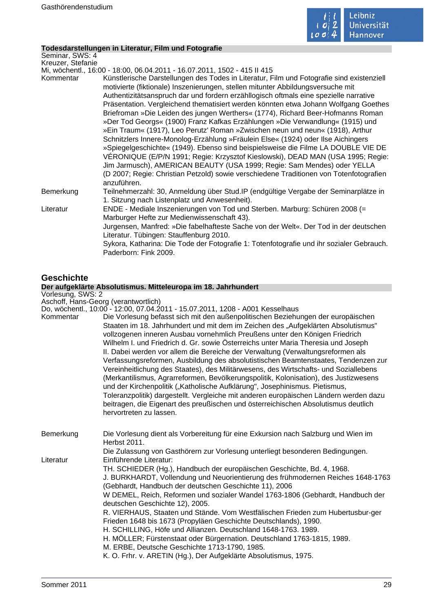

۰

# **Todesdarstellungen in Literatur, Film und Fotografie**

| Seminar, SWS: 4   |                                                                                                                                                                                                                                                                                                                                                                                                                                                                                                                                                                                                                                                                                                                                                                                                                                                                                                                                                                                                                                                                   |
|-------------------|-------------------------------------------------------------------------------------------------------------------------------------------------------------------------------------------------------------------------------------------------------------------------------------------------------------------------------------------------------------------------------------------------------------------------------------------------------------------------------------------------------------------------------------------------------------------------------------------------------------------------------------------------------------------------------------------------------------------------------------------------------------------------------------------------------------------------------------------------------------------------------------------------------------------------------------------------------------------------------------------------------------------------------------------------------------------|
| Kreuzer, Stefanie |                                                                                                                                                                                                                                                                                                                                                                                                                                                                                                                                                                                                                                                                                                                                                                                                                                                                                                                                                                                                                                                                   |
|                   | Mi, wöchentl., 16:00 - 18:00, 06.04.2011 - 16.07.2011, 1502 - 415 II 415                                                                                                                                                                                                                                                                                                                                                                                                                                                                                                                                                                                                                                                                                                                                                                                                                                                                                                                                                                                          |
| Kommentar         | Künstlerische Darstellungen des Todes in Literatur, Film und Fotografie sind existenziell<br>motivierte (fiktionale) Inszenierungen, stellen mitunter Abbildungsversuche mit<br>Authentizitätsanspruch dar und fordern erzähllogisch oftmals eine spezielle narrative<br>Präsentation. Vergleichend thematisiert werden könnten etwa Johann Wolfgang Goethes<br>Briefroman »Die Leiden des jungen Werthers« (1774), Richard Beer-Hofmanns Roman<br>»Der Tod Georgs« (1900) Franz Kafkas Erzählungen »Die Verwandlung« (1915) und<br>»Ein Traum« (1917), Leo Perutz' Roman »Zwischen neun und neun« (1918), Arthur<br>Schnitzlers Innere-Monolog-Erzählung »Fräulein Else« (1924) oder Ilse Aichingers<br>»Spiegelgeschichte« (1949). Ebenso sind beispielsweise die Filme LA DOUBLE VIE DE<br>VÉRONIQUE (E/P/N 1991; Regie: Krzysztof Kieslowski), DEAD MAN (USA 1995; Regie:<br>Jim Jarmusch), AMERICAN BEAUTY (USA 1999; Regie: Sam Mendes) oder YELLA<br>(D 2007; Regie: Christian Petzold) sowie verschiedene Traditionen von Totenfotografien<br>anzuführen. |
| Bemerkung         | Teilnehmerzahl: 30, Anmeldung über Stud.IP (endgültige Vergabe der Seminarplätze in<br>1. Sitzung nach Listenplatz und Anwesenheit).                                                                                                                                                                                                                                                                                                                                                                                                                                                                                                                                                                                                                                                                                                                                                                                                                                                                                                                              |
| Literatur         | ENDE - Mediale Inszenierungen von Tod und Sterben. Marburg: Schüren 2008 (=<br>Marburger Hefte zur Medienwissenschaft 43).<br>Jurgensen, Manfred: »Die fabelhafteste Sache von der Welt«. Der Tod in der deutschen<br>Literatur. Tübingen: Stauffenburg 2010.<br>Sykora, Katharina: Die Tode der Fotografie 1: Totenfotografie und ihr sozialer Gebrauch.<br>Paderborn: Fink 2009.                                                                                                                                                                                                                                                                                                                                                                                                                                                                                                                                                                                                                                                                                |
| <b>Geschichte</b> |                                                                                                                                                                                                                                                                                                                                                                                                                                                                                                                                                                                                                                                                                                                                                                                                                                                                                                                                                                                                                                                                   |
|                   | Der aufgeklärte Absolutismus. Mitteleuropa im 18. Jahrhundert                                                                                                                                                                                                                                                                                                                                                                                                                                                                                                                                                                                                                                                                                                                                                                                                                                                                                                                                                                                                     |
| Vorlesung, SWS: 2 |                                                                                                                                                                                                                                                                                                                                                                                                                                                                                                                                                                                                                                                                                                                                                                                                                                                                                                                                                                                                                                                                   |

Aschoff, Hans-Georg (verantwortlich)

Do, wöchentl., 10:00 - 12:00, 07.04.2011 - 15.07.2011, 1208 - A001 Kesselhaus

| Die Vorlesung befasst sich mit den außenpolitischen Beziehungen der europäischen<br>Staaten im 18. Jahrhundert und mit dem im Zeichen des "Aufgeklärten Absolutismus"<br>vollzogenen inneren Ausbau vornehmlich Preußens unter den Königen Friedrich<br>Wilhelm I. und Friedrich d. Gr. sowie Österreichs unter Maria Theresia und Joseph<br>II. Dabei werden vor allem die Bereiche der Verwaltung (Verwaltungsreformen als<br>Verfassungsreformen, Ausbildung des absolutistischen Beamtenstaates, Tendenzen zur                                                                                                                                                                                                                                               |
|------------------------------------------------------------------------------------------------------------------------------------------------------------------------------------------------------------------------------------------------------------------------------------------------------------------------------------------------------------------------------------------------------------------------------------------------------------------------------------------------------------------------------------------------------------------------------------------------------------------------------------------------------------------------------------------------------------------------------------------------------------------|
| Vereinheitlichung des Staates), des Militärwesens, des Wirtschafts- und Soziallebens<br>(Merkantilismus, Agrarreformen, Bevölkerungspolitik, Kolonisation), des Justizwesens<br>und der Kirchenpolitik ("Katholische Aufklärung", Josephinismus. Pietismus,<br>Toleranzpolitik) dargestellt. Vergleiche mit anderen europäischen Ländern werden dazu<br>beitragen, die Eigenart des preußischen und österreichischen Absolutismus deutlich                                                                                                                                                                                                                                                                                                                       |
| Die Vorlesung dient als Vorbereitung für eine Exkursion nach Salzburg und Wien im                                                                                                                                                                                                                                                                                                                                                                                                                                                                                                                                                                                                                                                                                |
| Die Zulassung von Gasthörern zur Vorlesung unterliegt besonderen Bedingungen.                                                                                                                                                                                                                                                                                                                                                                                                                                                                                                                                                                                                                                                                                    |
| TH. SCHIEDER (Hg.), Handbuch der europäischen Geschichte, Bd. 4, 1968.<br>J. BURKHARDT, Vollendung und Neuorientierung des frühmodernen Reiches 1648-1763<br>(Gebhardt, Handbuch der deutschen Geschichte 11), 2006<br>W DEMEL, Reich, Reformen und sozialer Wandel 1763-1806 (Gebhardt, Handbuch der<br>deutschen Geschichte 12), 2005.<br>R. VIERHAUS, Staaten und Stände. Vom Westfälischen Frieden zum Hubertusbur-ger<br>Frieden 1648 bis 1673 (Propyläen Geschichte Deutschlands), 1990.<br>H. SCHILLING, Höfe und Allianzen. Deutschland 1648-1763. 1989.<br>H. MÖLLER; Fürstenstaat oder Bürgernation. Deutschland 1763-1815, 1989.<br>M. ERBE, Deutsche Geschichte 1713-1790, 1985.<br>K. O. Frhr. v. ARETIN (Hg.), Der Aufgeklärte Absolutismus, 1975. |
|                                                                                                                                                                                                                                                                                                                                                                                                                                                                                                                                                                                                                                                                                                                                                                  |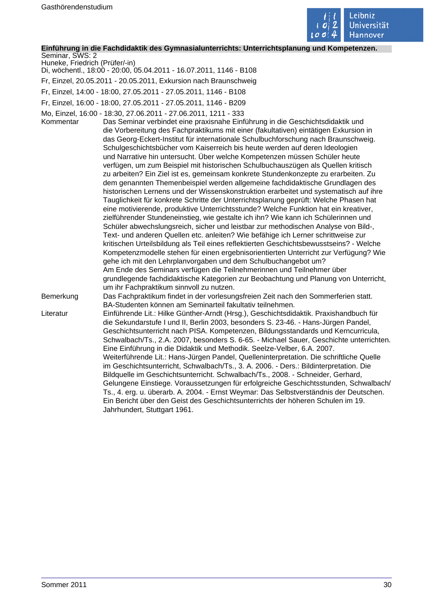

#### **Einführung in die Fachdidaktik des Gymnasialunterrichts: Unterrichtsplanung und Kompetenzen.**

Seminar, SWS: 2 Huneke, Friedrich (Prüfer/-in)

- Di, wöchentl., 18:00 20:00, 05.04.2011 16.07.2011, 1146 B108
- Fr, Einzel, 20.05.2011 20.05.2011, Exkursion nach Braunschweig
- Fr, Einzel, 14:00 18:00, 27.05.2011 27.05.2011, 1146 B108
- Fr, Einzel, 16:00 18:00, 27.05.2011 27.05.2011, 1146 B209
- Mo, Einzel, 16:00 18:30, 27.06.2011 27.06.2011, 1211 333
- Kommentar Das Seminar verbindet eine praxisnahe Einführung in die Geschichtsdidaktik und die Vorbereitung des Fachpraktikums mit einer (fakultativen) eintätigen Exkursion in das Georg-Eckert-Institut für internationale Schulbuchforschung nach Braunschweig. Schulgeschichtsbücher vom Kaiserreich bis heute werden auf deren Ideologien und Narrative hin untersucht. Über welche Kompetenzen müssen Schüler heute verfügen, um zum Beispiel mit historischen Schulbuchauszügen als Quellen kritisch zu arbeiten? Ein Ziel ist es, gemeinsam konkrete Stundenkonzepte zu erarbeiten. Zu dem genannten Themenbeispiel werden allgemeine fachdidaktische Grundlagen des historischen Lernens und der Wissenskonstruktion erarbeitet und systematisch auf ihre Tauglichkeit für konkrete Schritte der Unterrichtsplanung geprüft: Welche Phasen hat eine motivierende, produktive Unterrichtsstunde? Welche Funktion hat ein kreativer, zielführender Stundeneinstieg, wie gestalte ich ihn? Wie kann ich Schülerinnen und Schüler abwechslungsreich, sicher und leistbar zur methodischen Analyse von Bild-, Text- und anderen Quellen etc. anleiten? Wie befähige ich Lerner schrittweise zur kritischen Urteilsbildung als Teil eines reflektierten Geschichtsbewusstseins? - Welche Kompetenzmodelle stehen für einen ergebnisorientierten Unterricht zur Verfügung? Wie gehe ich mit den Lehrplanvorgaben und dem Schulbuchangebot um? Am Ende des Seminars verfügen die Teilnehmerinnen und Teilnehmer über grundlegende fachdidaktische Kategorien zur Beobachtung und Planung von Unterricht, um ihr Fachpraktikum sinnvoll zu nutzen. Bemerkung Das Fachpraktikum findet in der vorlesungsfreien Zeit nach den Sommerferien statt. BA-Studenten können am Seminarteil fakultativ teilnehmen. Literatur Einführende Lit.: Hilke Günther-Arndt (Hrsg.), Geschichtsdidaktik. Praxishandbuch für die Sekundarstufe I und II, Berlin 2003, besonders S. 23-46. - Hans-Jürgen Pandel, Geschichtsunterricht nach PISA. Kompetenzen, Bildungsstandards und Kerncurricula, Schwalbach/Ts., 2.A. 2007, besonders S. 6-65. - Michael Sauer, Geschichte unterrichten. Eine Einführung in die Didaktik und Methodik. Seelze-Velber, 6.A. 2007. Weiterführende Lit.: Hans-Jürgen Pandel, Quelleninterpretation. Die schriftliche Quelle im Geschichtsunterricht, Schwalbach/Ts., 3. A. 2006. - Ders.: Bildinterpretation. Die Bildquelle im Geschichtsunterricht. Schwalbach/Ts., 2008. - Schneider, Gerhard, Gelungene Einstiege. Voraussetzungen für erfolgreiche Geschichtsstunden, Schwalbach/ Ts., 4. erg. u. überarb. A. 2004. - Ernst Weymar: Das Selbstverständnis der Deutschen. Ein Bericht über den Geist des Geschichtsunterrichts der höheren Schulen im 19.
	- Jahrhundert, Stuttgart 1961.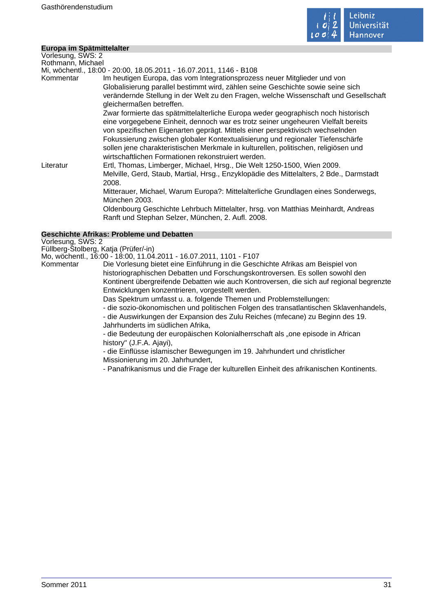

#### **Europa im Spätmittelalter**

Vorlesung, SWS: 2 Rothmann, Michael Mi, wöchentl., 18:00 - 20:00, 18.05.2011 - 16.07.2011, 1146 - B108 Kommentar Im heutigen Europa, das vom Integrationsprozess neuer Mitglieder und von Globalisierung parallel bestimmt wird, zählen seine Geschichte sowie seine sich verändernde Stellung in der Welt zu den Fragen, welche Wissenschaft und Gesellschaft gleichermaßen betreffen. Zwar formierte das spätmittelalterliche Europa weder geographisch noch historisch eine vorgegebene Einheit, dennoch war es trotz seiner ungeheuren Vielfalt bereits von spezifischen Eigenarten geprägt. Mittels einer perspektivisch wechselnden Fokussierung zwischen globaler Kontextualisierung und regionaler Tiefenschärfe sollen jene charakteristischen Merkmale in kulturellen, politischen, religiösen und wirtschaftlichen Formationen rekonstruiert werden. Literatur Ertl, Thomas, Limberger, Michael, Hrsg., Die Welt 1250-1500, Wien 2009. Melville, Gerd, Staub, Martial, Hrsg., Enzyklopädie des Mittelalters, 2 Bde., Darmstadt 2008. Mitterauer, Michael, Warum Europa?: Mittelalterliche Grundlagen eines Sonderwegs, München 2003. Oldenbourg Geschichte Lehrbuch Mittelalter, hrsg. von Matthias Meinhardt, Andreas Ranft und Stephan Selzer, München, 2. Aufl. 2008.

#### **Geschichte Afrikas: Probleme und Debatten**

Vorlesung, SWS: 2

Füllberg-Stolberg, Katja (Prüfer/-in)

Mo, wöchentl., 16:00 - 18:00, 11.04.2011 - 16.07.2011, 1101 - F107

Kommentar Die Vorlesung bietet eine Einführung in die Geschichte Afrikas am Beispiel von historiographischen Debatten und Forschungskontroversen. Es sollen sowohl den Kontinent übergreifende Debatten wie auch Kontroversen, die sich auf regional begrenzte Entwicklungen konzentrieren, vorgestellt werden.

Das Spektrum umfasst u. a. folgende Themen und Problemstellungen:

- die sozio-ökonomischen und politischen Folgen des transatlantischen Sklavenhandels,

- die Auswirkungen der Expansion des Zulu Reiches (mfecane) zu Beginn des 19. Jahrhunderts im südlichen Afrika,

- die Bedeutung der europäischen Kolonialherrschaft als "one episode in African history" (J.F.A. Ajayi),

- die Einflüsse islamischer Bewegungen im 19. Jahrhundert und christlicher Missionierung im 20. Jahrhundert,

- Panafrikanismus und die Frage der kulturellen Einheit des afrikanischen Kontinents.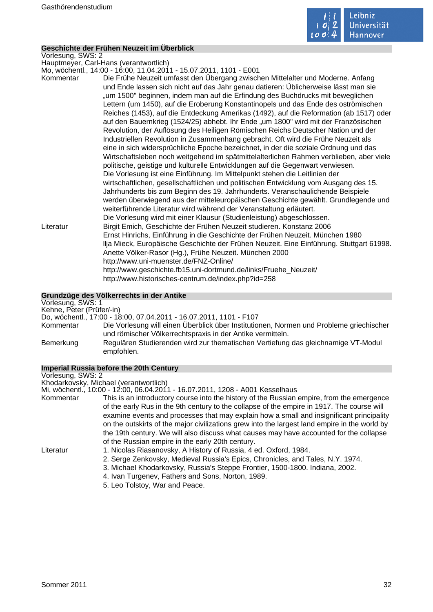

#### **Geschichte der Frühen Neuzeit im Überblick**

Vorlesung, SWS: 2 Hauptmeyer, Carl-Hans (verantwortlich) Mo, wöchentl., 14:00 - 16:00, 11.04.2011 - 15.07.2011, 1101 - E001 Kommentar Die Frühe Neuzeit umfasst den Übergang zwischen Mittelalter und Moderne. Anfang und Ende lassen sich nicht auf das Jahr genau datieren: Üblicherweise lässt man sie "um 1500" beginnen, indem man auf die Erfindung des Buchdrucks mit beweglichen Lettern (um 1450), auf die Eroberung Konstantinopels und das Ende des oströmischen Reiches (1453), auf die Entdeckung Amerikas (1492), auf die Reformation (ab 1517) oder auf den Bauernkrieg (1524/25) abhebt. Ihr Ende "um 1800" wird mit der Französischen Revolution, der Auflösung des Heiligen Römischen Reichs Deutscher Nation und der Industriellen Revolution in Zusammenhang gebracht. Oft wird die Frühe Neuzeit als eine in sich widersprüchliche Epoche bezeichnet, in der die soziale Ordnung und das Wirtschaftsleben noch weitgehend im spätmittelalterlichen Rahmen verblieben, aber viele politische, geistige und kulturelle Entwicklungen auf die Gegenwart verwiesen. Die Vorlesung ist eine Einführung. Im Mittelpunkt stehen die Leitlinien der wirtschaftlichen, gesellschaftlichen und politischen Entwicklung vom Ausgang des 15. Jahrhunderts bis zum Beginn des 19. Jahrhunderts. Veranschaulichende Beispiele werden überwiegend aus der mitteleuropäischen Geschichte gewählt. Grundlegende und weiterführende Literatur wird während der Veranstaltung erläutert. Die Vorlesung wird mit einer Klausur (Studienleistung) abgeschlossen. Literatur Birgit Emich, Geschichte der Frühen Neuzeit studieren. Konstanz 2006 Ernst Hinrichs, Einführung in die Geschichte der Frühen Neuzeit. München 1980 llja Mieck, Europäische Geschichte der Frühen Neuzeit. Eine Einführung. Stuttgart 61998. Anette Völker-Rasor (Hg.), Frühe Neuzeit. München 2000 http://www.uni-muenster.de/FNZ-Online/ http://www.geschichte.fb15.uni-dortmund.de/links/Fruehe\_Neuzeit/ http://www.historisches-centrum.de/index.php?id=258 **Grundzüge des Völkerrechts in der Antike** Vorlesung, SWS: 1

Kehne, Peter (Prüfer/-in) Do, wöchentl., 17:00 - 18:00, 07.04.2011 - 16.07.2011, 1101 - F107 Die Vorlesung will einen Überblick über Institutionen, Normen und Probleme griechischer und römischer Völkerrechtspraxis in der Antike vermitteln. Bemerkung Regulären Studierenden wird zur thematischen Vertiefung das gleichnamige VT-Modul empfohlen.

#### **Imperial Russia before the 20th Century**

| Vorlesung, SWS: 2 |                                                                                                                                                                                                                                                                                                                                                                                      |
|-------------------|--------------------------------------------------------------------------------------------------------------------------------------------------------------------------------------------------------------------------------------------------------------------------------------------------------------------------------------------------------------------------------------|
|                   | Khodarkovsky, Michael (verantwortlich)                                                                                                                                                                                                                                                                                                                                               |
|                   | Mi, wöchentl., 10:00 - 12:00, 06.04.2011 - 16.07.2011, 1208 - A001 Kesselhaus                                                                                                                                                                                                                                                                                                        |
| Kommentar         | This is an introductory course into the history of the Russian empire, from the emergence<br>of the early Rus in the 9th century to the collapse of the empire in 1917. The course will<br>examine events and processes that may explain how a small and insignificant principality<br>on the outskirts of the major civilizations grew into the largest land empire in the world by |
|                   | the 19th century. We will also discuss what causes may have accounted for the collapse<br>of the Russian empire in the early 20th century.                                                                                                                                                                                                                                           |
| Literatur         | 1. Nicolas Riasanovsky, A History of Russia, 4 ed. Oxford, 1984.                                                                                                                                                                                                                                                                                                                     |
|                   | 2. Serge Zenkovsky, Medieval Russia's Epics, Chronicles, and Tales, N.Y. 1974.                                                                                                                                                                                                                                                                                                       |
|                   | 3. Michael Khodarkovsky, Russia's Steppe Frontier, 1500-1800. Indiana, 2002.                                                                                                                                                                                                                                                                                                         |
|                   | 4. Ivan Turgenev, Fathers and Sons, Norton, 1989.                                                                                                                                                                                                                                                                                                                                    |
|                   | 5. Leo Tolstoy, War and Peace.                                                                                                                                                                                                                                                                                                                                                       |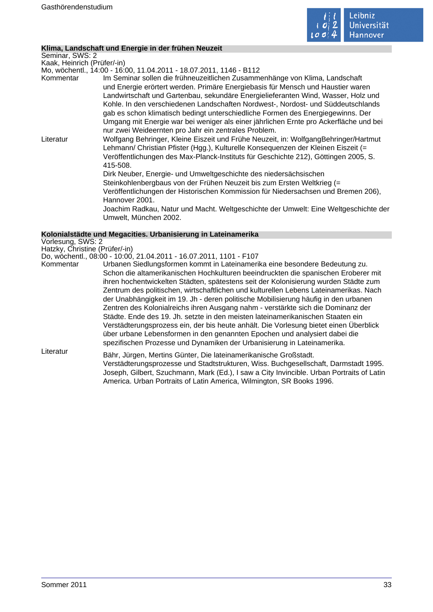

#### **Klima, Landschaft und Energie in der frühen Neuzeit**

Seminar, SWS: 2 Kaak, Heinrich (Prüfer/-in)

Mo, wöchentl., 14:00 - 16:00, 11.04.2011 - 18.07.2011, 1146 - B112

Kommentar Im Seminar sollen die frühneuzeitlichen Zusammenhänge von Klima, Landschaft und Energie erörtert werden. Primäre Energiebasis für Mensch und Haustier waren Landwirtschaft und Gartenbau, sekundäre Energielieferanten Wind, Wasser, Holz und Kohle. In den verschiedenen Landschaften Nordwest-, Nordost- und Süddeutschlands gab es schon klimatisch bedingt unterschiedliche Formen des Energiegewinns. Der Umgang mit Energie war bei weniger als einer jährlichen Ernte pro Ackerfläche und bei nur zwei Weideernten pro Jahr ein zentrales Problem.

Literatur Wolfgang Behringer, Kleine Eiszeit und Frühe Neuzeit, in: WolfgangBehringer/Hartmut Lehmann/ Christian Pfister (Hgg.), Kulturelle Konsequenzen der Kleinen Eiszeit (= Veröffentlichungen des Max-Planck-Instituts für Geschichte 212), Göttingen 2005, S. 415-508.

Dirk Neuber, Energie- und Umweltgeschichte des niedersächsischen Steinkohlenbergbaus von der Frühen Neuzeit bis zum Ersten Weltkrieg (= Veröffentlichungen der Historischen Kommission für Niedersachsen und Bremen 206), Hannover 2001.

Joachim Radkau, Natur und Macht. Weltgeschichte der Umwelt: Eine Weltgeschichte der Umwelt, München 2002.

#### **Kolonialstädte und Megacities. Urbanisierung in Lateinamerika**

Vorlesung, SWS: 2 Hatzky, Christine (Prüfer/-in)

Do, wöchentl., 08:00 - 10:00, 21.04.2011 - 16.07.2011, 1101 - F107

Kommentar Urbanen Siedlungsformen kommt in Lateinamerika eine besondere Bedeutung zu. Schon die altamerikanischen Hochkulturen beeindruckten die spanischen Eroberer mit ihren hochentwickelten Städten, spätestens seit der Kolonisierung wurden Städte zum Zentrum des politischen, wirtschaftlichen und kulturellen Lebens Lateinamerikas. Nach der Unabhängigkeit im 19. Jh - deren politische Mobilisierung häufig in den urbanen Zentren des Kolonialreichs ihren Ausgang nahm - verstärkte sich die Dominanz der Städte. Ende des 19. Jh. setzte in den meisten lateinamerikanischen Staaten ein Verstädterungsprozess ein, der bis heute anhält. Die Vorlesung bietet einen Überblick über urbane Lebensformen in den genannten Epochen und analysiert dabei die spezifischen Prozesse und Dynamiken der Urbanisierung in Lateinamerika. Literatur Bähr, Jürgen, Mertins Günter, Die lateinamerikanische Großstadt.

Verstädterungsprozesse und Stadtstrukturen, Wiss. Buchgesellschaft, Darmstadt 1995. Joseph, Gilbert, Szuchmann, Mark (Ed.), I saw a City Invincible. Urban Portraits of Latin America. Urban Portraits of Latin America, Wilmington, SR Books 1996.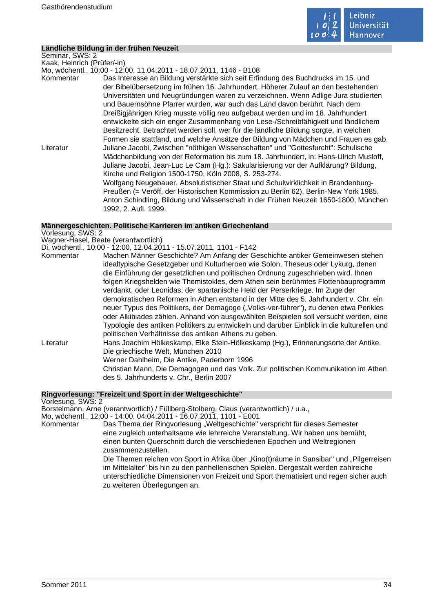

#### **Ländliche Bildung in der frühen Neuzeit**

Seminar, SWS: 2 Kaak, Heinrich (Prüfer/-in) Mo, wöchentl., 10:00 - 12:00, 11.04.2011 - 18.07.2011, 1146 - B108 Kommentar Das Interesse an Bildung verstärkte sich seit Erfindung des Buchdrucks im 15. und der Bibelübersetzung im frühen 16. Jahrhundert. Höherer Zulauf an den bestehenden Universitäten und Neugründungen waren zu verzeichnen. Wenn Adlige Jura studierten und Bauernsöhne Pfarrer wurden, war auch das Land davon berührt. Nach dem Dreißigjährigen Krieg musste völlig neu aufgebaut werden und im 18. Jahrhundert entwickelte sich ein enger Zusammenhang von Lese-/Schreibfähigkeit und ländlichem Besitzrecht. Betrachtet werden soll, wer für die ländliche Bildung sorgte, in welchen Formen sie stattfand, und welche Ansätze der Bildung von Mädchen und Frauen es gab. Literatur Juliane Jacobi, Zwischen "nöthigen Wissenschaften" und "Gottesfurcht": Schulische Mädchenbildung von der Reformation bis zum 18. Jahrhundert, in: Hans-Ulrich Musloff, Juliane Jacobi, Jean-Luc Le Cam (Hg.): Säkularisierung vor der Aufklärung? Bildung, Kirche und Religion 1500-1750, Köln 2008, S. 253-274. Wolfgang Neugebauer, Absolutistischer Staat und Schulwirklichkeit in Brandenburg-Preußen (= Veröff. der Historischen Kommission zu Berlin 62), Berlin-New York 1985. Anton Schindling, Bildung und Wissenschaft in der Frühen Neuzeit 1650-1800, München 1992, 2. Aufl. 1999.

**Männergeschichten. Politische Karrieren im antiken Griechenland** Vorlesung, SWS: 2 Wagner-Hasel, Beate (verantwortlich) Di, wöchentl., 10:00 - 12:00, 12.04.2011 - 15.07.2011, 1101 - F142 Kommentar Machen Männer Geschichte? Am Anfang der Geschichte antiker Gemeinwesen stehen idealtypische Gesetzgeber und Kulturheroen wie Solon, Theseus oder Lykurg, denen die Einführung der gesetzlichen und politischen Ordnung zugeschrieben wird. Ihnen folgen Kriegshelden wie Themistokles, dem Athen sein berühmtes Flottenbauprogramm verdankt, oder Leonidas, der spartanische Held der Perserkriege. Im Zuge der demokratischen Reformen in Athen entstand in der Mitte des 5. Jahrhundert v. Chr. ein neuer Typus des Politikers, der Demagoge ("Volks-ver-führer"), zu denen etwa Perikles oder Alkibiades zählen. Anhand von ausgewählten Beispielen soll versucht werden, eine Typologie des antiken Politikers zu entwickeln und darüber Einblick in die kulturellen und politischen Verhältnisse des antiken Athens zu geben. Literatur Hans Joachim Hölkeskamp, Elke Stein-Hölkeskamp (Hg.), Erinnerungsorte der Antike. Die griechische Welt, München 2010 Werner Dahlheim, Die Antike, Paderborn 1996 Christian Mann, Die Demagogen und das Volk. Zur politischen Kommunikation im Athen des 5. Jahrhunderts v. Chr., Berlin 2007

**Ringvorlesung: "Freizeit und Sport in der Weltgeschichte"**

Vorlesung, SWS: 2 Borstelmann, Arne (verantwortlich) / Füllberg-Stolberg, Claus (verantwortlich) / u.a., Mo, wöchentl., 12:00 - 14:00, 04.04.2011 - 16.07.2011, 1101 - E001

Kommentar Das Thema der Ringvorlesung "Weltgeschichte" verspricht für dieses Semester eine zugleich unterhaltsame wie lehrreiche Veranstaltung. Wir haben uns bemüht, einen bunten Querschnitt durch die verschiedenen Epochen und Weltregionen zusammenzustellen.

Die Themen reichen von Sport in Afrika über "Kino(t)räume in Sansibar" und "Pilgerreisen im Mittelalter" bis hin zu den panhellenischen Spielen. Dergestalt werden zahlreiche unterschiedliche Dimensionen von Freizeit und Sport thematisiert und regen sicher auch zu weiteren Überlegungen an.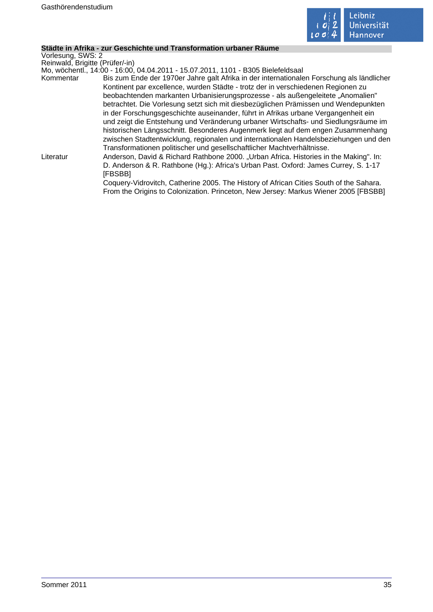

#### **Städte in Afrika - zur Geschichte und Transformation urbaner Räume**

Vorlesung, SWS: 2 Reinwald, Brigitte (Prüfer/-in)

Mo, wöchentl., 14:00 - 16:00, 04.04.2011 - 15.07.2011, 1101 - B305 Bielefeldsaal

Kommentar Bis zum Ende der 1970er Jahre galt Afrika in der internationalen Forschung als ländlicher Kontinent par excellence, wurden Städte - trotz der in verschiedenen Regionen zu beobachtenden markanten Urbanisierungsprozesse - als außengeleitete "Anomalien" betrachtet. Die Vorlesung setzt sich mit diesbezüglichen Prämissen und Wendepunkten in der Forschungsgeschichte auseinander, führt in Afrikas urbane Vergangenheit ein und zeigt die Entstehung und Veränderung urbaner Wirtschafts- und Siedlungsräume im historischen Längsschnitt. Besonderes Augenmerk liegt auf dem engen Zusammenhang zwischen Stadtentwicklung, regionalen und internationalen Handelsbeziehungen und den Transformationen politischer und gesellschaftlicher Machtverhältnisse. Literatur **Anderson, David & Richard Rathbone 2000.** "Urban Africa. Histories in the Making". In:

D. Anderson & R. Rathbone (Hg.): Africa's Urban Past. Oxford: James Currey, S. 1-17 [FBSBB]

Coquery-Vidrovitch, Catherine 2005. The History of African Cities South of the Sahara. From the Origins to Colonization. Princeton, New Jersey: Markus Wiener 2005 [FBSBB]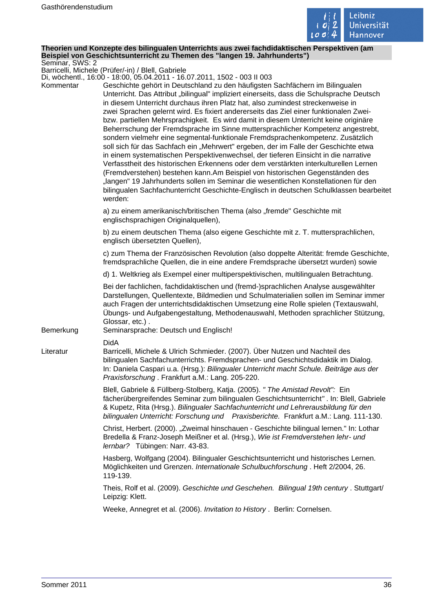

#### **Theorien und Konzepte des bilingualen Unterrichts aus zwei fachdidaktischen Perspektiven (am Beispiel von Geschichtsunterricht zu Themen des "langen 19. Jahrhunderts")** Seminar, SWS: 2

Barricelli, Michele (Prüfer/-in) / Blell, Gabriele

Di, wöchentl., 16:00 - 18:00, 05.04.2011 - 16.07.2011, 1502 - 003 II 003

| Kommentar | DI, WOGHEHIN., TO.OO - TO.OO, OJ.O4.ZOTT - TO.O7.ZOTT, TJOZ - OOJ II OOJ<br>Geschichte gehört in Deutschland zu den häufigsten Sachfächern im Bilingualen<br>Unterricht. Das Attribut "bilingual" impliziert einerseits, dass die Schulsprache Deutsch<br>in diesem Unterricht durchaus ihren Platz hat, also zumindest streckenweise in<br>zwei Sprachen gelernt wird. Es fixiert andererseits das Ziel einer funktionalen Zwei-<br>bzw. partiellen Mehrsprachigkeit. Es wird damit in diesem Unterricht keine originäre<br>Beherrschung der Fremdsprache im Sinne muttersprachlicher Kompetenz angestrebt,<br>sondern vielmehr eine segmental-funktionale Fremdsprachenkompetenz. Zusätzlich<br>soll sich für das Sachfach ein "Mehrwert" ergeben, der im Falle der Geschichte etwa<br>in einem systematischen Perspektivenwechsel, der tieferen Einsicht in die narrative<br>Verfasstheit des historischen Erkennens oder dem verstärkten interkulturellen Lernen<br>(Fremdverstehen) bestehen kann.Am Beispiel von historischen Gegenständen des<br>"langen" 19 Jahrhunderts sollen im Seminar die wesentlichen Konstellationen für den<br>bilingualen Sachfachunterricht Geschichte-Englisch in deutschen Schulklassen bearbeitet<br>werden: |
|-----------|---------------------------------------------------------------------------------------------------------------------------------------------------------------------------------------------------------------------------------------------------------------------------------------------------------------------------------------------------------------------------------------------------------------------------------------------------------------------------------------------------------------------------------------------------------------------------------------------------------------------------------------------------------------------------------------------------------------------------------------------------------------------------------------------------------------------------------------------------------------------------------------------------------------------------------------------------------------------------------------------------------------------------------------------------------------------------------------------------------------------------------------------------------------------------------------------------------------------------------------------------|
|           | a) zu einem amerikanisch/britischen Thema (also "fremde" Geschichte mit<br>englischsprachigen Originalquellen),                                                                                                                                                                                                                                                                                                                                                                                                                                                                                                                                                                                                                                                                                                                                                                                                                                                                                                                                                                                                                                                                                                                                   |
|           | b) zu einem deutschen Thema (also eigene Geschichte mit z. T. muttersprachlichen,<br>englisch übersetzten Quellen),                                                                                                                                                                                                                                                                                                                                                                                                                                                                                                                                                                                                                                                                                                                                                                                                                                                                                                                                                                                                                                                                                                                               |
|           | c) zum Thema der Französischen Revolution (also doppelte Alterität: fremde Geschichte,<br>fremdsprachliche Quellen, die in eine andere Fremdsprache übersetzt wurden) sowie                                                                                                                                                                                                                                                                                                                                                                                                                                                                                                                                                                                                                                                                                                                                                                                                                                                                                                                                                                                                                                                                       |
|           | d) 1. Weltkrieg als Exempel einer multiperspektivischen, multilingualen Betrachtung.                                                                                                                                                                                                                                                                                                                                                                                                                                                                                                                                                                                                                                                                                                                                                                                                                                                                                                                                                                                                                                                                                                                                                              |
| Bemerkung | Bei der fachlichen, fachdidaktischen und (fremd-)sprachlichen Analyse ausgewählter<br>Darstellungen, Quellentexte, Bildmedien und Schulmaterialien sollen im Seminar immer<br>auch Fragen der unterrichtsdidaktischen Umsetzung eine Rolle spielen (Textauswahl,<br>Übungs- und Aufgabengestaltung, Methodenauswahl, Methoden sprachlicher Stützung,<br>Glossar, etc.).<br>Seminarsprache: Deutsch und Englisch!                                                                                                                                                                                                                                                                                                                                                                                                                                                                                                                                                                                                                                                                                                                                                                                                                                  |
|           | <b>DidA</b>                                                                                                                                                                                                                                                                                                                                                                                                                                                                                                                                                                                                                                                                                                                                                                                                                                                                                                                                                                                                                                                                                                                                                                                                                                       |
| Literatur | Barricelli, Michele & Ulrich Schmieder. (2007). Über Nutzen und Nachteil des<br>bilingualen Sachfachunterrichts. Fremdsprachen- und Geschichtsdidaktik im Dialog.<br>In: Daniela Caspari u.a. (Hrsg.): Bilingualer Unterricht macht Schule. Beiträge aus der<br>Praxisforschung. Frankfurt a.M.: Lang. 205-220.                                                                                                                                                                                                                                                                                                                                                                                                                                                                                                                                                                                                                                                                                                                                                                                                                                                                                                                                   |
|           | Blell, Gabriele & Füllberg-Stolberg, Katja. (2005). " The Amistad Revolt": Ein<br>fächerübergreifendes Seminar zum bilingualen Geschichtsunterricht". In: Blell, Gabriele<br>& Kupetz, Rita (Hrsg.). Bilingualer Sachfachunterricht und Lehrerausbildung für den<br>bilingualen Unterricht: Forschung und Praxisberichte. Frankfurt a.M.: Lang. 111-130.                                                                                                                                                                                                                                                                                                                                                                                                                                                                                                                                                                                                                                                                                                                                                                                                                                                                                          |
|           | Christ, Herbert. (2000). "Zweimal hinschauen - Geschichte bilingual lernen." In: Lothar<br>Bredella & Franz-Joseph Meißner et al. (Hrsg.), Wie ist Fremdverstehen lehr- und<br>lernbar? Tübingen: Narr. 43-83.                                                                                                                                                                                                                                                                                                                                                                                                                                                                                                                                                                                                                                                                                                                                                                                                                                                                                                                                                                                                                                    |
|           | Hasberg, Wolfgang (2004). Bilingualer Geschichtsunterricht und historisches Lernen.<br>Möglichkeiten und Grenzen. Internationale Schulbuchforschung. Heft 2/2004, 26.<br>119-139.                                                                                                                                                                                                                                                                                                                                                                                                                                                                                                                                                                                                                                                                                                                                                                                                                                                                                                                                                                                                                                                                 |
|           | Theis, Rolf et al. (2009). Geschichte und Geschehen. Bilingual 19th century . Stuttgart/<br>Leipzig: Klett.                                                                                                                                                                                                                                                                                                                                                                                                                                                                                                                                                                                                                                                                                                                                                                                                                                                                                                                                                                                                                                                                                                                                       |
|           | Weeke, Annegret et al. (2006). Invitation to History. Berlin: Cornelsen.                                                                                                                                                                                                                                                                                                                                                                                                                                                                                                                                                                                                                                                                                                                                                                                                                                                                                                                                                                                                                                                                                                                                                                          |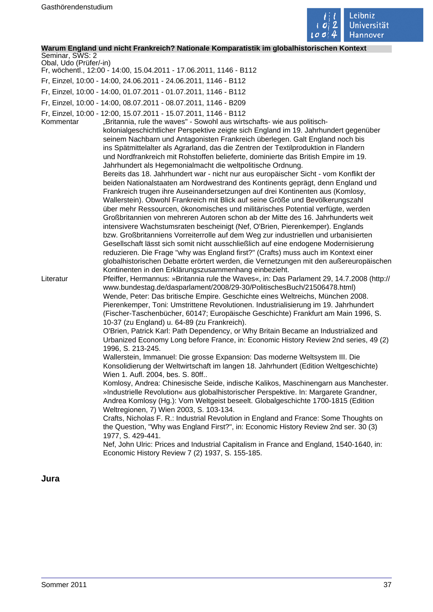

# **Warum England und nicht Frankreich? Nationale Komparatistik im globalhistorischen Kontext**

Seminar, SWS: 2 Obal, Udo (Prüfer/-in)

- Fr, wöchentl., 12:00 14:00, 15.04.2011 17.06.2011, 1146 B112
- Fr, Einzel, 10:00 14:00, 24.06.2011 24.06.2011, 1146 B112
- Fr, Einzel, 10:00 14:00, 01.07.2011 01.07.2011, 1146 B112
- Fr, Einzel, 10:00 14:00, 08.07.2011 08.07.2011, 1146 B209
- Fr, Einzel, 10:00 12:00, 15.07.2011 15.07.2011, 1146 B112

Kommentar "Britannia, rule the waves" - Sowohl aus wirtschafts- wie aus politischkolonialgeschichtlicher Perspektive zeigte sich England im 19. Jahrhundert gegenüber seinem Nachbarn und Antagonisten Frankreich überlegen. Galt England noch bis ins Spätmittelalter als Agrarland, das die Zentren der Textilproduktion in Flandern und Nordfrankreich mit Rohstoffen belieferte, dominierte das British Empire im 19. Jahrhundert als Hegemonialmacht die weltpolitische Ordnung. Bereits das 18. Jahrhundert war - nicht nur aus europäischer Sicht - vom Konflikt der beiden Nationalstaaten am Nordwestrand des Kontinents geprägt, denn England und Frankreich trugen ihre Auseinandersetzungen auf drei Kontinenten aus (Komlosy, Wallerstein). Obwohl Frankreich mit Blick auf seine Größe und Bevölkerungszahl über mehr Ressourcen, ökonomisches und militärisches Potential verfügte, werden Großbritannien von mehreren Autoren schon ab der Mitte des 16. Jahrhunderts weit intensivere Wachstumsraten bescheinigt (Nef, O'Brien, Pierenkemper). Englands bzw. Großbritanniens Vorreiterrolle auf dem Weg zur industriellen und urbanisierten Gesellschaft lässt sich somit nicht ausschließlich auf eine endogene Modernisierung reduzieren. Die Frage "why was England first?" (Crafts) muss auch im Kontext einer globalhistorischen Debatte erörtert werden, die Vernetzungen mit den außereuropäischen Kontinenten in den Erklärungszusammenhang einbezieht. Literatur Pfeiffer, Hermannus: »Britannia rule the Waves«, in: Das Parlament 29, 14.7.2008 (http:// www.bundestag.de/dasparlament/2008/29-30/PolitischesBuch/21506478.html) Wende, Peter: Das britische Empire. Geschichte eines Weltreichs, München 2008. Pierenkemper, Toni: Umstrittene Revolutionen. Industrialisierung im 19. Jahrhundert (Fischer-Taschenbücher, 60147; Europäische Geschichte) Frankfurt am Main 1996, S.

10-37 (zu England) u. 64-89 (zu Frankreich). O'Brien, Patrick Karl: Path Dependency, or Why Britain Became an Industrialized and Urbanized Economy Long before France, in: Economic History Review 2nd series, 49 (2)

1996, S. 213-245. Wallerstein, Immanuel: Die grosse Expansion: Das moderne Weltsystem III. Die Konsolidierung der Weltwirtschaft im langen 18. Jahrhundert (Edition Weltgeschichte) Wien 1. Aufl. 2004, bes. S. 80ff..

Komlosy, Andrea: Chinesische Seide, indische Kalikos, Maschinengarn aus Manchester. »Industrielle Revolution« aus globalhistorischer Perspektive. In: Margarete Grandner, Andrea Komlosy (Hg.): Vom Weltgeist beseelt. Globalgeschichte 1700-1815 (Edition Weltregionen, 7) Wien 2003, S. 103-134.

Crafts, Nicholas F. R.: Industrial Revolution in England and France: Some Thoughts on the Question, "Why was England First?", in: Economic History Review 2nd ser. 30 (3) 1977, S. 429-441.

Nef, John Ulric: Prices and Industrial Capitalism in France and England, 1540-1640, in: Economic History Review 7 (2) 1937, S. 155-185.

**Jura**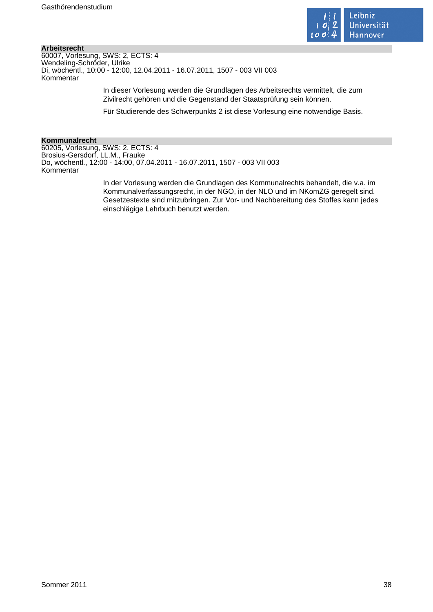

# **Arbeitsrecht**

60007, Vorlesung, SWS: 2, ECTS: 4 Wendeling-Schröder, Ulrike Di, wöchentl., 10:00 - 12:00, 12.04.2011 - 16.07.2011, 1507 - 003 VII 003 Kommentar

> In dieser Vorlesung werden die Grundlagen des Arbeitsrechts vermittelt, die zum Zivilrecht gehören und die Gegenstand der Staatsprüfung sein können.

> Für Studierende des Schwerpunkts 2 ist diese Vorlesung eine notwendige Basis.

#### **Kommunalrecht**

60205, Vorlesung, SWS: 2, ECTS: 4 Brosius-Gersdorf, LL.M., Frauke Do, wöchentl., 12:00 - 14:00, 07.04.2011 - 16.07.2011, 1507 - 003 VII 003 Kommentar

> In der Vorlesung werden die Grundlagen des Kommunalrechts behandelt, die v.a. im Kommunalverfassungsrecht, in der NGO, in der NLO und im NKomZG geregelt sind. Gesetzestexte sind mitzubringen. Zur Vor- und Nachbereitung des Stoffes kann jedes einschlägige Lehrbuch benutzt werden.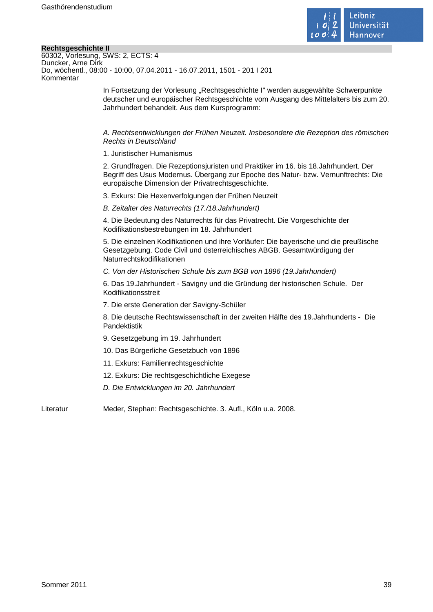

# **Rechtsgeschichte II**

| 60302, Vorlesung, SWS: 2, ECTS: 4                                       |
|-------------------------------------------------------------------------|
| Duncker, Arne Dirk                                                      |
| Do, wöchentl., 08:00 - 10:00, 07.04.2011 - 16.07.2011, 1501 - 201 I 201 |
| Kommentar                                                               |
|                                                                         |

In Fortsetzung der Vorlesung "Rechtsgeschichte I" werden ausgewählte Schwerpunkte deutscher und europäischer Rechtsgeschichte vom Ausgang des Mittelalters bis zum 20. Jahrhundert behandelt. Aus dem Kursprogramm:

A. Rechtsentwicklungen der Frühen Neuzeit. Insbesondere die Rezeption des römischen Rechts in Deutschland

1. Juristischer Humanismus

2. Grundfragen. Die Rezeptionsjuristen und Praktiker im 16. bis 18.Jahrhundert. Der Begriff des Usus Modernus. Übergang zur Epoche des Natur- bzw. Vernunftrechts: Die europäische Dimension der Privatrechtsgeschichte.

3. Exkurs: Die Hexenverfolgungen der Frühen Neuzeit

B. Zeitalter des Naturrechts (17./18.Jahrhundert)

4. Die Bedeutung des Naturrechts für das Privatrecht. Die Vorgeschichte der Kodifikationsbestrebungen im 18. Jahrhundert

5. Die einzelnen Kodifikationen und ihre Vorläufer: Die bayerische und die preußische Gesetzgebung. Code Civil und österreichisches ABGB. Gesamtwürdigung der Naturrechtskodifikationen

C. Von der Historischen Schule bis zum BGB von 1896 (19.Jahrhundert)

6. Das 19.Jahrhundert - Savigny und die Gründung der historischen Schule. Der Kodifikationsstreit

7. Die erste Generation der Savigny-Schüler

8. Die deutsche Rechtswissenschaft in der zweiten Hälfte des 19.Jahrhunderts - Die Pandektistik

9. Gesetzgebung im 19. Jahrhundert

10. Das Bürgerliche Gesetzbuch von 1896

11. Exkurs: Familienrechtsgeschichte

12. Exkurs: Die rechtsgeschichtliche Exegese

D. Die Entwicklungen im 20. Jahrhundert

Literatur Meder, Stephan: Rechtsgeschichte. 3. Aufl., Köln u.a. 2008.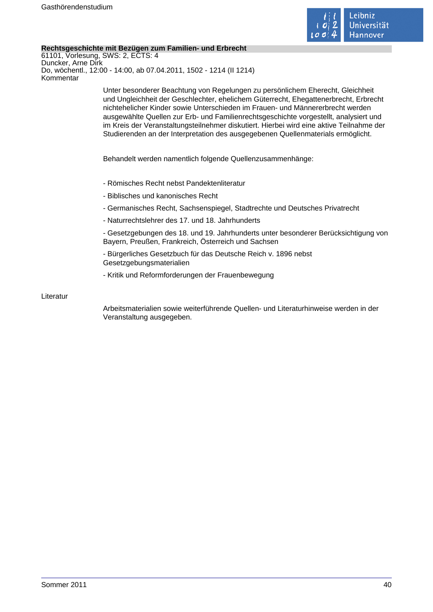

# **Rechtsgeschichte mit Bezügen zum Familien- und Erbrecht**

61101, Vorlesung, SWS: 2, ECTS: 4 Duncker, Arne Dirk Do, wöchentl., 12:00 - 14:00, ab 07.04.2011, 1502 - 1214 (II 1214) Kommentar

> Unter besonderer Beachtung von Regelungen zu persönlichem Eherecht, Gleichheit und Ungleichheit der Geschlechter, ehelichem Güterrecht, Ehegattenerbrecht, Erbrecht nichtehelicher Kinder sowie Unterschieden im Frauen- und Männererbrecht werden ausgewählte Quellen zur Erb- und Familienrechtsgeschichte vorgestellt, analysiert und im Kreis der Veranstaltungsteilnehmer diskutiert. Hierbei wird eine aktive Teilnahme der Studierenden an der Interpretation des ausgegebenen Quellenmaterials ermöglicht.

Behandelt werden namentlich folgende Quellenzusammenhänge:

- Römisches Recht nebst Pandektenliteratur
- Biblisches und kanonisches Recht
- Germanisches Recht, Sachsenspiegel, Stadtrechte und Deutsches Privatrecht
- Naturrechtslehrer des 17. und 18. Jahrhunderts

- Gesetzgebungen des 18. und 19. Jahrhunderts unter besonderer Berücksichtigung von Bayern, Preußen, Frankreich, Österreich und Sachsen

- Bürgerliches Gesetzbuch für das Deutsche Reich v. 1896 nebst Gesetzgebungsmaterialien

- Kritik und Reformforderungen der Frauenbewegung

Literatur

Arbeitsmaterialien sowie weiterführende Quellen- und Literaturhinweise werden in der Veranstaltung ausgegeben.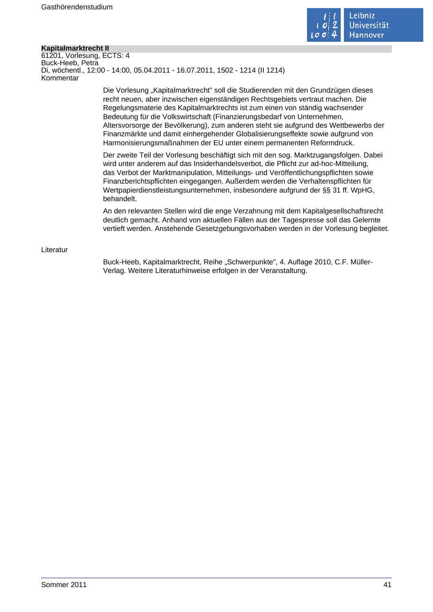

# **Kapitalmarktrecht II**

61201, Vorlesung, ECTS: 4 Buck-Heeb, Petra Di, wöchentl., 12:00 - 14:00, 05.04.2011 - 16.07.2011, 1502 - 1214 (II 1214) Kommentar

> Die Vorlesung "Kapitalmarktrecht" soll die Studierenden mit den Grundzügen dieses recht neuen, aber inzwischen eigenständigen Rechtsgebiets vertraut machen. Die Regelungsmaterie des Kapitalmarktrechts ist zum einen von ständig wachsender Bedeutung für die Volkswirtschaft (Finanzierungsbedarf von Unternehmen, Altersvorsorge der Bevölkerung), zum anderen steht sie aufgrund des Wettbewerbs der Finanzmärkte und damit einhergehender Globalisierungseffekte sowie aufgrund von Harmonisierungsmaßnahmen der EU unter einem permanenten Reformdruck.

> Der zweite Teil der Vorlesung beschäftigt sich mit den sog. Marktzugangsfolgen. Dabei wird unter anderem auf das Insiderhandelsverbot, die Pflicht zur ad-hoc-Mitteilung, das Verbot der Marktmanipulation, Mitteilungs- und Veröffentlichungspflichten sowie Finanzberichtspflichten eingegangen. Außerdem werden die Verhaltenspflichten für Wertpapierdienstleistungsunternehmen, insbesondere aufgrund der §§ 31 ff. WpHG, behandelt.

An den relevanten Stellen wird die enge Verzahnung mit dem Kapitalgesellschaftsrecht deutlich gemacht. Anhand von aktuellen Fällen aus der Tagespresse soll das Gelernte vertieft werden. Anstehende Gesetzgebungsvorhaben werden in der Vorlesung begleitet.

#### Literatur

Buck-Heeb, Kapitalmarktrecht, Reihe "Schwerpunkte", 4. Auflage 2010, C.F. Müller-Verlag. Weitere Literaturhinweise erfolgen in der Veranstaltung.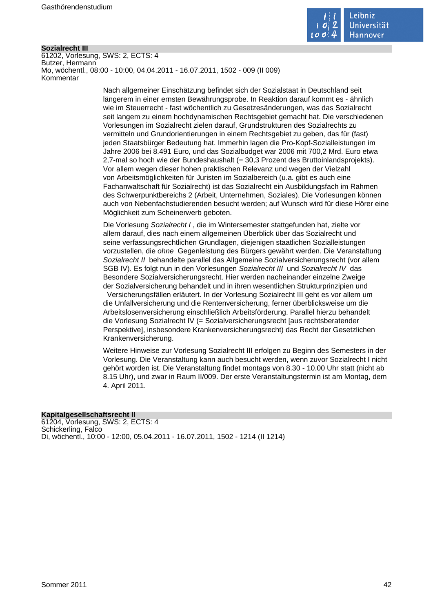

#### **Sozialrecht III**

61202, Vorlesung, SWS: 2, ECTS: 4 Butzer, Hermann Mo, wöchentl., 08:00 - 10:00, 04.04.2011 - 16.07.2011, 1502 - 009 (II 009) Kommentar

> Nach allgemeiner Einschätzung befindet sich der Sozialstaat in Deutschland seit längerem in einer ernsten Bewährungsprobe. In Reaktion darauf kommt es - ähnlich wie im Steuerrecht - fast wöchentlich zu Gesetzesänderungen, was das Sozialrecht seit langem zu einem hochdynamischen Rechtsgebiet gemacht hat. Die verschiedenen Vorlesungen im Sozialrecht zielen darauf, Grundstrukturen des Sozialrechts zu vermitteln und Grundorientierungen in einem Rechtsgebiet zu geben, das für (fast) jeden Staatsbürger Bedeutung hat. Immerhin lagen die Pro-Kopf-Sozialleistungen im Jahre 2006 bei 8.491 Euro, und das Sozialbudget war 2006 mit 700,2 Mrd. Euro etwa 2,7-mal so hoch wie der Bundeshaushalt (= 30,3 Prozent des Bruttoinlandsprojekts). Vor allem wegen dieser hohen praktischen Relevanz und wegen der Vielzahl von Arbeitsmöglichkeiten für Juristen im Sozialbereich (u.a. gibt es auch eine Fachanwaltschaft für Sozialrecht) ist das Sozialrecht ein Ausbildungsfach im Rahmen des Schwerpunktbereichs 2 (Arbeit, Unternehmen, Soziales). Die Vorlesungen können auch von Nebenfachstudierenden besucht werden; auf Wunsch wird für diese Hörer eine Möglichkeit zum Scheinerwerb geboten.

Die Vorlesung Sozialrecht I , die im Wintersemester stattgefunden hat, zielte vor allem darauf, dies nach einem allgemeinen Überblick über das Sozialrecht und seine verfassungsrechtlichen Grundlagen, diejenigen staatlichen Sozialleistungen vorzustellen, die ohne Gegenleistung des Bürgers gewährt werden. Die Veranstaltung Sozialrecht II behandelte parallel das Allgemeine Sozialversicherungsrecht (vor allem SGB IV). Es folgt nun in den Vorlesungen Sozialrecht III und Sozialrecht IV das Besondere Sozialversicherungsrecht. Hier werden nacheinander einzelne Zweige der Sozialversicherung behandelt und in ihren wesentlichen Strukturprinzipien und Versicherungsfällen erläutert. In der Vorlesung Sozialrecht III geht es vor allem um die Unfallversicherung und die Rentenversicherung, ferner überblicksweise um die Arbeitslosenversicherung einschließlich Arbeitsförderung. Parallel hierzu behandelt die Vorlesung Sozialrecht IV (= Sozialversicherungsrecht [aus rechtsberatender Perspektive], insbesondere Krankenversicherungsrecht) das Recht der Gesetzlichen Krankenversicherung.

Weitere Hinweise zur Vorlesung Sozialrecht III erfolgen zu Beginn des Semesters in der Vorlesung. Die Veranstaltung kann auch besucht werden, wenn zuvor Sozialrecht I nicht gehört worden ist. Die Veranstaltung findet montags von 8.30 - 10.00 Uhr statt (nicht ab 8.15 Uhr), und zwar in Raum II/009. Der erste Veranstaltungstermin ist am Montag, dem 4. April 2011.

# **Kapitalgesellschaftsrecht II**

61204, Vorlesung, SWS: 2, ECTS: 4 Schickerling, Falco Di, wöchentl., 10:00 - 12:00, 05.04.2011 - 16.07.2011, 1502 - 1214 (II 1214)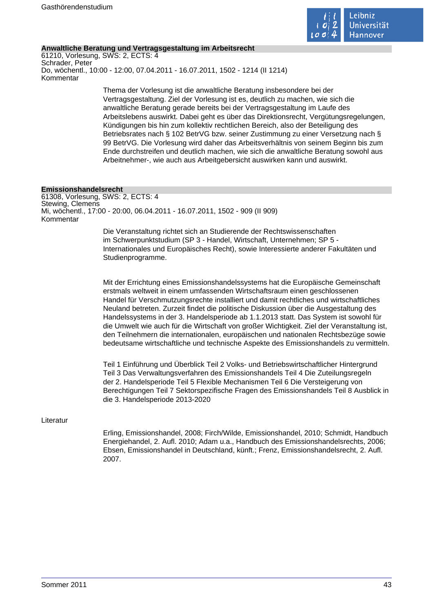

# **Anwaltliche Beratung und Vertragsgestaltung im Arbeitsrecht**

61210, Vorlesung, SWS: 2, ECTS: 4 Schrader, Peter Do, wöchentl., 10:00 - 12:00, 07.04.2011 - 16.07.2011, 1502 - 1214 (II 1214) Kommentar

> Thema der Vorlesung ist die anwaltliche Beratung insbesondere bei der Vertragsgestaltung. Ziel der Vorlesung ist es, deutlich zu machen, wie sich die anwaltliche Beratung gerade bereits bei der Vertragsgestaltung im Laufe des Arbeitslebens auswirkt. Dabei geht es über das Direktionsrecht, Vergütungsregelungen, Kündigungen bis hin zum kollektiv rechtlichen Bereich, also der Beteiligung des Betriebsrates nach § 102 BetrVG bzw. seiner Zustimmung zu einer Versetzung nach § 99 BetrVG. Die Vorlesung wird daher das Arbeitsverhältnis von seinem Beginn bis zum Ende durchstreifen und deutlich machen, wie sich die anwaltliche Beratung sowohl aus Arbeitnehmer-, wie auch aus Arbeitgebersicht auswirken kann und auswirkt.

#### **Emissionshandelsrecht**

61308, Vorlesung, SWS: 2, ECTS: 4 Stewing, Clemens Mi, wöchentl., 17:00 - 20:00, 06.04.2011 - 16.07.2011, 1502 - 909 (II 909) Kommentar

> Die Veranstaltung richtet sich an Studierende der Rechtswissenschaften im Schwerpunktstudium (SP 3 - Handel, Wirtschaft, Unternehmen; SP 5 - Internationales und Europäisches Recht), sowie Interessierte anderer Fakultäten und Studienprogramme.

Mit der Errichtung eines Emissionshandelssystems hat die Europäische Gemeinschaft erstmals weltweit in einem umfassenden Wirtschaftsraum einen geschlossenen Handel für Verschmutzungsrechte installiert und damit rechtliches und wirtschaftliches Neuland betreten. Zurzeit findet die politische Diskussion über die Ausgestaltung des Handelssystems in der 3. Handelsperiode ab 1.1.2013 statt. Das System ist sowohl für die Umwelt wie auch für die Wirtschaft von großer Wichtigkeit. Ziel der Veranstaltung ist, den Teilnehmern die internationalen, europäischen und nationalen Rechtsbezüge sowie bedeutsame wirtschaftliche und technische Aspekte des Emissionshandels zu vermitteln.

Teil 1 Einführung und Überblick Teil 2 Volks- und Betriebswirtschaftlicher Hintergrund Teil 3 Das Verwaltungsverfahren des Emissionshandels Teil 4 Die Zuteilungsregeln der 2. Handelsperiode Teil 5 Flexible Mechanismen Teil 6 Die Versteigerung von Berechtigungen Teil 7 Sektorspezifische Fragen des Emissionshandels Teil 8 Ausblick in die 3. Handelsperiode 2013-2020

# Literatur

Erling, Emissionshandel, 2008; Firch/Wilde, Emissionshandel, 2010; Schmidt, Handbuch Energiehandel, 2. Aufl. 2010; Adam u.a., Handbuch des Emissionshandelsrechts, 2006; Ebsen, Emissionshandel in Deutschland, künft.; Frenz, Emissionshandelsrecht, 2. Aufl. 2007.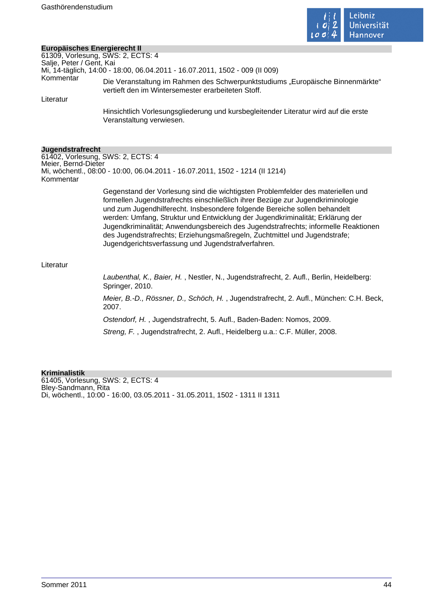

# **Europäisches Energierecht II**

|                          | Europäisches Energierecht II                                                                                                                                                                                                                                                                                                                                                                                                                                                                                                                              |  |
|--------------------------|-----------------------------------------------------------------------------------------------------------------------------------------------------------------------------------------------------------------------------------------------------------------------------------------------------------------------------------------------------------------------------------------------------------------------------------------------------------------------------------------------------------------------------------------------------------|--|
|                          | 61309, Vorlesung, SWS: 2, ECTS: 4                                                                                                                                                                                                                                                                                                                                                                                                                                                                                                                         |  |
| Salje, Peter / Gent, Kai |                                                                                                                                                                                                                                                                                                                                                                                                                                                                                                                                                           |  |
|                          | Mi, 14-täglich, 14:00 - 18:00, 06.04.2011 - 16.07.2011, 1502 - 009 (II 009)                                                                                                                                                                                                                                                                                                                                                                                                                                                                               |  |
| Kommentar                | Die Veranstaltung im Rahmen des Schwerpunktstudiums "Europäische Binnenmärkte"<br>vertieft den im Wintersemester erarbeiteten Stoff.                                                                                                                                                                                                                                                                                                                                                                                                                      |  |
| Literatur                |                                                                                                                                                                                                                                                                                                                                                                                                                                                                                                                                                           |  |
|                          | Hinsichtlich Vorlesungsgliederung und kursbegleitender Literatur wird auf die erste<br>Veranstaltung verwiesen.                                                                                                                                                                                                                                                                                                                                                                                                                                           |  |
| Jugendstrafrecht         |                                                                                                                                                                                                                                                                                                                                                                                                                                                                                                                                                           |  |
|                          | 61402, Vorlesung, SWS: 2, ECTS: 4                                                                                                                                                                                                                                                                                                                                                                                                                                                                                                                         |  |
| Meier, Bernd-Dieter      |                                                                                                                                                                                                                                                                                                                                                                                                                                                                                                                                                           |  |
| Kommentar                | Mi, wöchentl., 08:00 - 10:00, 06.04.2011 - 16.07.2011, 1502 - 1214 (II 1214)                                                                                                                                                                                                                                                                                                                                                                                                                                                                              |  |
|                          | Gegenstand der Vorlesung sind die wichtigsten Problemfelder des materiellen und<br>formellen Jugendstrafrechts einschließlich ihrer Bezüge zur Jugendkriminologie<br>und zum Jugendhilferecht. Insbesondere folgende Bereiche sollen behandelt<br>werden: Umfang, Struktur und Entwicklung der Jugendkriminalität; Erklärung der<br>Jugendkriminalität; Anwendungsbereich des Jugendstrafrechts; informelle Reaktionen<br>des Jugendstrafrechts; Erziehungsmaßregeln, Zuchtmittel und Jugendstrafe;<br>Jugendgerichtsverfassung und Jugendstrafverfahren. |  |
| Literatur                |                                                                                                                                                                                                                                                                                                                                                                                                                                                                                                                                                           |  |
|                          | Laubenthal, K., Baier, H., Nestler, N., Jugendstrafrecht, 2. Aufl., Berlin, Heidelberg:<br>Springer, 2010.                                                                                                                                                                                                                                                                                                                                                                                                                                                |  |
|                          | Meier, B.-D., Rössner, D., Schöch, H., Jugendstrafrecht, 2. Aufl., München: C.H. Beck,<br>2007.                                                                                                                                                                                                                                                                                                                                                                                                                                                           |  |
|                          | Ostendorf, H., Jugendstrafrecht, 5. Aufl., Baden-Baden: Nomos, 2009.                                                                                                                                                                                                                                                                                                                                                                                                                                                                                      |  |
|                          | Streng, F., Jugendstrafrecht, 2. Aufl., Heidelberg u.a.: C.F. Müller, 2008.                                                                                                                                                                                                                                                                                                                                                                                                                                                                               |  |

#### **Kriminalistik**

61405, Vorlesung, SWS: 2, ECTS: 4 Bley-Sandmann, Rita Di, wöchentl., 10:00 - 16:00, 03.05.2011 - 31.05.2011, 1502 - 1311 II 1311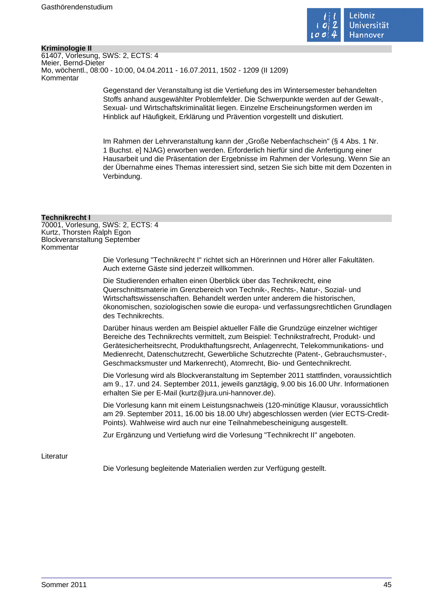

# **Kriminologie II**

61407, Vorlesung, SWS: 2, ECTS: 4 Meier, Bernd-Dieter Mo, wöchentl., 08:00 - 10:00, 04.04.2011 - 16.07.2011, 1502 - 1209 (II 1209) Kommentar

> Gegenstand der Veranstaltung ist die Vertiefung des im Wintersemester behandelten Stoffs anhand ausgewählter Problemfelder. Die Schwerpunkte werden auf der Gewalt-, Sexual- und Wirtschaftskriminalität liegen. Einzelne Erscheinungsformen werden im Hinblick auf Häufigkeit, Erklärung und Prävention vorgestellt und diskutiert.

Im Rahmen der Lehrveranstaltung kann der "Große Nebenfachschein" (§ 4 Abs. 1 Nr. 1 Buchst. e] NJAG) erworben werden. Erforderlich hierfür sind die Anfertigung einer Hausarbeit und die Präsentation der Ergebnisse im Rahmen der Vorlesung. Wenn Sie an der Übernahme eines Themas interessiert sind, setzen Sie sich bitte mit dem Dozenten in Verbindung.

# **Technikrecht I**

70001, Vorlesung, SWS: 2, ECTS: 4 Kurtz, Thorsten Ralph Egon Blockveranstaltung September Kommentar

> Die Vorlesung "Technikrecht I" richtet sich an Hörerinnen und Hörer aller Fakultäten. Auch externe Gäste sind jederzeit willkommen.

Die Studierenden erhalten einen Überblick über das Technikrecht, eine Querschnittsmaterie im Grenzbereich von Technik-, Rechts-, Natur-, Sozial- und Wirtschaftswissenschaften. Behandelt werden unter anderem die historischen, ökonomischen, soziologischen sowie die europa- und verfassungsrechtlichen Grundlagen des Technikrechts.

Darüber hinaus werden am Beispiel aktueller Fälle die Grundzüge einzelner wichtiger Bereiche des Technikrechts vermittelt, zum Beispiel: Technikstrafrecht, Produkt- und Gerätesicherheitsrecht, Produkthaftungsrecht, Anlagenrecht, Telekommunikations- und Medienrecht, Datenschutzrecht, Gewerbliche Schutzrechte (Patent-, Gebrauchsmuster-, Geschmacksmuster und Markenrecht), Atomrecht, Bio- und Gentechnikrecht.

Die Vorlesung wird als Blockveranstaltung im September 2011 stattfinden, voraussichtlich am 9., 17. und 24. September 2011, jeweils ganztägig, 9.00 bis 16.00 Uhr. Informationen erhalten Sie per E-Mail (kurtz@jura.uni-hannover.de).

Die Vorlesung kann mit einem Leistungsnachweis (120-minütige Klausur, voraussichtlich am 29. September 2011, 16.00 bis 18.00 Uhr) abgeschlossen werden (vier ECTS-Credit-Points). Wahlweise wird auch nur eine Teilnahmebescheinigung ausgestellt.

Zur Ergänzung und Vertiefung wird die Vorlesung "Technikrecht II" angeboten.

# Literatur

Die Vorlesung begleitende Materialien werden zur Verfügung gestellt.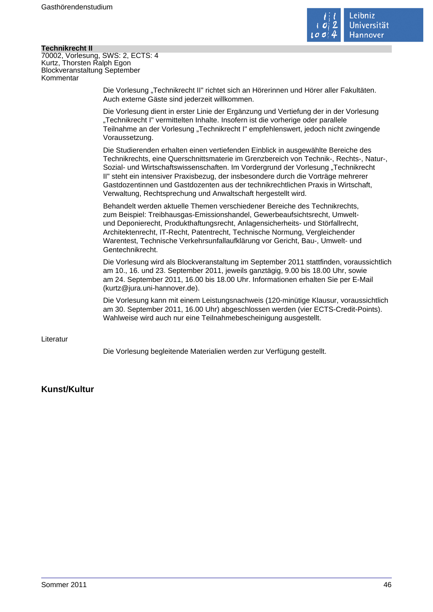

# **Technikrecht II**

70002, Vorlesung, SWS: 2, ECTS: 4 Kurtz, Thorsten Ralph Egon Blockveranstaltung September Kommentar

> Die Vorlesung "Technikrecht II" richtet sich an Hörerinnen und Hörer aller Fakultäten. Auch externe Gäste sind jederzeit willkommen.

Die Vorlesung dient in erster Linie der Ergänzung und Vertiefung der in der Vorlesung "Technikrecht I" vermittelten Inhalte. Insofern ist die vorherige oder parallele Teilnahme an der Vorlesung "Technikrecht I" empfehlenswert, jedoch nicht zwingende Voraussetzung.

Die Studierenden erhalten einen vertiefenden Einblick in ausgewählte Bereiche des Technikrechts, eine Querschnittsmaterie im Grenzbereich von Technik-, Rechts-, Natur-, Sozial- und Wirtschaftswissenschaften. Im Vordergrund der Vorlesung "Technikrecht II" steht ein intensiver Praxisbezug, der insbesondere durch die Vorträge mehrerer Gastdozentinnen und Gastdozenten aus der technikrechtlichen Praxis in Wirtschaft, Verwaltung, Rechtsprechung und Anwaltschaft hergestellt wird.

Behandelt werden aktuelle Themen verschiedener Bereiche des Technikrechts, zum Beispiel: Treibhausgas-Emissionshandel, Gewerbeaufsichtsrecht, Umweltund Deponierecht, Produkthaftungsrecht, Anlagensicherheits- und Störfallrecht, Architektenrecht, IT-Recht, Patentrecht, Technische Normung, Vergleichender Warentest, Technische Verkehrsunfallaufklärung vor Gericht, Bau-, Umwelt- und Gentechnikrecht.

Die Vorlesung wird als Blockveranstaltung im September 2011 stattfinden, voraussichtlich am 10., 16. und 23. September 2011, jeweils ganztägig, 9.00 bis 18.00 Uhr, sowie am 24. September 2011, 16.00 bis 18.00 Uhr. Informationen erhalten Sie per E-Mail (kurtz@jura.uni-hannover.de).

Die Vorlesung kann mit einem Leistungsnachweis (120-minütige Klausur, voraussichtlich am 30. September 2011, 16.00 Uhr) abgeschlossen werden (vier ECTS-Credit-Points). Wahlweise wird auch nur eine Teilnahmebescheinigung ausgestellt.

# Literatur

Die Vorlesung begleitende Materialien werden zur Verfügung gestellt.

# **Kunst/Kultur**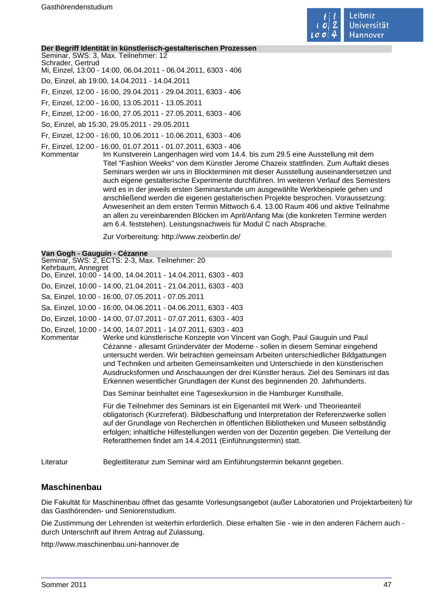

#### **Der Begriff Identität in künstlerisch-gestalterischen Prozessen**

Seminar, SWS: 3, Max. Teilnehmer: 12 Schrader, Gertrud

Mi, Einzel, 13:00 - 14:00, 06.04.2011 - 06.04.2011, 6303 - 406

Do, Einzel, ab 19:00, 14.04.2011 - 14.04.2011

Fr, Einzel, 12:00 - 16:00, 29.04.2011 - 29.04.2011, 6303 - 406

Fr, Einzel, 12:00 - 16:00, 13.05.2011 - 13.05.2011

Fr, Einzel, 12:00 - 16:00, 27.05.2011 - 27.05.2011, 6303 - 406

So, Einzel, ab 15:30, 29.05.2011 - 29.05.2011

Fr, Einzel, 12:00 - 16:00, 10.06.2011 - 10.06.2011, 6303 - 406

Fr, Einzel, 12:00 - 16:00, 01.07.2011 - 01.07.2011, 6303 - 406

Im Kunstverein Langenhagen wird vom 14.4. bis zum 29.5 eine Ausstellung mit dem Titel "Fashion Weeks" von dem Künstler Jerome Chazeix stattfinden. Zum Auftakt dieses Seminars werden wir uns in Blockterminen mit dieser Ausstellung auseinandersetzen und auch eigene gestalterische Experimente durchführen. Im weiteren Verlauf des Semesters wird es in der jeweils ersten Seminarstunde um ausgewählte Werkbeispiele gehen und anschließend werden die eigenen gestalterischen Projekte besprochen. Voraussetzung: Anwesenheit an dem ersten Termin Mittwoch 6.4. 13.00 Raum 406 und aktive Teilnahme an allen zu vereinbarenden Blöcken im April/Anfang Mai (die konkreten Termine werden am 6.4. feststehen). Leistungsnachweis für Modul C nach Absprache.

Zur Vorbereitung: http://www.zeixberlin.de/

# **Van Gogh - Gauguin - Cézanne**

Seminar, SWS: 2, ECTS: 2-3, Max. Teilnehmer: 20 Kehrbaum, Annegret Do, Einzel, 10:00 - 14:00, 14.04.2011 - 14.04.2011, 6303 - 403 Do, Einzel, 10:00 - 14:00, 21.04.2011 - 21.04.2011, 6303 - 403 Sa, Einzel, 10:00 - 16:00, 07.05.2011 - 07.05.2011 Sa, Einzel, 10:00 - 16:00, 04.06.2011 - 04.06.2011, 6303 - 403 Do, Einzel, 10:00 - 14:00, 07.07.2011 - 07.07.2011, 6303 - 403 Do, Einzel, 10:00 - 14:00, 14.07.2011 - 14.07.2011, 6303 - 403 Werke und künstlerische Konzepte von Vincent van Gogh, Paul Gauguin und Paul Cézanne - allesamt Gründerväter der Moderne - sollen in diesem Seminar eingehend untersucht werden. Wir betrachten gemeinsam Arbeiten unterschiedlicher Bildgattungen und Techniken und arbeiten Gemeinsamkeiten und Unterschiede in den künstlerischen Ausdrucksformen und Anschauungen der drei Künstler heraus. Ziel des Seminars ist das Erkennen wesentlicher Grundlagen der Kunst des beginnenden 20. Jahrhunderts. Das Seminar beinhaltet eine Tagesexkursion in die Hamburger Kunsthalle. Für die Teilnehmer des Seminars ist ein Eigenanteil mit Werk- und Theorieanteil obligatorisch (Kurzreferat). Bildbeschaffung und Interpretation der Referenzwerke sollen

auf der Grundlage von Recherchen in öffentlichen Bibliotheken und Museen selbständig erfolgen; inhaltliche Hilfestellungen werden von der Dozentin gegeben. Die Verteilung der Referatthemen findet am 14.4.2011 (Einführungstermin) statt.

Literatur Begleitliteratur zum Seminar wird am Einführungstermin bekannt gegeben.

# **Maschinenbau**

Die Fakultät für Maschinenbau öffnet das gesamte Vorlesungsangebot (außer Laboratorien und Projektarbeiten) für das Gasthörenden- und Seniorenstudium.

Die Zustimmung der Lehrenden ist weiterhin erforderlich. Diese erhalten Sie - wie in den anderen Fächern auch durch Unterschrift auf Ihrem Antrag auf Zulassung.

http://www.maschinenbau.uni-hannover.de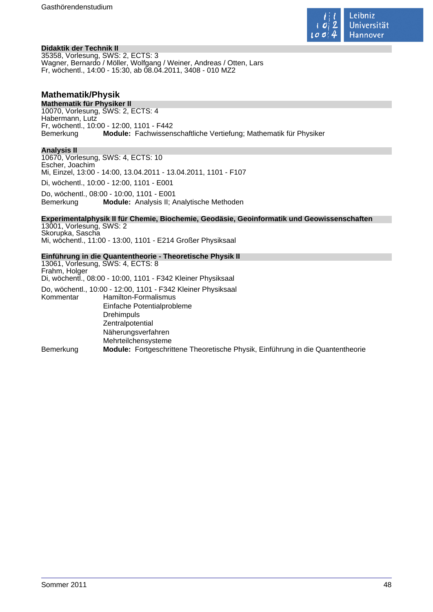

# **Didaktik der Technik II**

35358, Vorlesung, SWS: 2, ECTS: 3 Wagner, Bernardo / Möller, Wolfgang / Weiner, Andreas / Otten, Lars Fr, wöchentl., 14:00 - 15:30, ab 08.04.2011, 3408 - 010 MZ2

# **Mathematik/Physik**

**Mathematik für Physiker II** 10070, Vorlesung, SWS: 2, ECTS: 4 Habermann, Lutz Fr, wöchentl., 10:00 - 12:00, 1101 - F442 Bemerkung **Module:** Fachwissenschaftliche Vertiefung; Mathematik für Physiker

# **Analysis II**

10670, Vorlesung, SWS: 4, ECTS: 10 Escher, Joachim Mi, Einzel, 13:00 - 14:00, 13.04.2011 - 13.04.2011, 1101 - F107 Di, wöchentl., 10:00 - 12:00, 1101 - E001

Do, wöchentl., 08:00 - 10:00, 1101 - E001<br>Bemerkung **Module:** Analysis II: A **Module:** Analysis II; Analytische Methoden

# **Experimentalphysik II für Chemie, Biochemie, Geodäsie, Geoinformatik und Geowissenschaften**

13001, Vorlesung, SWS: 2 Skorupka, Sascha Mi, wöchentl., 11:00 - 13:00, 1101 - E214 Großer Physiksaal

# **Einführung in die Quantentheorie - Theoretische Physik II**

13061, Vorlesung, SWS: 4, ECTS: 8 Frahm, Holger Di, wöchentl., 08:00 - 10:00, 1101 - F342 Kleiner Physiksaal Do, wöchentl., 10:00 - 12:00, 1101 - F342 Kleiner Physiksaal Kommentar Hamilton-Formalismus Einfache Potentialprobleme Drehimpuls Zentralpotential Näherungsverfahren Mehrteilchensysteme Bemerkung **Module:** Fortgeschrittene Theoretische Physik, Einführung in die Quantentheorie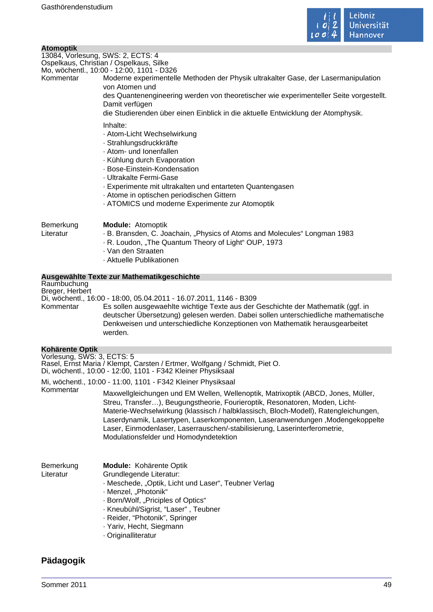

|                                                       | . <del>.</del>                                                                                                                                                                                                                                                                                                                                                                                                                                                  |
|-------------------------------------------------------|-----------------------------------------------------------------------------------------------------------------------------------------------------------------------------------------------------------------------------------------------------------------------------------------------------------------------------------------------------------------------------------------------------------------------------------------------------------------|
| <b>Atomoptik</b><br>13084, Vorlesung, SWS: 2, ECTS: 4 | Ospelkaus, Christian / Ospelkaus, Silke<br>Mo, wöchentl., 10:00 - 12:00, 1101 - D326                                                                                                                                                                                                                                                                                                                                                                            |
| Kommentar                                             | Moderne experimentelle Methoden der Physik ultrakalter Gase, der Lasermanipulation<br>von Atomen und                                                                                                                                                                                                                                                                                                                                                            |
|                                                       | des Quantenengineering werden von theoretischer wie experimenteller Seite vorgestellt.<br>Damit verfügen                                                                                                                                                                                                                                                                                                                                                        |
|                                                       | die Studierenden über einen Einblick in die aktuelle Entwicklung der Atomphysik.<br>Inhalte:<br>- Atom-Licht Wechselwirkung<br>· Strahlungsdruckkräfte<br>· Atom- und Ionenfallen<br>· Kühlung durch Evaporation<br>· Bose-Einstein-Kondensation<br>· Ultrakalte Fermi-Gase<br>- Experimente mit ultrakalten und entarteten Quantengasen<br>- Atome in optischen periodischen Gittern<br>- ATOMICS und moderne Experimente zur Atomoptik                        |
| Bemerkung<br>Literatur                                | <b>Module: Atomoptik</b><br>. B. Bransden, C. Joachain, "Physics of Atoms and Molecules" Longman 1983<br>. R. Loudon, "The Quantum Theory of Light" OUP, 1973<br>· Van den Straaten<br>· Aktuelle Publikationen                                                                                                                                                                                                                                                 |
|                                                       | Ausgewählte Texte zur Mathematikgeschichte                                                                                                                                                                                                                                                                                                                                                                                                                      |
| Raumbuchung<br>Breger, Herbert                        | Di, wöchentl., 16:00 - 18:00, 05.04.2011 - 16.07.2011, 1146 - B309                                                                                                                                                                                                                                                                                                                                                                                              |
| Kommentar                                             | Es sollen ausgewaehlte wichtige Texte aus der Geschichte der Mathematik (ggf. in<br>deutscher Übersetzung) gelesen werden. Dabei sollen unterschiedliche mathematische<br>Denkweisen und unterschiedliche Konzeptionen von Mathematik herausgearbeitet<br>werden.                                                                                                                                                                                               |
| <b>Kohärente Optik</b>                                |                                                                                                                                                                                                                                                                                                                                                                                                                                                                 |
| Vorlesung, SWS: 3, ECTS: 5                            | Rasel, Ernst Maria / Klempt, Carsten / Ertmer, Wolfgang / Schmidt, Piet O.<br>Di, wöchentl., 10:00 - 12:00, 1101 - F342 Kleiner Physiksaal                                                                                                                                                                                                                                                                                                                      |
|                                                       | Mi, wöchentl., 10:00 - 11:00, 1101 - F342 Kleiner Physiksaal                                                                                                                                                                                                                                                                                                                                                                                                    |
| Kommentar                                             | Maxwellgleichungen und EM Wellen, Wellenoptik, Matrixoptik (ABCD, Jones, Müller,<br>Streu, Transfer), Beugungstheorie, Fourieroptik, Resonatoren, Moden, Licht-<br>Materie-Wechselwirkung (klassisch / halbklassisch, Bloch-Modell), Ratengleichungen,<br>Laserdynamik, Lasertypen, Laserkomponenten, Laseranwendungen, Modengekoppelte<br>Laser, Einmodenlaser, Laserrauschen/-stabilisierung, Laserinterferometrie,<br>Modulationsfelder und Homodyndetektion |
| Bemerkung<br>Literatur                                | Module: Kohärente Optik<br>Grundlegende Literatur:<br>· Meschede, "Optik, Licht und Laser", Teubner Verlag<br>· Menzel, "Photonik"<br>· Born/Wolf, "Priciples of Optics"<br>· Kneubühl/Sigrist, "Laser", Teubner<br>· Reider, "Photonik", Springer<br>· Yariv, Hecht, Siegmann<br>· Originalliteratur                                                                                                                                                           |

# **Pädagogik**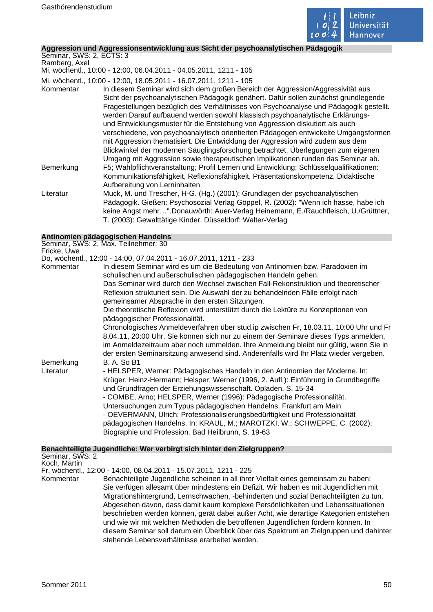

# **Aggression und Aggressionsentwicklung aus Sicht der psychoanalytischen Pädagogik**

Seminar, SWS: 2, ECTS: 3 Ramberg, Axel

Mi, wöchentl., 10:00 - 12:00, 06.04.2011 - 04.05.2011, 1211 - 105

Mi, wöchentl., 10:00 - 12:00, 18.05.2011 - 16.07.2011, 1211 - 105

Kommentar In diesem Seminar wird sich dem großen Bereich der Aggression/Aggressivität aus Sicht der psychoanalytischen Pädagogik genähert. Dafür sollen zunächst grundlegende Fragestellungen bezüglich des Verhältnisses von Psychoanalyse und Pädagogik gestellt. werden Darauf aufbauend werden sowohl klassisch psychoanalytische Erklärungsund Entwicklungsmuster für die Entstehung von Aggression diskutiert als auch verschiedene, von psychoanalytisch orientierten Pädagogen entwickelte Umgangsformen mit Aggression thematisiert. Die Entwicklung der Aggression wird zudem aus dem Blickwinkel der modernen Säuglingsforschung betrachtet. Überlegungen zum eigenen Umgang mit Aggression sowie therapeutischen Implikationen runden das Seminar ab. Bemerkung F5; Wahlpflichtveranstaltung; Profil Lernen und Entwicklung; Schlüsselqualifikationen: Kommunikationsfähigkeit, Reflexionsfähigkeit, Präsentationskompetenz, Didaktische Aufbereitung von Lerninhalten Literatur Muck, M. und Trescher, H-G. (Hg.) (2001): Grundlagen der psychoanalytischen Pädagogik. Gießen: Psychosozial Verlag Göppel, R. (2002): "Wenn ich hasse, habe ich keine Angst mehr…".Donauwörth: Auer-Verlag Heinemann, E./Rauchfleisch, U./Grüttner,

T. (2003): Gewalttätige Kinder. Düsseldorf: Walter-Verlag

**Antinomien pädagogischen Handelns** Seminar, SWS: 2, Max. Teilnehmer: 30

Fricke, Uwe

Do, wöchentl., 12:00 - 14:00, 07.04.2011 - 16.07.2011, 1211 - 233

Kommentar In diesem Seminar wird es um die Bedeutung von Antinomien bzw. Paradoxien im schulischen und außerschulischen pädagogischen Handeln gehen. Das Seminar wird durch den Wechsel zwischen Fall-Rekonstruktion und theoretischer Reflexion strukturiert sein. Die Auswahl der zu behandelnden Fälle erfolgt nach gemeinsamer Absprache in den ersten Sitzungen. Die theoretische Reflexion wird unterstützt durch die Lektüre zu Konzeptionen von pädagogischer Professionalität. Chronologisches Anmeldeverfahren über stud.ip zwischen Fr, 18.03.11, 10:00 Uhr und Fr 8.04.11, 20:00 Uhr. Sie können sich nur zu einem der Seminare dieses Typs anmelden, im Anmeldezeitraum aber noch ummelden. Ihre Anmeldung bleibt nur gültig, wenn Sie in der ersten Seminarsitzung anwesend sind. Anderenfalls wird Ihr Platz wieder vergeben. Bemerkung B. A. So B1 Literatur - HELSPER, Werner: Pädagogisches Handeln in den Antinomien der Moderne. In: Krüger, Heinz-Hermann; Helsper, Werner (1996, 2. Aufl.): Einführung in Grundbegriffe und Grundfragen der Erziehungswissenschaft. Opladen, S. 15-34 - COMBE, Arno; HELSPER, Werner (1996): Pädagogische Professionalität. Untersuchungen zum Typus pädagogischen Handelns. Frankfurt am Main - OEVERMANN, Ulrich: Professionalisierungsbedürftigkeit und Professionalität pädagogischen Handelns. In: KRAUL, M.; MAROTZKI, W.; SCHWEPPE, C. (2002): Biographie und Profession. Bad Heilbrunn, S. 19-63

# **Benachteiligte Jugendliche: Wer verbirgt sich hinter den Zielgruppen?**

Seminar, SWS: 2 Koch, Martin

Fr, wöchentl., 12:00 - 14:00, 08.04.2011 - 15.07.2011, 1211 - 225

Kommentar Benachteiligte Jugendliche scheinen in all ihrer Vielfalt eines gemeinsam zu haben: Sie verfügen allesamt über mindestens ein Defizit. Wir haben es mit Jugendlichen mit Migrationshintergrund, Lernschwachen, -behinderten und sozial Benachteiligten zu tun. Abgesehen davon, dass damit kaum komplexe Persönlichkeiten und Lebenssituationen beschrieben werden können, gerät dabei außer Acht, wie derartige Kategorien entstehen und wie wir mit welchen Methoden die betroffenen Jugendlichen fördern können. In diesem Seminar soll darum ein Überblick über das Spektrum an Zielgruppen und dahinter stehende Lebensverhältnisse erarbeitet werden.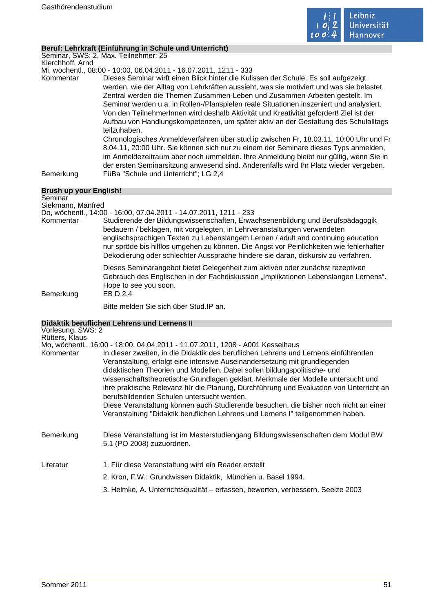

# **Beruf: Lehrkraft (Einführung in Schule und Unterricht)**

Seminar, SWS: 2, Max. Teilnehmer: 25 Kierchhoff, Arnd

Mi, wöchentl., 08:00 - 10:00, 06.04.2011 - 16.07.2011, 1211 - 333

Kommentar Dieses Seminar wirft einen Blick hinter die Kulissen der Schule. Es soll aufgezeigt werden, wie der Alltag von Lehrkräften aussieht, was sie motiviert und was sie belastet. Zentral werden die Themen Zusammen-Leben und Zusammen-Arbeiten gestellt. Im Seminar werden u.a. in Rollen-/Planspielen reale Situationen inszeniert und analysiert. Von den TeilnehmerInnen wird deshalb Aktivität und Kreativität gefordert! Ziel ist der Aufbau von Handlungskompetenzen, um später aktiv an der Gestaltung des Schulalltags teilzuhaben.

Chronologisches Anmeldeverfahren über stud.ip zwischen Fr, 18.03.11, 10:00 Uhr und Fr 8.04.11, 20:00 Uhr. Sie können sich nur zu einem der Seminare dieses Typs anmelden, im Anmeldezeitraum aber noch ummelden. Ihre Anmeldung bleibt nur gültig, wenn Sie in der ersten Seminarsitzung anwesend sind. Anderenfalls wird Ihr Platz wieder vergeben. Bemerkung FüBa "Schule und Unterricht"; LG 2,4

| Brush up your English! |                                                                                                                                                                                                                                                                                                                                                                                                                                 |
|------------------------|---------------------------------------------------------------------------------------------------------------------------------------------------------------------------------------------------------------------------------------------------------------------------------------------------------------------------------------------------------------------------------------------------------------------------------|
| Seminar                |                                                                                                                                                                                                                                                                                                                                                                                                                                 |
| Siekmann, Manfred      |                                                                                                                                                                                                                                                                                                                                                                                                                                 |
|                        | Do, wöchentl., 14:00 - 16:00, 07.04.2011 - 14.07.2011, 1211 - 233                                                                                                                                                                                                                                                                                                                                                               |
| Kommentar              | Studierende der Bildungswissenschaften, Erwachsenenbildung und Berufspädagogik<br>bedauern / beklagen, mit vorgelegten, in Lehrveranstaltungen verwendeten<br>englischsprachigen Texten zu Lebenslangem Lernen / adult and continuing education<br>nur spröde bis hilflos umgehen zu können. Die Angst vor Peinlichkeiten wie fehlerhafter<br>Dekodierung oder schlechter Aussprache hindere sie daran, diskursiv zu verfahren. |
| Bemerkung              | Dieses Seminarangebot bietet Gelegenheit zum aktiven oder zunächst rezeptiven<br>Gebrauch des Englischen in der Fachdiskussion "Implikationen Lebenslangen Lernens".<br>Hope to see you soon.<br>EB D 2.4                                                                                                                                                                                                                       |
|                        | Bitte melden Sie sich über Stud IP an.                                                                                                                                                                                                                                                                                                                                                                                          |

# **Didaktik beruflichen Lehrens und Lernens II**

| Vorlesung, SWS: 2 |                                                                                                                                                                                                                                                                                                                                                                                                                                                                                                                                                                     |
|-------------------|---------------------------------------------------------------------------------------------------------------------------------------------------------------------------------------------------------------------------------------------------------------------------------------------------------------------------------------------------------------------------------------------------------------------------------------------------------------------------------------------------------------------------------------------------------------------|
| Rütters, Klaus    |                                                                                                                                                                                                                                                                                                                                                                                                                                                                                                                                                                     |
|                   | Mo, wöchentl., 16:00 - 18:00, 04.04.2011 - 11.07.2011, 1208 - A001 Kesselhaus                                                                                                                                                                                                                                                                                                                                                                                                                                                                                       |
| Kommentar         | In dieser zweiten, in die Didaktik des beruflichen Lehrens und Lernens einführenden<br>Veranstaltung, erfolgt eine intensive Auseinandersetzung mit grundlegenden<br>didaktischen Theorien und Modellen. Dabei sollen bildungspolitische- und<br>wissenschaftstheoretische Grundlagen geklärt, Merkmale der Modelle untersucht und<br>ihre praktische Relevanz für die Planung, Durchführung und Evaluation von Unterricht an<br>berufsbildenden Schulen untersucht werden.<br>Diese Veranstaltung können auch Studierende besuchen, die bisher noch nicht an einer |
|                   | Veranstaltung "Didaktik beruflichen Lehrens und Lernens I" teilgenommen haben.                                                                                                                                                                                                                                                                                                                                                                                                                                                                                      |
| <b>Bemerkung</b>  | Diese Veranstaltung ist im Masterstudiengang Bildungswissenschaften dem Modul BW<br>5.1 (PO 2008) zuzuordnen.                                                                                                                                                                                                                                                                                                                                                                                                                                                       |
| Literatur         | 1. Für diese Veranstaltung wird ein Reader erstellt                                                                                                                                                                                                                                                                                                                                                                                                                                                                                                                 |
|                   | 2. Kron, F.W.: Grundwissen Didaktik, München u. Basel 1994.                                                                                                                                                                                                                                                                                                                                                                                                                                                                                                         |
|                   | 3. Helmke, A. Unterrichtsqualität – erfassen, bewerten, verbessern. Seelze 2003                                                                                                                                                                                                                                                                                                                                                                                                                                                                                     |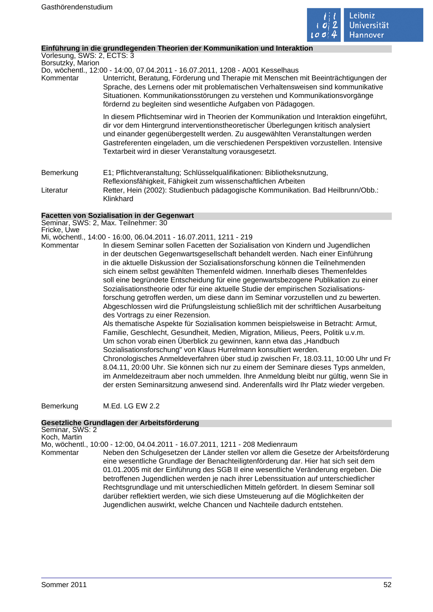

÷,

# **Einführung in die grundlegenden Theorien der Kommunikation und Interaktion**

| Vorlesung, SWS: 2, ECTS: 3 |                                                                                                                                                                                                                                                                                                                                                                                                                   |
|----------------------------|-------------------------------------------------------------------------------------------------------------------------------------------------------------------------------------------------------------------------------------------------------------------------------------------------------------------------------------------------------------------------------------------------------------------|
| Borsutzky, Marion          |                                                                                                                                                                                                                                                                                                                                                                                                                   |
|                            | Do, wöchentl., 12:00 - 14:00, 07.04.2011 - 16.07.2011, 1208 - A001 Kesselhaus                                                                                                                                                                                                                                                                                                                                     |
| Kommentar                  | Unterricht, Beratung, Förderung und Therapie mit Menschen mit Beeinträchtigungen der<br>Sprache, des Lernens oder mit problematischen Verhaltensweisen sind kommunikative<br>Situationen. Kommunikationsstörungen zu verstehen und Kommunikationsvorgänge<br>fördernd zu begleiten sind wesentliche Aufgaben von Pädagogen.                                                                                       |
|                            | In diesem Pflichtseminar wird in Theorien der Kommunikation und Interaktion eingeführt,<br>dir vor dem Hintergrund interventionstheoretischer Überlegungen kritisch analysiert<br>und einander gegenübergestellt werden. Zu ausgewählten Veranstaltungen werden<br>Gastreferenten eingeladen, um die verschiedenen Perspektiven vorzustellen. Intensive<br>Textarbeit wird in dieser Veranstaltung vorausgesetzt. |
| Bemerkung                  | E1; Pflichtveranstaltung; Schlüsselqualifikationen: Bibliotheksnutzung,<br>Reflexionsfähigkeit, Fähigkeit zum wissenschaftlichen Arbeiten                                                                                                                                                                                                                                                                         |
| Literatur                  | Retter, Hein (2002): Studienbuch pädagogische Kommunikation. Bad Heilbrunn/Obb.:<br>Klinkhard                                                                                                                                                                                                                                                                                                                     |

# **Facetten von Sozialisation in der Gegenwart**

|             | Seminar, SWS: 2, Max. Teilnehmer: 30                                                                                                                                                                                                                                                                                                                                                                                                                                                                                                                                                                                                                                                                                                    |
|-------------|-----------------------------------------------------------------------------------------------------------------------------------------------------------------------------------------------------------------------------------------------------------------------------------------------------------------------------------------------------------------------------------------------------------------------------------------------------------------------------------------------------------------------------------------------------------------------------------------------------------------------------------------------------------------------------------------------------------------------------------------|
| Fricke, Uwe |                                                                                                                                                                                                                                                                                                                                                                                                                                                                                                                                                                                                                                                                                                                                         |
|             | Mi, wöchentl., 14:00 - 16:00, 06.04.2011 - 16.07.2011, 1211 - 219                                                                                                                                                                                                                                                                                                                                                                                                                                                                                                                                                                                                                                                                       |
| Kommentar   | In diesem Seminar sollen Facetten der Sozialisation von Kindern und Jugendlichen<br>in der deutschen Gegenwartsgesellschaft behandelt werden. Nach einer Einführung<br>in die aktuelle Diskussion der Sozialisationsforschung können die Teilnehmenden<br>sich einem selbst gewählten Themenfeld widmen. Innerhalb dieses Themenfeldes<br>soll eine begründete Entscheidung für eine gegenwartsbezogene Publikation zu einer<br>Sozialisationstheorie oder für eine aktuelle Studie der empirischen Sozialisations-<br>forschung getroffen werden, um diese dann im Seminar vorzustellen und zu bewerten.<br>Abgeschlossen wird die Prüfungsleistung schließlich mit der schriftlichen Ausarbeitung<br>des Vortrags zu einer Rezension. |
|             | Als thematische Aspekte für Sozialisation kommen beispielsweise in Betracht: Armut,<br>Familie, Geschlecht, Gesundheit, Medien, Migration, Milieus, Peers, Politik u.v.m.<br>Um schon vorab einen Überblick zu gewinnen, kann etwa das "Handbuch<br>Sozialisationsforschung" von Klaus Hurrelmann konsultiert werden.<br>Chronologisches Anmeldeverfahren über stud.ip zwischen Fr, 18.03.11, 10:00 Uhr und Fr<br>8.04.11, 20:00 Uhr. Sie können sich nur zu einem der Seminare dieses Typs anmelden,<br>im Anmeldezeitraum aber noch ummelden. Ihre Anmeldung bleibt nur gültig, wenn Sie in<br>der ersten Seminarsitzung anwesend sind. Anderenfalls wird Ihr Platz wieder vergeben.                                                  |

Bemerkung M.Ed. LG EW 2.2

# **Gesetzliche Grundlagen der Arbeitsförderung**

| Seminar, SWS: 2 |                                                                                                                                                                                                                                                                                                                                                                                                                                                                                                                                                                                                                |
|-----------------|----------------------------------------------------------------------------------------------------------------------------------------------------------------------------------------------------------------------------------------------------------------------------------------------------------------------------------------------------------------------------------------------------------------------------------------------------------------------------------------------------------------------------------------------------------------------------------------------------------------|
| Koch, Martin    |                                                                                                                                                                                                                                                                                                                                                                                                                                                                                                                                                                                                                |
|                 | Mo, wöchentl., 10:00 - 12:00, 04.04.2011 - 16.07.2011, 1211 - 208 Medienraum                                                                                                                                                                                                                                                                                                                                                                                                                                                                                                                                   |
| Kommentar       | Neben den Schulgesetzen der Länder stellen vor allem die Gesetze der Arbeitsförderung<br>eine wesentliche Grundlage der Benachteiligtenförderung dar. Hier hat sich seit dem<br>01.01.2005 mit der Einführung des SGB II eine wesentliche Veränderung ergeben. Die<br>betroffenen Jugendlichen werden je nach ihrer Lebenssituation auf unterschiedlicher<br>Rechtsgrundlage und mit unterschiedlichen Mitteln gefördert. In diesem Seminar soll<br>darüber reflektiert werden, wie sich diese Umsteuerung auf die Möglichkeiten der<br>Jugendlichen auswirkt, welche Chancen und Nachteile dadurch entstehen. |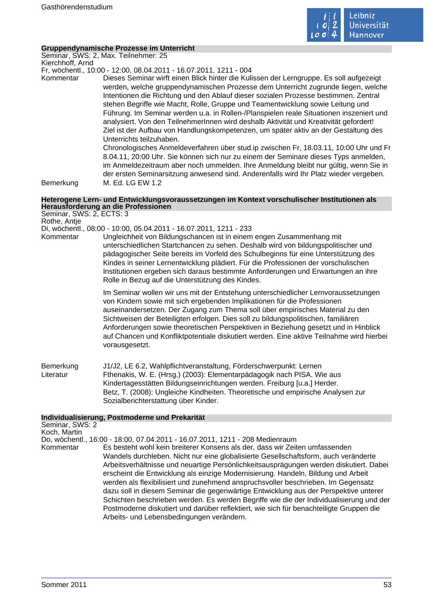

# **Gruppendynamische Prozesse im Unterricht**

Seminar, SWS: 2, Max. Teilnehmer: 25 Kierchhoff, Arnd

Fr, wöchentl., 10:00 - 12:00, 08.04.2011 - 16.07.2011, 1211 - 004

Kommentar Dieses Seminar wirft einen Blick hinter die Kulissen der Lerngruppe. Es soll aufgezeigt werden, welche gruppendynamischen Prozesse dem Unterricht zugrunde liegen, welche Intentionen die Richtung und den Ablauf dieser sozialen Prozesse bestimmen. Zentral stehen Begriffe wie Macht, Rolle, Gruppe und Teamentwicklung sowie Leitung und Führung. Im Seminar werden u.a. in Rollen-/Planspielen reale Situationen inszeniert und analysiert. Von den TeilnehmerInnen wird deshalb Aktivität und Kreativität gefordert! Ziel ist der Aufbau von Handlungskompetenzen, um später aktiv an der Gestaltung des Unterrichts teilzuhaben.

Chronologisches Anmeldeverfahren über stud.ip zwischen Fr, 18.03.11, 10:00 Uhr und Fr 8.04.11, 20:00 Uhr. Sie können sich nur zu einem der Seminare dieses Typs anmelden, im Anmeldezeitraum aber noch ummelden. Ihre Anmeldung bleibt nur gültig, wenn Sie in der ersten Seminarsitzung anwesend sind. Anderenfalls wird Ihr Platz wieder vergeben. Bemerkung M. Ed. LG EW 1.2

# **Heterogene Lern- und Entwicklungsvoraussetzungen im Kontext vorschulischer Institutionen als Herausforderung an die Professionen**

Seminar, SWS: 2, ECTS: 3 Rothe, Antje

# Di, wöchentl., 08:00 - 10:00, 05.04.2011 - 16.07.2011, 1211 - 233

Kommentar Ungleichheit von Bildungschancen ist in einem engen Zusammenhang mit unterschiedlichen Startchancen zu sehen. Deshalb wird von bildungspolitischer und pädagogischer Seite bereits im Vorfeld des Schulbeginns für eine Unterstützung des Kindes in seiner Lernentwicklung plädiert. Für die Professionen der vorschulischen Institutionen ergeben sich daraus bestimmte Anforderungen und Erwartungen an ihre Rolle in Bezug auf die Unterstützung des Kindes.

> Im Seminar wollen wir uns mit der Entstehung unterschiedlicher Lernvoraussetzungen von Kindern sowie mit sich ergebenden Implikationen für die Professionen auseinandersetzen. Der Zugang zum Thema soll über empirisches Material zu den Sichtweisen der Beteiligten erfolgen. Dies soll zu bildungspolitischen, familiären Anforderungen sowie theoretischen Perspektiven in Beziehung gesetzt und in Hinblick auf Chancen und Konfliktpotentiale diskutiert werden. Eine aktive Teilnahme wird hierbei vorausgesetzt.

Bemerkung J1/J2, LE 6.2, Wahlpflichtveranstaltung, Förderschwerpunkt: Lernen Literatur Fthenakis, W. E. (Hrsg.) (2003): Elementarpädagogik nach PISA. Wie aus Kindertagesstätten Bildungseinrichtungen werden. Freiburg [u.a.] Herder. Betz, T. (2008): Ungleiche Kindheiten. Theoretische und empirische Analysen zur Sozialberichterstattung über Kinder.

# **Individualisierung, Postmoderne und Prekarität**

| Seminar, SWS: 2<br>Koch, Martin |                                                                                                                                                                                                                                                                                                                                                                                                                                                                                                                                                                                                                                                                                                                                                                   |
|---------------------------------|-------------------------------------------------------------------------------------------------------------------------------------------------------------------------------------------------------------------------------------------------------------------------------------------------------------------------------------------------------------------------------------------------------------------------------------------------------------------------------------------------------------------------------------------------------------------------------------------------------------------------------------------------------------------------------------------------------------------------------------------------------------------|
|                                 | Do, wöchentl., 16:00 - 18:00, 07.04.2011 - 16.07.2011, 1211 - 208 Medienraum                                                                                                                                                                                                                                                                                                                                                                                                                                                                                                                                                                                                                                                                                      |
| Kommentar                       | Es besteht wohl kein breiterer Konsens als der, dass wir Zeiten umfassenden<br>Wandels durchleben. Nicht nur eine globalisierte Gesellschaftsform, auch veränderte<br>Arbeitsverhältnisse und neuartige Persönlichkeitsausprägungen werden diskutiert. Dabei<br>erscheint die Entwicklung als einzige Modernisierung. Handeln, Bildung und Arbeit<br>werden als flexibilisiert und zunehmend anspruchsvoller beschrieben. Im Gegensatz<br>dazu soll in diesem Seminar die gegenwärtige Entwicklung aus der Perspektive unterer<br>Schichten beschrieben werden. Es werden Begriffe wie die der Individualisierung und der<br>Postmoderne diskutiert und darüber reflektiert, wie sich für benachteiligte Gruppen die<br>Arbeits- und Lebensbedingungen verändern. |
|                                 |                                                                                                                                                                                                                                                                                                                                                                                                                                                                                                                                                                                                                                                                                                                                                                   |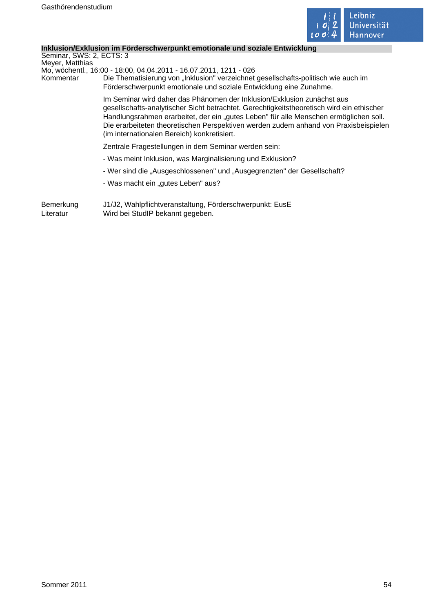

# **Inklusion/Exklusion im Förderschwerpunkt emotionale und soziale Entwicklung**

Seminar, SWS: 2, ECTS: 3 Meyer, Matthias

Mo, wöchentl., 16:00 - 18:00, 04.04.2011 - 16.07.2011, 1211 - 026

Kommentar Die Thematisierung von "Inklusion" verzeichnet gesellschafts-politisch wie auch im Förderschwerpunkt emotionale und soziale Entwicklung eine Zunahme.

> Im Seminar wird daher das Phänomen der Inklusion/Exklusion zunächst aus gesellschafts-analytischer Sicht betrachtet. Gerechtigkeitstheoretisch wird ein ethischer Handlungsrahmen erarbeitet, der ein "gutes Leben" für alle Menschen ermöglichen soll. Die erarbeiteten theoretischen Perspektiven werden zudem anhand von Praxisbeispielen (im internationalen Bereich) konkretisiert.

Zentrale Fragestellungen in dem Seminar werden sein:

- Was meint Inklusion, was Marginalisierung und Exklusion?
- Wer sind die "Ausgeschlossenen" und "Ausgegrenzten" der Gesellschaft?
- Was macht ein "gutes Leben" aus?

Bemerkung J1/J2, Wahlpflichtveranstaltung, Förderschwerpunkt: EusE Literatur Wird bei StudIP bekannt gegeben.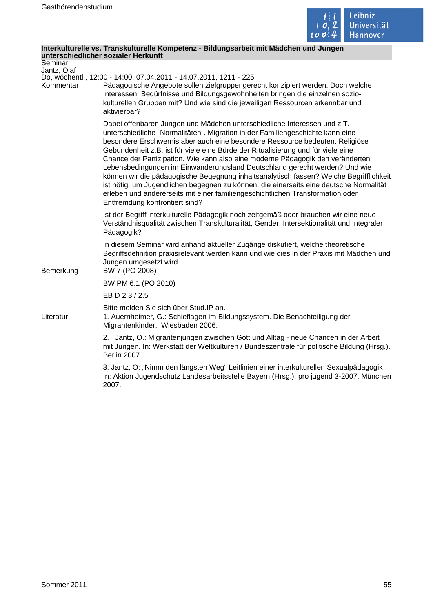

# **Interkulturelle vs. Transkulturelle Kompetenz - Bildungsarbeit mit Mädchen und Jungen unterschiedlicher sozialer Herkunft**

| Seminar<br>Jantz, Olaf |                                                                                                                                                                                                                                                                                                                                                                                                                                                                                                                                                                                                                                                                                                                                                                                                        |
|------------------------|--------------------------------------------------------------------------------------------------------------------------------------------------------------------------------------------------------------------------------------------------------------------------------------------------------------------------------------------------------------------------------------------------------------------------------------------------------------------------------------------------------------------------------------------------------------------------------------------------------------------------------------------------------------------------------------------------------------------------------------------------------------------------------------------------------|
| Kommentar              | Do, wöchentl., 12:00 - 14:00, 07.04.2011 - 14.07.2011, 1211 - 225<br>Pädagogische Angebote sollen zielgruppengerecht konzipiert werden. Doch welche<br>Interessen, Bedürfnisse und Bildungsgewohnheiten bringen die einzelnen sozio-<br>kulturellen Gruppen mit? Und wie sind die jeweiligen Ressourcen erkennbar und<br>aktivierbar?                                                                                                                                                                                                                                                                                                                                                                                                                                                                  |
|                        | Dabei offenbaren Jungen und Mädchen unterschiedliche Interessen und z.T.<br>unterschiedliche -Normalitäten-. Migration in der Familiengeschichte kann eine<br>besondere Erschwernis aber auch eine besondere Ressource bedeuten. Religiöse<br>Gebundenheit z.B. ist für viele eine Bürde der Ritualisierung und für viele eine<br>Chance der Partizipation. Wie kann also eine moderne Pädagogik den veränderten<br>Lebensbedingungen im Einwanderungsland Deutschland gerecht werden? Und wie<br>können wir die pädagogische Begegnung inhaltsanalytisch fassen? Welche Begrifflichkeit<br>ist nötig, um Jugendlichen begegnen zu können, die einerseits eine deutsche Normalität<br>erleben und andererseits mit einer familiengeschichtlichen Transformation oder<br>Entfremdung konfrontiert sind? |
|                        | Ist der Begriff interkulturelle Pädagogik noch zeitgemäß oder brauchen wir eine neue<br>Verständnisqualität zwischen Transkulturalität, Gender, Intersektionalität und Integraler<br>Pädagogik?                                                                                                                                                                                                                                                                                                                                                                                                                                                                                                                                                                                                        |
| Bemerkung              | In diesem Seminar wird anhand aktueller Zugänge diskutiert, welche theoretische<br>Begriffsdefinition praxisrelevant werden kann und wie dies in der Praxis mit Mädchen und<br>Jungen umgesetzt wird<br>BW 7 (PO 2008)                                                                                                                                                                                                                                                                                                                                                                                                                                                                                                                                                                                 |
|                        | BW PM 6.1 (PO 2010)                                                                                                                                                                                                                                                                                                                                                                                                                                                                                                                                                                                                                                                                                                                                                                                    |
|                        | EB D 2.3 / 2.5                                                                                                                                                                                                                                                                                                                                                                                                                                                                                                                                                                                                                                                                                                                                                                                         |
| Literatur              | Bitte melden Sie sich über Stud. IP an.<br>1. Auernheimer, G.: Schieflagen im Bildungssystem. Die Benachteiligung der<br>Migrantenkinder. Wiesbaden 2006.                                                                                                                                                                                                                                                                                                                                                                                                                                                                                                                                                                                                                                              |
|                        | 2. Jantz, O.: Migrantenjungen zwischen Gott und Alltag - neue Chancen in der Arbeit<br>mit Jungen. In: Werkstatt der Weltkulturen / Bundeszentrale für politische Bildung (Hrsg.).<br>Berlin 2007.                                                                                                                                                                                                                                                                                                                                                                                                                                                                                                                                                                                                     |
|                        | 3. Jantz, O: "Nimm den längsten Weg" Leitlinien einer interkulturellen Sexualpädagogik<br>In: Aktion Jugendschutz Landesarbeitsstelle Bayern (Hrsg.): pro jugend 3-2007. München<br>2007.                                                                                                                                                                                                                                                                                                                                                                                                                                                                                                                                                                                                              |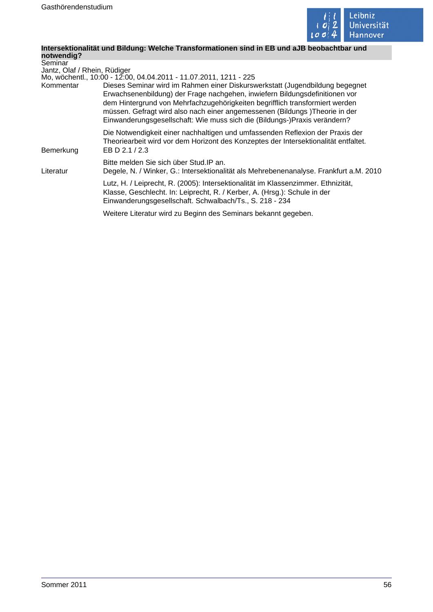

#### **Intersektionalität und Bildung: Welche Transformationen sind in EB und aJB beobachtbar und notwendig?**

**Seminar** Jantz, Olaf / Rhein, Rüdiger Mo, wöchentl., 10:00 - 12:00, 04.04.2011 - 11.07.2011, 1211 - 225 Kommentar Dieses Seminar wird im Rahmen einer Diskurswerkstatt (Jugendbildung begegnet Erwachsenenbildung) der Frage nachgehen, inwiefern Bildungsdefinitionen vor dem Hintergrund von Mehrfachzugehörigkeiten begrifflich transformiert werden müssen. Gefragt wird also nach einer angemessenen (Bildungs )Theorie in der Einwanderungsgesellschaft: Wie muss sich die (Bildungs-)Praxis verändern? Die Notwendigkeit einer nachhaltigen und umfassenden Reflexion der Praxis der Theoriearbeit wird vor dem Horizont des Konzeptes der Intersektionalität entfaltet. Bemerkung EB D 2.1 / 2.3 Bitte melden Sie sich über Stud.IP an. Literatur Degele, N. / Winker, G.: Intersektionalität als Mehrebenenanalyse. Frankfurt a.M. 2010 Lutz, H. / Leiprecht, R. (2005): Intersektionalität im Klassenzimmer. Ethnizität, Klasse, Geschlecht. In: Leiprecht, R. / Kerber, A. (Hrsg.): Schule in der Einwanderungsgesellschaft. Schwalbach/Ts., S. 218 - 234 Weitere Literatur wird zu Beginn des Seminars bekannt gegeben.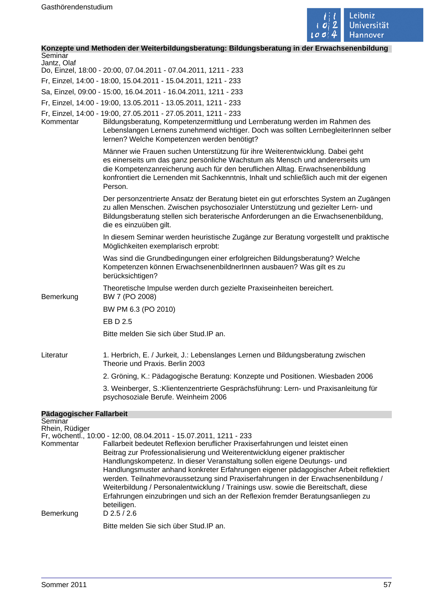

# **Konzepte und Methoden der Weiterbildungsberatung: Bildungsberatung in der Erwachsenenbildung**

| Seminar<br>Jantz, Olaf      |                                                                                                                                                                                                                                                                                                                                                                                                                                                                                                                                                                                                                                                                    |
|-----------------------------|--------------------------------------------------------------------------------------------------------------------------------------------------------------------------------------------------------------------------------------------------------------------------------------------------------------------------------------------------------------------------------------------------------------------------------------------------------------------------------------------------------------------------------------------------------------------------------------------------------------------------------------------------------------------|
|                             | Do, Einzel, 18:00 - 20:00, 07.04.2011 - 07.04.2011, 1211 - 233                                                                                                                                                                                                                                                                                                                                                                                                                                                                                                                                                                                                     |
|                             | Fr, Einzel, 14:00 - 18:00, 15.04.2011 - 15.04.2011, 1211 - 233                                                                                                                                                                                                                                                                                                                                                                                                                                                                                                                                                                                                     |
|                             | Sa, Einzel, 09:00 - 15:00, 16.04.2011 - 16.04.2011, 1211 - 233                                                                                                                                                                                                                                                                                                                                                                                                                                                                                                                                                                                                     |
|                             | Fr, Einzel, 14:00 - 19:00, 13.05.2011 - 13.05.2011, 1211 - 233                                                                                                                                                                                                                                                                                                                                                                                                                                                                                                                                                                                                     |
| Kommentar                   | Fr, Einzel, 14:00 - 19:00, 27.05.2011 - 27.05.2011, 1211 - 233<br>Bildungsberatung, Kompetenzermittlung und Lernberatung werden im Rahmen des<br>Lebenslangen Lernens zunehmend wichtiger. Doch was sollten LernbegleiterInnen selber<br>lernen? Welche Kompetenzen werden benötigt?                                                                                                                                                                                                                                                                                                                                                                               |
|                             | Männer wie Frauen suchen Unterstützung für ihre Weiterentwicklung. Dabei geht<br>es einerseits um das ganz persönliche Wachstum als Mensch und andererseits um<br>die Kompetenzanreicherung auch für den beruflichen Alltag. Erwachsenenbildung<br>konfrontiert die Lernenden mit Sachkenntnis, Inhalt und schließlich auch mit der eigenen<br>Person.                                                                                                                                                                                                                                                                                                             |
|                             | Der personzentrierte Ansatz der Beratung bietet ein gut erforschtes System an Zugängen<br>zu allen Menschen. Zwischen psychosozialer Unterstützung und gezielter Lern- und<br>Bildungsberatung stellen sich beraterische Anforderungen an die Erwachsenenbildung,<br>die es einzuüben gilt.                                                                                                                                                                                                                                                                                                                                                                        |
|                             | In diesem Seminar werden heuristische Zugänge zur Beratung vorgestellt und praktische<br>Möglichkeiten exemplarisch erprobt:                                                                                                                                                                                                                                                                                                                                                                                                                                                                                                                                       |
|                             | Was sind die Grundbedingungen einer erfolgreichen Bildungsberatung? Welche<br>Kompetenzen können ErwachsenenbildnerInnen ausbauen? Was gilt es zu<br>berücksichtigen?                                                                                                                                                                                                                                                                                                                                                                                                                                                                                              |
| Bemerkung                   | Theoretische Impulse werden durch gezielte Praxiseinheiten bereichert.<br>BW 7 (PO 2008)                                                                                                                                                                                                                                                                                                                                                                                                                                                                                                                                                                           |
|                             | BW PM 6.3 (PO 2010)                                                                                                                                                                                                                                                                                                                                                                                                                                                                                                                                                                                                                                                |
|                             | EB D 2.5                                                                                                                                                                                                                                                                                                                                                                                                                                                                                                                                                                                                                                                           |
|                             | Bitte melden Sie sich über Stud. IP an.                                                                                                                                                                                                                                                                                                                                                                                                                                                                                                                                                                                                                            |
| Literatur                   | 1. Herbrich, E. / Jurkeit, J.: Lebenslanges Lernen und Bildungsberatung zwischen<br>Theorie und Praxis, Berlin 2003                                                                                                                                                                                                                                                                                                                                                                                                                                                                                                                                                |
|                             | 2. Gröning, K.: Pädagogische Beratung: Konzepte und Positionen. Wiesbaden 2006                                                                                                                                                                                                                                                                                                                                                                                                                                                                                                                                                                                     |
|                             | 3. Weinberger, S.: Klientenzentrierte Gesprächsführung: Lern- und Praxisanleitung für<br>psychosoziale Berufe. Weinheim 2006                                                                                                                                                                                                                                                                                                                                                                                                                                                                                                                                       |
| Pädagogischer Fallarbeit    |                                                                                                                                                                                                                                                                                                                                                                                                                                                                                                                                                                                                                                                                    |
| Seminar                     |                                                                                                                                                                                                                                                                                                                                                                                                                                                                                                                                                                                                                                                                    |
| Rhein, Rüdiger<br>Kommentar | Fr, wöchentl., 10:00 - 12:00, 08.04.2011 - 15.07.2011, 1211 - 233<br>Fallarbeit bedeutet Reflexion beruflicher Praxiserfahrungen und leistet einen<br>Beitrag zur Professionalisierung und Weiterentwicklung eigener praktischer<br>Handlungskompetenz. In dieser Veranstaltung sollen eigene Deutungs- und<br>Handlungsmuster anhand konkreter Erfahrungen eigener pädagogischer Arbeit reflektiert<br>werden. Teilnahmevoraussetzung sind Praxiserfahrungen in der Erwachsenenbildung /<br>Weiterbildung / Personalentwicklung / Trainings usw. sowie die Bereitschaft, diese<br>Erfahrungen einzubringen und sich an der Reflexion fremder Beratungsanliegen zu |

Bemerkung

Bitte melden Sie sich über Stud.IP an.

beteiligen.<br>D  $2.5 / 2.6$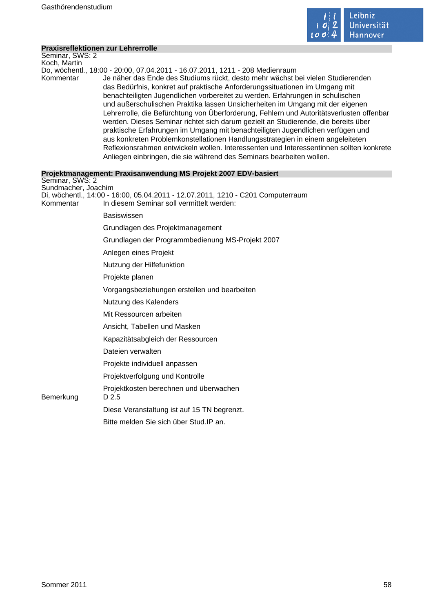

| <b>Praxisreflektionen zur Lehrerrolle</b> |                                                                                                                                                                                                                                                                                                                                                                                                                                                                                                                                                                                                                                                                                                                                                                                                                                                            |
|-------------------------------------------|------------------------------------------------------------------------------------------------------------------------------------------------------------------------------------------------------------------------------------------------------------------------------------------------------------------------------------------------------------------------------------------------------------------------------------------------------------------------------------------------------------------------------------------------------------------------------------------------------------------------------------------------------------------------------------------------------------------------------------------------------------------------------------------------------------------------------------------------------------|
| Seminar, SWS: 2                           |                                                                                                                                                                                                                                                                                                                                                                                                                                                                                                                                                                                                                                                                                                                                                                                                                                                            |
| Koch, Martin                              | Do, wöchentl., 18:00 - 20:00, 07.04.2011 - 16.07.2011, 1211 - 208 Medienraum                                                                                                                                                                                                                                                                                                                                                                                                                                                                                                                                                                                                                                                                                                                                                                               |
| Kommentar                                 | Je näher das Ende des Studiums rückt, desto mehr wächst bei vielen Studierenden<br>das Bedürfnis, konkret auf praktische Anforderungssituationen im Umgang mit<br>benachteiligten Jugendlichen vorbereitet zu werden. Erfahrungen in schulischen<br>und außerschulischen Praktika lassen Unsicherheiten im Umgang mit der eigenen<br>Lehrerrolle, die Befürchtung von Überforderung, Fehlern und Autoritätsverlusten offenbar<br>werden. Dieses Seminar richtet sich darum gezielt an Studierende, die bereits über<br>praktische Erfahrungen im Umgang mit benachteiligten Jugendlichen verfügen und<br>aus konkreten Problemkonstellationen Handlungsstrategien in einem angeleiteten<br>Reflexionsrahmen entwickeln wollen. Interessenten und Interessentinnen sollten konkrete<br>Anliegen einbringen, die sie während des Seminars bearbeiten wollen. |
|                                           | Projektmanagement: Praxisanwendung MS Projekt 2007 EDV-basiert                                                                                                                                                                                                                                                                                                                                                                                                                                                                                                                                                                                                                                                                                                                                                                                             |
| Seminar, SWS: 2<br>Sundmacher, Joachim    |                                                                                                                                                                                                                                                                                                                                                                                                                                                                                                                                                                                                                                                                                                                                                                                                                                                            |
| Kommentar                                 | Di, wöchentl., 14:00 - 16:00, 05.04.2011 - 12.07.2011, 1210 - C201 Computerraum<br>In diesem Seminar soll vermittelt werden:                                                                                                                                                                                                                                                                                                                                                                                                                                                                                                                                                                                                                                                                                                                               |
|                                           | <b>Basiswissen</b>                                                                                                                                                                                                                                                                                                                                                                                                                                                                                                                                                                                                                                                                                                                                                                                                                                         |
|                                           | Grundlagen des Projektmanagement                                                                                                                                                                                                                                                                                                                                                                                                                                                                                                                                                                                                                                                                                                                                                                                                                           |
|                                           | Grundlagen der Programmbedienung MS-Projekt 2007                                                                                                                                                                                                                                                                                                                                                                                                                                                                                                                                                                                                                                                                                                                                                                                                           |
|                                           | Anlegen eines Projekt                                                                                                                                                                                                                                                                                                                                                                                                                                                                                                                                                                                                                                                                                                                                                                                                                                      |
|                                           | Nutzung der Hilfefunktion                                                                                                                                                                                                                                                                                                                                                                                                                                                                                                                                                                                                                                                                                                                                                                                                                                  |
|                                           | Projekte planen                                                                                                                                                                                                                                                                                                                                                                                                                                                                                                                                                                                                                                                                                                                                                                                                                                            |
|                                           | Vorgangsbeziehungen erstellen und bearbeiten                                                                                                                                                                                                                                                                                                                                                                                                                                                                                                                                                                                                                                                                                                                                                                                                               |
|                                           | Nutzung des Kalenders                                                                                                                                                                                                                                                                                                                                                                                                                                                                                                                                                                                                                                                                                                                                                                                                                                      |
|                                           | Mit Ressourcen arbeiten                                                                                                                                                                                                                                                                                                                                                                                                                                                                                                                                                                                                                                                                                                                                                                                                                                    |
|                                           | Ansicht, Tabellen und Masken                                                                                                                                                                                                                                                                                                                                                                                                                                                                                                                                                                                                                                                                                                                                                                                                                               |
|                                           | Kapazitätsabgleich der Ressourcen                                                                                                                                                                                                                                                                                                                                                                                                                                                                                                                                                                                                                                                                                                                                                                                                                          |
|                                           | Dateien verwalten                                                                                                                                                                                                                                                                                                                                                                                                                                                                                                                                                                                                                                                                                                                                                                                                                                          |
|                                           | Projekte individuell anpassen                                                                                                                                                                                                                                                                                                                                                                                                                                                                                                                                                                                                                                                                                                                                                                                                                              |
|                                           | Projektverfolgung und Kontrolle                                                                                                                                                                                                                                                                                                                                                                                                                                                                                                                                                                                                                                                                                                                                                                                                                            |
| Bemerkung                                 | Projektkosten berechnen und überwachen<br>D 2.5                                                                                                                                                                                                                                                                                                                                                                                                                                                                                                                                                                                                                                                                                                                                                                                                            |
|                                           | Diese Veranstaltung ist auf 15 TN begrenzt.                                                                                                                                                                                                                                                                                                                                                                                                                                                                                                                                                                                                                                                                                                                                                                                                                |
|                                           | Bitte melden Sie sich über Stud. IP an.                                                                                                                                                                                                                                                                                                                                                                                                                                                                                                                                                                                                                                                                                                                                                                                                                    |
|                                           |                                                                                                                                                                                                                                                                                                                                                                                                                                                                                                                                                                                                                                                                                                                                                                                                                                                            |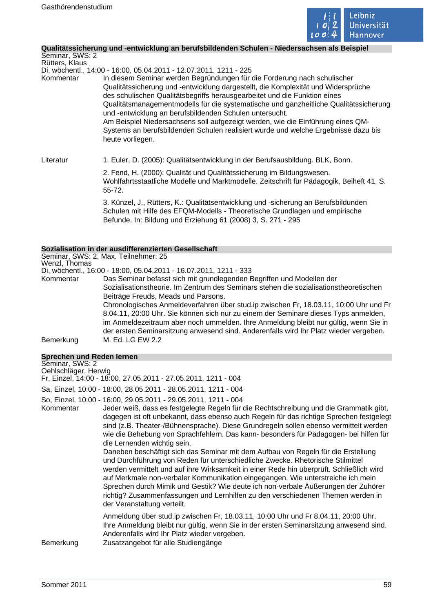

# **Qualitätssicherung und -entwicklung an berufsbildenden Schulen - Niedersachsen als Beispiel**

Seminar, SWS: 2 Rütters, Klaus Di, wöchentl., 14:00 - 16:00, 05.04.2011 - 12.07.2011, 1211 - 225 Kommentar In diesem Seminar werden Begründungen für die Forderung nach schulischer Qualitätssicherung und -entwicklung dargestellt, die Komplexität und Widersprüche des schulischen Qualitätsbegriffs herausgearbeitet und die Funktion eines Qualitätsmanagementmodells für die systematische und ganzheitliche Qualitätssicherung und -entwicklung an berufsbildenden Schulen untersucht. Am Beispiel Niedersachsens soll aufgezeigt werden, wie die Einführung eines QM-Systems an berufsbildenden Schulen realisiert wurde und welche Ergebnisse dazu bis heute vorliegen. Literatur 1. Euler, D. (2005): Qualitätsentwicklung in der Berufsausbildung. BLK, Bonn. 2. Fend, H. (2000): Qualität und Qualitätssicherung im Bildungswesen. Wohlfahrtsstaatliche Modelle und Marktmodelle. Zeitschrift für Pädagogik, Beiheft 41, S.

> 3. Künzel, J., Rütters, K.: Qualitätsentwicklung und -sicherung an Berufsbildunden Schulen mit Hilfe des EFQM-Modells - Theoretische Grundlagen und empirische Befunde. In: Bildung und Erziehung 61 (2008) 3, S. 271 - 295

#### **Sozialisation in der ausdifferenzierten Gesellschaft**

55-72.

Seminar, SWS: 2, Max. Teilnehmer: 25 Wenzl, Thomas

Di, wöchentl., 16:00 - 18:00, 05.04.2011 - 16.07.2011, 1211 - 333

Kommentar Das Seminar befasst sich mit grundlegenden Begriffen und Modellen der Sozialisationstheorie. Im Zentrum des Seminars stehen die sozialisationstheoretischen Beiträge Freuds, Meads und Parsons.

Chronologisches Anmeldeverfahren über stud.ip zwischen Fr, 18.03.11, 10:00 Uhr und Fr 8.04.11, 20:00 Uhr. Sie können sich nur zu einem der Seminare dieses Typs anmelden, im Anmeldezeitraum aber noch ummelden. Ihre Anmeldung bleibt nur gültig, wenn Sie in der ersten Seminarsitzung anwesend sind. Anderenfalls wird Ihr Platz wieder vergeben. Bemerkung M. Ed. LG EW 2.2

# **Sprechen und Reden lernen**

| Seminar, SWS: 2<br>Oehlschläger, Herwig                                                                                                                                                                                                                                                                                                                                                                                                                                                                                                                                                                                                                                                                                                                                                                                                                                                                                                                                                                                                        | Fr, Einzel, 14:00 - 18:00, 27.05.2011 - 27.05.2011, 1211 - 004                                                                                                                                                                                                      |  |
|------------------------------------------------------------------------------------------------------------------------------------------------------------------------------------------------------------------------------------------------------------------------------------------------------------------------------------------------------------------------------------------------------------------------------------------------------------------------------------------------------------------------------------------------------------------------------------------------------------------------------------------------------------------------------------------------------------------------------------------------------------------------------------------------------------------------------------------------------------------------------------------------------------------------------------------------------------------------------------------------------------------------------------------------|---------------------------------------------------------------------------------------------------------------------------------------------------------------------------------------------------------------------------------------------------------------------|--|
| Sa, Einzel, 10:00 - 18:00, 28.05.2011 - 28.05.2011, 1211 - 004                                                                                                                                                                                                                                                                                                                                                                                                                                                                                                                                                                                                                                                                                                                                                                                                                                                                                                                                                                                 |                                                                                                                                                                                                                                                                     |  |
| So, Einzel, 10:00 - 16:00, 29.05.2011 - 29.05.2011, 1211 - 004<br>Jeder weiß, dass es festgelegte Regeln für die Rechtschreibung und die Grammatik gibt,<br>Kommentar<br>dagegen ist oft unbekannt, dass ebenso auch Regeln für das richtige Sprechen festgelegt<br>sind (z.B. Theater-/Bühnensprache). Diese Grundregeln sollen ebenso vermittelt werden<br>wie die Behebung von Sprachfehlern. Das kann- besonders für Pädagogen- bei hilfen für<br>die Lernenden wichtig sein.<br>Daneben beschäftigt sich das Seminar mit dem Aufbau von Regeln für die Erstellung<br>und Durchführung von Reden für unterschiedliche Zwecke. Rhetorische Stilmittel<br>werden vermittelt und auf ihre Wirksamkeit in einer Rede hin überprüft. Schließlich wird<br>auf Merkmale non-verbaler Kommunikation eingegangen. Wie unterstreiche ich mein<br>Sprechen durch Mimik und Gestik? Wie deute ich non-verbale Äußerungen der Zuhörer<br>richtig? Zusammenfassungen und Lernhilfen zu den verschiedenen Themen werden in<br>der Veranstaltung verteilt. |                                                                                                                                                                                                                                                                     |  |
| Bemerkung                                                                                                                                                                                                                                                                                                                                                                                                                                                                                                                                                                                                                                                                                                                                                                                                                                                                                                                                                                                                                                      | Anmeldung über stud.ip zwischen Fr, 18.03.11, 10:00 Uhr und Fr 8.04.11, 20:00 Uhr.<br>Ihre Anmeldung bleibt nur gültig, wenn Sie in der ersten Seminarsitzung anwesend sind.<br>Anderenfalls wird Ihr Platz wieder vergeben.<br>Zusatzangebot für alle Studiengänge |  |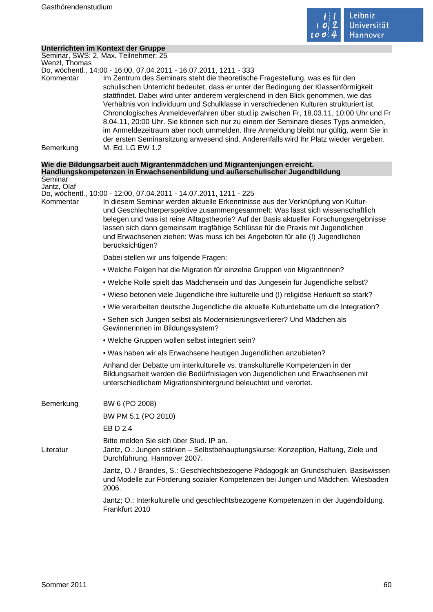

# **Unterrichten im Kontext der Gruppe**

Seminar, SWS: 2, Max. Teilnehmer: 25 Wenzl, Thomas

Do, wöchentl., 14:00 - 16:00, 07.04.2011 - 16.07.2011, 1211 - 333

Kommentar Im Zentrum des Seminars steht die theoretische Fragestellung, was es für den schulischen Unterricht bedeutet, dass er unter der Bedingung der Klassenförmigkeit stattfindet. Dabei wird unter anderem vergleichend in den Blick genommen, wie das Verhältnis von Individuum und Schulklasse in verschiedenen Kulturen strukturiert ist. Chronologisches Anmeldeverfahren über stud.ip zwischen Fr, 18.03.11, 10:00 Uhr und Fr 8.04.11, 20:00 Uhr. Sie können sich nur zu einem der Seminare dieses Typs anmelden, im Anmeldezeitraum aber noch ummelden. Ihre Anmeldung bleibt nur gültig, wenn Sie in der ersten Seminarsitzung anwesend sind. Anderenfalls wird Ihr Platz wieder vergeben. Bemerkung M. Ed. LG EW 1.2

#### **Wie die Bildungsarbeit auch Migrantenmädchen und Migrantenjungen erreicht. Handlungskompetenzen in Erwachsenenbildung und außerschulischer Jugendbildung** Seminar

Jantz, Olaf

Do, wöchentl., 10:00 - 12:00, 07.04.2011 - 14.07.2011, 1211 - 225

Kommentar In diesem Seminar werden aktuelle Erkenntnisse aus der Verknüpfung von Kulturund Geschlechterperspektive zusammengesammelt: Was lässt sich wissenschaftlich belegen und was ist reine Alltagstheorie? Auf der Basis aktueller Forschungsergebnisse lassen sich dann gemeinsam tragfähige Schlüsse für die Praxis mit Jugendlichen und Erwachsenen ziehen: Was muss ich bei Angeboten für alle (!) Jugendlichen berücksichtigen?

Dabei stellen wir uns folgende Fragen:

- Welche Folgen hat die Migration für einzelne Gruppen von MigrantInnen?
- Welche Rolle spielt das Mädchensein und das Jungesein für Jugendliche selbst?
- Wieso betonen viele Jugendliche ihre kulturelle und (!) religiöse Herkunft so stark?
- Wie verarbeiten deutsche Jugendliche die aktuelle Kulturdebatte um die Integration?

• Sehen sich Jungen selbst als Modernisierungsverlierer? Und Mädchen als Gewinnerinnen im Bildungssystem?

- Welche Gruppen wollen selbst integriert sein?
- Was haben wir als Erwachsene heutigen Jugendlichen anzubieten?

Anhand der Debatte um interkulturelle vs. transkulturelle Kompetenzen in der Bildungsarbeit werden die Bedürfnislagen von Jugendlichen und Erwachsenen mit unterschiedlichem Migrationshintergrund beleuchtet und verortet.

| Bemerkung | BW 6 (PO 2008)                                                                                                                                                                   |
|-----------|----------------------------------------------------------------------------------------------------------------------------------------------------------------------------------|
|           | BW PM 5.1 (PO 2010)                                                                                                                                                              |
|           | EB D 2.4                                                                                                                                                                         |
| Literatur | Bitte melden Sie sich über Stud. IP an.<br>Jantz, O.: Jungen stärken - Selbstbehauptungskurse: Konzeption, Haltung, Ziele und<br>Durchführung. Hannover 2007.                    |
|           | Jantz, O. / Brandes, S.: Geschlechtsbezogene Pädagogik an Grundschulen. Basiswissen<br>und Modelle zur Förderung sozialer Kompetenzen bei Jungen und Mädchen. Wiesbaden<br>2006. |
|           | Jantz; O.: Interkulturelle und geschlechtsbezogene Kompetenzen in der Jugendbildung.<br>Frankfurt 2010                                                                           |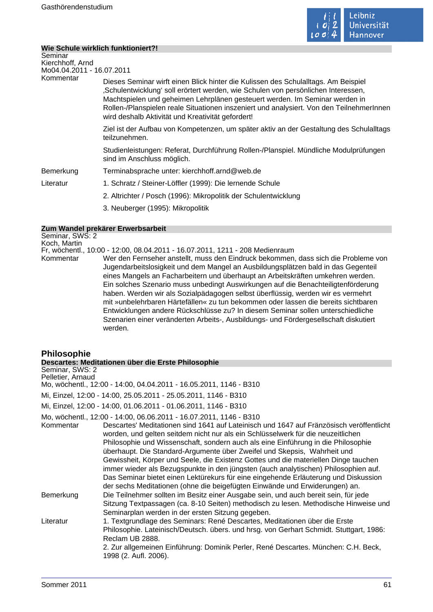

# **Wie Schule wirklich funktioniert?!**

| Seminar<br>Kierchhoff, Arnd |                                                                                                                                                                                                                                                                                                                                                                                                         |  |
|-----------------------------|---------------------------------------------------------------------------------------------------------------------------------------------------------------------------------------------------------------------------------------------------------------------------------------------------------------------------------------------------------------------------------------------------------|--|
| Mo04.04.2011 - 16.07.2011   |                                                                                                                                                                                                                                                                                                                                                                                                         |  |
| Kommentar                   | Dieses Seminar wirft einen Blick hinter die Kulissen des Schulalltags. Am Beispiel<br>"Schulentwicklung' soll erörtert werden, wie Schulen von persönlichen Interessen,<br>Machtspielen und geheimen Lehrplänen gesteuert werden. Im Seminar werden in<br>Rollen-/Planspielen reale Situationen inszeniert und analysiert. Von den TeilnehmerInnen<br>wird deshalb Aktivität und Kreativität gefordert! |  |
|                             | Ziel ist der Aufbau von Kompetenzen, um später aktiv an der Gestaltung des Schulalltags<br>teilzunehmen.                                                                                                                                                                                                                                                                                                |  |
|                             | Studienleistungen: Referat, Durchführung Rollen-/Planspiel. Mündliche Modulprüfungen<br>sind im Anschluss möglich.                                                                                                                                                                                                                                                                                      |  |
| Bemerkung                   | Terminabsprache unter: kierchhoff.arnd@web.de                                                                                                                                                                                                                                                                                                                                                           |  |
| Literatur                   | 1. Schratz / Steiner-Löffler (1999): Die lernende Schule                                                                                                                                                                                                                                                                                                                                                |  |
|                             | 2. Altrichter / Posch (1996): Mikropolitik der Schulentwicklung                                                                                                                                                                                                                                                                                                                                         |  |
|                             | 3. Neuberger (1995): Mikropolitik                                                                                                                                                                                                                                                                                                                                                                       |  |

#### **Zum Wandel prekärer Erwerbsarbeit**

Seminar, SWS: 2 Koch, Martin Fr, wöchentl., 10:00 - 12:00, 08.04.2011 - 16.07.2011, 1211 - 208 Medienraum Kommentar Wer den Fernseher anstellt, muss den Eindruck bekommen, dass sich die Probleme von Jugendarbeitslosigkeit und dem Mangel an Ausbildungsplätzen bald in das Gegenteil eines Mangels an Facharbeitern und überhaupt an Arbeitskräften umkehren werden. Ein solches Szenario muss unbedingt Auswirkungen auf die Benachteiligtenförderung haben. Werden wir als Sozialpädagogen selbst überflüssig, werden wir es vermehrt mit »unbelehrbaren Härtefällen« zu tun bekommen oder lassen die bereits sichtbaren Entwicklungen andere Rückschlüsse zu? In diesem Seminar sollen unterschiedliche Szenarien einer veränderten Arbeits-, Ausbildungs- und Fördergesellschaft diskutiert werden.

# **Philosophie**

|                                      | Descartes: Meditationen über die Erste Philosophie                                                                                                                                                                                                                                                                                                                                                                                                                                                                                                                                                                                                                                                                                                                      |  |  |
|--------------------------------------|-------------------------------------------------------------------------------------------------------------------------------------------------------------------------------------------------------------------------------------------------------------------------------------------------------------------------------------------------------------------------------------------------------------------------------------------------------------------------------------------------------------------------------------------------------------------------------------------------------------------------------------------------------------------------------------------------------------------------------------------------------------------------|--|--|
| Seminar, SWS: 2<br>Pelletier, Arnaud |                                                                                                                                                                                                                                                                                                                                                                                                                                                                                                                                                                                                                                                                                                                                                                         |  |  |
|                                      | Mo, wöchentl., 12:00 - 14:00, 04.04.2011 - 16.05.2011, 1146 - B310                                                                                                                                                                                                                                                                                                                                                                                                                                                                                                                                                                                                                                                                                                      |  |  |
|                                      | Mi, Einzel, 12:00 - 14:00, 25.05.2011 - 25.05.2011, 1146 - B310                                                                                                                                                                                                                                                                                                                                                                                                                                                                                                                                                                                                                                                                                                         |  |  |
|                                      | Mi, Einzel, 12:00 - 14:00, 01.06.2011 - 01.06.2011, 1146 - B310                                                                                                                                                                                                                                                                                                                                                                                                                                                                                                                                                                                                                                                                                                         |  |  |
| Kommentar                            | Mo, wöchentl., 12:00 - 14:00, 06.06.2011 - 16.07.2011, 1146 - B310<br>Descartes' Meditationen sind 1641 auf Lateinisch und 1647 auf Fränzösisch veröffentlicht<br>worden, und gelten seitdem nicht nur als ein Schlüsselwerk für die neuzeitlichen<br>Philosophie und Wissenschaft, sondern auch als eine Einführung in die Philosophie<br>überhaupt. Die Standard-Argumente über Zweifel und Skepsis, Wahrheit und<br>Gewissheit, Körper und Seele, die Existenz Gottes und die materiellen Dinge tauchen<br>immer wieder als Bezugspunkte in den jüngsten (auch analytischen) Philosophien auf.<br>Das Seminar bietet einen Lektürekurs für eine eingehende Erläuterung und Diskussion<br>der sechs Meditationen (ohne die beigefügten Einwände und Erwiderungen) an. |  |  |
| Bemerkung                            | Die Teilnehmer sollten im Besitz einer Ausgabe sein, und auch bereit sein, für jede<br>Sitzung Textpassagen (ca. 8-10 Seiten) methodisch zu lesen. Methodische Hinweise und<br>Seminarplan werden in der ersten Sitzung gegeben.                                                                                                                                                                                                                                                                                                                                                                                                                                                                                                                                        |  |  |
| Literatur                            | 1. Textgrundlage des Seminars: René Descartes, Meditationen über die Erste<br>Philosophie. Lateinisch/Deutsch. übers. und hrsg. von Gerhart Schmidt. Stuttgart, 1986:<br>Reclam UB 2888.<br>2. Zur allgemeinen Einführung: Dominik Perler, René Descartes. München: C.H. Beck,<br>1998 (2. Aufl. 2006).                                                                                                                                                                                                                                                                                                                                                                                                                                                                 |  |  |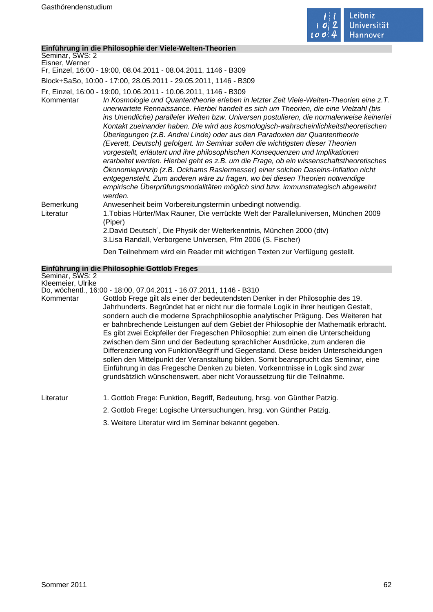

# **Einführung in die Philosophie der Viele-Welten-Theorien**

| Seminar, SWS: 2<br>Eisner, Werner |                                                                                                                                                                                                                                                                                                                                                                                                                                                                                                                                                                                                                                                                                                                                                                                                                                                                                                                                                                                                                                                             |
|-----------------------------------|-------------------------------------------------------------------------------------------------------------------------------------------------------------------------------------------------------------------------------------------------------------------------------------------------------------------------------------------------------------------------------------------------------------------------------------------------------------------------------------------------------------------------------------------------------------------------------------------------------------------------------------------------------------------------------------------------------------------------------------------------------------------------------------------------------------------------------------------------------------------------------------------------------------------------------------------------------------------------------------------------------------------------------------------------------------|
|                                   | Fr, Einzel, 16:00 - 19:00, 08.04.2011 - 08.04.2011, 1146 - B309                                                                                                                                                                                                                                                                                                                                                                                                                                                                                                                                                                                                                                                                                                                                                                                                                                                                                                                                                                                             |
|                                   | Block+SaSo, 10:00 - 17:00, 28.05.2011 - 29.05.2011, 1146 - B309                                                                                                                                                                                                                                                                                                                                                                                                                                                                                                                                                                                                                                                                                                                                                                                                                                                                                                                                                                                             |
| Kommentar                         | Fr, Einzel, 16:00 - 19:00, 10.06.2011 - 10.06.2011, 1146 - B309<br>In Kosmologie und Quantentheorie erleben in letzter Zeit Viele-Welten-Theorien eine z.T.<br>unerwartete Rennaissance. Hierbei handelt es sich um Theorien, die eine Vielzahl (bis<br>ins Unendliche) paralleler Welten bzw. Universen postulieren, die normalerweise keinerlei<br>Kontakt zueinander haben. Die wird aus kosmologisch-wahrscheinlichkeitstheoretischen<br>Überlegungen (z.B. Andrei Linde) oder aus den Paradoxien der Quantentheorie<br>(Everett, Deutsch) gefolgert. Im Seminar sollen die wichtigsten dieser Theorien<br>vorgestellt, erläutert und ihre philosophischen Konsequenzen und Implikationen<br>erarbeitet werden. Hierbei geht es z.B. um die Frage, ob ein wissenschaftstheoretisches<br>Ökonomieprinzip (z.B. Ockhams Rasiermesser) einer solchen Daseins-Inflation nicht<br>entgegensteht. Zum anderen wäre zu fragen, wo bei diesen Theorien notwendige<br>empirische Überprüfungsmodalitäten möglich sind bzw. immunstrategisch abgewehrt<br>werden. |
| Bemerkung<br>Literatur            | Anwesenheit beim Vorbereitungstermin unbedingt notwendig.<br>1. Tobias Hürter/Max Rauner, Die verrückte Welt der Paralleluniversen, München 2009<br>(Piper)<br>2. David Deutsch', Die Physik der Welterkenntnis, München 2000 (dtv)<br>3. Lisa Randall, Verborgene Universen, Ffm 2006 (S. Fischer)                                                                                                                                                                                                                                                                                                                                                                                                                                                                                                                                                                                                                                                                                                                                                         |
|                                   |                                                                                                                                                                                                                                                                                                                                                                                                                                                                                                                                                                                                                                                                                                                                                                                                                                                                                                                                                                                                                                                             |

Den Teilnehmern wird ein Reader mit wichtigen Texten zur Verfügung gestellt.

# **Einführung in die Philosophie Gottlob Freges**

| Seminar, SWS: 2<br>Kleemeier, Ulrike |                                                                                                                                                                                                                                                                                                                                                                                                                                                                                                                                                                                                                                                                                                                                                                                                                                                                      |
|--------------------------------------|----------------------------------------------------------------------------------------------------------------------------------------------------------------------------------------------------------------------------------------------------------------------------------------------------------------------------------------------------------------------------------------------------------------------------------------------------------------------------------------------------------------------------------------------------------------------------------------------------------------------------------------------------------------------------------------------------------------------------------------------------------------------------------------------------------------------------------------------------------------------|
|                                      | Do, wöchentl., 16:00 - 18:00, 07.04.2011 - 16.07.2011, 1146 - B310                                                                                                                                                                                                                                                                                                                                                                                                                                                                                                                                                                                                                                                                                                                                                                                                   |
| Kommentar                            | Gottlob Frege gilt als einer der bedeutendsten Denker in der Philosophie des 19.<br>Jahrhunderts. Begründet hat er nicht nur die formale Logik in ihrer heutigen Gestalt,<br>sondern auch die moderne Sprachphilosophie analytischer Prägung. Des Weiteren hat<br>er bahnbrechende Leistungen auf dem Gebiet der Philosophie der Mathematik erbracht.<br>Es gibt zwei Eckpfeiler der Fregeschen Philosophie: zum einen die Unterscheidung<br>zwischen dem Sinn und der Bedeutung sprachlicher Ausdrücke, zum anderen die<br>Differenzierung von Funktion/Begriff und Gegenstand. Diese beiden Unterscheidungen<br>sollen den Mittelpunkt der Veranstaltung bilden. Somit beansprucht das Seminar, eine<br>Einführung in das Fregesche Denken zu bieten. Vorkenntnisse in Logik sind zwar<br>grundsätzlich wünschenswert, aber nicht Voraussetzung für die Teilnahme. |
| Literatur                            | 1. Gottlob Frege: Funktion, Begriff, Bedeutung, hrsg. von Günther Patzig.                                                                                                                                                                                                                                                                                                                                                                                                                                                                                                                                                                                                                                                                                                                                                                                            |
|                                      | 2. Gottlob Frege: Logische Untersuchungen, hrsg. von Günther Patzig.                                                                                                                                                                                                                                                                                                                                                                                                                                                                                                                                                                                                                                                                                                                                                                                                 |

3. Weitere Literatur wird im Seminar bekannt gegeben.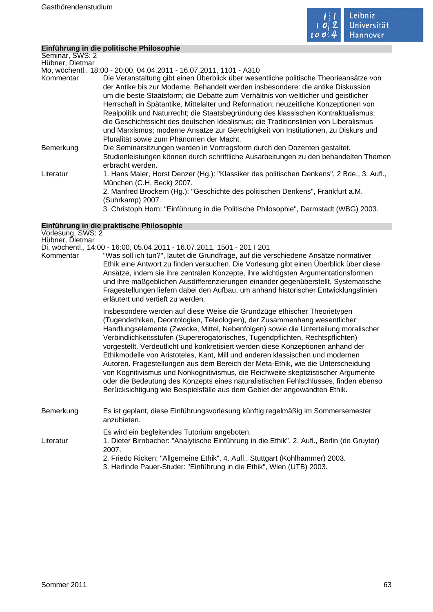

m.

# **Einführung in die politische Philosophie**

| Seminar, SWS: 2 |                                                                                                                                                                                                                                                                                                                                                                                                                                                                                                                                                                                                                                                                        |
|-----------------|------------------------------------------------------------------------------------------------------------------------------------------------------------------------------------------------------------------------------------------------------------------------------------------------------------------------------------------------------------------------------------------------------------------------------------------------------------------------------------------------------------------------------------------------------------------------------------------------------------------------------------------------------------------------|
| Hübner, Dietmar |                                                                                                                                                                                                                                                                                                                                                                                                                                                                                                                                                                                                                                                                        |
|                 | Mo, wöchentl., 18:00 - 20:00, 04.04.2011 - 16.07.2011, 1101 - A310                                                                                                                                                                                                                                                                                                                                                                                                                                                                                                                                                                                                     |
| Kommentar       | Die Veranstaltung gibt einen Überblick über wesentliche politische Theorieansätze von<br>der Antike bis zur Moderne. Behandelt werden insbesondere: die antike Diskussion<br>um die beste Staatsform; die Debatte zum Verhältnis von weltlicher und geistlicher<br>Herrschaft in Spätantike, Mittelalter und Reformation; neuzeitliche Konzeptionen von<br>Realpolitik und Naturrecht; die Staatsbegründung des klassischen Kontraktualismus;<br>die Geschichtssicht des deutschen Idealismus; die Traditionslinien von Liberalismus<br>und Marxismus; moderne Ansätze zur Gerechtigkeit von Institutionen, zu Diskurs und<br>Pluralität sowie zum Phänomen der Macht. |
| Bemerkung       | Die Seminarsitzungen werden in Vortragsform durch den Dozenten gestaltet.<br>Studienleistungen können durch schriftliche Ausarbeitungen zu den behandelten Themen<br>erbracht werden.                                                                                                                                                                                                                                                                                                                                                                                                                                                                                  |
| Literatur       | 1. Hans Maier, Horst Denzer (Hg.): "Klassiker des politischen Denkens", 2 Bde., 3. Aufl.,<br>München (C.H. Beck) 2007.                                                                                                                                                                                                                                                                                                                                                                                                                                                                                                                                                 |
|                 | 2. Manfred Brockern (Hg.): "Geschichte des politischen Denkens", Frankfurt a.M.<br>(Suhrkamp) 2007.                                                                                                                                                                                                                                                                                                                                                                                                                                                                                                                                                                    |
|                 | 3. Christoph Horn: "Einführung in die Politische Philosophie", Darmstadt (WBG) 2003.                                                                                                                                                                                                                                                                                                                                                                                                                                                                                                                                                                                   |

# **Einführung in die praktische Philosophie**

| Vorlesung, SWS: 2<br>Hübner, Dietmar |                                                                                                                                                                                                                                                                                                                                                                                                                                                                                                                                                                                                                                                                                                                                                                                                                                                |
|--------------------------------------|------------------------------------------------------------------------------------------------------------------------------------------------------------------------------------------------------------------------------------------------------------------------------------------------------------------------------------------------------------------------------------------------------------------------------------------------------------------------------------------------------------------------------------------------------------------------------------------------------------------------------------------------------------------------------------------------------------------------------------------------------------------------------------------------------------------------------------------------|
|                                      | Di, wöchentl., 14:00 - 16:00, 05.04.2011 - 16.07.2011, 1501 - 201 I 201                                                                                                                                                                                                                                                                                                                                                                                                                                                                                                                                                                                                                                                                                                                                                                        |
| Kommentar                            | "Was soll ich tun?", lautet die Grundfrage, auf die verschiedene Ansätze normativer<br>Ethik eine Antwort zu finden versuchen. Die Vorlesung gibt einen Überblick über diese<br>Ansätze, indem sie ihre zentralen Konzepte, ihre wichtigsten Argumentationsformen<br>und ihre maßgeblichen Ausdifferenzierungen einander gegenüberstellt. Systematische<br>Fragestellungen liefern dabei den Aufbau, um anhand historischer Entwicklungslinien<br>erläutert und vertieft zu werden.                                                                                                                                                                                                                                                                                                                                                            |
|                                      | Insbesondere werden auf diese Weise die Grundzüge ethischer Theorietypen<br>(Tugendethiken, Deontologien, Teleologien), der Zusammenhang wesentlicher<br>Handlungselemente (Zwecke, Mittel, Nebenfolgen) sowie die Unterteilung moralischer<br>Verbindlichkeitsstufen (Supererogatorisches, Tugendpflichten, Rechtspflichten)<br>vorgestellt. Verdeutlicht und konkretisiert werden diese Konzeptionen anhand der<br>Ethikmodelle von Aristoteles, Kant, Mill und anderen klassischen und modernen<br>Autoren. Fragestellungen aus dem Bereich der Meta-Ethik, wie die Unterscheidung<br>von Kognitivismus und Nonkognitivismus, die Reichweite skeptizistischer Argumente<br>oder die Bedeutung des Konzepts eines naturalistischen Fehlschlusses, finden ebenso<br>Berücksichtigung wie Beispielsfälle aus dem Gebiet der angewandten Ethik. |
| Bemerkung                            | Es ist geplant, diese Einführungsvorlesung künftig regelmäßig im Sommersemester<br>anzubieten.                                                                                                                                                                                                                                                                                                                                                                                                                                                                                                                                                                                                                                                                                                                                                 |
| Literatur                            | Es wird ein begleitendes Tutorium angeboten.<br>1. Dieter Birnbacher: "Analytische Einführung in die Ethik", 2. Aufl., Berlin (de Gruyter)<br>2007.<br>2. Friedo Ricken: "Allgemeine Ethik", 4. Aufl., Stuttgart (Kohlhammer) 2003.<br>3. Herlinde Pauer-Studer: "Einführung in die Ethik", Wien (UTB) 2003.                                                                                                                                                                                                                                                                                                                                                                                                                                                                                                                                   |
|                                      |                                                                                                                                                                                                                                                                                                                                                                                                                                                                                                                                                                                                                                                                                                                                                                                                                                                |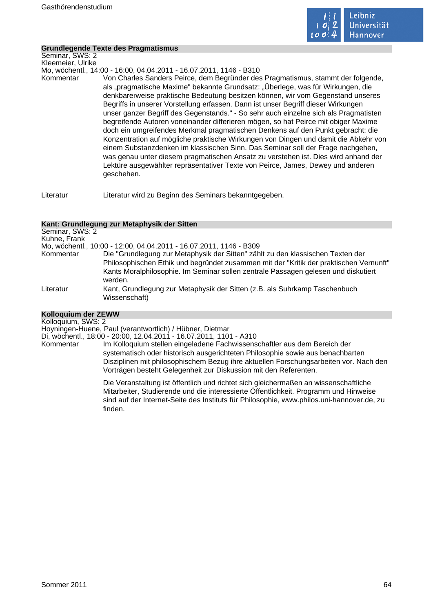

# **Grundlegende Texte des Pragmatismus**

Seminar, SWS: 2 Kleemeier, Ulrike

Mo, wöchentl., 14:00 - 16:00, 04.04.2011 - 16.07.2011, 1146 - B310

Kommentar Von Charles Sanders Peirce, dem Begründer des Pragmatismus, stammt der folgende, als "pragmatische Maxime" bekannte Grundsatz: "Überlege, was für Wirkungen, die denkbarerweise praktische Bedeutung besitzen können, wir vom Gegenstand unseres Begriffs in unserer Vorstellung erfassen. Dann ist unser Begriff dieser Wirkungen unser ganzer Begriff des Gegenstands." - So sehr auch einzelne sich als Pragmatisten begreifende Autoren voneinander differieren mögen, so hat Peirce mit obiger Maxime doch ein umgreifendes Merkmal pragmatischen Denkens auf den Punkt gebracht: die Konzentration auf mögliche praktische Wirkungen von Dingen und damit die Abkehr von einem Substanzdenken im klassischen Sinn. Das Seminar soll der Frage nachgehen, was genau unter diesem pragmatischen Ansatz zu verstehen ist. Dies wird anhand der Lektüre ausgewählter repräsentativer Texte von Peirce, James, Dewey und anderen geschehen.

Literatur Literatur wird zu Beginn des Seminars bekanntgegeben.

# **Kant: Grundlegung zur Metaphysik der Sitten**

| Mo, wöchentl., 10:00 - 12:00, 04.04.2011 - 16.07.2011, 1146 - B309                                                                                                                                                                                                         |
|----------------------------------------------------------------------------------------------------------------------------------------------------------------------------------------------------------------------------------------------------------------------------|
| Die "Grundlegung zur Metaphysik der Sitten" zählt zu den klassischen Texten der<br>Philosophischen Ethik und begründet zusammen mit der "Kritik der praktischen Vernunft"<br>Kants Moralphilosophie. Im Seminar sollen zentrale Passagen gelesen und diskutiert<br>werden. |
| Kant, Grundlegung zur Metaphysik der Sitten (z.B. als Suhrkamp Taschenbuch<br>Wissenschaft)                                                                                                                                                                                |
|                                                                                                                                                                                                                                                                            |

# **Kolloquium der ZEWW**

Kolloquium, SWS: 2 Hoyningen-Huene, Paul (verantwortlich) / Hübner, Dietmar

Di, wöchentl., 18:00 - 20:00, 12.04.2011 - 16.07.2011, 1101 - A310

Kommentar Im Kolloquium stellen eingeladene Fachwissenschaftler aus dem Bereich der systematisch oder historisch ausgerichteten Philosophie sowie aus benachbarten Disziplinen mit philosophischem Bezug ihre aktuellen Forschungsarbeiten vor. Nach den Vorträgen besteht Gelegenheit zur Diskussion mit den Referenten.

> Die Veranstaltung ist öffentlich und richtet sich gleichermaßen an wissenschaftliche Mitarbeiter, Studierende und die interessierte Öffentlichkeit. Programm und Hinweise sind auf der Internet-Seite des Instituts für Philosophie, www.philos.uni-hannover.de, zu finden.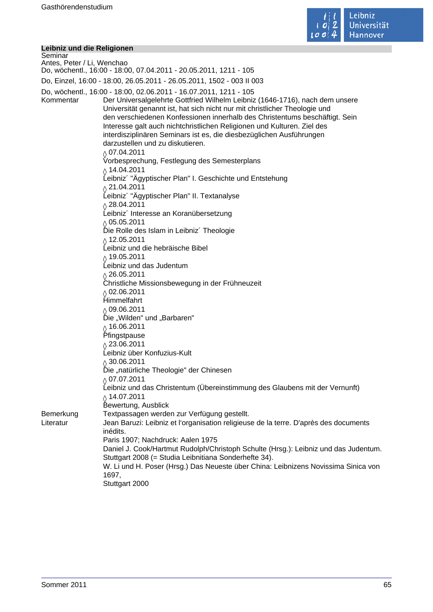

#### **Leibniz und die Religionen**

Seminar Antes, Peter / Li, Wenchao Do, wöchentl., 16:00 - 18:00, 07.04.2011 - 20.05.2011, 1211 - 105 Do, Einzel, 16:00 - 18:00, 26.05.2011 - 26.05.2011, 1502 - 003 II 003 Do, wöchentl., 16:00 - 18:00, 02.06.2011 - 16.07.2011, 1211 - 105 Kommentar Der Universalgelehrte Gottfried Wilhelm Leibniz (1646-1716), nach dem unsere Universität genannt ist, hat sich nicht nur mit christlicher Theologie und den verschiedenen Konfessionen innerhalb des Christentums beschäftigt. Sein Interesse galt auch nichtchristlichen Religionen und Kulturen. Ziel des interdisziplinären Seminars ist es, die diesbezüglichen Ausführungen darzustellen und zu diskutieren.  $\lozenge$  07.04.2011 Vorbesprechung, Festlegung des Semesterplans  $\lozenge$  14.04.2011 Leibniz´ "Ägyptischer Plan" I. Geschichte und Entstehung  $\lozenge$  21.04.2011 Leibniz´ "Ägyptischer Plan" II. Textanalyse  $\lozenge$  28.04.2011 Leibniz´ Interesse an Koranübersetzung  $\frac{\Diamond}{\Diamond}$  05.05.2011 Die Rolle des Islam in Leibniz´ Theologie  $\lozenge$  12.05.2011 Leibniz und die hebräische Bibel  $\lozenge$  19.05.2011 Leibniz und das Judentum  $\sqrt{26.05.2011}$ Christliche Missionsbewegung in der Frühneuzeit  $\gamma$  02.06.2011 Himmelfahrt  $\frac{6}{2}$  09.06.2011 Die "Wilden" und "Barbaren"  $\delta$  16.06.2011 Pfingstpause  $\lozenge$  23.06.2011 Leibniz über Konfuzius-Kult  $\frac{\Diamond}{\Diamond}$  30.06.2011 Die "natürliche Theologie" der Chinesen  $\lozenge$  07.07.2011 Leibniz und das Christentum (Übereinstimmung des Glaubens mit der Vernunft)  $\delta$  14.07.2011 Bewertung, Ausblick Bemerkung Textpassagen werden zur Verfügung gestellt. Literatur Jean Baruzi: Leibniz et l'organisation religieuse de la terre. D'après des documents inédits. Paris 1907; Nachdruck: Aalen 1975 Daniel J. Cook/Hartmut Rudolph/Christoph Schulte (Hrsg.): Leibniz und das Judentum. Stuttgart 2008 (= Studia Leibnitiana Sonderhefte 34). W. Li und H. Poser (Hrsg.) Das Neueste über China: Leibnizens Novissima Sinica von 1697, Stuttgart 2000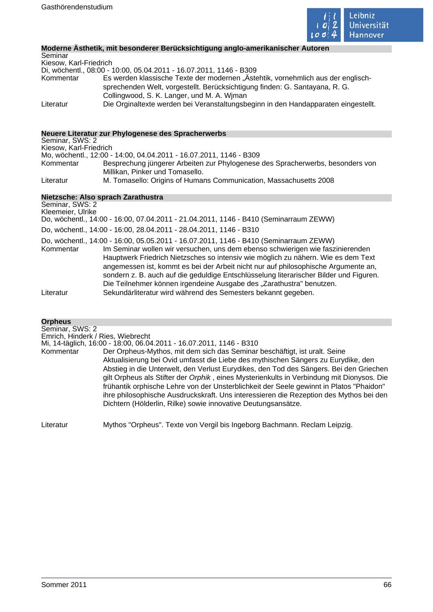

# **Moderne Ästhetik, mit besonderer Berücksichtigung anglo-amerikanischer Autoren**

| Seminar                |                                                                                                                                                                                                               |
|------------------------|---------------------------------------------------------------------------------------------------------------------------------------------------------------------------------------------------------------|
| Kiesow, Karl-Friedrich |                                                                                                                                                                                                               |
|                        | Di, wöchentl., 08:00 - 10:00, 05.04.2011 - 16.07.2011, 1146 - B309                                                                                                                                            |
| Kommentar              | Es werden klassische Texte der modernen "Ästehtik, vornehmlich aus der englisch-<br>sprechenden Welt, vorgestellt. Berücksichtigung finden: G. Santayana, R. G.<br>Collingwood, S. K. Langer, und M. A. Wiman |
| Literatur              | Die Orginaltexte werden bei Veranstaltungsbeginn in den Handapparaten eingestellt.                                                                                                                            |

# **Neuere Literatur zur Phylogenese des Spracherwerbs**

| Seminar, SWS: 2        |                                                                                |
|------------------------|--------------------------------------------------------------------------------|
| Kiesow, Karl-Friedrich |                                                                                |
|                        | Mo, wöchentl., 12:00 - 14:00, 04.04.2011 - 16.07.2011, 1146 - B309             |
| Kommentar              | Besprechung jüngerer Arbeiten zur Phylogenese des Spracherwerbs, besonders von |
|                        | Millikan, Pinker und Tomasello.                                                |
| Literatur              | M. Tomasello: Origins of Humans Communication, Massachusetts 2008              |

# **Nietzsche: Also sprach Zarathustra**

Seminar, SWS: 2 Kleemeier, Ulrike

Do, wöchentl., 14:00 - 16:00, 07.04.2011 - 21.04.2011, 1146 - B410 (Seminarraum ZEWW)

Do, wöchentl., 14:00 - 16:00, 28.04.2011 - 28.04.2011, 1146 - B310

- Do, wöchentl., 14:00 16:00, 05.05.2011 16.07.2011, 1146 B410 (Seminarraum ZEWW)
- Kommentar Im Seminar wollen wir versuchen, uns dem ebenso schwierigen wie faszinierenden Hauptwerk Friedrich Nietzsches so intensiv wie möglich zu nähern. Wie es dem Text angemessen ist, kommt es bei der Arbeit nicht nur auf philosophische Argumente an, sondern z. B. auch auf die geduldige Entschlüsselung literarischer Bilder und Figuren. Die Teilnehmer können irgendeine Ausgabe des "Zarathustra" benutzen. Literatur Sekundärliteratur wird während des Semesters bekannt gegeben.

# **Orpheus**

Seminar, SWS: 2 Emrich, Hinderk / Ries, Wiebrecht

Mi, 14-täglich, 16:00 - 18:00, 06.04.2011 - 16.07.2011, 1146 - B310

Kommentar Der Orpheus-Mythos, mit dem sich das Seminar beschäftigt, ist uralt. Seine Aktualisierung bei Ovid umfasst die Liebe des mythischen Sängers zu Eurydike, den Abstieg in die Unterwelt, den Verlust Eurydikes, den Tod des Sängers. Bei den Griechen gilt Orpheus als Stifter der Orphik , eines Mysterienkults in Verbindung mit Dionysos. Die frühantik orphische Lehre von der Unsterblichkeit der Seele gewinnt in Platos "Phaidon" ihre philosophische Ausdruckskraft. Uns interessieren die Rezeption des Mythos bei den Dichtern (Hölderlin, Rilke) sowie innovative Deutungsansätze.

Literatur Mythos "Orpheus". Texte von Vergil bis Ingeborg Bachmann. Reclam Leipzig.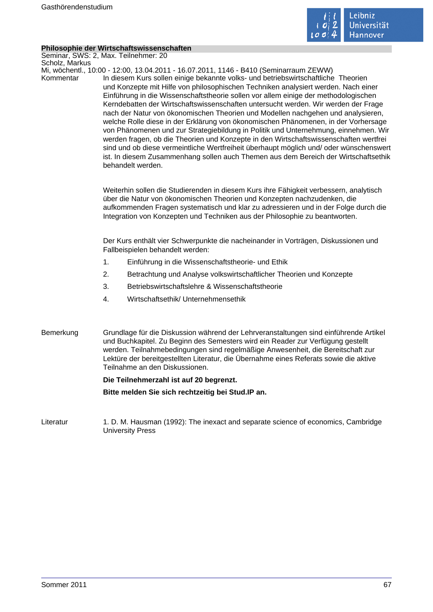

# **Philosophie der Wirtschaftswissenschaften**

Seminar, SWS: 2, Max. Teilnehmer: 20 Scholz, Markus Mi, wöchentl., 10:00 - 12:00, 13.04.2011 - 16.07.2011, 1146 - B410 (Seminarraum ZEWW) Kommentar In diesem Kurs sollen einige bekannte volks- und betriebswirtschaftliche Theorien und Konzepte mit Hilfe von philosophischen Techniken analysiert werden. Nach einer Einführung in die Wissenschaftstheorie sollen vor allem einige der methodologischen Kerndebatten der Wirtschaftswissenschaften untersucht werden. Wir werden der Frage nach der Natur von ökonomischen Theorien und Modellen nachgehen und analysieren, welche Rolle diese in der Erklärung von ökonomischen Phänomenen, in der Vorhersage von Phänomenen und zur Strategiebildung in Politik und Unternehmung, einnehmen. Wir werden fragen, ob die Theorien und Konzepte in den Wirtschaftswissenschaften wertfrei sind und ob diese vermeintliche Wertfreiheit überhaupt möglich und/ oder wünschenswert ist. In diesem Zusammenhang sollen auch Themen aus dem Bereich der Wirtschaftsethik behandelt werden. Weiterhin sollen die Studierenden in diesem Kurs ihre Fähigkeit verbessern, analytisch über die Natur von ökonomischen Theorien und Konzepten nachzudenken, die aufkommenden Fragen systematisch und klar zu adressieren und in der Folge durch die Integration von Konzepten und Techniken aus der Philosophie zu beantworten. Der Kurs enthält vier Schwerpunkte die nacheinander in Vorträgen, Diskussionen und Fallbeispielen behandelt werden: 1. Einführung in die Wissenschaftstheorie- und Ethik 2. Betrachtung und Analyse volkswirtschaftlicher Theorien und Konzepte 3. Betriebswirtschaftslehre & Wissenschaftstheorie 4. Wirtschaftsethik/ Unternehmensethik Bemerkung Grundlage für die Diskussion während der Lehrveranstaltungen sind einführende Artikel und Buchkapitel. Zu Beginn des Semesters wird ein Reader zur Verfügung gestellt werden. Teilnahmebedingungen sind regelmäßige Anwesenheit, die Bereitschaft zur Lektüre der bereitgestellten Literatur, die Übernahme eines Referats sowie die aktive Teilnahme an den Diskussionen. **Die Teilnehmerzahl ist auf 20 begrenzt. Bitte melden Sie sich rechtzeitig bei Stud.IP an.**

Literatur 1. D. M. Hausman (1992): The inexact and separate science of economics, Cambridge University Press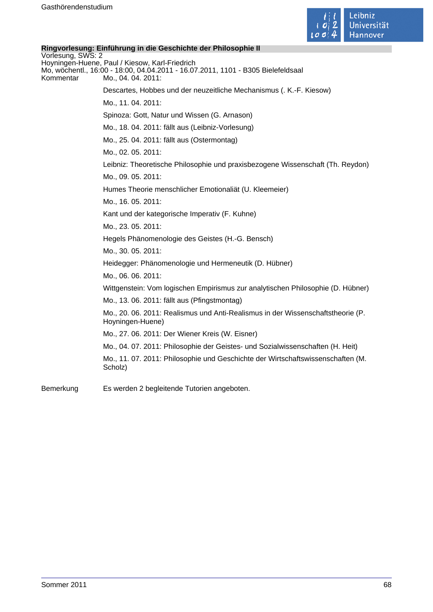

# **Ringvorlesung: Einführung in die Geschichte der Philosophie II** Vorlesung, SWS: 2 Hoyningen-Huene, Paul / Kiesow, Karl-Friedrich Mo, wöchentl., 16:00 - 18:00, 04.04.2011 - 16.07.2011, 1101 - B305 Bielefeldsaal Kommentar Mo., 04. 04. 2011: Descartes, Hobbes und der neuzeitliche Mechanismus (. K.-F. Kiesow) Mo., 11. 04. 2011: Spinoza: Gott, Natur und Wissen (G. Arnason) Mo., 18. 04. 2011: fällt aus (Leibniz-Vorlesung) Mo., 25. 04. 2011: fällt aus (Ostermontag) Mo., 02. 05. 2011: Leibniz: Theoretische Philosophie und praxisbezogene Wissenschaft (Th. Reydon) Mo., 09. 05. 2011: Humes Theorie menschlicher Emotionaliät (U. Kleemeier) Mo., 16. 05. 2011: Kant und der kategorische Imperativ (F. Kuhne) Mo., 23. 05. 2011: Hegels Phänomenologie des Geistes (H.-G. Bensch) Mo., 30. 05. 2011: Heidegger: Phänomenologie und Hermeneutik (D. Hübner) Mo., 06. 06. 2011: Wittgenstein: Vom logischen Empirismus zur analytischen Philosophie (D. Hübner) Mo., 13. 06. 2011: fällt aus (Pfingstmontag) Mo., 20. 06. 2011: Realismus und Anti-Realismus in der Wissenschaftstheorie (P. Hoyningen-Huene) Mo., 27. 06. 2011: Der Wiener Kreis (W. Eisner) Mo., 04. 07. 2011: Philosophie der Geistes- und Sozialwissenschaften (H. Heit) Mo., 11. 07. 2011: Philosophie und Geschichte der Wirtschaftswissenschaften (M. Scholz) Bemerkung Es werden 2 begleitende Tutorien angeboten.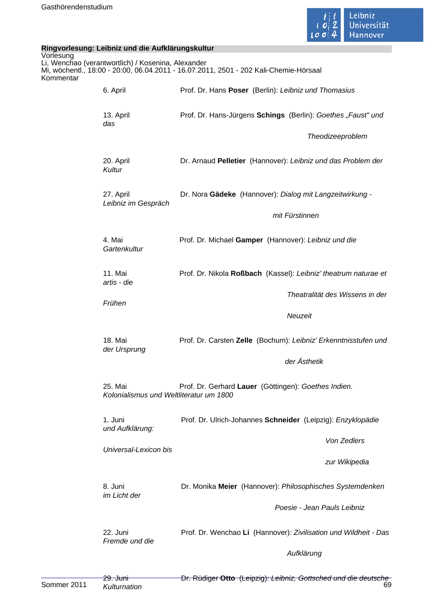

| Ringvorlesung: Leibniz und die Aufklärungskultur |                                                    |                                                                                       |
|--------------------------------------------------|----------------------------------------------------|---------------------------------------------------------------------------------------|
| Vorlesung<br>Kommentar                           | Li, Wenchao (verantwortlich) / Kosenina, Alexander | Mi, wöchentl., 18:00 - 20:00, 06.04.2011 - 16.07.2011, 2501 - 202 Kali-Chemie-Hörsaal |
|                                                  | 6. April                                           | Prof. Dr. Hans Poser (Berlin): Leibniz und Thomasius                                  |
|                                                  | 13. April<br>das                                   | Prof. Dr. Hans-Jürgens Schings (Berlin): Goethes "Faust" und                          |
|                                                  |                                                    | Theodizeeproblem                                                                      |
|                                                  | 20. April<br>Kultur                                | Dr. Arnaud Pelletier (Hannover): Leibniz und das Problem der                          |
|                                                  | 27. April<br>Leibniz im Gespräch                   | Dr. Nora Gädeke (Hannover): Dialog mit Langzeitwirkung -                              |
|                                                  |                                                    | mit Fürstinnen                                                                        |
|                                                  | 4. Mai<br>Gartenkultur                             | Prof. Dr. Michael Gamper (Hannover): Leibniz und die                                  |
|                                                  | 11. Mai<br>artis - die                             | Prof. Dr. Nikola Roßbach (Kassel): Leibniz' theatrum naturae et                       |
|                                                  | Frühen                                             | Theatralität des Wissens in der                                                       |
|                                                  |                                                    | Neuzeit                                                                               |
|                                                  | 18. Mai<br>der Ursprung                            | Prof. Dr. Carsten Zelle (Bochum): Leibniz' Erkenntnisstufen und                       |
|                                                  |                                                    | der Ästhetik                                                                          |
|                                                  | 25. Mai<br>Kolonialismus und Weltliteratur um 1800 | Prof. Dr. Gerhard Lauer (Göttingen): Goethes Indien.                                  |
|                                                  | 1. Juni<br>und Aufklärung:                         | Prof. Dr. Ulrich-Johannes Schneider (Leipzig): Enzyklopädie                           |
|                                                  | Universal-Lexicon bis                              | Von Zedlers                                                                           |
|                                                  |                                                    | zur Wikipedia                                                                         |
|                                                  | 8. Juni<br>im Licht der                            | Dr. Monika Meier (Hannover): Philosophisches Systemdenken                             |
|                                                  |                                                    | Poesie - Jean Pauls Leibniz                                                           |
|                                                  | 22. Juni<br>Fremde und die                         | Prof. Dr. Wenchao Li (Hannover): Zivilisation und Wildheit - Das                      |
|                                                  |                                                    | Aufklärung                                                                            |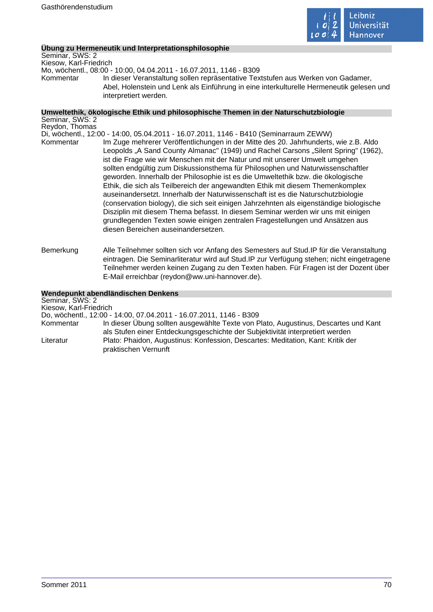

# **Übung zu Hermeneutik und Interpretationsphilosophie**

Seminar, SWS: 2 Kiesow, Karl-Friedrich Mo, wöchentl., 08:00 - 10:00, 04.04.2011 - 16.07.2011, 1146 - B309 Kommentar In dieser Veranstaltung sollen repräsentative Textstufen aus Werken von Gadamer, Abel, Holenstein und Lenk als Einführung in eine interkulturelle Hermeneutik gelesen und interpretiert werden.

#### **Umweltethik, ökologische Ethik und philosophische Themen in der Naturschutzbiologie** Seminar, SWS: 2

Reydon, Thomas Di, wöchentl., 12:00 - 14:00, 05.04.2011 - 16.07.2011, 1146 - B410 (Seminarraum ZEWW) Kommentar Im Zuge mehrerer Veröffentlichungen in der Mitte des 20. Jahrhunderts, wie z.B. Aldo Leopolds ..A Sand County Almanac" (1949) und Rachel Carsons ..Silent Spring" (1962), ist die Frage wie wir Menschen mit der Natur und mit unserer Umwelt umgehen sollten endgültig zum Diskussionsthema für Philosophen und Naturwissenschaftler geworden. Innerhalb der Philosophie ist es die Umweltethik bzw. die ökologische Ethik, die sich als Teilbereich der angewandten Ethik mit diesem Themenkomplex auseinandersetzt. Innerhalb der Naturwissenschaft ist es die Naturschutzbiologie (conservation biology), die sich seit einigen Jahrzehnten als eigenständige biologische Disziplin mit diesem Thema befasst. In diesem Seminar werden wir uns mit einigen grundlegenden Texten sowie einigen zentralen Fragestellungen und Ansätzen aus diesen Bereichen auseinandersetzen.

Bemerkung Alle Teilnehmer sollten sich vor Anfang des Semesters auf Stud.IP für die Veranstaltung eintragen. Die Seminarliteratur wird auf Stud.IP zur Verfügung stehen; nicht eingetragene Teilnehmer werden keinen Zugang zu den Texten haben. Für Fragen ist der Dozent über E-Mail erreichbar (reydon@ww.uni-hannover.de).

#### **Wendepunkt abendländischen Denkens**

Seminar, SWS: 2 Kiesow, Karl-Friedrich Do, wöchentl., 12:00 - 14:00, 07.04.2011 - 16.07.2011, 1146 - B309 In dieser Übung sollten ausgewählte Texte von Plato, Augustinus, Descartes und Kant als Stufen einer Entdeckungsgeschichte der Subjektivität interpretiert werden Literatur Plato: Phaidon, Augustinus: Konfession, Descartes: Meditation, Kant: Kritik der praktischen Vernunft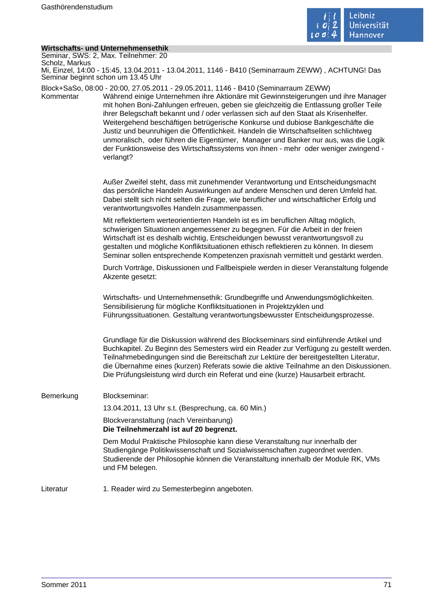

# **Wirtschafts- und Unternehmensethik**

| Wirtschafts- und Unternehmensethik                                                                                                     |                                                                                                                                                                                                                                                                                                                                                                                                                                                                                                                                                                                                                                                                                                                            |  |
|----------------------------------------------------------------------------------------------------------------------------------------|----------------------------------------------------------------------------------------------------------------------------------------------------------------------------------------------------------------------------------------------------------------------------------------------------------------------------------------------------------------------------------------------------------------------------------------------------------------------------------------------------------------------------------------------------------------------------------------------------------------------------------------------------------------------------------------------------------------------------|--|
| Seminar, SWS: 2, Max. Teilnehmer: 20<br>Scholz, Markus                                                                                 |                                                                                                                                                                                                                                                                                                                                                                                                                                                                                                                                                                                                                                                                                                                            |  |
| Mi, Einzel, 14:00 - 15:45, 13.04.2011 - 13.04.2011, 1146 - B410 (Seminarraum ZEWW), ACHTUNG! Das<br>Seminar beginnt schon um 13.45 Uhr |                                                                                                                                                                                                                                                                                                                                                                                                                                                                                                                                                                                                                                                                                                                            |  |
| Kommentar                                                                                                                              | Block+SaSo, 08:00 - 20:00, 27.05.2011 - 29.05.2011, 1146 - B410 (Seminarraum ZEWW)<br>Während einige Unternehmen ihre Aktionäre mit Gewinnsteigerungen und ihre Manager<br>mit hohen Boni-Zahlungen erfreuen, geben sie gleichzeitig die Entlassung großer Teile<br>ihrer Belegschaft bekannt und / oder verlassen sich auf den Staat als Krisenhelfer.<br>Weitergehend beschäftigen betrügerische Konkurse und dubiose Bankgeschäfte die<br>Justiz und beunruhigen die Öffentlichkeit. Handeln die Wirtschaftseliten schlichtweg<br>unmoralisch, oder führen die Eigentümer, Manager und Banker nur aus, was die Logik<br>der Funktionsweise des Wirtschaftssystems von ihnen - mehr oder weniger zwingend -<br>verlangt? |  |
|                                                                                                                                        | Außer Zweifel steht, dass mit zunehmender Verantwortung und Entscheidungsmacht<br>das persönliche Handeln Auswirkungen auf andere Menschen und deren Umfeld hat.<br>Dabei stellt sich nicht selten die Frage, wie beruflicher und wirtschaftlicher Erfolg und<br>verantwortungsvolles Handeln zusammenpassen.                                                                                                                                                                                                                                                                                                                                                                                                              |  |
|                                                                                                                                        | Mit reflektiertem werteorientierten Handeln ist es im beruflichen Alltag möglich,<br>schwierigen Situationen angemessener zu begegnen. Für die Arbeit in der freien<br>Wirtschaft ist es deshalb wichtig, Entscheidungen bewusst verantwortungsvoll zu<br>gestalten und mögliche Konfliktsituationen ethisch reflektieren zu können. In diesem<br>Seminar sollen entsprechende Kompetenzen praxisnah vermittelt und gestärkt werden.                                                                                                                                                                                                                                                                                       |  |
|                                                                                                                                        | Durch Vorträge, Diskussionen und Fallbeispiele werden in dieser Veranstaltung folgende<br>Akzente gesetzt:                                                                                                                                                                                                                                                                                                                                                                                                                                                                                                                                                                                                                 |  |
|                                                                                                                                        | Wirtschafts- und Unternehmensethik: Grundbegriffe und Anwendungsmöglichkeiten.<br>Sensibilisierung für mögliche Konfliktsituationen in Projektzyklen und<br>Führungssituationen. Gestaltung verantwortungsbewusster Entscheidungsprozesse.                                                                                                                                                                                                                                                                                                                                                                                                                                                                                 |  |
|                                                                                                                                        | Grundlage für die Diskussion während des Blockseminars sind einführende Artikel und<br>Buchkapitel. Zu Beginn des Semesters wird ein Reader zur Verfügung zu gestellt werden.<br>Teilnahmebedingungen sind die Bereitschaft zur Lektüre der bereitgestellten Literatur,<br>die Übernahme eines (kurzen) Referats sowie die aktive Teilnahme an den Diskussionen.<br>Die Prüfungsleistung wird durch ein Referat und eine (kurze) Hausarbeit erbracht.                                                                                                                                                                                                                                                                      |  |
| Bemerkung                                                                                                                              | Blockseminar:                                                                                                                                                                                                                                                                                                                                                                                                                                                                                                                                                                                                                                                                                                              |  |
|                                                                                                                                        | 13.04.2011, 13 Uhr s.t. (Besprechung, ca. 60 Min.)                                                                                                                                                                                                                                                                                                                                                                                                                                                                                                                                                                                                                                                                         |  |
|                                                                                                                                        | Blockveranstaltung (nach Vereinbarung)<br>Die Teilnehmerzahl ist auf 20 begrenzt.                                                                                                                                                                                                                                                                                                                                                                                                                                                                                                                                                                                                                                          |  |
|                                                                                                                                        | Dem Modul Praktische Philosophie kann diese Veranstaltung nur innerhalb der<br>Studiengänge Politikwissenschaft und Sozialwissenschaften zugeordnet werden.<br>Studierende der Philosophie können die Veranstaltung innerhalb der Module RK, VMs<br>und FM belegen.                                                                                                                                                                                                                                                                                                                                                                                                                                                        |  |
| Literatur                                                                                                                              | 1. Reader wird zu Semesterbeginn angeboten.                                                                                                                                                                                                                                                                                                                                                                                                                                                                                                                                                                                                                                                                                |  |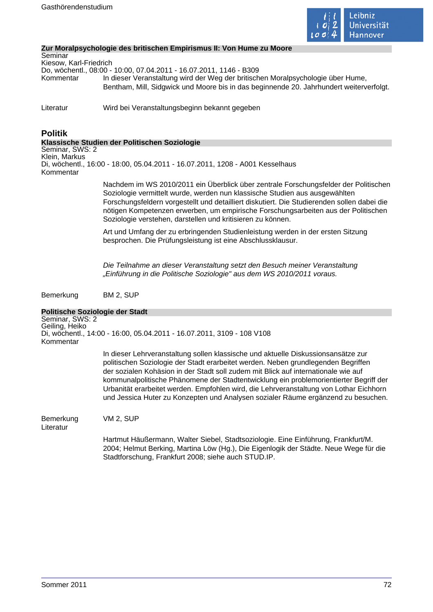

# **Zur Moralpsychologie des britischen Empirismus II: Von Hume zu Moore**

**Seminar** Kiesow, Karl-Friedrich Do, wöchentl., 08:00 - 10:00, 07.04.2011 - 16.07.2011, 1146 - B309 Kommentar In dieser Veranstaltung wird der Weg der britischen Moralpsychologie über Hume, Bentham, Mill, Sidgwick und Moore bis in das beginnende 20. Jahrhundert weiterverfolgt.

Literatur Wird bei Veranstaltungsbeginn bekannt gegeben

# **Politik**

# **Klassische Studien der Politischen Soziologie**

Seminar, SWS: 2 Klein, Markus

Di, wöchentl., 16:00 - 18:00, 05.04.2011 - 16.07.2011, 1208 - A001 Kesselhaus Kommentar

> Nachdem im WS 2010/2011 ein Überblick über zentrale Forschungsfelder der Politischen Soziologie vermittelt wurde, werden nun klassische Studien aus ausgewählten Forschungsfeldern vorgestellt und detailliert diskutiert. Die Studierenden sollen dabei die nötigen Kompetenzen erwerben, um empirische Forschungsarbeiten aus der Politischen Soziologie verstehen, darstellen und kritisieren zu können.

Art und Umfang der zu erbringenden Studienleistung werden in der ersten Sitzung besprochen. Die Prüfungsleistung ist eine Abschlussklausur.

Die Teilnahme an dieser Veranstaltung setzt den Besuch meiner Veranstaltung "Einführung in die Politische Soziologie" aus dem WS 2010/2011 voraus.

Bemerkung BM 2, SUP

|                                                | Politische Soziologie der Stadt                                                                                                                                                                                                                                                                                                                                                                                                                                                                                                      |
|------------------------------------------------|--------------------------------------------------------------------------------------------------------------------------------------------------------------------------------------------------------------------------------------------------------------------------------------------------------------------------------------------------------------------------------------------------------------------------------------------------------------------------------------------------------------------------------------|
| Seminar, SWS: 2<br>Geiling, Heiko<br>Kommentar | Di, wöchentl., 14:00 - 16:00, 05.04.2011 - 16.07.2011, 3109 - 108 V108                                                                                                                                                                                                                                                                                                                                                                                                                                                               |
|                                                | In dieser Lehrveranstaltung sollen klassische und aktuelle Diskussionsansätze zur<br>politischen Soziologie der Stadt erarbeitet werden. Neben grundlegenden Begriffen<br>der sozialen Kohäsion in der Stadt soll zudem mit Blick auf internationale wie auf<br>kommunalpolitische Phänomene der Stadtentwicklung ein problemorientierter Begriff der<br>Urbanität erarbeitet werden. Empfohlen wird, die Lehrveranstaltung von Lothar Eichhorn<br>und Jessica Huter zu Konzepten und Analysen sozialer Räume ergänzend zu besuchen. |
| Bemerkung<br>Literatur                         | VM 2. SUP                                                                                                                                                                                                                                                                                                                                                                                                                                                                                                                            |
|                                                | Hartmut Häußermann, Walter Siebel, Stadtsoziologie. Eine Einführung, Frankfurt/M.<br>2004; Helmut Berking, Martina Löw (Hg.), Die Eigenlogik der Städte. Neue Wege für die<br>Stadtforschung, Frankfurt 2008; siehe auch STUD.IP.                                                                                                                                                                                                                                                                                                    |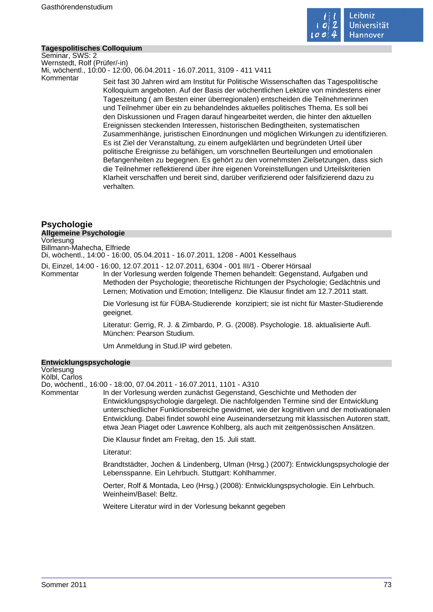

#### **Tagespolitisches Colloquium**

Seminar, SWS: 2 Wernstedt, Rolf (Prüfer/-in) Mi, wöchentl., 10:00 - 12:00, 06.04.2011 - 16.07.2011, 3109 - 411 V411

Kommentar Seit fast 30 Jahren wird am Institut für Politische Wissenschaften das Tagespolitische Kolloquium angeboten. Auf der Basis der wöchentlichen Lektüre von mindestens einer Tageszeitung ( am Besten einer überregionalen) entscheiden die Teilnehmerinnen und Teilnehmer über ein zu behandelndes aktuelles politisches Thema. Es soll bei den Diskussionen und Fragen darauf hingearbeitet werden, die hinter den aktuellen Ereignissen steckenden Interessen, historischen Bedingtheiten, systematischen Zusammenhänge, juristischen Einordnungen und möglichen Wirkungen zu identifizieren. Es ist Ziel der Veranstaltung, zu einem aufgeklärten und begründeten Urteil über politische Ereignisse zu befähigen, um vorschnellen Beurteilungen und emotionalen Befangenheiten zu begegnen. Es gehört zu den vornehmsten Zielsetzungen, dass sich die Teilnehmer reflektierend über ihre eigenen Voreinstellungen und Urteilskriterien Klarheit verschaffen und bereit sind, darüber verifizierend oder falsifizierend dazu zu verhalten.

# **Psychologie**

#### **Allgemeine Psychologie**

#### Vorlesung

Billmann-Mahecha, Elfriede

Di, wöchentl., 14:00 - 16:00, 05.04.2011 - 16.07.2011, 1208 - A001 Kesselhaus

Di, Einzel, 14:00 - 16:00, 12.07.2011 - 12.07.2011, 6304 - 001 III/1 - Oberer Hörsaal

In der Vorlesung werden folgende Themen behandelt: Gegenstand, Aufgaben und Methoden der Psychologie; theoretische Richtungen der Psychologie; Gedächtnis und Lernen; Motivation und Emotion; Intelligenz. Die Klausur findet am 12.7.2011 statt.

Die Vorlesung ist für FÜBA-Studierende konzipiert; sie ist nicht für Master-Studierende geeignet.

Literatur: Gerrig, R. J. & Zimbardo, P. G. (2008). Psychologie. 18. aktualisierte Aufl. München: Pearson Studium.

Um Anmeldung in Stud.IP wird gebeten.

#### **Entwicklungspsychologie**

Vorlesung Kölbl, Carlos

Do, wöchentl., 16:00 - 18:00, 07.04.2011 - 16.07.2011, 1101 - A310

Kommentar In der Vorlesung werden zunächst Gegenstand, Geschichte und Methoden der Entwicklungspsychologie dargelegt. Die nachfolgenden Termine sind der Entwicklung unterschiedlicher Funktionsbereiche gewidmet, wie der kognitiven und der motivationalen Entwicklung. Dabei findet sowohl eine Auseinandersetzung mit klassischen Autoren statt, etwa Jean Piaget oder Lawrence Kohlberg, als auch mit zeitgenössischen Ansätzen.

Die Klausur findet am Freitag, den 15. Juli statt.

Literatur:

Brandtstädter, Jochen & Lindenberg, Ulman (Hrsg.) (2007): Entwicklungspsychologie der Lebensspanne. Ein Lehrbuch. Stuttgart: Kohlhammer.

Oerter, Rolf & Montada, Leo (Hrsg.) (2008): Entwicklungspsychologie. Ein Lehrbuch. Weinheim/Basel: Beltz.

Weitere Literatur wird in der Vorlesung bekannt gegeben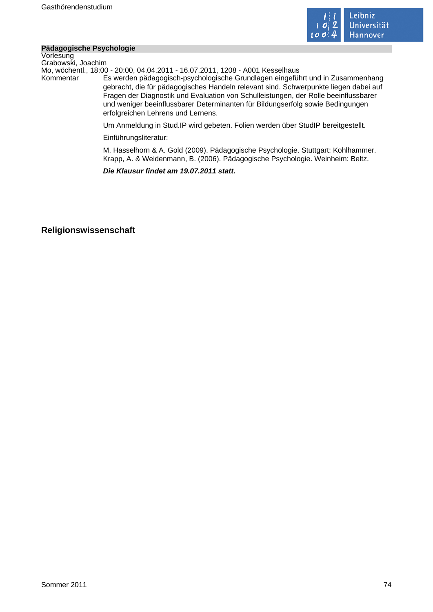

#### **Pädagogische Psychologie**

Vorlesung Grabowski, Joachim

Mo, wöchentl., 18:00 - 20:00, 04.04.2011 - 16.07.2011, 1208 - A001 Kesselhaus

Es werden pädagogisch-psychologische Grundlagen eingeführt und in Zusammenhang gebracht, die für pädagogisches Handeln relevant sind. Schwerpunkte liegen dabei auf Fragen der Diagnostik und Evaluation von Schulleistungen, der Rolle beeinflussbarer und weniger beeinflussbarer Determinanten für Bildungserfolg sowie Bedingungen erfolgreichen Lehrens und Lernens.

Um Anmeldung in Stud.IP wird gebeten. Folien werden über StudIP bereitgestellt.

Einführungsliteratur:

M. Hasselhorn & A. Gold (2009). Pädagogische Psychologie. Stuttgart: Kohlhammer. Krapp, A. & Weidenmann, B. (2006). Pädagogische Psychologie. Weinheim: Beltz.

**Die Klausur findet am 19.07.2011 statt.** 

# **Religionswissenschaft**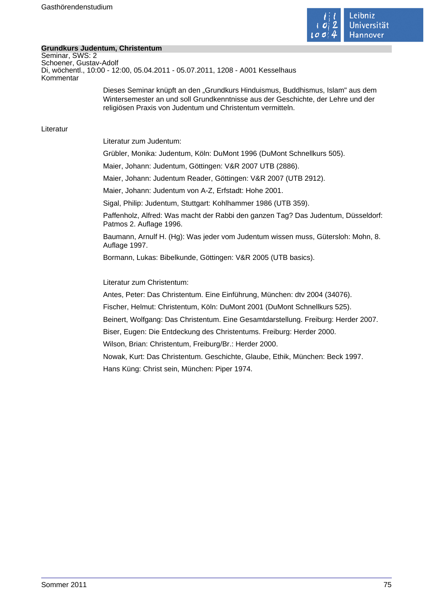

#### **Grundkurs Judentum, Christentum**

Seminar, SWS: 2 Schoener, Gustav-Adolf Di, wöchentl., 10:00 - 12:00, 05.04.2011 - 05.07.2011, 1208 - A001 Kesselhaus Kommentar

> Dieses Seminar knüpft an den "Grundkurs Hinduismus, Buddhismus, Islam" aus dem Wintersemester an und soll Grundkenntnisse aus der Geschichte, der Lehre und der religiösen Praxis von Judentum und Christentum vermitteln.

Literatur

Literatur zum Judentum:

Grübler, Monika: Judentum, Köln: DuMont 1996 (DuMont Schnellkurs 505).

Maier, Johann: Judentum, Göttingen: V&R 2007 UTB (2886).

Maier, Johann: Judentum Reader, Göttingen: V&R 2007 (UTB 2912).

Maier, Johann: Judentum von A-Z, Erfstadt: Hohe 2001.

Sigal, Philip: Judentum, Stuttgart: Kohlhammer 1986 (UTB 359).

Paffenholz, Alfred: Was macht der Rabbi den ganzen Tag? Das Judentum, Düsseldorf: Patmos 2. Auflage 1996.

Baumann, Arnulf H. (Hg): Was jeder vom Judentum wissen muss, Gütersloh: Mohn, 8. Auflage 1997.

Bormann, Lukas: Bibelkunde, Göttingen: V&R 2005 (UTB basics).

Literatur zum Christentum:

Antes, Peter: Das Christentum. Eine Einführung, München: dtv 2004 (34076).

Fischer, Helmut: Christentum, Köln: DuMont 2001 (DuMont Schnellkurs 525).

Beinert, Wolfgang: Das Christentum. Eine Gesamtdarstellung. Freiburg: Herder 2007.

Biser, Eugen: Die Entdeckung des Christentums. Freiburg: Herder 2000.

Wilson, Brian: Christentum, Freiburg/Br.: Herder 2000.

Nowak, Kurt: Das Christentum. Geschichte, Glaube, Ethik, München: Beck 1997.

Hans Küng: Christ sein, München: Piper 1974.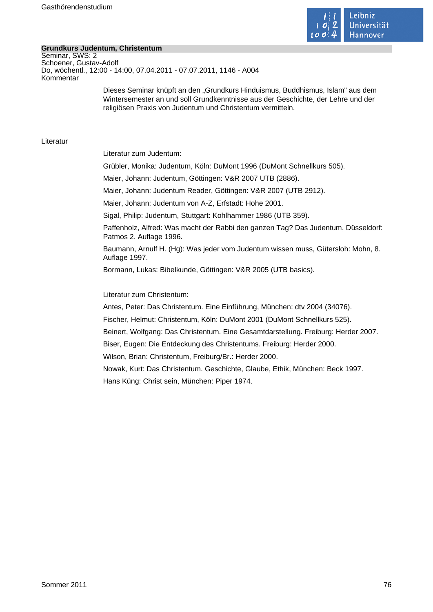

#### **Grundkurs Judentum, Christentum**

Seminar, SWS: 2 Schoener, Gustav-Adolf Do, wöchentl., 12:00 - 14:00, 07.04.2011 - 07.07.2011, 1146 - A004 Kommentar

> Dieses Seminar knüpft an den "Grundkurs Hinduismus, Buddhismus, Islam" aus dem Wintersemester an und soll Grundkenntnisse aus der Geschichte, der Lehre und der religiösen Praxis von Judentum und Christentum vermitteln.

Literatur

Literatur zum Judentum:

Grübler, Monika: Judentum, Köln: DuMont 1996 (DuMont Schnellkurs 505).

Maier, Johann: Judentum, Göttingen: V&R 2007 UTB (2886).

Maier, Johann: Judentum Reader, Göttingen: V&R 2007 (UTB 2912).

Maier, Johann: Judentum von A-Z, Erfstadt: Hohe 2001.

Sigal, Philip: Judentum, Stuttgart: Kohlhammer 1986 (UTB 359).

Paffenholz, Alfred: Was macht der Rabbi den ganzen Tag? Das Judentum, Düsseldorf: Patmos 2. Auflage 1996.

Baumann, Arnulf H. (Hg): Was jeder vom Judentum wissen muss, Gütersloh: Mohn, 8. Auflage 1997.

Bormann, Lukas: Bibelkunde, Göttingen: V&R 2005 (UTB basics).

Literatur zum Christentum:

Antes, Peter: Das Christentum. Eine Einführung, München: dtv 2004 (34076).

Fischer, Helmut: Christentum, Köln: DuMont 2001 (DuMont Schnellkurs 525).

Beinert, Wolfgang: Das Christentum. Eine Gesamtdarstellung. Freiburg: Herder 2007.

Biser, Eugen: Die Entdeckung des Christentums. Freiburg: Herder 2000.

Wilson, Brian: Christentum, Freiburg/Br.: Herder 2000.

Nowak, Kurt: Das Christentum. Geschichte, Glaube, Ethik, München: Beck 1997.

Hans Küng: Christ sein, München: Piper 1974.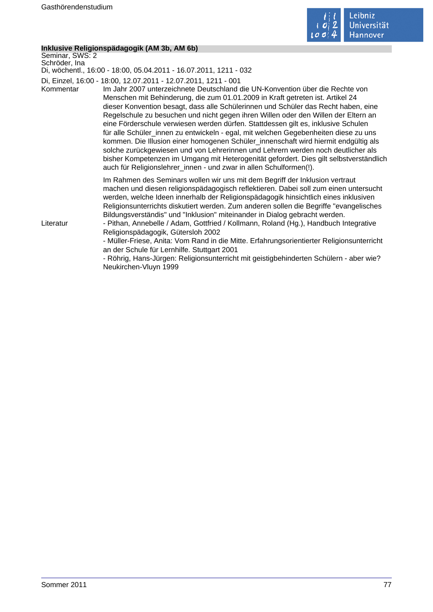

#### **Inklusive Religionspädagogik (AM 3b, AM 6b)**

Seminar, SWS: 2 Schröder, Ina Di, wöchentl., 16:00 - 18:00, 05.04.2011 - 16.07.2011, 1211 - 032 Di, Einzel, 16:00 - 18:00, 12.07.2011 - 12.07.2011, 1211 - 001 Kommentar Im Jahr 2007 unterzeichnete Deutschland die UN-Konvention über die Rechte von Menschen mit Behinderung, die zum 01.01.2009 in Kraft getreten ist. Artikel 24 dieser Konvention besagt, dass alle Schülerinnen und Schüler das Recht haben, eine Regelschule zu besuchen und nicht gegen ihren Willen oder den Willen der Eltern an eine Förderschule verwiesen werden dürfen. Stattdessen gilt es, inklusive Schulen für alle Schüler innen zu entwickeln - egal, mit welchen Gegebenheiten diese zu uns kommen. Die Illusion einer homogenen Schüler\_innenschaft wird hiermit endgültig als solche zurückgewiesen und von Lehrerinnen und Lehrern werden noch deutlicher als bisher Kompetenzen im Umgang mit Heterogenität gefordert. Dies gilt selbstverständlich auch für Religionslehrer innen - und zwar in allen Schulformen(!). Im Rahmen des Seminars wollen wir uns mit dem Begriff der Inklusion vertraut machen und diesen religionspädagogisch reflektieren. Dabei soll zum einen untersucht werden, welche Ideen innerhalb der Religionspädagogik hinsichtlich eines inklusiven Religionsunterrichts diskutiert werden. Zum anderen sollen die Begriffe "evangelisches Bildungsverständis" und "Inklusion" miteinander in Dialog gebracht werden. Literatur - Pithan, Annebelle / Adam, Gottfried / Kollmann, Roland (Hg.), Handbuch Integrative Religionspädagogik, Gütersloh 2002 - Müller-Friese, Anita: Vom Rand in die Mitte. Erfahrungsorientierter Religionsunterricht an der Schule für Lernhilfe. Stuttgart 2001 - Röhrig, Hans-Jürgen: Religionsunterricht mit geistigbehinderten Schülern - aber wie? Neukirchen-Vluyn 1999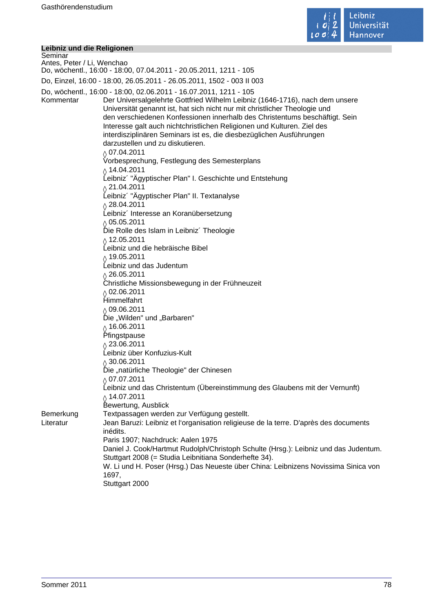

#### **Leibniz und die Religionen**

Seminar Antes, Peter / Li, Wenchao Do, wöchentl., 16:00 - 18:00, 07.04.2011 - 20.05.2011, 1211 - 105 Do, Einzel, 16:00 - 18:00, 26.05.2011 - 26.05.2011, 1502 - 003 II 003 Do, wöchentl., 16:00 - 18:00, 02.06.2011 - 16.07.2011, 1211 - 105 Kommentar Der Universalgelehrte Gottfried Wilhelm Leibniz (1646-1716), nach dem unsere Universität genannt ist, hat sich nicht nur mit christlicher Theologie und den verschiedenen Konfessionen innerhalb des Christentums beschäftigt. Sein Interesse galt auch nichtchristlichen Religionen und Kulturen. Ziel des interdisziplinären Seminars ist es, die diesbezüglichen Ausführungen darzustellen und zu diskutieren.  $\lozenge$  07.04.2011 Vorbesprechung, Festlegung des Semesterplans  $\lozenge$  14.04.2011 Leibniz´ "Ägyptischer Plan" I. Geschichte und Entstehung  $\lozenge$  21.04.2011 Leibniz´ "Ägyptischer Plan" II. Textanalyse  $\lozenge$  28.04.2011 Leibniz´ Interesse an Koranübersetzung  $\frac{\Diamond}{\Diamond}$  05.05.2011 Die Rolle des Islam in Leibniz´ Theologie  $\lozenge$  12.05.2011 Leibniz und die hebräische Bibel  $\lozenge$  19.05.2011 Leibniz und das Judentum  $\sqrt{26.05.2011}$ Christliche Missionsbewegung in der Frühneuzeit  $\gamma$  02.06.2011 Himmelfahrt  $\lozenge$  09.06.2011 Die "Wilden" und "Barbaren"  $\delta$  16.06.2011 Pfingstpause  $\lozenge$  23.06.2011 Leibniz über Konfuzius-Kult  $\frac{\Diamond}{\Diamond}$  30.06.2011 Die "natürliche Theologie" der Chinesen  $\lozenge$  07.07.2011 Leibniz und das Christentum (Übereinstimmung des Glaubens mit der Vernunft)  $\delta$  14.07.2011 Bewertung, Ausblick Bemerkung Textpassagen werden zur Verfügung gestellt. Literatur Jean Baruzi: Leibniz et l'organisation religieuse de la terre. D'après des documents inédits. Paris 1907; Nachdruck: Aalen 1975 Daniel J. Cook/Hartmut Rudolph/Christoph Schulte (Hrsg.): Leibniz und das Judentum. Stuttgart 2008 (= Studia Leibnitiana Sonderhefte 34). W. Li und H. Poser (Hrsg.) Das Neueste über China: Leibnizens Novissima Sinica von 1697, Stuttgart 2000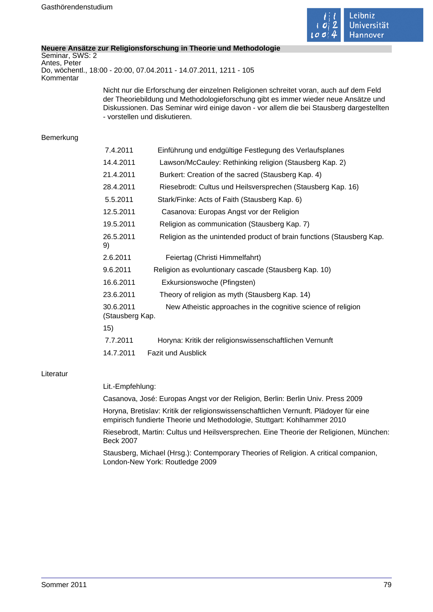

#### **Neuere Ansätze zur Religionsforschung in Theorie und Methodologie**

Seminar, SWS: 2 Antes, Peter Do, wöchentl., 18:00 - 20:00, 07.04.2011 - 14.07.2011, 1211 - 105 Kommentar

> Nicht nur die Erforschung der einzelnen Religionen schreitet voran, auch auf dem Feld der Theoriebildung und Methodologieforschung gibt es immer wieder neue Ansätze und Diskussionen. Das Seminar wird einige davon - vor allem die bei Stausberg dargestellten - vorstellen und diskutieren.

#### Bemerkung

| 7.4.2011                     | Einführung und endgültige Festlegung des Verlaufsplanes               |  |  |
|------------------------------|-----------------------------------------------------------------------|--|--|
| 14.4.2011                    | Lawson/McCauley: Rethinking religion (Stausberg Kap. 2)               |  |  |
| 21.4.2011                    | Burkert: Creation of the sacred (Stausberg Kap. 4)                    |  |  |
| 28.4.2011                    | Riesebrodt: Cultus und Heilsversprechen (Stausberg Kap. 16)           |  |  |
| 5.5.2011                     | Stark/Finke: Acts of Faith (Stausberg Kap. 6)                         |  |  |
| 12.5.2011                    | Casanova: Europas Angst vor der Religion                              |  |  |
| 19.5.2011                    | Religion as communication (Stausberg Kap. 7)                          |  |  |
| 26.5.2011<br>9)              | Religion as the unintended product of brain functions (Stausberg Kap. |  |  |
| 2.6.2011                     | Feiertag (Christi Himmelfahrt)                                        |  |  |
| 9.6.2011                     | Religion as evoluntionary cascade (Stausberg Kap. 10)                 |  |  |
| 16.6.2011                    | Exkursionswoche (Pfingsten)                                           |  |  |
| 23.6.2011                    | Theory of religion as myth (Stausberg Kap. 14)                        |  |  |
| 30.6.2011<br>(Stausberg Kap. | New Atheistic approaches in the cognitive science of religion         |  |  |
| 15)                          |                                                                       |  |  |
| 7.7.2011                     | Horyna: Kritik der religionswissenschaftlichen Vernunft               |  |  |
| 14.7.2011                    | <b>Fazit und Ausblick</b>                                             |  |  |

#### Literatur

#### Lit.-Empfehlung:

Casanova, José: Europas Angst vor der Religion, Berlin: Berlin Univ. Press 2009

Horyna, Bretislav: Kritik der religionswissenschaftlichen Vernunft. Plädoyer für eine empirisch fundierte Theorie und Methodologie, Stuttgart: Kohlhammer 2010

Riesebrodt, Martin: Cultus und Heilsversprechen. Eine Theorie der Religionen, München: Beck 2007

Stausberg, Michael (Hrsg.): Contemporary Theories of Religion. A critical companion, London-New York: Routledge 2009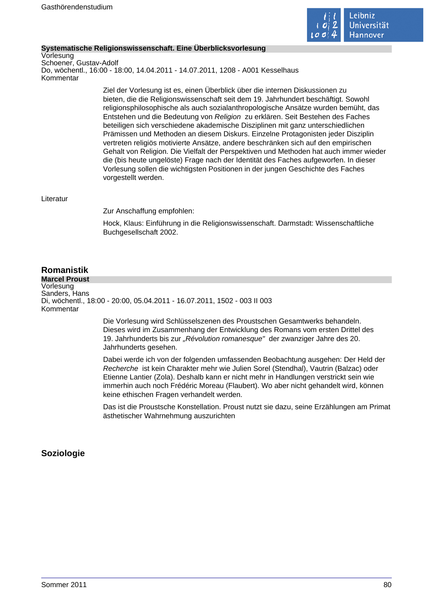

#### **Systematische Religionswissenschaft. Eine Überblicksvorlesung**

Vorlesung Schoener, Gustav-Adolf Do, wöchentl., 16:00 - 18:00, 14.04.2011 - 14.07.2011, 1208 - A001 Kesselhaus Kommentar

> Ziel der Vorlesung ist es, einen Überblick über die internen Diskussionen zu bieten, die die Religionswissenschaft seit dem 19. Jahrhundert beschäftigt. Sowohl religionsphilosophische als auch sozialanthropologische Ansätze wurden bemüht, das Entstehen und die Bedeutung von Religion zu erklären. Seit Bestehen des Faches beteiligen sich verschiedene akademische Disziplinen mit ganz unterschiedlichen Prämissen und Methoden an diesem Diskurs. Einzelne Protagonisten jeder Disziplin vertreten religiös motivierte Ansätze, andere beschränken sich auf den empirischen Gehalt von Religion. Die Vielfalt der Perspektiven und Methoden hat auch immer wieder die (bis heute ungelöste) Frage nach der Identität des Faches aufgeworfen. In dieser Vorlesung sollen die wichtigsten Positionen in der jungen Geschichte des Faches vorgestellt werden.

#### Literatur

Zur Anschaffung empfohlen:

Hock, Klaus: Einführung in die Religionswissenschaft. Darmstadt: Wissenschaftliche Buchgesellschaft 2002.

# **Romanistik**

**Marcel Proust** Vorlesung Sanders, Hans Di, wöchentl., 18:00 - 20:00, 05.04.2011 - 16.07.2011, 1502 - 003 II 003 Kommentar

> Die Vorlesung wird Schlüsselszenen des Proustschen Gesamtwerks behandeln. Dieses wird im Zusammenhang der Entwicklung des Romans vom ersten Drittel des 19. Jahrhunderts bis zur "Révolution romanesque" der zwanziger Jahre des 20. Jahrhunderts gesehen.

Dabei werde ich von der folgenden umfassenden Beobachtung ausgehen: Der Held der Recherche ist kein Charakter mehr wie Julien Sorel (Stendhal), Vautrin (Balzac) oder Etienne Lantier (Zola). Deshalb kann er nicht mehr in Handlungen verstrickt sein wie immerhin auch noch Frédéric Moreau (Flaubert). Wo aber nicht gehandelt wird, können keine ethischen Fragen verhandelt werden.

Das ist die Proustsche Konstellation. Proust nutzt sie dazu, seine Erzählungen am Primat ästhetischer Wahrnehmung auszurichten

# **Soziologie**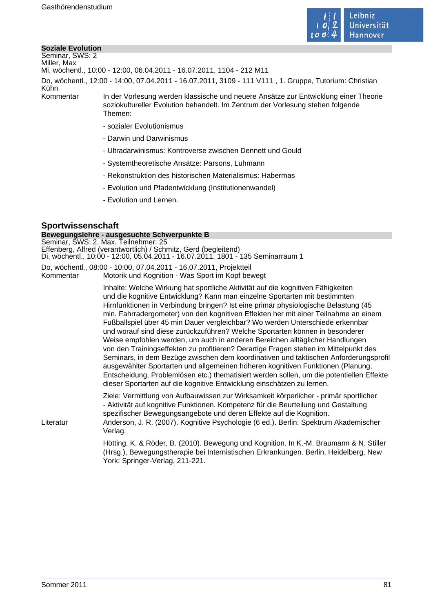

#### **Soziale Evolution**

Seminar, SWS: 2 Miller, Max

Mi, wöchentl., 10:00 - 12:00, 06.04.2011 - 16.07.2011, 1104 - 212 M11

Do, wöchentl., 12:00 - 14:00, 07.04.2011 - 16.07.2011, 3109 - 111 V111 , 1. Gruppe, Tutorium: Christian

Kühn

Kommentar In der Vorlesung werden klassische und neuere Ansätze zur Entwicklung einer Theorie soziokultureller Evolution behandelt. Im Zentrum der Vorlesung stehen folgende Themen:

- sozialer Evolutionismus
- Darwin und Darwinismus
- Ultradarwinismus: Kontroverse zwischen Dennett und Gould
- Systemtheoretische Ansätze: Parsons, Luhmann
- Rekonstruktion des historischen Materialismus: Habermas
- Evolution und Pfadentwicklung (Institutionenwandel)
- Evolution und Lernen.

# **Sportwissenschaft**

### **Bewegungslehre - ausgesuchte Schwerpunkte B**

| Seminar, SWS: 2, Max. Teilnehmer: 25                                            |
|---------------------------------------------------------------------------------|
| Effenberg, Alfred (verantwortlich) / Schmitz, Gerd (begleitend)                 |
| Di, wöchentl., 10:00 - 12:00, 05.04.2011 - 16.07.2011, 1801 - 135 Seminarraum 1 |
| Do, wöchentl., 08:00 - 10:00, 07.04.2011 - 16.07.2011, Projektteil              |
| Motorik und Kognition - Was Sport im Kopf bewegt<br>Kommentar                   |
|                                                                                 |

Inhalte: Welche Wirkung hat sportliche Aktivität auf die kognitiven Fähigkeiten und die kognitive Entwicklung? Kann man einzelne Sportarten mit bestimmten Hirnfunktionen in Verbindung bringen? Ist eine primär physiologische Belastung (45 min. Fahrradergometer) von den kognitiven Effekten her mit einer Teilnahme an einem Fußballspiel über 45 min Dauer vergleichbar? Wo werden Unterschiede erkennbar und worauf sind diese zurückzuführen? Welche Sportarten können in besonderer Weise empfohlen werden, um auch in anderen Bereichen alltäglicher Handlungen von den Trainingseffekten zu profitieren? Derartige Fragen stehen im Mittelpunkt des Seminars, in dem Bezüge zwischen dem koordinativen und taktischen Anforderungsprofil ausgewählter Sportarten und allgemeinen höheren kognitiven Funktionen (Planung, Entscheidung, Problemlösen etc.) thematisiert werden sollen, um die potentiellen Effekte dieser Sportarten auf die kognitive Entwicklung einschätzen zu lernen.

Ziele: Vermittlung von Aufbauwissen zur Wirksamkeit körperlicher - primär sportlicher - Aktivität auf kognitive Funktionen. Kompetenz für die Beurteilung und Gestaltung spezifischer Bewegungsangebote und deren Effekte auf die Kognition.

Literatur Anderson, J. R. (2007). Kognitive Psychologie (6 ed.). Berlin: Spektrum Akademischer Verlag.

> Hötting, K. & Röder, B. (2010). Bewegung und Kognition. In K.-M. Braumann & N. Stiller (Hrsg.), Bewegungstherapie bei Internistischen Erkrankungen. Berlin, Heidelberg, New York: Springer-Verlag, 211-221.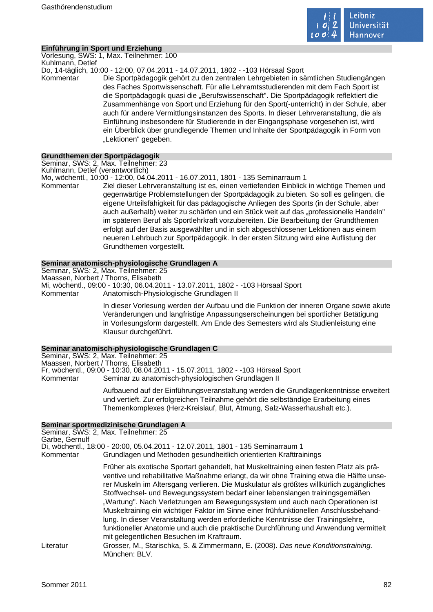

#### **Einführung in Sport und Erziehung**

Vorlesung, SWS: 1, Max. Teilnehmer: 100 Kuhlmann, Detlef

Do, 14-täglich, 10:00 - 12:00, 07.04.2011 - 14.07.2011, 1802 - -103 Hörsaal Sport Kommentar Die Sportpädagogik gehört zu den zentralen Lehrgebieten in sämtlichen Studiengängen des Faches Sportwissenschaft. Für alle Lehramtsstudierenden mit dem Fach Sport ist die Sportpädagogik quasi die "Berufswissenschaft". Die Sportpädagogik reflektiert die Zusammenhänge von Sport und Erziehung für den Sport(-unterricht) in der Schule, aber auch für andere Vermittlungsinstanzen des Sports. In dieser Lehrveranstaltung, die als Einführung insbesondere für Studierende in der Eingangsphase vorgesehen ist, wird ein Überblick über grundlegende Themen und Inhalte der Sportpädagogik in Form von "Lektionen" gegeben.

#### **Grundthemen der Sportpädagogik**

Seminar, SWS: 2, Max. Teilnehmer: 23

Kuhlmann, Detlef (verantwortlich)

Mo, wöchentl., 10:00 - 12:00, 04.04.2011 - 16.07.2011, 1801 - 135 Seminarraum 1

Kommentar Ziel dieser Lehrveranstaltung ist es, einen vertiefenden Einblick in wichtige Themen und gegenwärtige Problemstellungen der Sportpädagogik zu bieten. So soll es gelingen, die eigene Urteilsfähigkeit für das pädagogische Anliegen des Sports (in der Schule, aber auch außerhalb) weiter zu schärfen und ein Stück weit auf das "professionelle Handeln" im späteren Beruf als Sportlehrkraft vorzubereiten. Die Bearbeitung der Grundthemen erfolgt auf der Basis ausgewählter und in sich abgeschlossener Lektionen aus einem neueren Lehrbuch zur Sportpädagogik. In der ersten Sitzung wird eine Auflistung der Grundthemen vorgestellt.

#### **Seminar anatomisch-physiologische Grundlagen A**

Seminar, SWS: 2, Max. Teilnehmer: 25 Maassen, Norbert / Thorns, Elisabeth Mi, wöchentl., 09:00 - 10:30, 06.04.2011 - 13.07.2011, 1802 - -103 Hörsaal Sport Kommentar Anatomisch-Physiologische Grundlagen II

> In dieser Vorlesung werden der Aufbau und die Funktion der inneren Organe sowie akute Veränderungen und langfristige Anpassungserscheinungen bei sportlicher Betätigung in Vorlesungsform dargestellt. Am Ende des Semesters wird als Studienleistung eine Klausur durchgeführt.

#### **Seminar anatomisch-physiologische Grundlagen C**

Seminar, SWS: 2, Max. Teilnehmer: 25 Maassen, Norbert / Thorns, Elisabeth Fr, wöchentl., 09:00 - 10:30, 08.04.2011 - 15.07.2011, 1802 - -103 Hörsaal Sport Kommentar Seminar zu anatomisch-physiologischen Grundlagen II

> Aufbauend auf der Einführungsveranstaltung werden die Grundlagenkenntnisse erweitert und vertieft. Zur erfolgreichen Teilnahme gehört die selbständige Erarbeitung eines Themenkomplexes (Herz-Kreislauf, Blut, Atmung, Salz-Wasserhaushalt etc.).

#### **Seminar sportmedizinische Grundlagen A**

Seminar, SWS: 2, Max. Teilnehmer: 25 Garbe, Gernulf Di, wöchentl., 18:00 - 20:00, 05.04.2011 - 12.07.2011, 1801 - 135 Seminarraum 1 Kommentar Grundlagen und Methoden gesundheitlich orientierten Krafttrainings

> Früher als exotische Sportart gehandelt, hat Muskeltraining einen festen Platz als präventive und rehabilitative Maßnahme erlangt, da wir ohne Training etwa die Hälfte unserer Muskeln im Altersgang verlieren. Die Muskulatur als größtes willkürlich zugängliches Stoffwechsel- und Bewegungssystem bedarf einer lebenslangen trainingsgemäßen "Wartung". Nach Verletzungen am Bewegungssystem und auch nach Operationen ist Muskeltraining ein wichtiger Faktor im Sinne einer frühfunktionellen Anschlussbehandlung. In dieser Veranstaltung werden erforderliche Kenntnisse der Trainingslehre, funktioneller Anatomie und auch die praktische Durchführung und Anwendung vermittelt mit gelegentlichen Besuchen im Kraftraum.

Literatur Grosser, M., Starischka, S. & Zimmermann, E. (2008). Das neue Konditionstraining. München: BLV.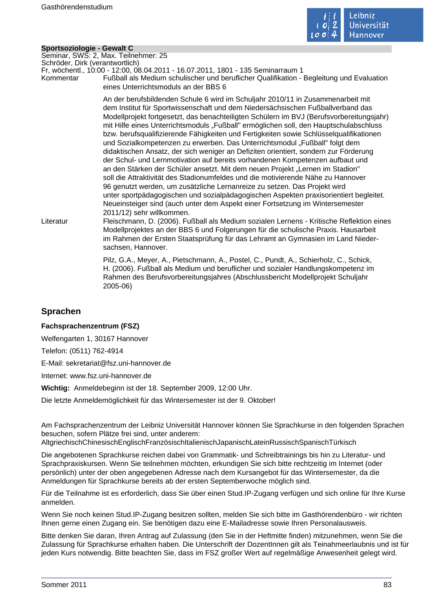

#### **Sportsoziologie - Gewalt C**

Seminar, SWS: 2, Max. Teilnehmer: 25

Schröder, Dirk (verantwortlich) Fr, wöchentl., 10:00 - 12:00, 08.04.2011 - 16.07.2011, 1801 - 135 Seminarraum 1

Kommentar Fußball als Medium schulischer und beruflicher Qualifikation - Begleitung und Evaluation eines Unterrichtsmoduls an der BBS 6

> An der berufsbildenden Schule 6 wird im Schuljahr 2010/11 in Zusammenarbeit mit dem Institut für Sportwissenschaft und dem Niedersächsischen Fußballverband das Modellprojekt fortgesetzt, das benachteiligten Schülern im BVJ (Berufsvorbereitungsjahr) mit Hilfe eines Unterrichtsmoduls "Fußball" ermöglichen soll, den Hauptschulabschluss bzw. berufsqualifizierende Fähigkeiten und Fertigkeiten sowie Schlüsselqualifikationen und Sozialkompetenzen zu erwerben. Das Unterrichtsmodul "Fußball" folgt dem didaktischen Ansatz, der sich weniger an Defiziten orientiert, sondern zur Förderung der Schul- und Lernmotivation auf bereits vorhandenen Kompetenzen aufbaut und an den Stärken der Schüler ansetzt. Mit dem neuen Projekt "Lernen im Stadion" soll die Attraktivität des Stadionumfeldes und die motivierende Nähe zu Hannover 96 genutzt werden, um zusätzliche Lernanreize zu setzen. Das Projekt wird unter sportpädagogischen und sozialpädagogischen Aspekten praxisorientiert begleitet. Neueinsteiger sind (auch unter dem Aspekt einer Fortsetzung im Wintersemester 2011/12) sehr willkommen.

Literatur Fleischmann, D. (2006). Fußball als Medium sozialen Lernens - Kritische Reflektion eines Modellprojektes an der BBS 6 und Folgerungen für die schulische Praxis. Hausarbeit im Rahmen der Ersten Staatsprüfung für das Lehramt an Gymnasien im Land Niedersachsen, Hannover.

> Pilz, G.A., Meyer, A., Pietschmann, A., Postel, C., Pundt, A., Schierholz, C., Schick, H. (2006). Fußball als Medium und beruflicher und sozialer Handlungskompetenz im Rahmen des Berufsvorbereitungsjahres (Abschlussbericht Modellprojekt Schuljahr 2005-06)

# **Sprachen**

#### **Fachsprachenzentrum (FSZ)**

Welfengarten 1, 30167 Hannover

Telefon: (0511) 762-4914

E-Mail: sekretariat@fsz.uni-hannover.de

Internet: www.fsz.uni-hannover.de

**Wichtig:** Anmeldebeginn ist der 18. September 2009, 12:00 Uhr.

Die letzte Anmeldemöglichkeit für das Wintersemester ist der 9. Oktober!

Am Fachsprachenzentrum der Leibniz Universität Hannover können Sie Sprachkurse in den folgenden Sprachen besuchen, sofern Plätze frei sind, unter anderem:

AltgriechischChinesischEnglischFranzösischItalienischJapanischLateinRussischSpanischTürkisch

Die angebotenen Sprachkurse reichen dabei von Grammatik- und Schreibtrainings bis hin zu Literatur- und Sprachpraxiskursen. Wenn Sie teilnehmen möchten, erkundigen Sie sich bitte rechtzeitig im Internet (oder persönlich) unter der oben angegebenen Adresse nach dem Kursangebot für das Wintersemester, da die Anmeldungen für Sprachkurse bereits ab der ersten Septemberwoche möglich sind.

Für die Teilnahme ist es erforderlich, dass Sie über einen Stud.IP-Zugang verfügen und sich online für Ihre Kurse anmelden.

Wenn Sie noch keinen Stud.IP-Zugang besitzen sollten, melden Sie sich bitte im Gasthörendenbüro - wir richten Ihnen gerne einen Zugang ein. Sie benötigen dazu eine E-Mailadresse sowie Ihren Personalausweis.

Bitte denken Sie daran, Ihren Antrag auf Zulassung (den Sie in der Heftmitte finden) mitzunehmen, wenn Sie die Zulassung für Sprachkurse erhalten haben. Die Unterschrift der DozentInnen gilt als Teinahmeerlaubnis und ist für jeden Kurs notwendig. Bitte beachten Sie, dass im FSZ großer Wert auf regelmäßige Anwesenheit gelegt wird.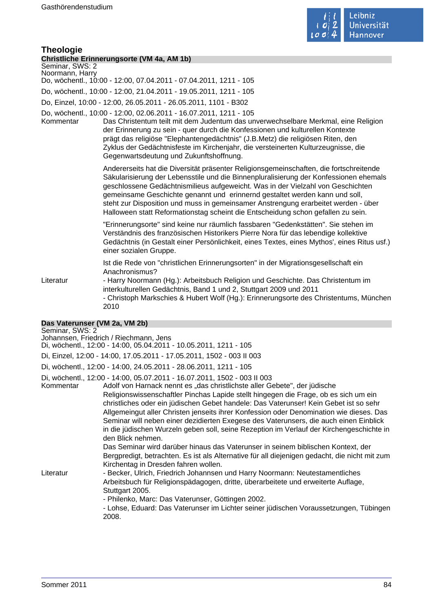

#### **Theologie Christliche Erinnerungsorte (VM 4a, AM 1b)**

Seminar, SWS: 2

Noormann, Harry Do, wöchentl., 10:00 - 12:00, 07.04.2011 - 07.04.2011, 1211 - 105

Do, wöchentl., 10:00 - 12:00, 21.04.2011 - 19.05.2011, 1211 - 105

Do, Einzel, 10:00 - 12:00, 26.05.2011 - 26.05.2011, 1101 - B302

Do, wöchentl., 10:00 - 12:00, 02.06.2011 - 16.07.2011, 1211 - 105

Das Christentum teilt mit dem Judentum das unverwechselbare Merkmal, eine Religion der Erinnerung zu sein - quer durch die Konfessionen und kulturellen Kontexte prägt das religiöse "Elephantengedächtnis" (J.B.Metz) die religiösen Riten, den Zyklus der Gedächtnisfeste im Kirchenjahr, die versteinerten Kulturzeugnisse, die Gegenwartsdeutung und Zukunftshoffnung.

Andererseits hat die Diversität präsenter Religionsgemeinschaften, die fortschreitende Säkularisierung der Lebensstile und die Binnenpluralisierung der Konfessionen ehemals geschlossene Gedächtnismilieus aufgeweicht. Was in der Vielzahl von Geschichten gemeinsame Geschichte genannt und erinnernd gestaltet werden kann und soll, steht zur Disposition und muss in gemeinsamer Anstrengung erarbeitet werden - über Halloween statt Reformationstag scheint die Entscheidung schon gefallen zu sein.

"Erinnerungsorte" sind keine nur räumlich fassbaren "Gedenkstätten". Sie stehen im Verständnis des französischen Historikers Pierre Nora für das lebendige kollektive Gedächtnis (in Gestalt einer Persönlichkeit, eines Textes, eines Mythos', eines Ritus usf.) einer sozialen Gruppe.

Ist die Rede von "christlichen Erinnerungsorten" in der Migrationsgesellschaft ein Anachronismus?

Literatur - Harry Noormann (Hg.): Arbeitsbuch Religion und Geschichte. Das Christentum im interkulturellen Gedächtnis, Band 1 und 2, Stuttgart 2009 und 2011 - Christoph Markschies & Hubert Wolf (Hg.): Erinnerungsorte des Christentums, München 2010

# **Das Vaterunser (VM 2a, VM 2b)**

Seminar, SWS: 2

Johannsen, Friedrich / Riechmann, Jens

Di, wöchentl., 12:00 - 14:00, 05.04.2011 - 10.05.2011, 1211 - 105

Di, Einzel, 12:00 - 14:00, 17.05.2011 - 17.05.2011, 1502 - 003 II 003

Di, wöchentl., 12:00 - 14:00, 24.05.2011 - 28.06.2011, 1211 - 105

Di, wöchentl., 12:00 - 14:00, 05.07.2011 - 16.07.2011, 1502 - 003 II 003

Kommentar Adolf von Harnack nennt es "das christlichste aller Gebete", der jüdische Religionswissenschaftler Pinchas Lapide stellt hingegen die Frage, ob es sich um ein christliches oder ein jüdischen Gebet handele: Das Vaterunser! Kein Gebet ist so sehr Allgemeingut aller Christen jenseits ihrer Konfession oder Denomination wie dieses. Das Seminar will neben einer dezidierten Exegese des Vaterunsers, die auch einen Einblick in die jüdischen Wurzeln geben soll, seine Rezeption im Verlauf der Kirchengeschichte in den Blick nehmen. Das Seminar wird darüber hinaus das Vaterunser in seinem biblischen Kontext, der Bergpredigt, betrachten. Es ist als Alternative für all diejenigen gedacht, die nicht mit zum Kirchentag in Dresden fahren wollen. Literatur - Becker, Ulrich, Friedrich Johannsen und Harry Noormann: Neutestamentliches Arbeitsbuch für Religionspädagogen, dritte, überarbeitete und erweiterte Auflage, Stuttgart 2005. - Philenko, Marc: Das Vaterunser, Göttingen 2002.

- Lohse, Eduard: Das Vaterunser im Lichter seiner jüdischen Voraussetzungen, Tübingen 2008.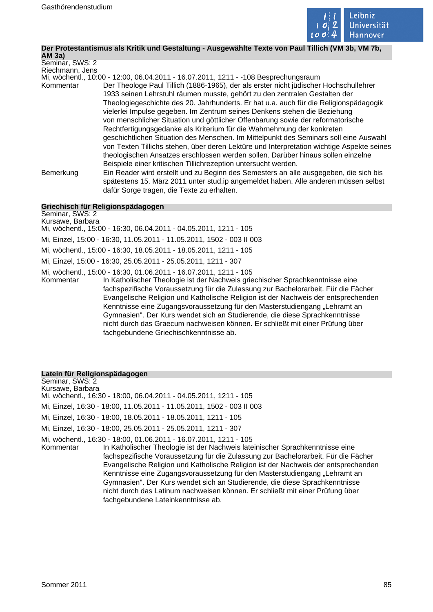

# **Der Protestantismus als Kritik und Gestaltung - Ausgewählte Texte von Paul Tillich (VM 3b, VM 7b,**

**AM 3a)** Seminar, SWS: 2 Riechmann, Jens Mi, wöchentl., 10:00 - 12:00, 06.04.2011 - 16.07.2011, 1211 - -108 Besprechungsraum Kommentar Der Theologe Paul Tillich (1886-1965), der als erster nicht jüdischer Hochschullehrer 1933 seinen Lehrstuhl räumen musste, gehört zu den zentralen Gestalten der Theologiegeschichte des 20. Jahrhunderts. Er hat u.a. auch für die Religionspädagogik vielerlei Impulse gegeben. Im Zentrum seines Denkens stehen die Beziehung von menschlicher Situation und göttlicher Offenbarung sowie der reformatorische Rechtfertigungsgedanke als Kriterium für die Wahrnehmung der konkreten geschichtlichen Situation des Menschen. Im Mittelpunkt des Seminars soll eine Auswahl von Texten Tillichs stehen, über deren Lektüre und Interpretation wichtige Aspekte seines theologischen Ansatzes erschlossen werden sollen. Darüber hinaus sollen einzelne Beispiele einer kritischen Tillichrezeption untersucht werden. Bemerkung Ein Reader wird erstellt und zu Beginn des Semesters an alle ausgegeben, die sich bis spätestens 15. März 2011 unter stud.ip angemeldet haben. Alle anderen müssen selbst dafür Sorge tragen, die Texte zu erhalten.

#### **Griechisch für Religionspädagogen**

Seminar, SWS: 2 Kursawe, Barbara Mi, wöchentl., 15:00 - 16:30, 06.04.2011 - 04.05.2011, 1211 - 105 Mi, Einzel, 15:00 - 16:30, 11.05.2011 - 11.05.2011, 1502 - 003 II 003 Mi, wöchentl., 15:00 - 16:30, 18.05.2011 - 18.05.2011, 1211 - 105 Mi, Einzel, 15:00 - 16:30, 25.05.2011 - 25.05.2011, 1211 - 307 Mi, wöchentl., 15:00 - 16:30, 01.06.2011 - 16.07.2011, 1211 - 105 Kommentar In Katholischer Theologie ist der Nachweis griechischer Sprachkenntnisse eine fachspezifische Voraussetzung für die Zulassung zur Bachelorarbeit. Für die Fächer Evangelische Religion und Katholische Religion ist der Nachweis der entsprechenden Kenntnisse eine Zugangsvoraussetzung für den Masterstudiengang "Lehramt an Gymnasien". Der Kurs wendet sich an Studierende, die diese Sprachkenntnisse nicht durch das Graecum nachweisen können. Er schließt mit einer Prüfung über fachgebundene Griechischkenntnisse ab.

#### **Latein für Religionspädagogen**

Seminar, SWS: 2 Kursawe, Barbara Mi, wöchentl., 16:30 - 18:00, 06.04.2011 - 04.05.2011, 1211 - 105 Mi, Einzel, 16:30 - 18:00, 11.05.2011 - 11.05.2011, 1502 - 003 II 003 Mi, Einzel, 16:30 - 18:00, 18.05.2011 - 18.05.2011, 1211 - 105 Mi, Einzel, 16:30 - 18:00, 25.05.2011 - 25.05.2011, 1211 - 307 Mi, wöchentl., 16:30 - 18:00, 01.06.2011 - 16.07.2011, 1211 - 105 Kommentar In Katholischer Theologie ist der Nachweis lateinischer Sprachkenntnisse eine fachspezifische Voraussetzung für die Zulassung zur Bachelorarbeit. Für die Fächer Evangelische Religion und Katholische Religion ist der Nachweis der entsprechenden Kenntnisse eine Zugangsvoraussetzung für den Masterstudiengang "Lehramt an Gymnasien". Der Kurs wendet sich an Studierende, die diese Sprachkenntnisse nicht durch das Latinum nachweisen können. Er schließt mit einer Prüfung über fachgebundene Lateinkenntnisse ab.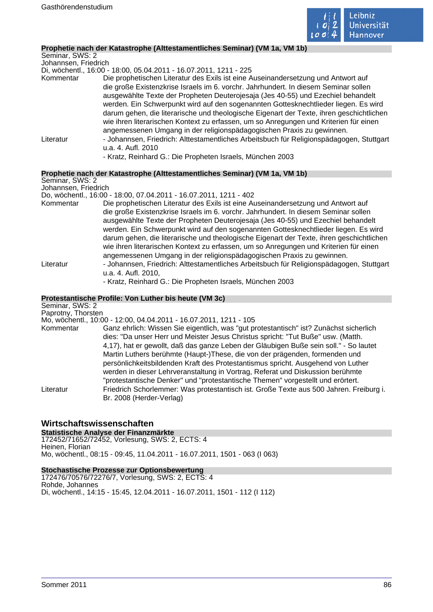

## **Prophetie nach der Katastrophe (Alttestamentliches Seminar) (VM 1a, VM 1b)**

| Seminar, SWS: 2      |                                                                                                                |
|----------------------|----------------------------------------------------------------------------------------------------------------|
| Johannsen, Friedrich |                                                                                                                |
|                      | Di, wöchentl., 16:00 - 18:00, 05.04.2011 - 16.07.2011, 1211 - 225                                              |
| Kommentar            | Die prophetischen Literatur des Exils ist eine Auseinandersetzung und Antwort auf                              |
|                      | die große Existenzkrise Israels im 6. vorchr. Jahrhundert. In diesem Seminar sollen                            |
|                      | ausgewählte Texte der Propheten Deuterojesaja (Jes 40-55) und Ezechiel behandelt                               |
|                      | werden. Ein Schwerpunkt wird auf den sogenannten Gottesknechtlieder liegen. Es wird                            |
|                      | darum gehen, die literarische und theologische Eigenart der Texte, ihren geschichtlichen                       |
|                      | wie ihren literarischen Kontext zu erfassen, um so Anregungen und Kriterien für einen                          |
|                      | angemessenen Umgang in der religionspädagogischen Praxis zu gewinnen.                                          |
| Literatur            | - Johannsen, Friedrich: Alttestamentliches Arbeitsbuch für Religionspädagogen, Stuttgart<br>u.a. 4. Aufl. 2010 |
|                      | - Kratz, Reinhard G.: Die Propheten Israels, München 2003                                                      |

#### **Prophetie nach der Katastrophe (Alttestamentliches Seminar) (VM 1a, VM 1b)**

#### Seminar, SWS: 2 Johannsen, Friedrich

Do, wöchentl., 16:00 - 18:00, 07.04.2011 - 16.07.2011, 1211 - 402

Kommentar Die prophetischen Literatur des Exils ist eine Auseinandersetzung und Antwort auf die große Existenzkrise Israels im 6. vorchr. Jahrhundert. In diesem Seminar sollen ausgewählte Texte der Propheten Deuterojesaja (Jes 40-55) und Ezechiel behandelt werden. Ein Schwerpunkt wird auf den sogenannten Gottesknechtlieder liegen. Es wird darum gehen, die literarische und theologische Eigenart der Texte, ihren geschichtlichen wie ihren literarischen Kontext zu erfassen, um so Anregungen und Kriterien für einen angemessenen Umgang in der religionspädagogischen Praxis zu gewinnen. Literatur - Johannsen, Friedrich: Alttestamentliches Arbeitsbuch für Religionspädagogen, Stuttgart u.a. 4. Aufl. 2010,

# - Kratz, Reinhard G.: Die Propheten Israels, München 2003

#### **Protestantische Profile: Von Luther bis heute (VM 3c)**

Seminar, SWS: 2 Paprotny, Thorsten

Mo, wöchentl., 10:00 - 12:00, 04.04.2011 - 16.07.2011, 1211 - 105

Kommentar Ganz ehrlich: Wissen Sie eigentlich, was "gut protestantisch" ist? Zunächst sicherlich dies: "Da unser Herr und Meister Jesus Christus spricht: "Tut Buße" usw. (Matth. 4,17), hat er gewollt, daß das ganze Leben der Gläubigen Buße sein soll." - So lautet Martin Luthers berühmte (Haupt-)These, die von der prägenden, formenden und persönlichkeitsbildenden Kraft des Protestantismus spricht. Ausgehend von Luther werden in dieser Lehrveranstaltung in Vortrag, Referat und Diskussion berühmte "protestantische Denker" und "protestantische Themen" vorgestellt und erörtert. Literatur Friedrich Schorlemmer: Was protestantisch ist. Große Texte aus 500 Jahren. Freiburg i. Br. 2008 (Herder-Verlag)

#### **Wirtschaftswissenschaften**

**Statistische Analyse der Finanzmärkte** 172452/71652/72452, Vorlesung, SWS: 2, ECTS: 4 Heinen, Florian Mo, wöchentl., 08:15 - 09:45, 11.04.2011 - 16.07.2011, 1501 - 063 (I 063)

#### **Stochastische Prozesse zur Optionsbewertung**

172476/70576/72276/7, Vorlesung, SWS: 2, ECTS: 4 Rohde, Johannes Di, wöchentl., 14:15 - 15:45, 12.04.2011 - 16.07.2011, 1501 - 112 (I 112)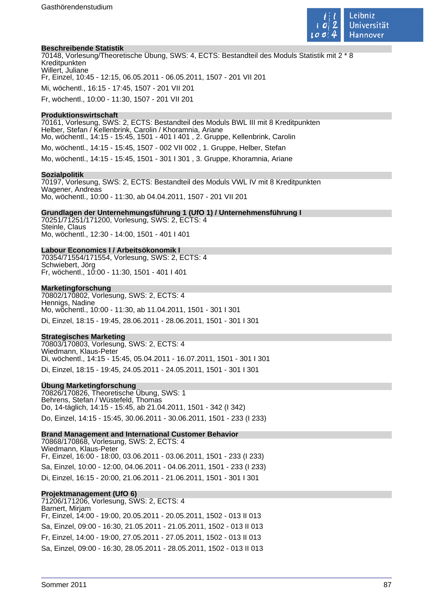

#### **Beschreibende Statistik**

70148, Vorlesung/Theoretische Übung, SWS: 4, ECTS: Bestandteil des Moduls Statistik mit 2 \* 8 Kreditpunkten Willert, Juliane Fr, Einzel, 10:45 - 12:15, 06.05.2011 - 06.05.2011, 1507 - 201 VII 201 Mi, wöchentl., 16:15 - 17:45, 1507 - 201 VII 201 Fr, wöchentl., 10:00 - 11:30, 1507 - 201 VII 201

#### **Produktionswirtschaft**

70161, Vorlesung, SWS: 2, ECTS: Bestandteil des Moduls BWL III mit 8 Kreditpunkten Helber, Stefan / Kellenbrink, Carolin / Khoramnia, Ariane Mo, wöchentl., 14:15 - 15:45, 1501 - 401 I 401 , 2. Gruppe, Kellenbrink, Carolin Mo, wöchentl., 14:15 - 15:45, 1507 - 002 VII 002 , 1. Gruppe, Helber, Stefan Mo, wöchentl., 14:15 - 15:45, 1501 - 301 I 301 , 3. Gruppe, Khoramnia, Ariane

#### **Sozialpolitik**

70197, Vorlesung, SWS: 2, ECTS: Bestandteil des Moduls VWL IV mit 8 Kreditpunkten Wagener, Andreas Mo, wöchentl., 10:00 - 11:30, ab 04.04.2011, 1507 - 201 VII 201

#### **Grundlagen der Unternehmungsführung 1 (UfO 1) / Unternehmensführung I**

70251/71251/171200, Vorlesung, SWS: 2, ECTS: 4 Steinle, Claus Mo, wöchentl., 12:30 - 14:00, 1501 - 401 I 401

#### **Labour Economics I / Arbeitsökonomik I**

70354/71554/171554, Vorlesung, SWS: 2, ECTS: 4 Schwiebert, Jörg Fr, wöchentl., 10:00 - 11:30, 1501 - 401 I 401

#### **Marketingforschung**

70802/170802, Vorlesung, SWS: 2, ECTS: 4 Hennigs, Nadine Mo, wöchentl., 10:00 - 11:30, ab 11.04.2011, 1501 - 301 I 301 Di, Einzel, 18:15 - 19:45, 28.06.2011 - 28.06.2011, 1501 - 301 I 301

#### **Strategisches Marketing**

70803/170803, Vorlesung, SWS: 2, ECTS: 4 Wiedmann, Klaus-Peter Di, wöchentl., 14:15 - 15:45, 05.04.2011 - 16.07.2011, 1501 - 301 I 301 Di, Einzel, 18:15 - 19:45, 24.05.2011 - 24.05.2011, 1501 - 301 I 301

#### **Übung Marketingforschung**

70826/170826, Theoretische Übung, SWS: 1 Behrens, Stefan / Wüstefeld, Thomas Do, 14-täglich, 14:15 - 15:45, ab 21.04.2011, 1501 - 342 (I 342) Do, Einzel, 14:15 - 15:45, 30.06.2011 - 30.06.2011, 1501 - 233 (I 233)

#### **Brand Management and International Customer Behavior**

70868/170868, Vorlesung, SWS: 2, ECTS: 4 Wiedmann, Klaus-Peter Fr, Einzel, 16:00 - 18:00, 03.06.2011 - 03.06.2011, 1501 - 233 (I 233) Sa, Einzel, 10:00 - 12:00, 04.06.2011 - 04.06.2011, 1501 - 233 (I 233) Di, Einzel, 16:15 - 20:00, 21.06.2011 - 21.06.2011, 1501 - 301 I 301

#### **Projektmanagement (UfO 6)**

71206/171206, Vorlesung, SWS: 2, ECTS: 4 Barnert, Mirjam Fr, Einzel, 14:00 - 19:00, 20.05.2011 - 20.05.2011, 1502 - 013 II 013 Sa, Einzel, 09:00 - 16:30, 21.05.2011 - 21.05.2011, 1502 - 013 II 013 Fr, Einzel, 14:00 - 19:00, 27.05.2011 - 27.05.2011, 1502 - 013 II 013 Sa, Einzel, 09:00 - 16:30, 28.05.2011 - 28.05.2011, 1502 - 013 II 013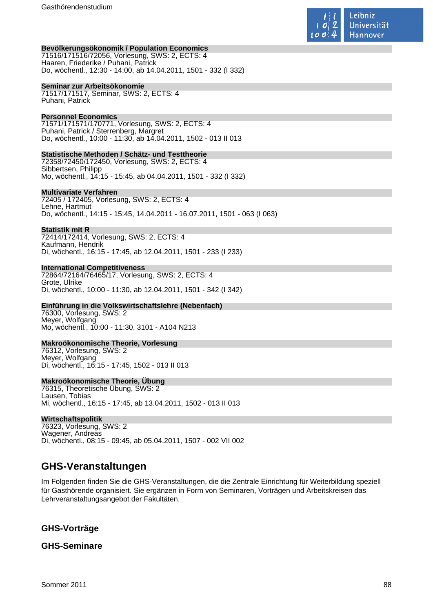

#### **Bevölkerungsökonomik / Population Economics**

71516/171516/72056, Vorlesung, SWS: 2, ECTS: 4 Haaren, Friederike / Puhani, Patrick Do, wöchentl., 12:30 - 14:00, ab 14.04.2011, 1501 - 332 (I 332)

#### **Seminar zur Arbeitsökonomie**

71517/171517, Seminar, SWS: 2, ECTS: 4 Puhani, Patrick

#### **Personnel Economics**

71571/171571/170771, Vorlesung, SWS: 2, ECTS: 4 Puhani, Patrick / Sterrenberg, Margret Do, wöchentl., 10:00 - 11:30, ab 14.04.2011, 1502 - 013 II 013

#### **Statistische Methoden / Schätz- und Testtheorie**

72358/72450/172450, Vorlesung, SWS: 2, ECTS: 4 Sibbertsen, Philipp Mo, wöchentl., 14:15 - 15:45, ab 04.04.2011, 1501 - 332 (I 332)

#### **Multivariate Verfahren**

72405 / 172405, Vorlesung, SWS: 2, ECTS: 4 Lehne, Hartmut Do, wöchentl., 14:15 - 15:45, 14.04.2011 - 16.07.2011, 1501 - 063 (I 063)

#### **Statistik mit R**

72414/172414, Vorlesung, SWS: 2, ECTS: 4 Kaufmann, Hendrik Di, wöchentl., 16:15 - 17:45, ab 12.04.2011, 1501 - 233 (I 233)

#### **International Competitiveness**

72864/72164/76465/17, Vorlesung, SWS: 2, ECTS: 4 Grote, Ulrike Di, wöchentl., 10:00 - 11:30, ab 12.04.2011, 1501 - 342 (I 342)

# **Einführung in die Volkswirtschaftslehre (Nebenfach)**

76300, Vorlesung, SWS: 2 Meyer, Wolfgang Mo, wöchentl., 10:00 - 11:30, 3101 - A104 N213

#### **Makroökonomische Theorie, Vorlesung**

76312, Vorlesung, SWS: 2 Meyer, Wolfgang Di, wöchentl., 16:15 - 17:45, 1502 - 013 II 013

#### **Makroökonomische Theorie, Übung**

76315, Theoretische Übung, SWS: 2 Lausen, Tobias Mi, wöchentl., 16:15 - 17:45, ab 13.04.2011, 1502 - 013 II 013

#### **Wirtschaftspolitik**

76323, Vorlesung, SWS: 2 Wagener, Andreas Di, wöchentl., 08:15 - 09:45, ab 05.04.2011, 1507 - 002 VII 002

# **GHS-Veranstaltungen**

Im Folgenden finden Sie die GHS-Veranstaltungen, die die Zentrale Einrichtung für Weiterbildung speziell für Gasthörende organisiert. Sie ergänzen in Form von Seminaren, Vorträgen und Arbeitskreisen das Lehrveranstaltungsangebot der Fakultäten.

# **GHS-Vorträge**

### **GHS-Seminare**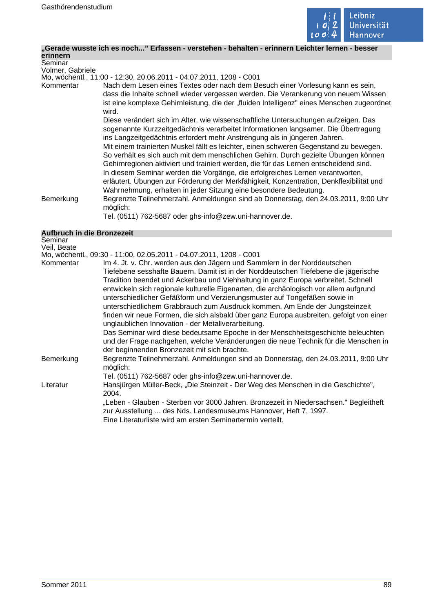

# **"Gerade wusste ich es noch..." Erfassen - verstehen - behalten - erinnern Leichter lernen - besser**

| erinnern         |                                                                                                                                                                                                                                                                                                                                                                                                                                                                                                                                                                                                                                                                                                                                                                              |
|------------------|------------------------------------------------------------------------------------------------------------------------------------------------------------------------------------------------------------------------------------------------------------------------------------------------------------------------------------------------------------------------------------------------------------------------------------------------------------------------------------------------------------------------------------------------------------------------------------------------------------------------------------------------------------------------------------------------------------------------------------------------------------------------------|
| Seminar          |                                                                                                                                                                                                                                                                                                                                                                                                                                                                                                                                                                                                                                                                                                                                                                              |
| Volmer, Gabriele |                                                                                                                                                                                                                                                                                                                                                                                                                                                                                                                                                                                                                                                                                                                                                                              |
|                  | Mo, wöchentl., 11:00 - 12:30, 20.06.2011 - 04.07.2011, 1208 - C001                                                                                                                                                                                                                                                                                                                                                                                                                                                                                                                                                                                                                                                                                                           |
| Kommentar        | Nach dem Lesen eines Textes oder nach dem Besuch einer Vorlesung kann es sein,<br>dass die Inhalte schnell wieder vergessen werden. Die Verankerung von neuem Wissen<br>ist eine komplexe Gehirnleistung, die der "fluiden Intelligenz" eines Menschen zugeordnet<br>wird.                                                                                                                                                                                                                                                                                                                                                                                                                                                                                                   |
|                  | Diese verändert sich im Alter, wie wissenschaftliche Untersuchungen aufzeigen. Das<br>sogenannte Kurzzeitgedächtnis verarbeitet Informationen langsamer. Die Übertragung<br>ins Langzeitgedächtnis erfordert mehr Anstrengung als in jüngeren Jahren.<br>Mit einem trainierten Muskel fällt es leichter, einen schweren Gegenstand zu bewegen.<br>So verhält es sich auch mit dem menschlichen Gehirn. Durch gezielte Übungen können<br>Gehirnregionen aktiviert und trainiert werden, die für das Lernen entscheidend sind.<br>In diesem Seminar werden die Vorgänge, die erfolgreiches Lernen verantworten,<br>erläutert. Übungen zur Förderung der Merkfähigkeit, Konzentration, Denkflexibilität und<br>Wahrnehmung, erhalten in jeder Sitzung eine besondere Bedeutung. |
| Bemerkung        | Begrenzte Teilnehmerzahl. Anmeldungen sind ab Donnerstag, den 24.03.2011, 9:00 Uhr<br>möglich:                                                                                                                                                                                                                                                                                                                                                                                                                                                                                                                                                                                                                                                                               |
|                  | Tel. (0511) 762-5687 oder ghs-info@zew.uni-hannover.de.                                                                                                                                                                                                                                                                                                                                                                                                                                                                                                                                                                                                                                                                                                                      |

#### **Aufbruch in die Bronzezeit**

| Seminar     |                                                                                         |
|-------------|-----------------------------------------------------------------------------------------|
| Veil, Beate |                                                                                         |
|             | Mo, wöchentl., 09:30 - 11:00, 02.05.2011 - 04.07.2011, 1208 - C001                      |
| Kommentar   | Im 4. Jt. v. Chr. werden aus den Jägern und Sammlern in der Norddeutschen               |
|             | Tiefebene sesshafte Bauern. Damit ist in der Norddeutschen Tiefebene die jägerische     |
|             | Tradition beendet und Ackerbau und Viehhaltung in ganz Europa verbreitet. Schnell       |
|             | entwickeln sich regionale kulturelle Eigenarten, die archäologisch vor allem aufgrund   |
|             | unterschiedlicher Gefäßform und Verzierungsmuster auf Tongefäßen sowie in               |
|             | unterschiedlichem Grabbrauch zum Ausdruck kommen. Am Ende der Jungsteinzeit             |
|             | finden wir neue Formen, die sich alsbald über ganz Europa ausbreiten, gefolgt von einer |
|             | unglaublichen Innovation - der Metallverarbeitung.                                      |
|             | Das Seminar wird diese bedeutsame Epoche in der Menschheitsgeschichte beleuchten        |
|             | und der Frage nachgehen, welche Veränderungen die neue Technik für die Menschen in      |
|             | der beginnenden Bronzezeit mit sich brachte.                                            |
| Bemerkung   | Begrenzte Teilnehmerzahl. Anmeldungen sind ab Donnerstag, den 24.03.2011, 9:00 Uhr      |
|             |                                                                                         |
|             | möglich:                                                                                |
|             | Tel. (0511) 762-5687 oder ghs-info@zew.uni-hannover.de.                                 |
| Literatur   | Hansjürgen Müller-Beck, "Die Steinzeit - Der Weg des Menschen in die Geschichte",       |
|             | 2004.                                                                                   |
|             | "Leben - Glauben - Sterben vor 3000 Jahren. Bronzezeit in Niedersachsen." Begleitheft   |
|             | zur Ausstellung  des Nds. Landesmuseums Hannover, Heft 7, 1997.                         |
|             | Eine Literaturliste wird am ersten Seminartermin verteilt.                              |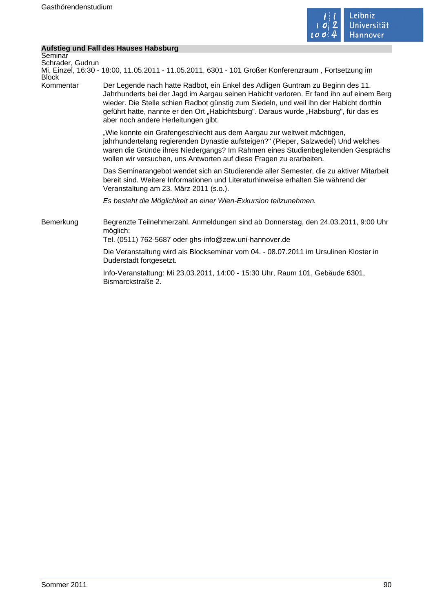

 $\mathcal{L}$ 

# **Aufstieg und Fall des Hauses Habsburg**

| Seminar          |                                                                                                                                                                                                                                                                                                                                                                                                    |
|------------------|----------------------------------------------------------------------------------------------------------------------------------------------------------------------------------------------------------------------------------------------------------------------------------------------------------------------------------------------------------------------------------------------------|
| Schrader, Gudrun |                                                                                                                                                                                                                                                                                                                                                                                                    |
| <b>Block</b>     | Mi, Einzel, 16:30 - 18:00, 11.05.2011 - 11.05.2011, 6301 - 101 Großer Konferenzraum, Fortsetzung im                                                                                                                                                                                                                                                                                                |
| Kommentar        | Der Legende nach hatte Radbot, ein Enkel des Adligen Guntram zu Beginn des 11.<br>Jahrhunderts bei der Jagd im Aargau seinen Habicht verloren. Er fand ihn auf einem Berg<br>wieder. Die Stelle schien Radbot günstig zum Siedeln, und weil ihn der Habicht dorthin<br>geführt hatte, nannte er den Ort "Habichtsburg". Daraus wurde "Habsburg", für das es<br>aber noch andere Herleitungen gibt. |
|                  | "Wie konnte ein Grafengeschlecht aus dem Aargau zur weltweit mächtigen,<br>jahrhundertelang regierenden Dynastie aufsteigen?" (Pieper, Salzwedel) Und welches<br>waren die Gründe ihres Niedergangs? Im Rahmen eines Studienbegleitenden Gesprächs<br>wollen wir versuchen, uns Antworten auf diese Fragen zu erarbeiten.                                                                          |
|                  | Das Seminarangebot wendet sich an Studierende aller Semester, die zu aktiver Mitarbeit<br>bereit sind. Weitere Informationen und Literaturhinweise erhalten Sie während der<br>Veranstaltung am 23. März 2011 (s.o.).                                                                                                                                                                              |
|                  | Es besteht die Möglichkeit an einer Wien-Exkursion teilzunehmen.                                                                                                                                                                                                                                                                                                                                   |
| Bemerkung        | Begrenzte Teilnehmerzahl. Anmeldungen sind ab Donnerstag, den 24.03.2011, 9:00 Uhr<br>möglich:<br>Tel. (0511) 762-5687 oder ghs-info@zew.uni-hannover.de                                                                                                                                                                                                                                           |
|                  | Die Veranstaltung wird als Blockseminar vom 04. - 08.07.2011 im Ursulinen Kloster in<br>Duderstadt fortgesetzt.                                                                                                                                                                                                                                                                                    |
|                  | Info-Veranstaltung: Mi 23.03.2011, 14:00 - 15:30 Uhr, Raum 101, Gebäude 6301,<br>Bismarckstraße 2.                                                                                                                                                                                                                                                                                                 |
|                  |                                                                                                                                                                                                                                                                                                                                                                                                    |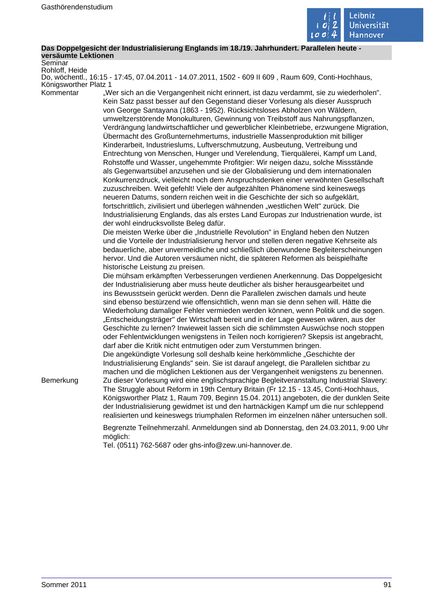

#### **Das Doppelgesicht der Industrialisierung Englands im 18./19. Jahrhundert. Parallelen heute versäumte Lektionen**

Seminar Rohloff, Heide

Do, wöchentl., 16:15 - 17:45, 07.04.2011 - 14.07.2011, 1502 - 609 II 609 , Raum 609, Conti-Hochhaus, Königsworther Platz 1

Kommentar "Wer sich an die Vergangenheit nicht erinnert, ist dazu verdammt, sie zu wiederholen". Kein Satz passt besser auf den Gegenstand dieser Vorlesung als dieser Ausspruch von George Santayana (1863 - 1952). Rücksichtsloses Abholzen von Wäldern, umweltzerstörende Monokulturen, Gewinnung von Treibstoff aus Nahrungspflanzen, Verdrängung landwirtschaftlicher und gewerblicher Kleinbetriebe, erzwungene Migration, Übermacht des Großunternehmertums, industrielle Massenproduktion mit billiger Kinderarbeit, Industrieslums, Luftverschmutzung, Ausbeutung, Vertreibung und Entrechtung von Menschen, Hunger und Verelendung, Tierquälerei, Kampf um Land, Rohstoffe und Wasser, ungehemmte Profitgier: Wir neigen dazu, solche Missstände als Gegenwartsübel anzusehen und sie der Globalisierung und dem internationalen Konkurrenzdruck, vielleicht noch dem Anspruchsdenken einer verwöhnten Gesellschaft zuzuschreiben. Weit gefehlt! Viele der aufgezählten Phänomene sind keineswegs neueren Datums, sondern reichen weit in die Geschichte der sich so aufgeklärt, fortschrittlich, zivilisiert und überlegen wähnenden "westlichen Welt" zurück. Die Industrialisierung Englands, das als erstes Land Europas zur Industrienation wurde, ist der wohl eindrucksvollste Beleg dafür.

> Die meisten Werke über die "Industrielle Revolution" in England heben den Nutzen und die Vorteile der Industrialisierung hervor und stellen deren negative Kehrseite als bedauerliche, aber unvermeidliche und schließlich überwundene Begleiterscheinungen hervor. Und die Autoren versäumen nicht, die späteren Reformen als beispielhafte historische Leistung zu preisen.

> Die mühsam erkämpften Verbesserungen verdienen Anerkennung. Das Doppelgesicht der Industrialisierung aber muss heute deutlicher als bisher herausgearbeitet und ins Bewusstsein gerückt werden. Denn die Parallelen zwischen damals und heute sind ebenso bestürzend wie offensichtlich, wenn man sie denn sehen will. Hätte die Wiederholung damaliger Fehler vermieden werden können, wenn Politik und die sogen. "Entscheidungsträger" der Wirtschaft bereit und in der Lage gewesen wären, aus der Geschichte zu lernen? Inwieweit lassen sich die schlimmsten Auswüchse noch stoppen oder Fehlentwicklungen wenigstens in Teilen noch korrigieren? Skepsis ist angebracht, darf aber die Kritik nicht entmutigen oder zum Verstummen bringen.

> Die angekündigte Vorlesung soll deshalb keine herkömmliche "Geschichte der Industrialisierung Englands" sein. Sie ist darauf angelegt, die Parallelen sichtbar zu machen und die möglichen Lektionen aus der Vergangenheit wenigstens zu benennen.

Bemerkung Zu dieser Vorlesung wird eine englischsprachige Begleitveranstaltung Industrial Slavery: The Struggle about Reform in 19th Century Britain (Fr 12.15 - 13.45, Conti-Hochhaus, Königsworther Platz 1, Raum 709, Beginn 15.04. 2011) angeboten, die der dunklen Seite der Industrialisierung gewidmet ist und den hartnäckigen Kampf um die nur schleppend realisierten und keineswegs triumphalen Reformen im einzelnen näher untersuchen soll.

> Begrenzte Teilnehmerzahl. Anmeldungen sind ab Donnerstag, den 24.03.2011, 9:00 Uhr möglich:

Tel. (0511) 762-5687 oder ghs-info@zew.uni-hannover.de.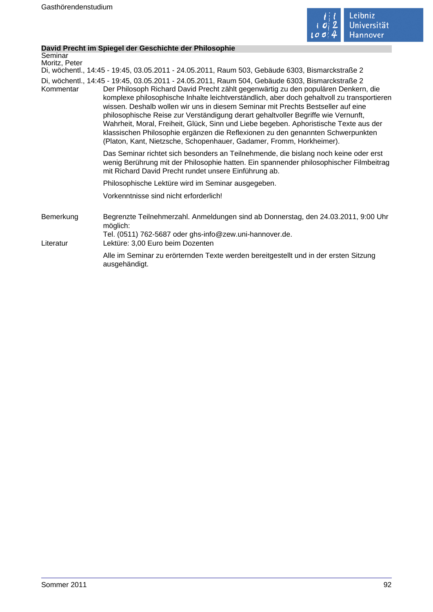

#### **David Precht im Spiegel der Geschichte der Philosophie**

```
Seminar
Moritz, Peter
```
Di, wöchentl., 14:45 - 19:45, 03.05.2011 - 24.05.2011, Raum 503, Gebäude 6303, Bismarckstraße 2

Di, wöchentl., 14:45 - 19:45, 03.05.2011 - 24.05.2011, Raum 504, Gebäude 6303, Bismarckstraße 2 Kommentar Der Philosoph Richard David Precht zählt gegenwärtig zu den populären Denkern, die komplexe philosophische Inhalte leichtverständlich, aber doch gehaltvoll zu transportieren wissen. Deshalb wollen wir uns in diesem Seminar mit Prechts Bestseller auf eine philosophische Reise zur Verständigung derart gehaltvoller Begriffe wie Vernunft, Wahrheit, Moral, Freiheit, Glück, Sinn und Liebe begeben. Aphoristische Texte aus der klassischen Philosophie ergänzen die Reflexionen zu den genannten Schwerpunkten (Platon, Kant, Nietzsche, Schopenhauer, Gadamer, Fromm, Horkheimer).

> Das Seminar richtet sich besonders an Teilnehmende, die bislang noch keine oder erst wenig Berührung mit der Philosophie hatten. Ein spannender philosophischer Filmbeitrag mit Richard David Precht rundet unsere Einführung ab.

Philosophische Lektüre wird im Seminar ausgegeben.

Vorkenntnisse sind nicht erforderlich!

ausgehändigt.

- Bemerkung Begrenzte Teilnehmerzahl. Anmeldungen sind ab Donnerstag, den 24.03.2011, 9:00 Uhr möglich: Tel. (0511) 762-5687 oder ghs-info@zew.uni-hannover.de.
- Literatur Lektüre: 3,00 Euro beim Dozenten Alle im Seminar zu erörternden Texte werden bereitgestellt und in der ersten Sitzung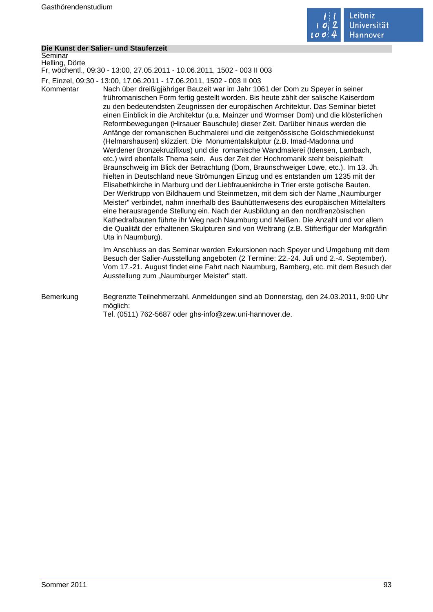

#### **Die Kunst der Salier- und Stauferzeit**

Seminar Helling, Dörte

Fr, wöchentl., 09:30 - 13:00, 27.05.2011 - 10.06.2011, 1502 - 003 II 003

Fr, Einzel, 09:30 - 13:00, 17.06.2011 - 17.06.2011, 1502 - 003 II 003

Kommentar Nach über dreißigjähriger Bauzeit war im Jahr 1061 der Dom zu Speyer in seiner frühromanischen Form fertig gestellt worden. Bis heute zählt der salische Kaiserdom zu den bedeutendsten Zeugnissen der europäischen Architektur. Das Seminar bietet einen Einblick in die Architektur (u.a. Mainzer und Wormser Dom) und die klösterlichen Reformbewegungen (Hirsauer Bauschule) dieser Zeit. Darüber hinaus werden die Anfänge der romanischen Buchmalerei und die zeitgenössische Goldschmiedekunst (Helmarshausen) skizziert. Die Monumentalskulptur (z.B. Imad-Madonna und Werdener Bronzekruzifixus) und die romanische Wandmalerei (Idensen, Lambach, etc.) wird ebenfalls Thema sein. Aus der Zeit der Hochromanik steht beispielhaft Braunschweig im Blick der Betrachtung (Dom, Braunschweiger Löwe, etc.). Im 13. Jh. hielten in Deutschland neue Strömungen Einzug und es entstanden um 1235 mit der Elisabethkirche in Marburg und der Liebfrauenkirche in Trier erste gotische Bauten. Der Werktrupp von Bildhauern und Steinmetzen, mit dem sich der Name "Naumburger Meister" verbindet, nahm innerhalb des Bauhüttenwesens des europäischen Mittelalters eine herausragende Stellung ein. Nach der Ausbildung an den nordfranzösischen Kathedralbauten führte ihr Weg nach Naumburg und Meißen. Die Anzahl und vor allem die Qualität der erhaltenen Skulpturen sind von Weltrang (z.B. Stifterfigur der Markgräfin Uta in Naumburg).

> Im Anschluss an das Seminar werden Exkursionen nach Speyer und Umgebung mit dem Besuch der Salier-Ausstellung angeboten (2 Termine: 22.-24. Juli und 2.-4. September). Vom 17.-21. August findet eine Fahrt nach Naumburg, Bamberg, etc. mit dem Besuch der Ausstellung zum "Naumburger Meister" statt.

Bemerkung Begrenzte Teilnehmerzahl. Anmeldungen sind ab Donnerstag, den 24.03.2011, 9:00 Uhr möglich: Tel. (0511) 762-5687 oder ghs-info@zew.uni-hannover.de.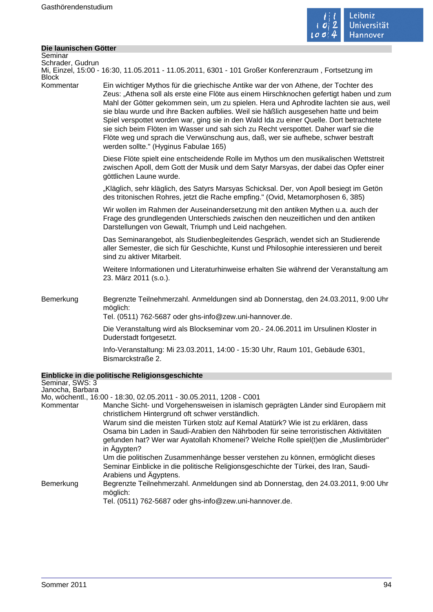

÷,

# **Die launischen Götter**

| Seminar<br>Schrader, Gudrun<br><b>Block</b>      | Mi, Einzel, 15:00 - 16:30, 11.05.2011 - 11.05.2011, 6301 - 101 Großer Konferenzraum, Fortsetzung im                                                                                                                                                                                                                                                                                                                                                                                                                                                                                                                                                                            |
|--------------------------------------------------|--------------------------------------------------------------------------------------------------------------------------------------------------------------------------------------------------------------------------------------------------------------------------------------------------------------------------------------------------------------------------------------------------------------------------------------------------------------------------------------------------------------------------------------------------------------------------------------------------------------------------------------------------------------------------------|
| Kommentar                                        | Ein wichtiger Mythos für die griechische Antike war der von Athene, der Tochter des<br>Zeus: "Athena soll als erste eine Flöte aus einem Hirschknochen gefertigt haben und zum<br>Mahl der Götter gekommen sein, um zu spielen. Hera und Aphrodite lachten sie aus, weil<br>sie blau wurde und ihre Backen aufblies. Weil sie häßlich ausgesehen hatte und beim<br>Spiel verspottet worden war, ging sie in den Wald Ida zu einer Quelle. Dort betrachtete<br>sie sich beim Flöten im Wasser und sah sich zu Recht verspottet. Daher warf sie die<br>Flöte weg und sprach die Verwünschung aus, daß, wer sie aufhebe, schwer bestraft<br>werden sollte." (Hyginus Fabulae 165) |
|                                                  | Diese Flöte spielt eine entscheidende Rolle im Mythos um den musikalischen Wettstreit<br>zwischen Apoll, dem Gott der Musik und dem Satyr Marsyas, der dabei das Opfer einer<br>göttlichen Laune wurde.                                                                                                                                                                                                                                                                                                                                                                                                                                                                        |
|                                                  | "Kläglich, sehr kläglich, des Satyrs Marsyas Schicksal. Der, von Apoll besiegt im Getön<br>des tritonischen Rohres, jetzt die Rache empfing." (Ovid, Metamorphosen 6, 385)                                                                                                                                                                                                                                                                                                                                                                                                                                                                                                     |
|                                                  | Wir wollen im Rahmen der Auseinandersetzung mit den antiken Mythen u.a. auch der<br>Frage des grundlegenden Unterschieds zwischen den neuzeitlichen und den antiken<br>Darstellungen von Gewalt, Triumph und Leid nachgehen.                                                                                                                                                                                                                                                                                                                                                                                                                                                   |
|                                                  | Das Seminarangebot, als Studienbegleitendes Gespräch, wendet sich an Studierende<br>aller Semester, die sich für Geschichte, Kunst und Philosophie interessieren und bereit<br>sind zu aktiver Mitarbeit.                                                                                                                                                                                                                                                                                                                                                                                                                                                                      |
|                                                  | Weitere Informationen und Literaturhinweise erhalten Sie während der Veranstaltung am<br>23. März 2011 (s.o.).                                                                                                                                                                                                                                                                                                                                                                                                                                                                                                                                                                 |
| Bemerkung                                        | Begrenzte Teilnehmerzahl. Anmeldungen sind ab Donnerstag, den 24.03.2011, 9:00 Uhr<br>möglich:<br>Tel. (0511) 762-5687 oder ghs-info@zew.uni-hannover.de.                                                                                                                                                                                                                                                                                                                                                                                                                                                                                                                      |
|                                                  | Die Veranstaltung wird als Blockseminar vom 20.- 24.06.2011 im Ursulinen Kloster in<br>Duderstadt fortgesetzt.                                                                                                                                                                                                                                                                                                                                                                                                                                                                                                                                                                 |
|                                                  | Info-Veranstaltung: Mi 23.03.2011, 14:00 - 15:30 Uhr, Raum 101, Gebäude 6301,<br>Bismarckstraße 2.                                                                                                                                                                                                                                                                                                                                                                                                                                                                                                                                                                             |
|                                                  | Einblicke in die politische Religionsgeschichte                                                                                                                                                                                                                                                                                                                                                                                                                                                                                                                                                                                                                                |
| Seminar, SWS: 3<br>Janocha, Barbara<br>Kommentar | Mo, wöchentl., 16:00 - 18:30, 02.05.2011 - 30.05.2011, 1208 - C001<br>Manche Sicht- und Vorgehensweisen in islamisch geprägten Länder sind Europäern mit                                                                                                                                                                                                                                                                                                                                                                                                                                                                                                                       |
|                                                  | christlichem Hintergrund oft schwer verständlich.                                                                                                                                                                                                                                                                                                                                                                                                                                                                                                                                                                                                                              |
|                                                  | Warum sind die meisten Türken stolz auf Kemal Atatürk? Wie ist zu erklären, dass<br>Osama bin Laden in Saudi-Arabien den Nährboden für seine terroristischen Aktivitäten<br>gefunden hat? Wer war Ayatollah Khomenei? Welche Rolle spiel(t)en die "Muslimbrüder"<br>in Ägypten?                                                                                                                                                                                                                                                                                                                                                                                                |
|                                                  | Um die politischen Zusammenhänge besser verstehen zu können, ermöglicht dieses<br>Seminar Einblicke in die politische Religionsgeschichte der Türkei, des Iran, Saudi-                                                                                                                                                                                                                                                                                                                                                                                                                                                                                                         |
| Bemerkung                                        | Arabiens und Ägyptens.<br>Begrenzte Teilnehmerzahl. Anmeldungen sind ab Donnerstag, den 24.03.2011, 9:00 Uhr<br>möglich:                                                                                                                                                                                                                                                                                                                                                                                                                                                                                                                                                       |
|                                                  | Tel. (0511) 762-5687 oder ghs-info@zew.uni-hannover.de.                                                                                                                                                                                                                                                                                                                                                                                                                                                                                                                                                                                                                        |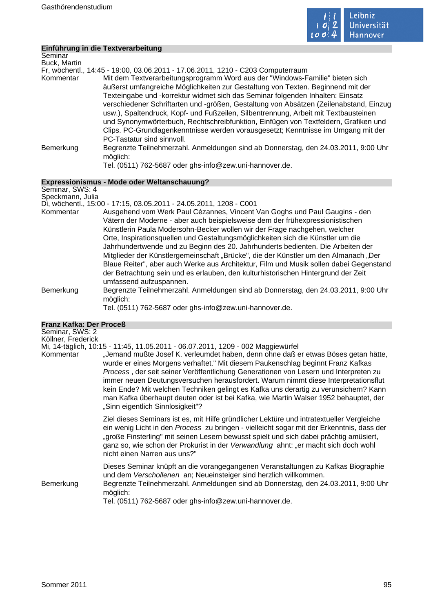

|                                     | Einführung in die Textverarbeitung                                                                                                                                                                                                                                                                                                                                                                                                                                                                                                                                                                                                           |
|-------------------------------------|----------------------------------------------------------------------------------------------------------------------------------------------------------------------------------------------------------------------------------------------------------------------------------------------------------------------------------------------------------------------------------------------------------------------------------------------------------------------------------------------------------------------------------------------------------------------------------------------------------------------------------------------|
| Seminar                             |                                                                                                                                                                                                                                                                                                                                                                                                                                                                                                                                                                                                                                              |
| Buck, Martin                        | Fr, wöchentl., 14:45 - 19:00, 03.06.2011 - 17.06.2011, 1210 - C203 Computerraum                                                                                                                                                                                                                                                                                                                                                                                                                                                                                                                                                              |
| Kommentar                           | Mit dem Textverarbeitungsprogramm Word aus der "Windows-Familie" bieten sich<br>äußerst umfangreiche Möglichkeiten zur Gestaltung von Texten. Beginnend mit der<br>Texteingabe und -korrektur widmet sich das Seminar folgenden Inhalten: Einsatz<br>verschiedener Schriftarten und -größen, Gestaltung von Absätzen (Zeilenabstand, Einzug<br>usw.), Spaltendruck, Kopf- und Fußzeilen, Silbentrennung, Arbeit mit Textbausteinen<br>und Synonymwörterbuch, Rechtschreibfunktion, Einfügen von Textfeldern, Grafiken und<br>Clips. PC-Grundlagenkenntnisse werden vorausgesetzt; Kenntnisse im Umgang mit der<br>PC-Tastatur sind sinnvoll. |
| Bemerkung                           | Begrenzte Teilnehmerzahl. Anmeldungen sind ab Donnerstag, den 24.03.2011, 9:00 Uhr<br>möglich:                                                                                                                                                                                                                                                                                                                                                                                                                                                                                                                                               |
|                                     | Tel. (0511) 762-5687 oder ghs-info@zew.uni-hannover.de.                                                                                                                                                                                                                                                                                                                                                                                                                                                                                                                                                                                      |
|                                     | Expressionismus - Mode oder Weltanschauung?                                                                                                                                                                                                                                                                                                                                                                                                                                                                                                                                                                                                  |
| Seminar, SWS: 4<br>Speckmann, Julia |                                                                                                                                                                                                                                                                                                                                                                                                                                                                                                                                                                                                                                              |
|                                     | Di, wöchentl., 15:00 - 17:15, 03.05.2011 - 24.05.2011, 1208 - C001                                                                                                                                                                                                                                                                                                                                                                                                                                                                                                                                                                           |
| Kommentar                           | Ausgehend vom Werk Paul Cézannes, Vincent Van Goghs und Paul Gaugins - den<br>Vätern der Moderne - aber auch beispielsweise dem der frühexpressionistischen<br>Künstlerin Paula Modersohn-Becker wollen wir der Frage nachgehen, welcher                                                                                                                                                                                                                                                                                                                                                                                                     |

- Orte, Inspirationsquellen und Gestaltungsmöglichkeiten sich die Künstler um die Jahrhundertwende und zu Beginn des 20. Jahrhunderts bedienten. Die Arbeiten der Mitglieder der Künstlergemeinschaft "Brücke", die der Künstler um den Almanach "Der Blaue Reiter", aber auch Werke aus Architektur, Film und Musik sollen dabei Gegenstand der Betrachtung sein und es erlauben, den kulturhistorischen Hintergrund der Zeit umfassend aufzuspannen.
- Bemerkung Begrenzte Teilnehmerzahl. Anmeldungen sind ab Donnerstag, den 24.03.2011, 9:00 Uhr möglich:

|  | <b>Franz Kafka: Der Proceß</b> |
|--|--------------------------------|

| Seminar, SWS: 2<br>Köllner, Frederick |                                                                                                                                                                                                                                                                                                                                                                                                                                                                                                                                                                         |
|---------------------------------------|-------------------------------------------------------------------------------------------------------------------------------------------------------------------------------------------------------------------------------------------------------------------------------------------------------------------------------------------------------------------------------------------------------------------------------------------------------------------------------------------------------------------------------------------------------------------------|
|                                       | Mi, 14-täglich, 10:15 - 11:45, 11.05.2011 - 06.07.2011, 1209 - 002 Maggiewürfel                                                                                                                                                                                                                                                                                                                                                                                                                                                                                         |
| Kommentar                             | "Jemand mußte Josef K. verleumdet haben, denn ohne daß er etwas Böses getan hätte,<br>wurde er eines Morgens verhaftet." Mit diesem Paukenschlag beginnt Franz Kafkas<br>Process, der seit seiner Veröffentlichung Generationen von Lesern und Interpreten zu<br>immer neuen Deutungsversuchen herausfordert. Warum nimmt diese Interpretationsflut<br>kein Ende? Mit welchen Techniken gelingt es Kafka uns derartig zu verunsichern? Kann<br>man Kafka überhaupt deuten oder ist bei Kafka, wie Martin Walser 1952 behauptet, der<br>"Sinn eigentlich Sinnlosigkeit"? |
|                                       | Ziel dieses Seminars ist es, mit Hilfe gründlicher Lektüre und intratextueller Vergleiche<br>ein wenig Licht in den Process zu bringen - vielleicht sogar mit der Erkenntnis, dass der<br>"große Finsterling" mit seinen Lesern bewusst spielt und sich dabei prächtig amüsiert,<br>ganz so, wie schon der Prokurist in der Verwandlung ahnt: "er macht sich doch wohl<br>nicht einen Narren aus uns?"                                                                                                                                                                  |
| Bemerkung                             | Dieses Seminar knüpft an die vorangegangenen Veranstaltungen zu Kafkas Biographie<br>und dem Verschollenen an; Neueinsteiger sind herzlich willkommen.<br>Begrenzte Teilnehmerzahl. Anmeldungen sind ab Donnerstag, den 24.03.2011, 9:00 Uhr<br>möglich:                                                                                                                                                                                                                                                                                                                |
|                                       | Tel. (0511) 762-5687 oder ghs-info@zew.uni-hannover.de.                                                                                                                                                                                                                                                                                                                                                                                                                                                                                                                 |
|                                       |                                                                                                                                                                                                                                                                                                                                                                                                                                                                                                                                                                         |

Tel. (0511) 762-5687 oder ghs-info@zew.uni-hannover.de.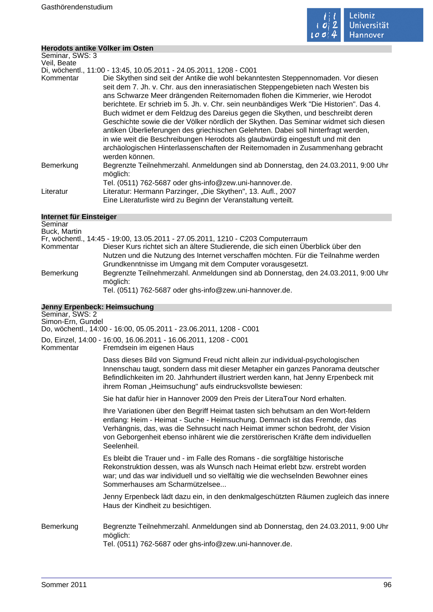

÷,

# **Herodots antike Völker im Osten**

| Seminar, SWS: 3         |                                                                                                                                                                                                                                                                                                                                                                                                                                                                                                                                                                                                                                                                                                                                                                                                         |
|-------------------------|---------------------------------------------------------------------------------------------------------------------------------------------------------------------------------------------------------------------------------------------------------------------------------------------------------------------------------------------------------------------------------------------------------------------------------------------------------------------------------------------------------------------------------------------------------------------------------------------------------------------------------------------------------------------------------------------------------------------------------------------------------------------------------------------------------|
| Veil, Beate             |                                                                                                                                                                                                                                                                                                                                                                                                                                                                                                                                                                                                                                                                                                                                                                                                         |
|                         | Di, wöchentl., 11:00 - 13:45, 10.05.2011 - 24.05.2011, 1208 - C001                                                                                                                                                                                                                                                                                                                                                                                                                                                                                                                                                                                                                                                                                                                                      |
| Kommentar               | Die Skythen sind seit der Antike die wohl bekanntesten Steppennomaden. Vor diesen<br>seit dem 7. Jh. v. Chr. aus den innerasiatischen Steppengebieten nach Westen bis<br>ans Schwarze Meer drängenden Reiternomaden flohen die Kimmerier, wie Herodot<br>berichtete. Er schrieb im 5. Jh. v. Chr. sein neunbändiges Werk "Die Historien". Das 4.<br>Buch widmet er dem Feldzug des Dareius gegen die Skythen, und beschreibt deren<br>Geschichte sowie die der Völker nördlich der Skythen. Das Seminar widmet sich diesen<br>antiken Überlieferungen des griechischen Gelehrten. Dabei soll hinterfragt werden,<br>in wie weit die Beschreibungen Herodots als glaubwürdig eingestuft und mit den<br>archäologischen Hinterlassenschaften der Reiternomaden in Zusammenhang gebracht<br>werden können. |
| Bemerkung               | Begrenzte Teilnehmerzahl. Anmeldungen sind ab Donnerstag, den 24.03.2011, 9:00 Uhr<br>möglich:                                                                                                                                                                                                                                                                                                                                                                                                                                                                                                                                                                                                                                                                                                          |
|                         | Tel. (0511) 762-5687 oder ghs-info@zew.uni-hannover.de.                                                                                                                                                                                                                                                                                                                                                                                                                                                                                                                                                                                                                                                                                                                                                 |
| Literatur               | Literatur: Hermann Parzinger, "Die Skythen", 13. Aufl., 2007                                                                                                                                                                                                                                                                                                                                                                                                                                                                                                                                                                                                                                                                                                                                            |
|                         | Eine Literaturliste wird zu Beginn der Veranstaltung verteilt.                                                                                                                                                                                                                                                                                                                                                                                                                                                                                                                                                                                                                                                                                                                                          |
| Internet für Einsteiger |                                                                                                                                                                                                                                                                                                                                                                                                                                                                                                                                                                                                                                                                                                                                                                                                         |

| Seminar<br>Buck, Martin |                                                                                                |
|-------------------------|------------------------------------------------------------------------------------------------|
|                         | Fr, wöchentl., 14:45 - 19:00, 13.05.2011 - 27.05.2011, 1210 - C203 Computerraum                |
| Kommentar               | Dieser Kurs richtet sich an ältere Studierende, die sich einen Überblick über den              |
|                         | Nutzen und die Nutzung des Internet verschaffen möchten. Für die Teilnahme werden              |
|                         | Grundkenntnisse im Umgang mit dem Computer vorausgesetzt.                                      |
| Bemerkung               | Begrenzte Teilnehmerzahl. Anmeldungen sind ab Donnerstag, den 24.03.2011, 9:00 Uhr<br>möglich: |
|                         | Tel. (0511) 762-5687 oder ghs-info@zew.uni-hannover.de.                                        |

| Jenny Erpenbeck: Heimsuchung<br>Seminar, SWS: 2<br>Simon-Ern, Gundel |                                                                                                                                                                                                                                                                                                                                                      |
|----------------------------------------------------------------------|------------------------------------------------------------------------------------------------------------------------------------------------------------------------------------------------------------------------------------------------------------------------------------------------------------------------------------------------------|
|                                                                      | Do, wöchentl., 14:00 - 16:00, 05.05.2011 - 23.06.2011, 1208 - C001                                                                                                                                                                                                                                                                                   |
| Kommentar                                                            | Do, Einzel, 14:00 - 16:00, 16.06.2011 - 16.06.2011, 1208 - C001<br>Fremdsein im eigenen Haus                                                                                                                                                                                                                                                         |
|                                                                      | Dass dieses Bild von Sigmund Freud nicht allein zur individual-psychologischen<br>Innenschau taugt, sondern dass mit dieser Metapher ein ganzes Panorama deutscher<br>Befindlichkeiten im 20. Jahrhundert illustriert werden kann, hat Jenny Erpenbeck mit<br>ihrem Roman "Heimsuchung" aufs eindrucksvollste bewiesen:                              |
|                                                                      | Sie hat dafür hier in Hannover 2009 den Preis der LiteraTour Nord erhalten.                                                                                                                                                                                                                                                                          |
|                                                                      | Ihre Variationen über den Begriff Heimat tasten sich behutsam an den Wort-feldern<br>entlang: Heim - Heimat - Suche - Heimsuchung. Demnach ist das Fremde, das<br>Verhängnis, das, was die Sehnsucht nach Heimat immer schon bedroht, der Vision<br>von Geborgenheit ebenso inhärent wie die zerstörerischen Kräfte dem individuellen<br>Seelenheil. |
|                                                                      | Es bleibt die Trauer und - im Falle des Romans - die sorgfältige historische<br>Rekonstruktion dessen, was als Wunsch nach Heimat erlebt bzw. erstrebt worden<br>war; und das war individuell und so vielfältig wie die wechselnden Bewohner eines<br>Sommerhauses am Scharmützelsee                                                                 |
|                                                                      | Jenny Erpenbeck lädt dazu ein, in den denkmalgeschützten Räumen zugleich das innere<br>Haus der Kindheit zu besichtigen.                                                                                                                                                                                                                             |
| Bemerkung                                                            | Begrenzte Teilnehmerzahl. Anmeldungen sind ab Donnerstag, den 24.03.2011, 9:00 Uhr<br>möglich:<br>Tel. (0511) 762-5687 oder ghs-info@zew.uni-hannover.de.                                                                                                                                                                                            |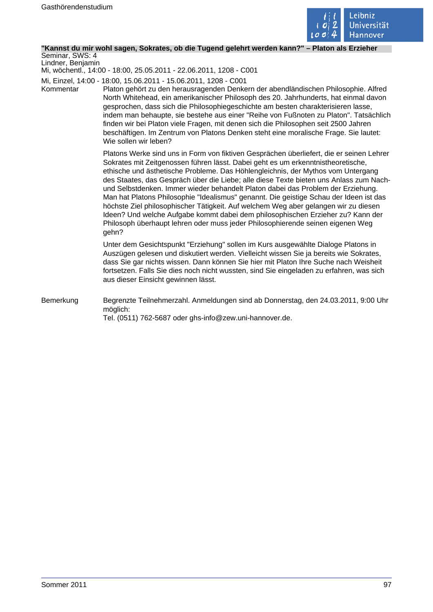

#### **"Kannst du mir wohl sagen, Sokrates, ob die Tugend gelehrt werden kann?" – Platon als Erzieher**

Seminar, SWS: 4 Lindner, Benjamin

Mi, wöchentl., 14:00 - 18:00, 25.05.2011 - 22.06.2011, 1208 - C001

Mi, Einzel, 14:00 - 18:00, 15.06.2011 - 15.06.2011, 1208 - C001

Kommentar Platon gehört zu den herausragenden Denkern der abendländischen Philosophie. Alfred North Whitehead, ein amerikanischer Philosoph des 20. Jahrhunderts, hat einmal davon gesprochen, dass sich die Philosophiegeschichte am besten charakterisieren lasse, indem man behaupte, sie bestehe aus einer "Reihe von Fußnoten zu Platon". Tatsächlich finden wir bei Platon viele Fragen, mit denen sich die Philosophen seit 2500 Jahren beschäftigen. Im Zentrum von Platons Denken steht eine moralische Frage. Sie lautet: Wie sollen wir leben?

> Platons Werke sind uns in Form von fiktiven Gesprächen überliefert, die er seinen Lehrer Sokrates mit Zeitgenossen führen lässt. Dabei geht es um erkenntnistheoretische, ethische und ästhetische Probleme. Das Höhlengleichnis, der Mythos vom Untergang des Staates, das Gespräch über die Liebe; alle diese Texte bieten uns Anlass zum Nachund Selbstdenken. Immer wieder behandelt Platon dabei das Problem der Erziehung. Man hat Platons Philosophie "Idealismus" genannt. Die geistige Schau der Ideen ist das höchste Ziel philosophischer Tätigkeit. Auf welchem Weg aber gelangen wir zu diesen Ideen? Und welche Aufgabe kommt dabei dem philosophischen Erzieher zu? Kann der Philosoph überhaupt lehren oder muss jeder Philosophierende seinen eigenen Weg gehn?

Unter dem Gesichtspunkt "Erziehung" sollen im Kurs ausgewählte Dialoge Platons in Auszügen gelesen und diskutiert werden. Vielleicht wissen Sie ja bereits wie Sokrates, dass Sie gar nichts wissen. Dann können Sie hier mit Platon Ihre Suche nach Weisheit fortsetzen. Falls Sie dies noch nicht wussten, sind Sie eingeladen zu erfahren, was sich aus dieser Einsicht gewinnen lässt.

Bemerkung Begrenzte Teilnehmerzahl. Anmeldungen sind ab Donnerstag, den 24.03.2011, 9:00 Uhr möglich: Tel. (0511) 762-5687 oder ghs-info@zew.uni-hannover.de.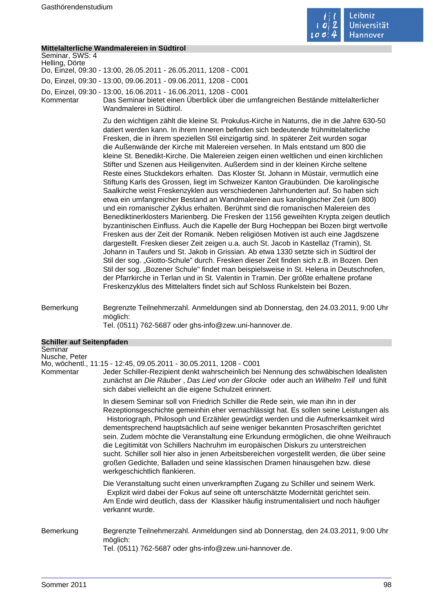

|                                  | Mittelalterliche Wandmalereien in Südtirol                                                                                                                                                                                                                                                                                                                                                                                                                                                                                                                                                                                                                                                                                                                                                                                                                                                                                                                                                                                                                                                                                                                                                                                                                                                                                                                                                                                                                                                                                                                                                                                                                                                                                                                                                                         |
|----------------------------------|--------------------------------------------------------------------------------------------------------------------------------------------------------------------------------------------------------------------------------------------------------------------------------------------------------------------------------------------------------------------------------------------------------------------------------------------------------------------------------------------------------------------------------------------------------------------------------------------------------------------------------------------------------------------------------------------------------------------------------------------------------------------------------------------------------------------------------------------------------------------------------------------------------------------------------------------------------------------------------------------------------------------------------------------------------------------------------------------------------------------------------------------------------------------------------------------------------------------------------------------------------------------------------------------------------------------------------------------------------------------------------------------------------------------------------------------------------------------------------------------------------------------------------------------------------------------------------------------------------------------------------------------------------------------------------------------------------------------------------------------------------------------------------------------------------------------|
| Seminar, SWS: 4                  |                                                                                                                                                                                                                                                                                                                                                                                                                                                                                                                                                                                                                                                                                                                                                                                                                                                                                                                                                                                                                                                                                                                                                                                                                                                                                                                                                                                                                                                                                                                                                                                                                                                                                                                                                                                                                    |
| Helling, Dörte                   | Do, Einzel, 09:30 - 13:00, 26.05.2011 - 26.05.2011, 1208 - C001                                                                                                                                                                                                                                                                                                                                                                                                                                                                                                                                                                                                                                                                                                                                                                                                                                                                                                                                                                                                                                                                                                                                                                                                                                                                                                                                                                                                                                                                                                                                                                                                                                                                                                                                                    |
|                                  | Do, Einzel, 09:30 - 13:00, 09.06.2011 - 09.06.2011, 1208 - C001                                                                                                                                                                                                                                                                                                                                                                                                                                                                                                                                                                                                                                                                                                                                                                                                                                                                                                                                                                                                                                                                                                                                                                                                                                                                                                                                                                                                                                                                                                                                                                                                                                                                                                                                                    |
|                                  | Do, Einzel, 09:30 - 13:00, 16.06.2011 - 16.06.2011, 1208 - C001                                                                                                                                                                                                                                                                                                                                                                                                                                                                                                                                                                                                                                                                                                                                                                                                                                                                                                                                                                                                                                                                                                                                                                                                                                                                                                                                                                                                                                                                                                                                                                                                                                                                                                                                                    |
| Kommentar                        | Das Seminar bietet einen Überblick über die umfangreichen Bestände mittelalterlicher<br>Wandmalerei in Südtirol.                                                                                                                                                                                                                                                                                                                                                                                                                                                                                                                                                                                                                                                                                                                                                                                                                                                                                                                                                                                                                                                                                                                                                                                                                                                                                                                                                                                                                                                                                                                                                                                                                                                                                                   |
|                                  | Zu den wichtigen zählt die kleine St. Prokulus-Kirche in Naturns, die in die Jahre 630-50<br>datiert werden kann. In ihrem Inneren befinden sich bedeutende frühmittelalterliche<br>Fresken, die in ihrem speziellen Stil einzigartig sind. In späterer Zeit wurden sogar<br>die Außenwände der Kirche mit Malereien versehen. In Mals entstand um 800 die<br>kleine St. Benedikt-Kirche. Die Malereien zeigen einen weltlichen und einen kirchlichen<br>Stifter und Szenen aus Heiligenviten. Außerdem sind in der kleinen Kirche seltene<br>Reste eines Stuckdekors erhalten. Das Kloster St. Johann in Müstair, vermutlich eine<br>Stiftung Karls des Grossen, liegt im Schweizer Kanton Graubünden. Die karolingische<br>Saalkirche weist Freskenzyklen aus verschiedenen Jahrhunderten auf. So haben sich<br>etwa ein umfangreicher Bestand an Wandmalereien aus karolingischer Zeit (um 800)<br>und ein romanischer Zyklus erhalten. Berühmt sind die romanischen Malereien des<br>Benediktinerklosters Marienberg. Die Fresken der 1156 geweihten Krypta zeigen deutlich<br>byzantinischen Einfluss. Auch die Kapelle der Burg Hocheppan bei Bozen birgt wertvolle<br>Fresken aus der Zeit der Romanik. Neben religiösen Motiven ist auch eine Jagdszene<br>dargestellt. Fresken dieser Zeit zeigen u.a. auch St. Jacob in Kastellaz (Tramin), St.<br>Johann in Taufers und St. Jakob in Grissian. Ab etwa 1330 setzte sich in Südtirol der<br>Stil der sog. "Giotto-Schule" durch. Fresken dieser Zeit finden sich z.B. in Bozen. Den<br>Stil der sog. "Bozener Schule" findet man beispielsweise in St. Helena in Deutschnofen,<br>der Pfarrkirche in Terlan und in St. Valentin in Tramin. Der größte erhaltene profane<br>Freskenzyklus des Mittelalters findet sich auf Schloss Runkelstein bei Bozen. |
| Bemerkung                        | Begrenzte Teilnehmerzahl. Anmeldungen sind ab Donnerstag, den 24.03.2011, 9:00 Uhr<br>möglich:<br>Tel. (0511) 762-5687 oder ghs-info@zew.uni-hannover.de.                                                                                                                                                                                                                                                                                                                                                                                                                                                                                                                                                                                                                                                                                                                                                                                                                                                                                                                                                                                                                                                                                                                                                                                                                                                                                                                                                                                                                                                                                                                                                                                                                                                          |
| <b>Schiller auf Seitenpfaden</b> |                                                                                                                                                                                                                                                                                                                                                                                                                                                                                                                                                                                                                                                                                                                                                                                                                                                                                                                                                                                                                                                                                                                                                                                                                                                                                                                                                                                                                                                                                                                                                                                                                                                                                                                                                                                                                    |
| Seminar                          |                                                                                                                                                                                                                                                                                                                                                                                                                                                                                                                                                                                                                                                                                                                                                                                                                                                                                                                                                                                                                                                                                                                                                                                                                                                                                                                                                                                                                                                                                                                                                                                                                                                                                                                                                                                                                    |
| Nusche, Peter                    |                                                                                                                                                                                                                                                                                                                                                                                                                                                                                                                                                                                                                                                                                                                                                                                                                                                                                                                                                                                                                                                                                                                                                                                                                                                                                                                                                                                                                                                                                                                                                                                                                                                                                                                                                                                                                    |
|                                  | Mo, wöchentl., 11:15 - 12:45, 09.05.2011 - 30.05.2011, 1208 - C001<br>Kommentar Jeder Schiller-Rezipient denkt wahrscheinlich bei Nennung des schwäbischen Idealisten<br>zunächst an Die Räuber, Das Lied von der Glocke oder auch an Wilhelm Tell und fühlt<br>sich dabei vielleicht an die eigene Schulzeit erinnert.                                                                                                                                                                                                                                                                                                                                                                                                                                                                                                                                                                                                                                                                                                                                                                                                                                                                                                                                                                                                                                                                                                                                                                                                                                                                                                                                                                                                                                                                                            |
|                                  | In diesem Seminar soll von Friedrich Schiller die Rede sein, wie man ihn in der<br>Rezeptionsgeschichte gemeinhin eher vernachlässigt hat. Es sollen seine Leistungen als<br>Historiograph, Philosoph und Erzähler gewürdigt werden und die Aufmerksamkeit wird<br>dementsprechend hauptsächlich auf seine weniger bekannten Prosaschriften gerichtet<br>sein. Zudem möchte die Veranstaltung eine Erkundung ermöglichen, die ohne Weihrauch<br>die Legitimität von Schillers Nachruhm im europäischen Diskurs zu unterstreichen<br>sucht. Schiller soll hier also in jenen Arbeitsbereichen vorgestellt werden, die über seine<br>großen Gedichte, Balladen und seine klassischen Dramen hinausgehen bzw. diese<br>werkgeschichtlich flankieren.                                                                                                                                                                                                                                                                                                                                                                                                                                                                                                                                                                                                                                                                                                                                                                                                                                                                                                                                                                                                                                                                  |
|                                  | Die Veranstaltung sucht einen unverkrampften Zugang zu Schiller und seinem Werk.<br>Explizit wird dabei der Fokus auf seine oft unterschätzte Modernität gerichtet sein.<br>Am Ende wird deutlich, dass der Klassiker häufig instrumentalisiert und noch häufiger<br>verkannt wurde.                                                                                                                                                                                                                                                                                                                                                                                                                                                                                                                                                                                                                                                                                                                                                                                                                                                                                                                                                                                                                                                                                                                                                                                                                                                                                                                                                                                                                                                                                                                               |
| Bemerkung                        | Begrenzte Teilnehmerzahl. Anmeldungen sind ab Donnerstag, den 24.03.2011, 9:00 Uhr<br>möglich:<br>Tel. (0511) 762-5687 oder ghs-info@zew.uni-hannover.de.                                                                                                                                                                                                                                                                                                                                                                                                                                                                                                                                                                                                                                                                                                                                                                                                                                                                                                                                                                                                                                                                                                                                                                                                                                                                                                                                                                                                                                                                                                                                                                                                                                                          |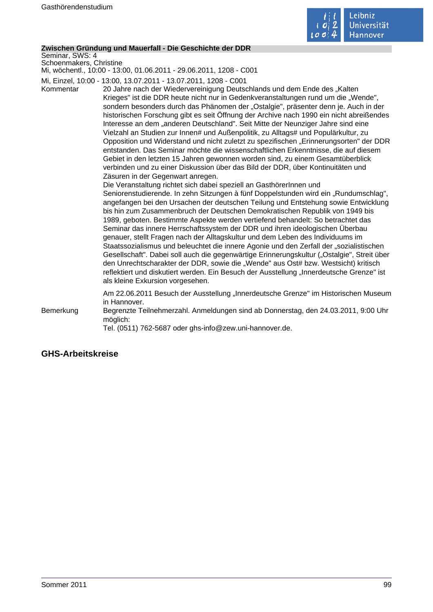

#### **Zwischen Gründung und Mauerfall - Die Geschichte der DDR**

Seminar, SWS: 4 Schoenmakers, Christine

Mi, wöchentl., 10:00 - 13:00, 01.06.2011 - 29.06.2011, 1208 - C001

Mi, Einzel, 10:00 - 13:00, 13.07.2011 - 13.07.2011, 1208 - C001

Kommentar 20 Jahre nach der Wiedervereinigung Deutschlands und dem Ende des "Kalten Krieges" ist die DDR heute nicht nur in Gedenkveranstaltungen rund um die "Wende", sondern besonders durch das Phänomen der "Ostalgie", präsenter denn je. Auch in der historischen Forschung gibt es seit Öffnung der Archive nach 1990 ein nicht abreißendes Interesse an dem "anderen Deutschland". Seit Mitte der Neunziger Jahre sind eine Vielzahl an Studien zur Innen# und Außenpolitik, zu Alltags# und Populärkultur, zu Opposition und Widerstand und nicht zuletzt zu spezifischen "Erinnerungsorten" der DDR entstanden. Das Seminar möchte die wissenschaftlichen Erkenntnisse, die auf diesem Gebiet in den letzten 15 Jahren gewonnen worden sind, zu einem Gesamtüberblick verbinden und zu einer Diskussion über das Bild der DDR, über Kontinuitäten und Zäsuren in der Gegenwart anregen.

> Die Veranstaltung richtet sich dabei speziell an GasthörerInnen und Seniorenstudierende. In zehn Sitzungen à fünf Doppelstunden wird ein "Rundumschlag", angefangen bei den Ursachen der deutschen Teilung und Entstehung sowie Entwicklung bis hin zum Zusammenbruch der Deutschen Demokratischen Republik von 1949 bis 1989, geboten. Bestimmte Aspekte werden vertiefend behandelt: So betrachtet das Seminar das innere Herrschaftssystem der DDR und ihren ideologischen Überbau genauer, stellt Fragen nach der Alltagskultur und dem Leben des Individuums im Staatssozialismus und beleuchtet die innere Agonie und den Zerfall der "sozialistischen Gesellschaft". Dabei soll auch die gegenwärtige Erinnerungskultur ("Ostalgie", Streit über den Unrechtscharakter der DDR, sowie die "Wende" aus Ost# bzw. Westsicht) kritisch reflektiert und diskutiert werden. Ein Besuch der Ausstellung "Innerdeutsche Grenze" ist als kleine Exkursion vorgesehen.

Am 22.06.2011 Besuch der Ausstellung "Innerdeutsche Grenze" im Historischen Museum in Hannover.

Bemerkung Begrenzte Teilnehmerzahl. Anmeldungen sind ab Donnerstag, den 24.03.2011, 9:00 Uhr möglich:

Tel. (0511) 762-5687 oder ghs-info@zew.uni-hannover.de.

# **GHS-Arbeitskreise**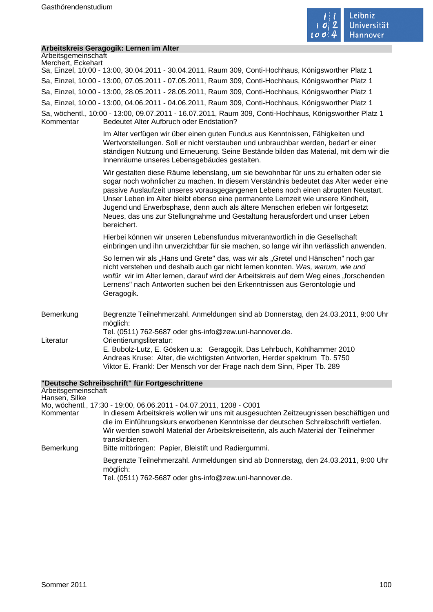

m,

# **Arbeitskreis Geragogik: Lernen im Alter**

| Arbeitsgemeinschaft<br>Merchert, Eckehart |                                                                                                                                                                                                                                                                                                                                                                                                                                                                                                                                        |
|-------------------------------------------|----------------------------------------------------------------------------------------------------------------------------------------------------------------------------------------------------------------------------------------------------------------------------------------------------------------------------------------------------------------------------------------------------------------------------------------------------------------------------------------------------------------------------------------|
|                                           | Sa, Einzel, 10:00 - 13:00, 30.04.2011 - 30.04.2011, Raum 309, Conti-Hochhaus, Königsworther Platz 1                                                                                                                                                                                                                                                                                                                                                                                                                                    |
|                                           | Sa, Einzel, 10:00 - 13:00, 07.05.2011 - 07.05.2011, Raum 309, Conti-Hochhaus, Königsworther Platz 1                                                                                                                                                                                                                                                                                                                                                                                                                                    |
|                                           | Sa, Einzel, 10:00 - 13:00, 28.05.2011 - 28.05.2011, Raum 309, Conti-Hochhaus, Königsworther Platz 1                                                                                                                                                                                                                                                                                                                                                                                                                                    |
|                                           | Sa, Einzel, 10:00 - 13:00, 04.06.2011 - 04.06.2011, Raum 309, Conti-Hochhaus, Königsworther Platz 1                                                                                                                                                                                                                                                                                                                                                                                                                                    |
| Kommentar                                 | Sa, wöchentl., 10:00 - 13:00, 09.07.2011 - 16.07.2011, Raum 309, Conti-Hochhaus, Königsworther Platz 1<br><b>Bedeutet Alter Aufbruch oder Endstation?</b>                                                                                                                                                                                                                                                                                                                                                                              |
|                                           | Im Alter verfügen wir über einen guten Fundus aus Kenntnissen, Fähigkeiten und<br>Wertvorstellungen. Soll er nicht verstauben und unbrauchbar werden, bedarf er einer<br>ständigen Nutzung und Erneuerung. Seine Bestände bilden das Material, mit dem wir die<br>Innenräume unseres Lebensgebäudes gestalten.                                                                                                                                                                                                                         |
|                                           | Wir gestalten diese Räume lebenslang, um sie bewohnbar für uns zu erhalten oder sie<br>sogar noch wohnlicher zu machen. In diesem Verständnis bedeutet das Alter weder eine<br>passive Auslaufzeit unseres vorausgegangenen Lebens noch einen abrupten Neustart.<br>Unser Leben im Alter bleibt ebenso eine permanente Lernzeit wie unsere Kindheit,<br>Jugend und Erwerbsphase, denn auch als ältere Menschen erleben wir fortgesetzt<br>Neues, das uns zur Stellungnahme und Gestaltung herausfordert und unser Leben<br>bereichert. |
|                                           | Hierbei können wir unseren Lebensfundus mitverantwortlich in die Gesellschaft<br>einbringen und ihn unverzichtbar für sie machen, so lange wir ihn verlässlich anwenden.                                                                                                                                                                                                                                                                                                                                                               |
|                                           | So lernen wir als "Hans und Grete" das, was wir als "Gretel und Hänschen" noch gar<br>nicht verstehen und deshalb auch gar nicht lernen konnten. Was, warum, wie und<br>wofür wir im Alter lernen, darauf wird der Arbeitskreis auf dem Weg eines "forschenden<br>Lernens" nach Antworten suchen bei den Erkenntnissen aus Gerontologie und<br>Geragogik.                                                                                                                                                                              |
| Bemerkung                                 | Begrenzte Teilnehmerzahl. Anmeldungen sind ab Donnerstag, den 24.03.2011, 9:00 Uhr<br>möglich:<br>Tel. (0511) 762-5687 oder ghs-info@zew.uni-hannover.de.                                                                                                                                                                                                                                                                                                                                                                              |
| Literatur                                 | Orientierungsliteratur:<br>E. Bubolz-Lutz, E. Gösken u.a: Geragogik, Das Lehrbuch, Kohlhammer 2010<br>Andreas Kruse: Alter, die wichtigsten Antworten, Herder spektrum Tb. 5750<br>Viktor E. Frankl: Der Mensch vor der Frage nach dem Sinn, Piper Tb. 289                                                                                                                                                                                                                                                                             |
|                                           | "Deutsche Schreibschrift" für Fortgeschrittene                                                                                                                                                                                                                                                                                                                                                                                                                                                                                         |
| Arbeitsgemeinschaft<br>Hansen, Silke      |                                                                                                                                                                                                                                                                                                                                                                                                                                                                                                                                        |
| Kommentar                                 | Mo, wöchentl., 17:30 - 19:00, 06.06.2011 - 04.07.2011, 1208 - C001<br>In diesem Arbeitskreis wollen wir uns mit ausgesuchten Zeitzeugnissen beschäftigen und<br>die im Einführungskurs erworbenen Kenntnisse der deutschen Schreibschrift vertiefen.<br>Wir werden sowohl Material der Arbeitskreiseiterin, als auch Material der Teilnehmer<br>transkribieren.                                                                                                                                                                        |
| Bemerkung                                 | Bitte mitbringen: Papier, Bleistift und Radiergummi.                                                                                                                                                                                                                                                                                                                                                                                                                                                                                   |
|                                           | Begrenzte Teilnehmerzahl. Anmeldungen sind ab Donnerstag, den 24.03.2011, 9:00 Uhr                                                                                                                                                                                                                                                                                                                                                                                                                                                     |

möglich:

Tel. (0511) 762-5687 oder ghs-info@zew.uni-hannover.de.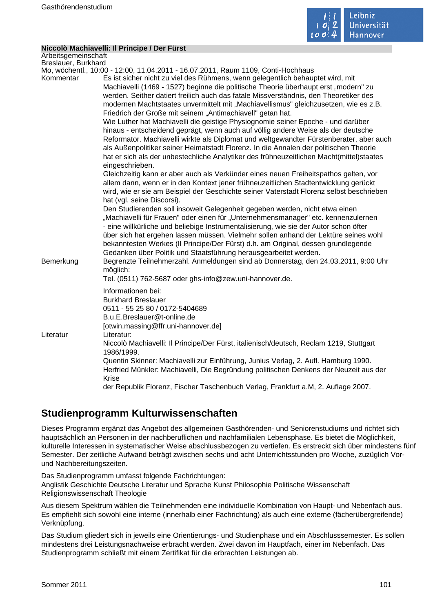

#### **Niccolò Machiavelli: Il Principe / Der Fürst**

| Arbeitsgemeinschaft |                                                                                                                        |
|---------------------|------------------------------------------------------------------------------------------------------------------------|
| Breslauer, Burkhard |                                                                                                                        |
|                     | Mo, wöchentl., 10:00 - 12:00, 11.04.2011 - 16.07.2011, Raum 1109, Conti-Hochhaus                                       |
| Kommentar           | Es ist sicher nicht zu viel des Rühmens, wenn gelegentlich behauptet wird, mit                                         |
|                     | Machiavelli (1469 - 1527) beginne die politische Theorie überhaupt erst "modern" zu                                    |
|                     | werden. Seither datiert freilich auch das fatale Missverständnis, den Theoretiker des                                  |
|                     | modernen Machtstaates unvermittelt mit "Machiavellismus" gleichzusetzen, wie es z.B.                                   |
|                     | Friedrich der Große mit seinem "Antimachiavell" getan hat.                                                             |
|                     | Wie Luther hat Machiavelli die geistige Physiognomie seiner Epoche - und darüber                                       |
|                     | hinaus - entscheidend geprägt, wenn auch auf völlig andere Weise als der deutsche                                      |
|                     | Reformator. Machiavelli wirkte als Diplomat und weltgewandter Fürstenberater, aber auch                                |
|                     | als Außenpolitiker seiner Heimatstadt Florenz. In die Annalen der politischen Theorie                                  |
|                     | hat er sich als der unbestechliche Analytiker des frühneuzeitlichen Macht(mittel)staates<br>eingeschrieben.            |
|                     | Gleichzeitig kann er aber auch als Verkünder eines neuen Freiheitspathos gelten, vor                                   |
|                     | allem dann, wenn er in den Kontext jener frühneuzeitlichen Stadtentwicklung gerückt                                    |
|                     | wird, wie er sie am Beispiel der Geschichte seiner Vaterstadt Florenz selbst beschrieben<br>hat (vgl. seine Discorsi). |
|                     | Den Studierenden soll insoweit Gelegenheit gegeben werden, nicht etwa einen                                            |
|                     | "Machiavelli für Frauen" oder einen für "Unternehmensmanager" etc. kennenzulernen                                      |
|                     | - eine willkürliche und beliebige Instrumentalisierung, wie sie der Autor schon öfter                                  |
|                     | über sich hat ergehen lassen müssen. Vielmehr sollen anhand der Lektüre seines wohl                                    |
|                     | bekanntesten Werkes (II Principe/Der Fürst) d.h. am Original, dessen grundlegende                                      |
|                     | Gedanken über Politik und Staatsführung herausgearbeitet werden.                                                       |
| Bemerkung           | Begrenzte Teilnehmerzahl. Anmeldungen sind ab Donnerstag, den 24.03.2011, 9:00 Uhr                                     |
|                     | möglich:                                                                                                               |
|                     | Tel. (0511) 762-5687 oder ghs-info@zew.uni-hannover.de.                                                                |
|                     | Informationen bei:                                                                                                     |
|                     | <b>Burkhard Breslauer</b>                                                                                              |
|                     | 0511 - 55 25 80 / 0172-5404689                                                                                         |
|                     | B.u.E.Breslauer@t-online.de                                                                                            |
|                     | [otwin.massing@ffr.uni-hannover.de]                                                                                    |
| Literatur           | Literatur:                                                                                                             |
|                     | Niccolò Machiavelli: Il Principe/Der Fürst, italienisch/deutsch, Reclam 1219, Stuttgart<br>1986/1999.                  |
|                     | Quentin Skinner: Machiavelli zur Einführung, Junius Verlag, 2. Aufl. Hamburg 1990.                                     |
|                     | Herfried Münkler: Machiavelli, Die Begründung politischen Denkens der Neuzeit aus der                                  |
|                     | Krise                                                                                                                  |
|                     | der Republik Florenz, Fischer Taschenbuch Verlag, Frankfurt a.M, 2. Auflage 2007.                                      |
|                     |                                                                                                                        |

# **Studienprogramm Kulturwissenschaften**

Dieses Programm ergänzt das Angebot des allgemeinen Gasthörenden- und Seniorenstudiums und richtet sich hauptsächlich an Personen in der nachberuflichen und nachfamilialen Lebensphase. Es bietet die Möglichkeit, kulturelle Interessen in systematischer Weise abschlussbezogen zu vertiefen. Es erstreckt sich über mindestens fünf Semester. Der zeitliche Aufwand beträgt zwischen sechs und acht Unterrichtsstunden pro Woche, zuzüglich Vorund Nachbereitungszeiten.

Das Studienprogramm umfasst folgende Fachrichtungen: Anglistik Geschichte Deutsche Literatur und Sprache Kunst Philosophie Politische Wissenschaft Religionswissenschaft Theologie

Aus diesem Spektrum wählen die Teilnehmenden eine individuelle Kombination von Haupt- und Nebenfach aus. Es empfiehlt sich sowohl eine interne (innerhalb einer Fachrichtung) als auch eine externe (fächerübergreifende) Verknüpfung.

Das Studium gliedert sich in jeweils eine Orientierungs- und Studienphase und ein Abschlusssemester. Es sollen mindestens drei Leistungsnachweise erbracht werden. Zwei davon im Hauptfach, einer im Nebenfach. Das Studienprogramm schließt mit einem Zertifikat für die erbrachten Leistungen ab.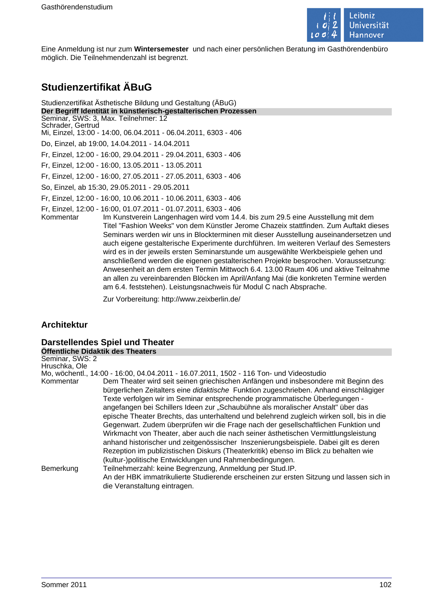

Eine Anmeldung ist nur zum **Wintersemester** und nach einer persönlichen Beratung im Gasthörendenbüro möglich. Die Teilnehmendenzahl ist begrenzt.

# **Studienzertifikat ÄBuG**

# Studienzertifikat Ästhetische Bildung und Gestaltung (ÄBuG)

**Der Begriff Identität in künstlerisch-gestalterischen Prozessen** Seminar, SWS: 3, Max. Teilnehmer: 12

Schrader, Gertrud

Mi, Einzel, 13:00 - 14:00, 06.04.2011 - 06.04.2011, 6303 - 406

Do, Einzel, ab 19:00, 14.04.2011 - 14.04.2011

Fr, Einzel, 12:00 - 16:00, 29.04.2011 - 29.04.2011, 6303 - 406

Fr, Einzel, 12:00 - 16:00, 13.05.2011 - 13.05.2011

Fr, Einzel, 12:00 - 16:00, 27.05.2011 - 27.05.2011, 6303 - 406

So, Einzel, ab 15:30, 29.05.2011 - 29.05.2011

Fr, Einzel, 12:00 - 16:00, 10.06.2011 - 10.06.2011, 6303 - 406

Fr, Einzel, 12:00 - 16:00, 01.07.2011 - 01.07.2011, 6303 - 406

Im Kunstverein Langenhagen wird vom 14.4. bis zum 29.5 eine Ausstellung mit dem Titel "Fashion Weeks" von dem Künstler Jerome Chazeix stattfinden. Zum Auftakt dieses Seminars werden wir uns in Blockterminen mit dieser Ausstellung auseinandersetzen und auch eigene gestalterische Experimente durchführen. Im weiteren Verlauf des Semesters wird es in der jeweils ersten Seminarstunde um ausgewählte Werkbeispiele gehen und anschließend werden die eigenen gestalterischen Projekte besprochen. Voraussetzung: Anwesenheit an dem ersten Termin Mittwoch 6.4. 13.00 Raum 406 und aktive Teilnahme an allen zu vereinbarenden Blöcken im April/Anfang Mai (die konkreten Termine werden am 6.4. feststehen). Leistungsnachweis für Modul C nach Absprache.

Zur Vorbereitung: http://www.zeixberlin.de/

# **Architektur**

# **Darstellendes Spiel und Theater**

**Öffentliche Didaktik des Theaters**

| Seminar, SWS: 2<br>Hruschka, Ole |                                                                                                                                                                                                                                                                                                                                                                                                                                                                                                                                                                                                                                                                                                                |
|----------------------------------|----------------------------------------------------------------------------------------------------------------------------------------------------------------------------------------------------------------------------------------------------------------------------------------------------------------------------------------------------------------------------------------------------------------------------------------------------------------------------------------------------------------------------------------------------------------------------------------------------------------------------------------------------------------------------------------------------------------|
|                                  | Mo, wöchentl., 14:00 - 16:00, 04.04.2011 - 16.07.2011, 1502 - 116 Ton- und Videostudio                                                                                                                                                                                                                                                                                                                                                                                                                                                                                                                                                                                                                         |
| Kommentar                        | Dem Theater wird seit seinen griechischen Anfängen und insbesondere mit Beginn des<br>bürgerlichen Zeitalters eine didaktische Funktion zugeschrieben. Anhand einschlägiger<br>Texte verfolgen wir im Seminar entsprechende programmatische Überlegungen -<br>angefangen bei Schillers Ideen zur "Schaubühne als moralischer Anstalt" über das<br>epische Theater Brechts, das unterhaltend und belehrend zugleich wirken soll, bis in die<br>Gegenwart. Zudem überprüfen wir die Frage nach der gesellschaftlichen Funktion und<br>Wirkmacht von Theater, aber auch die nach seiner ästhetischen Vermittlungsleistung<br>anhand historischer und zeitgenössischer Inszenierungsbeispiele. Dabei gilt es deren |
|                                  | Rezeption im publizistischen Diskurs (Theaterkritik) ebenso im Blick zu behalten wie<br>(kultur-)politische Entwicklungen und Rahmenbedingungen.                                                                                                                                                                                                                                                                                                                                                                                                                                                                                                                                                               |
| Bemerkung                        | Teilnehmerzahl: keine Begrenzung, Anmeldung per Stud. IP.                                                                                                                                                                                                                                                                                                                                                                                                                                                                                                                                                                                                                                                      |
|                                  | An der HBK immatrikulierte Studierende erscheinen zur ersten Sitzung und lassen sich in<br>die Veranstaltung eintragen.                                                                                                                                                                                                                                                                                                                                                                                                                                                                                                                                                                                        |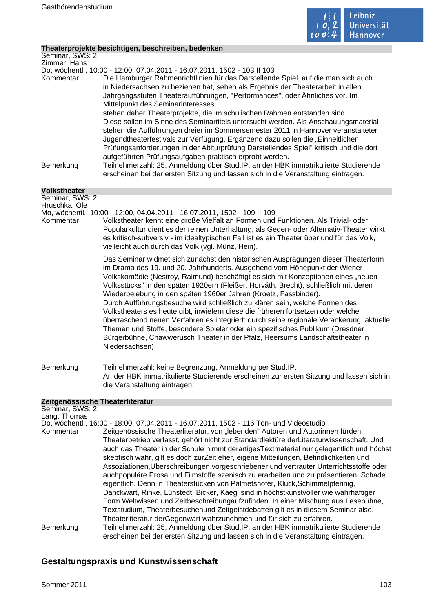

## **Theaterprojekte besichtigen, beschreiben, bedenken**

| modierprejence i                |                                                                                                                                                                                                                                                                                                                                                                                                                                                                                                                                                                                                                                                                                                                                                                                                                                                                    |
|---------------------------------|--------------------------------------------------------------------------------------------------------------------------------------------------------------------------------------------------------------------------------------------------------------------------------------------------------------------------------------------------------------------------------------------------------------------------------------------------------------------------------------------------------------------------------------------------------------------------------------------------------------------------------------------------------------------------------------------------------------------------------------------------------------------------------------------------------------------------------------------------------------------|
| Seminar, SWS: 2<br>Zimmer, Hans |                                                                                                                                                                                                                                                                                                                                                                                                                                                                                                                                                                                                                                                                                                                                                                                                                                                                    |
|                                 | Do, wöchentl., 10:00 - 12:00, 07.04.2011 - 16.07.2011, 1502 - 103 II 103                                                                                                                                                                                                                                                                                                                                                                                                                                                                                                                                                                                                                                                                                                                                                                                           |
| Kommentar                       | Die Hamburger Rahmenrichtlinien für das Darstellende Spiel, auf die man sich auch<br>in Niedersachsen zu beziehen hat, sehen als Ergebnis der Theaterarbeit in allen<br>Jahrgangsstufen Theateraufführungen, "Performances", oder Ähnliches vor. Im<br>Mittelpunkt des Seminarinteresses                                                                                                                                                                                                                                                                                                                                                                                                                                                                                                                                                                           |
|                                 | stehen daher Theaterprojekte, die im schulischen Rahmen entstanden sind.<br>Diese sollen im Sinne des Seminartitels untersucht werden. Als Anschauungsmaterial<br>stehen die Aufführungen dreier im Sommersemester 2011 in Hannover veranstalteter<br>Jugendtheaterfestivals zur Verfügung. Ergänzend dazu sollen die "Einheitlichen<br>Prüfungsanforderungen in der Abiturprüfung Darstellendes Spiel" kritisch und die dort                                                                                                                                                                                                                                                                                                                                                                                                                                      |
| Bemerkung                       | aufgeführten Prüfungsaufgaben praktisch erprobt werden.<br>Teilnehmerzahl: 25, Anmeldung über Stud.IP, an der HBK immatrikulierte Studierende<br>erscheinen bei der ersten Sitzung und lassen sich in die Veranstaltung eintragen.                                                                                                                                                                                                                                                                                                                                                                                                                                                                                                                                                                                                                                 |
| <b>Volkstheater</b>             |                                                                                                                                                                                                                                                                                                                                                                                                                                                                                                                                                                                                                                                                                                                                                                                                                                                                    |
| Seminar, SWS: 2                 |                                                                                                                                                                                                                                                                                                                                                                                                                                                                                                                                                                                                                                                                                                                                                                                                                                                                    |
| Hruschka, Ole                   | Mo, wöchentl., 10:00 - 12:00, 04.04.2011 - 16.07.2011, 1502 - 109 II 109                                                                                                                                                                                                                                                                                                                                                                                                                                                                                                                                                                                                                                                                                                                                                                                           |
| Kommentar                       | Volkstheater kennt eine große Vielfalt an Formen und Funktionen. Als Trivial- oder<br>Popularkultur dient es der reinen Unterhaltung, als Gegen- oder Alternativ-Theater wirkt<br>es kritisch-subversiv - im idealtypischen Fall ist es ein Theater über und für das Volk,<br>vielleicht auch durch das Volk (vgl. Münz, Hein).                                                                                                                                                                                                                                                                                                                                                                                                                                                                                                                                    |
|                                 | Das Seminar widmet sich zunächst den historischen Ausprägungen dieser Theaterform<br>im Drama des 19. und 20. Jahrhunderts. Ausgehend vom Höhepunkt der Wiener<br>Volkskomödie (Nestroy, Raimund) beschäftigt es sich mit Konzeptionen eines "neuen<br>Volksstücks" in den späten 1920ern (Fleißer, Horváth, Brecht), schließlich mit deren<br>Wiederbelebung in den späten 1960er Jahren (Kroetz, Fassbinder).<br>Durch Aufführungsbesuche wird schließlich zu klären sein, welche Formen des<br>Volkstheaters es heute gibt, inwiefern diese die früheren fortsetzen oder welche<br>überraschend neuen Verfahren es integriert: durch seine regionale Verankerung, aktuelle<br>Themen und Stoffe, besondere Spieler oder ein spezifisches Publikum (Dresdner<br>Bürgerbühne, Chawwerusch Theater in der Pfalz, Heersums Landschaftstheater in<br>Niedersachsen). |
| Bemerkung                       | Teilnehmerzahl: keine Begrenzung, Anmeldung per Stud.IP.<br>An der HBK immatrikulierte Studierende erscheinen zur ersten Sitzung und lassen sich in<br>die Veranstaltung eintragen.                                                                                                                                                                                                                                                                                                                                                                                                                                                                                                                                                                                                                                                                                |
|                                 | Zeitgenössische Theaterliteratur                                                                                                                                                                                                                                                                                                                                                                                                                                                                                                                                                                                                                                                                                                                                                                                                                                   |
| Seminar, SWS: 2                 |                                                                                                                                                                                                                                                                                                                                                                                                                                                                                                                                                                                                                                                                                                                                                                                                                                                                    |
| Lang, Thomas                    | Do, wöchentl., 16:00 - 18:00, 07.04.2011 - 16.07.2011, 1502 - 116 Ton- und Videostudio                                                                                                                                                                                                                                                                                                                                                                                                                                                                                                                                                                                                                                                                                                                                                                             |
| Kommentar                       | Zeitgenössische Theaterliteratur, von "lebenden" Autoren und Autorinnen fürden                                                                                                                                                                                                                                                                                                                                                                                                                                                                                                                                                                                                                                                                                                                                                                                     |
|                                 | Theaterbetrieb verfasst, gehört nicht zur Standardlektüre derLiteraturwissenschaft. Und<br>auch das Theater in der Schule nimmt derartigesTextmaterial nur gelegentlich und höchst                                                                                                                                                                                                                                                                                                                                                                                                                                                                                                                                                                                                                                                                                 |
|                                 | skeptisch wahr, gilt es doch zurZeit eher, eigene Mitteilungen, Befindlichkeiten und                                                                                                                                                                                                                                                                                                                                                                                                                                                                                                                                                                                                                                                                                                                                                                               |
|                                 | Assoziationen, Überschreibungen vorgeschriebener und vertrauter Unterrichtsstoffe oder                                                                                                                                                                                                                                                                                                                                                                                                                                                                                                                                                                                                                                                                                                                                                                             |
|                                 | auchpopuläre Prosa und Filmstoffe szenisch zu erarbeiten und zu präsentieren. Schade                                                                                                                                                                                                                                                                                                                                                                                                                                                                                                                                                                                                                                                                                                                                                                               |
|                                 | eigentlich. Denn in Theaterstücken von Palmetshofer, Kluck, Schimmelpfennig,                                                                                                                                                                                                                                                                                                                                                                                                                                                                                                                                                                                                                                                                                                                                                                                       |
|                                 | Danckwart, Rinke, Lünstedt, Bicker, Kaegi sind in höchstkunstvoller wie wahrhaftiger<br>Form Weltwissen und Zeitbeschreibungaufzufinden. In einer Mischung aus Lesebühne,                                                                                                                                                                                                                                                                                                                                                                                                                                                                                                                                                                                                                                                                                          |
|                                 | Textstudium, Theaterbesuchenund Zeitgeistdebatten gilt es in diesem Seminar also,                                                                                                                                                                                                                                                                                                                                                                                                                                                                                                                                                                                                                                                                                                                                                                                  |
|                                 | Theaterliteratur derGegenwart wahrzunehmen und für sich zu erfahren.                                                                                                                                                                                                                                                                                                                                                                                                                                                                                                                                                                                                                                                                                                                                                                                               |
| Bemerkung                       | Teilnehmerzahl: 25, Anmeldung über Stud.IP; an der HBK immatrikulierte Studierende<br>erscheinen bei der ersten Sitzung und lassen sich in die Veranstaltung eintragen.                                                                                                                                                                                                                                                                                                                                                                                                                                                                                                                                                                                                                                                                                            |

# **Gestaltungspraxis und Kunstwissenschaft**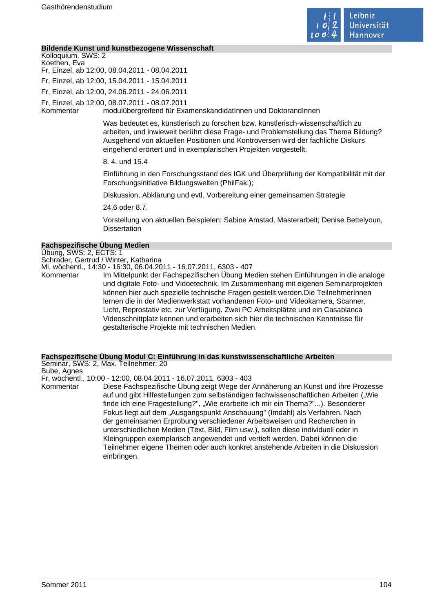

#### **Bildende Kunst und kunstbezogene Wissenschaft**

Kolloquium, SWS: 2 Koethen, Eva Fr, Einzel, ab 12:00, 08.04.2011 - 08.04.2011 Fr, Einzel, ab 12:00, 15.04.2011 - 15.04.2011

Fr, Einzel, ab 12:00, 24.06.2011 - 24.06.2011

Fr, Einzel, ab 12:00, 08.07.2011 - 08.07.2011

Kommentar modulübergreifend für ExamenskandidatInnen und DoktorandInnen

Was bedeutet es, künstlerisch zu forschen bzw. künstlerisch-wissenschaftlich zu arbeiten, und inwieweit berührt diese Frage- und Problemstellung das Thema Bildung? Ausgehend von aktuellen Positionen und Kontroversen wird der fachliche Diskurs eingehend erörtert und in exemplarischen Projekten vorgestellt.

8. 4. und 15.4

Einführung in den Forschungsstand des IGK und Überprüfung der Kompatibilität mit der Forschungsinitiative Bildungswelten (PhilFak.);

Diskussion, Abklärung und evtl. Vorbereitung einer gemeinsamen Strategie

24.6 oder 8.7.

Vorstellung von aktuellen Beispielen: Sabine Amstad, Masterarbeit; Denise Bettelyoun, **Dissertation** 

#### **Fachspezifische Übung Medien**

Übung, SWS: 2, ECTS: 1

Schrader, Gertrud / Winter, Katharina

Mi, wöchentl., 14:30 - 16:30, 06.04.2011 - 16.07.2011, 6303 - 407 Kommentar Im Mittelpunkt der Fachspezifischen Übung Medien stehen Einführungen in die analoge

und digitale Foto- und Vidoetechnik. Im Zusammenhang mit eigenen Seminarprojekten können hier auch spezielle technische Fragen gestellt werden.Die TeilnehmerInnen lernen die in der Medienwerkstatt vorhandenen Foto- und Videokamera, Scanner, Licht, Reprostativ etc. zur Verfügung. Zwei PC Arbeitsplätze und ein Casablanca Videoschnittplatz kennen und erarbeiten sich hier die technischen Kenntnisse für gestalterische Projekte mit technischen Medien.

#### **Fachspezifische Übung Modul C: Einführung in das kunstwissenschaftliche Arbeiten**

Seminar, SWS: 2, Max. Teilnehmer: 20

Bube, Agnes

Fr, wöchentl., 10:00 - 12:00, 08.04.2011 - 16.07.2011, 6303 - 403

Kommentar Diese Fachspezifische Übung zeigt Wege der Annäherung an Kunst und ihre Prozesse auf und gibt Hilfestellungen zum selbständigen fachwissenschaftlichen Arbeiten ("Wie finde ich eine Fragestellung?", "Wie erarbeite ich mir ein Thema?"...). Besonderer Fokus liegt auf dem "Ausgangspunkt Anschauung" (Imdahl) als Verfahren. Nach der gemeinsamen Erprobung verschiedener Arbeitsweisen und Recherchen in unterschiedlichen Medien (Text, Bild, Film usw.), sollen diese individuell oder in Kleingruppen exemplarisch angewendet und vertieft werden. Dabei können die Teilnehmer eigene Themen oder auch konkret anstehende Arbeiten in die Diskussion einbringen.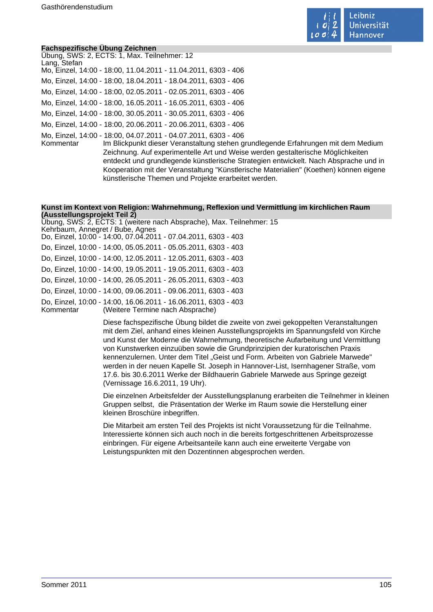

#### **Fachspezifische Übung Zeichnen**

Übung, SWS: 2, ECTS: 1, Max. Teilnehmer: 12 Lang, Stefan Mo, Einzel, 14:00 - 18:00, 11.04.2011 - 11.04.2011, 6303 - 406 Mo, Einzel, 14:00 - 18:00, 18.04.2011 - 18.04.2011, 6303 - 406 Mo, Einzel, 14:00 - 18:00, 02.05.2011 - 02.05.2011, 6303 - 406 Mo, Einzel, 14:00 - 18:00, 16.05.2011 - 16.05.2011, 6303 - 406 Mo, Einzel, 14:00 - 18:00, 30.05.2011 - 30.05.2011, 6303 - 406 Mo, Einzel, 14:00 - 18:00, 20.06.2011 - 20.06.2011, 6303 - 406 Mo, Einzel, 14:00 - 18:00, 04.07.2011 - 04.07.2011, 6303 - 406

Im Blickpunkt dieser Veranstaltung stehen grundlegende Erfahrungen mit dem Medium Zeichnung. Auf experimentelle Art und Weise werden gestalterische Möglichkeiten entdeckt und grundlegende künstlerische Strategien entwickelt. Nach Absprache und in Kooperation mit der Veranstaltung "Künstlerische Materialien" (Koethen) können eigene künstlerische Themen und Projekte erarbeitet werden.

# **Kunst im Kontext von Religion: Wahrnehmung, Reflexion und Vermittlung im kirchlichen Raum (Ausstellungsprojekt Teil 2)**

Übung, SWS: 2, ECTS: 1 (weitere nach Absprache), Max. Teilnehmer: 15 Kehrbaum, Annegret / Bube, Agnes Do, Einzel, 10:00 - 14:00, 07.04.2011 - 07.04.2011, 6303 - 403 Do, Einzel, 10:00 - 14:00, 05.05.2011 - 05.05.2011, 6303 - 403 Do, Einzel, 10:00 - 14:00, 12.05.2011 - 12.05.2011, 6303 - 403 Do, Einzel, 10:00 - 14:00, 19.05.2011 - 19.05.2011, 6303 - 403 Do, Einzel, 10:00 - 14:00, 26.05.2011 - 26.05.2011, 6303 - 403 Do, Einzel, 10:00 - 14:00, 09.06.2011 - 09.06.2011, 6303 - 403 Do, Einzel, 10:00 - 14:00, 16.06.2011 - 16.06.2011, 6303 - 403 Kommentar (Weitere Termine nach Absprache)

> Diese fachspezifische Übung bildet die zweite von zwei gekoppelten Veranstaltungen mit dem Ziel, anhand eines kleinen Ausstellungsprojekts im Spannungsfeld von Kirche und Kunst der Moderne die Wahrnehmung, theoretische Aufarbeitung und Vermittlung von Kunstwerken einzuüben sowie die Grundprinzipien der kuratorischen Praxis kennenzulernen. Unter dem Titel "Geist und Form. Arbeiten von Gabriele Marwede" werden in der neuen Kapelle St. Joseph in Hannover-List, Isernhagener Straße, vom 17.6. bis 30.6.2011 Werke der Bildhauerin Gabriele Marwede aus Springe gezeigt (Vernissage 16.6.2011, 19 Uhr).

Die einzelnen Arbeitsfelder der Ausstellungsplanung erarbeiten die Teilnehmer in kleinen Gruppen selbst, die Präsentation der Werke im Raum sowie die Herstellung einer kleinen Broschüre inbegriffen.

Die Mitarbeit am ersten Teil des Projekts ist nicht Voraussetzung für die Teilnahme. Interessierte können sich auch noch in die bereits fortgeschrittenen Arbeitsprozesse einbringen. Für eigene Arbeitsanteile kann auch eine erweiterte Vergabe von Leistungspunkten mit den Dozentinnen abgesprochen werden.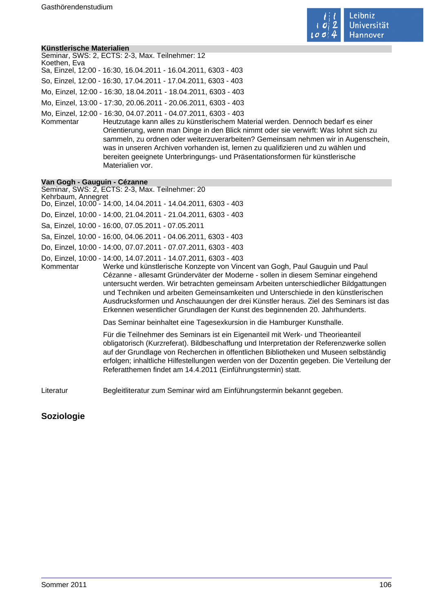

#### **Künstlerische Materialien**

| Seminar, SWS: 2, ECTS: 2-3, Max. Teilnehmer: 12                |
|----------------------------------------------------------------|
| Koethen, Eva                                                   |
| Sa, Einzel, 12:00 - 16:30, 16.04.2011 - 16.04.2011, 6303 - 403 |
| So, Einzel, 12:00 - 16:30, 17.04.2011 - 17.04.2011, 6303 - 403 |
| Mo, Einzel, 12:00 - 16:30, 18.04.2011 - 18.04.2011, 6303 - 403 |
| Mo, Einzel, 13:00 - 17:30, 20.06.2011 - 20.06.2011, 6303 - 403 |
| Mo, Einzel, 12:00 - 16:30, 04.07.2011 - 04.07.2011, 6303 - 403 |

Kommentar Heutzutage kann alles zu künstlerischem Material werden. Dennoch bedarf es einer Orientierung, wenn man Dinge in den Blick nimmt oder sie verwirft: Was lohnt sich zu sammeln, zu ordnen oder weiterzuverarbeiten? Gemeinsam nehmen wir in Augenschein, was in unseren Archiven vorhanden ist, lernen zu qualifizieren und zu wählen und bereiten geeignete Unterbringungs- und Präsentationsformen für künstlerische Materialien vor.

#### **Van Gogh - Gauguin - Cézanne**

Seminar, SWS: 2, ECTS: 2-3, Max. Teilnehmer: 20 Kehrbaum, Annegret Do, Einzel, 10:00 - 14:00, 14.04.2011 - 14.04.2011, 6303 - 403 Do, Einzel, 10:00 - 14:00, 21.04.2011 - 21.04.2011, 6303 - 403 Sa, Einzel, 10:00 - 16:00, 07.05.2011 - 07.05.2011 Sa, Einzel, 10:00 - 16:00, 04.06.2011 - 04.06.2011, 6303 - 403 Do, Einzel, 10:00 - 14:00, 07.07.2011 - 07.07.2011, 6303 - 403 Do, Einzel, 10:00 - 14:00, 14.07.2011 - 14.07.2011, 6303 - 403 Werke und künstlerische Konzepte von Vincent van Gogh, Paul Gauguin und Paul Cézanne - allesamt Gründerväter der Moderne - sollen in diesem Seminar eingehend untersucht werden. Wir betrachten gemeinsam Arbeiten unterschiedlicher Bildgattungen und Techniken und arbeiten Gemeinsamkeiten und Unterschiede in den künstlerischen Ausdrucksformen und Anschauungen der drei Künstler heraus. Ziel des Seminars ist das Erkennen wesentlicher Grundlagen der Kunst des beginnenden 20. Jahrhunderts. Das Seminar beinhaltet eine Tagesexkursion in die Hamburger Kunsthalle. Für die Teilnehmer des Seminars ist ein Eigenanteil mit Werk- und Theorieanteil obligatorisch (Kurzreferat). Bildbeschaffung und Interpretation der Referenzwerke sollen auf der Grundlage von Recherchen in öffentlichen Bibliotheken und Museen selbständig erfolgen; inhaltliche Hilfestellungen werden von der Dozentin gegeben. Die Verteilung der Referatthemen findet am 14.4.2011 (Einführungstermin) statt. Literatur Begleitliteratur zum Seminar wird am Einführungstermin bekannt gegeben.

# **Soziologie**